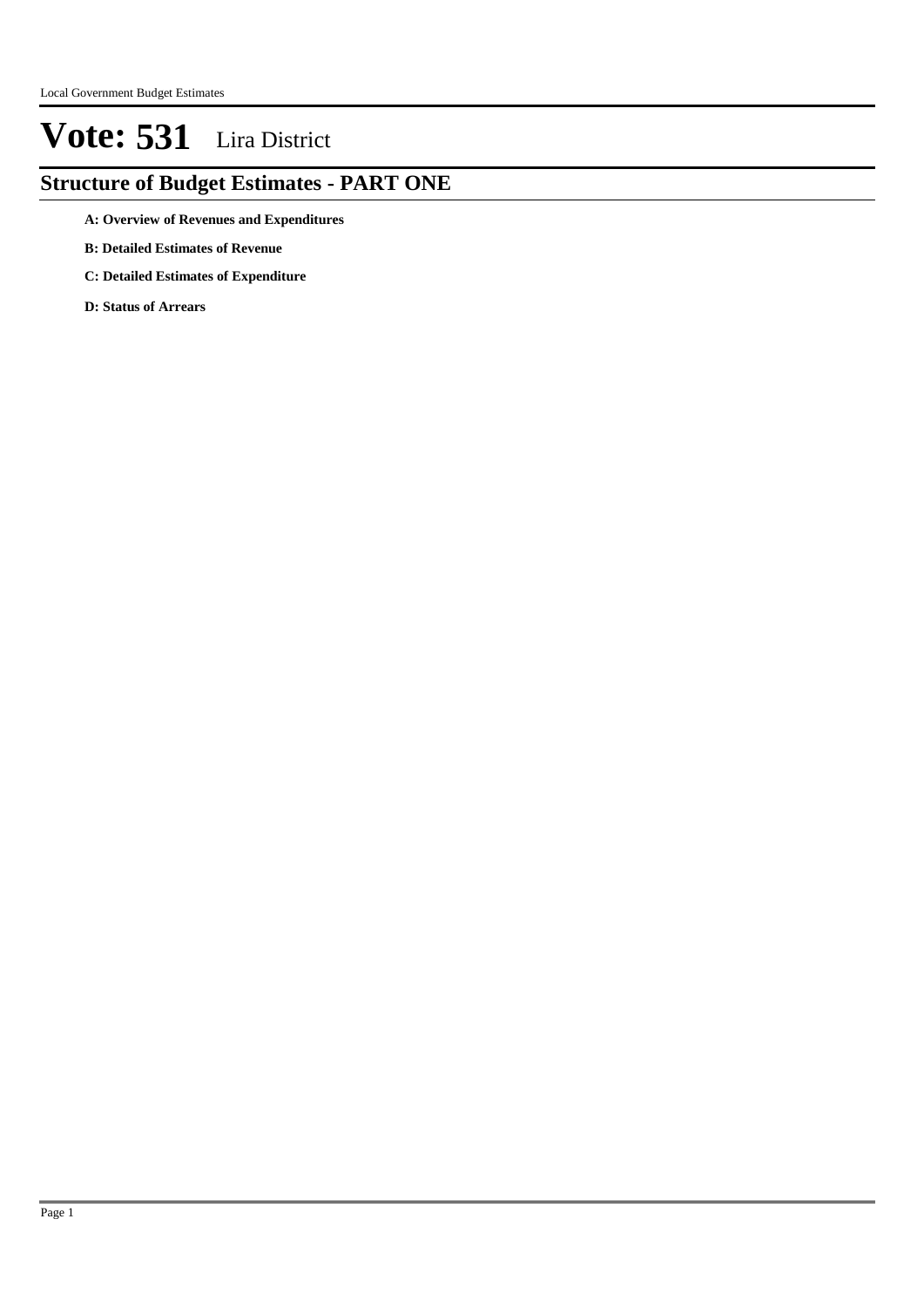### **Structure of Budget Estimates - PART ONE**

- **A: Overview of Revenues and Expenditures**
- **B: Detailed Estimates of Revenue**
- **C: Detailed Estimates of Expenditure**
- **D: Status of Arrears**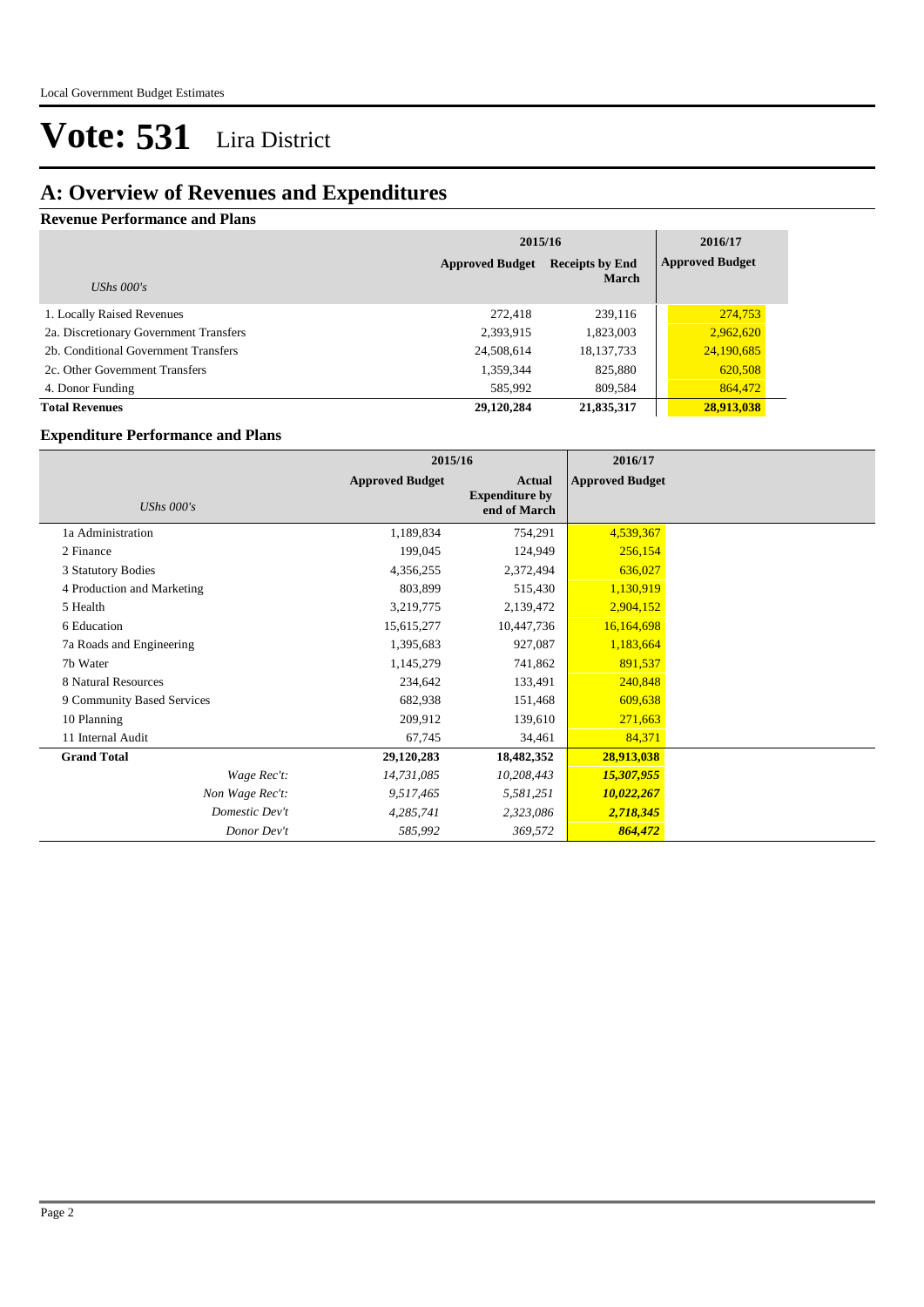### **A: Overview of Revenues and Expenditures**

#### **Revenue Performance and Plans**

|                                        | 2015/16                                          | 2016/17      |                        |
|----------------------------------------|--------------------------------------------------|--------------|------------------------|
|                                        | <b>Receipts by End</b><br><b>Approved Budget</b> |              | <b>Approved Budget</b> |
| UShs $000's$                           |                                                  | <b>March</b> |                        |
| 1. Locally Raised Revenues             | 272,418                                          | 239,116      | 274,753                |
| 2a. Discretionary Government Transfers | 2,393,915                                        | 1,823,003    | 2,962,620              |
| 2b. Conditional Government Transfers   | 24,508,614                                       | 18, 137, 733 | 24,190,685             |
| 2c. Other Government Transfers         | 1,359,344                                        | 825,880      | 620,508                |
| 4. Donor Funding                       | 585,992                                          | 809,584      | 864,472                |
| <b>Total Revenues</b>                  | 29,120,284                                       | 21,835,317   | 28,913,038             |

#### **Expenditure Performance and Plans**

|                            | 2015/16                |                                                        | 2016/17                |  |
|----------------------------|------------------------|--------------------------------------------------------|------------------------|--|
| <b>UShs 000's</b>          | <b>Approved Budget</b> | <b>Actual</b><br><b>Expenditure by</b><br>end of March | <b>Approved Budget</b> |  |
| 1a Administration          | 1,189,834              | 754,291                                                | 4,539,367              |  |
| 2 Finance                  | 199,045                | 124,949                                                | 256,154                |  |
| 3 Statutory Bodies         | 4,356,255              | 2,372,494                                              | 636,027                |  |
| 4 Production and Marketing | 803,899                | 515,430                                                | 1,130,919              |  |
| 5 Health                   | 3,219,775              | 2,139,472                                              | 2,904,152              |  |
| 6 Education                | 15,615,277             | 10,447,736                                             | 16,164,698             |  |
| 7a Roads and Engineering   | 1,395,683              | 927,087                                                | 1,183,664              |  |
| 7b Water                   | 1,145,279              | 741,862                                                | 891,537                |  |
| 8 Natural Resources        | 234,642                | 133,491                                                | 240,848                |  |
| 9 Community Based Services | 682,938                | 151,468                                                | 609,638                |  |
| 10 Planning                | 209,912                | 139,610                                                | 271,663                |  |
| 11 Internal Audit          | 67,745                 | 34,461                                                 | 84,371                 |  |
| <b>Grand Total</b>         | 29,120,283             | 18,482,352                                             | 28,913,038             |  |
| Wage Rec't:                | 14,731,085             | 10,208,443                                             | 15,307,955             |  |
| Non Wage Rec't:            | 9,517,465              | 5,581,251                                              | 10,022,267             |  |
| Domestic Dev't             | 4,285,741              | 2,323,086                                              | 2,718,345              |  |
| Donor Dev't                | 585,992                | 369,572                                                | 864,472                |  |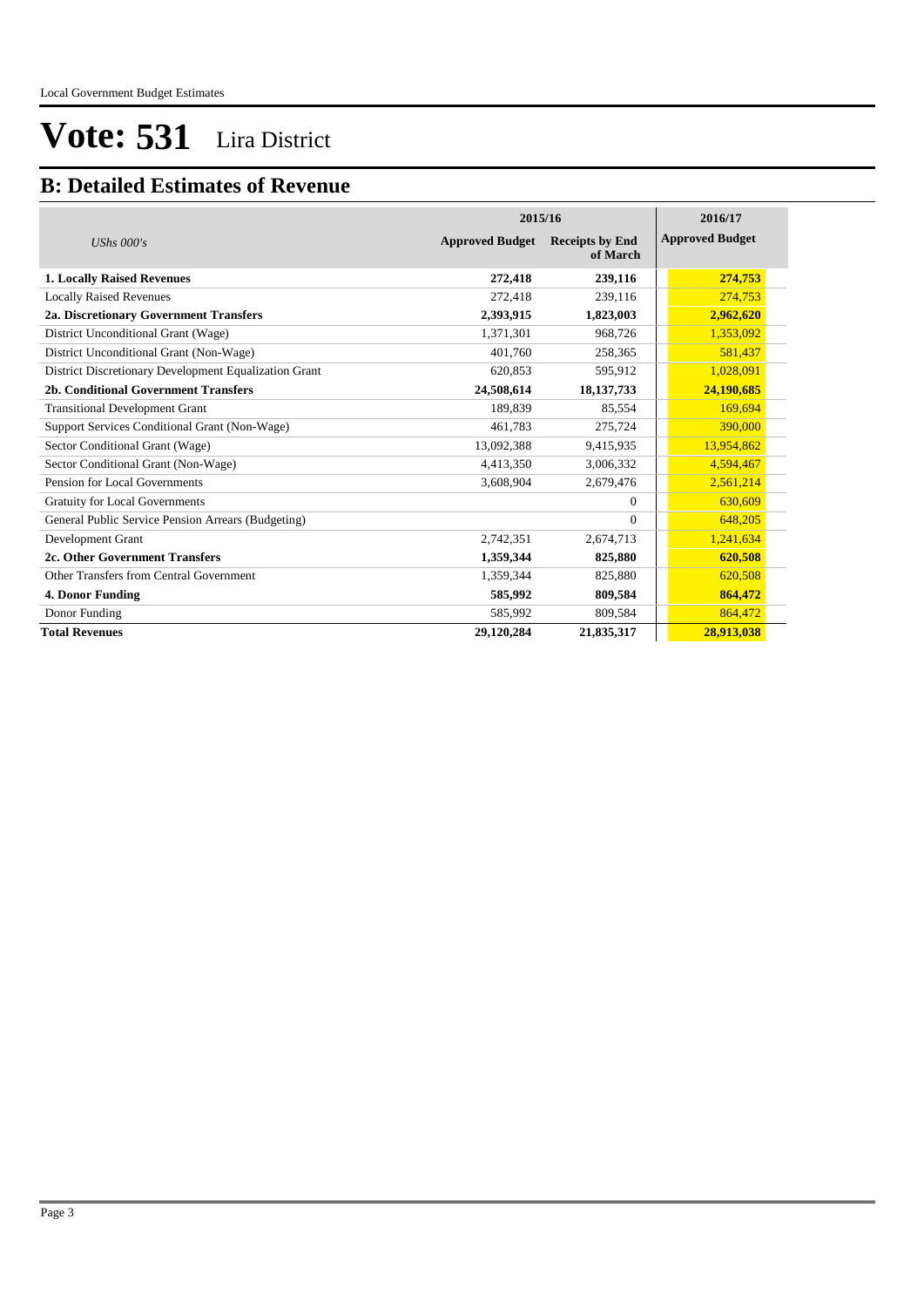### **B: Detailed Estimates of Revenue**

|                                                       | 2015/16                | 2016/17                            |                        |
|-------------------------------------------------------|------------------------|------------------------------------|------------------------|
| UShs $000's$                                          | <b>Approved Budget</b> | <b>Receipts by End</b><br>of March | <b>Approved Budget</b> |
| <b>1. Locally Raised Revenues</b>                     | 272,418                | 239,116                            | 274,753                |
| <b>Locally Raised Revenues</b>                        | 272,418                | 239,116                            | 274,753                |
| 2a. Discretionary Government Transfers                | 2,393,915              | 1,823,003                          | 2,962,620              |
| District Unconditional Grant (Wage)                   | 1,371,301              | 968,726                            | 1,353,092              |
| District Unconditional Grant (Non-Wage)               | 401,760                | 258,365                            | 581,437                |
| District Discretionary Development Equalization Grant | 620,853                | 595,912                            | 1,028,091              |
| 2b. Conditional Government Transfers                  | 24,508,614             | 18, 137, 733                       | 24,190,685             |
| <b>Transitional Development Grant</b>                 | 189,839                | 85,554                             | 169,694                |
| Support Services Conditional Grant (Non-Wage)         | 461.783                | 275,724                            | 390,000                |
| Sector Conditional Grant (Wage)                       | 13,092,388             | 9,415,935                          | 13,954,862             |
| Sector Conditional Grant (Non-Wage)                   | 4,413,350              | 3,006,332                          | 4,594,467              |
| Pension for Local Governments                         | 3,608,904              | 2,679,476                          | 2,561,214              |
| <b>Gratuity for Local Governments</b>                 |                        | $\Omega$                           | 630,609                |
| General Public Service Pension Arrears (Budgeting)    |                        | $\Omega$                           | 648,205                |
| Development Grant                                     | 2,742,351              | 2,674,713                          | 1,241,634              |
| 2c. Other Government Transfers                        | 1,359,344              | 825,880                            | 620,508                |
| Other Transfers from Central Government               | 1,359,344              | 825,880                            | 620,508                |
| 4. Donor Funding                                      | 585,992                | 809,584                            | 864,472                |
| Donor Funding                                         | 585,992                | 809,584                            | 864,472                |
| <b>Total Revenues</b>                                 | 29,120,284             | 21,835,317                         | 28,913,038             |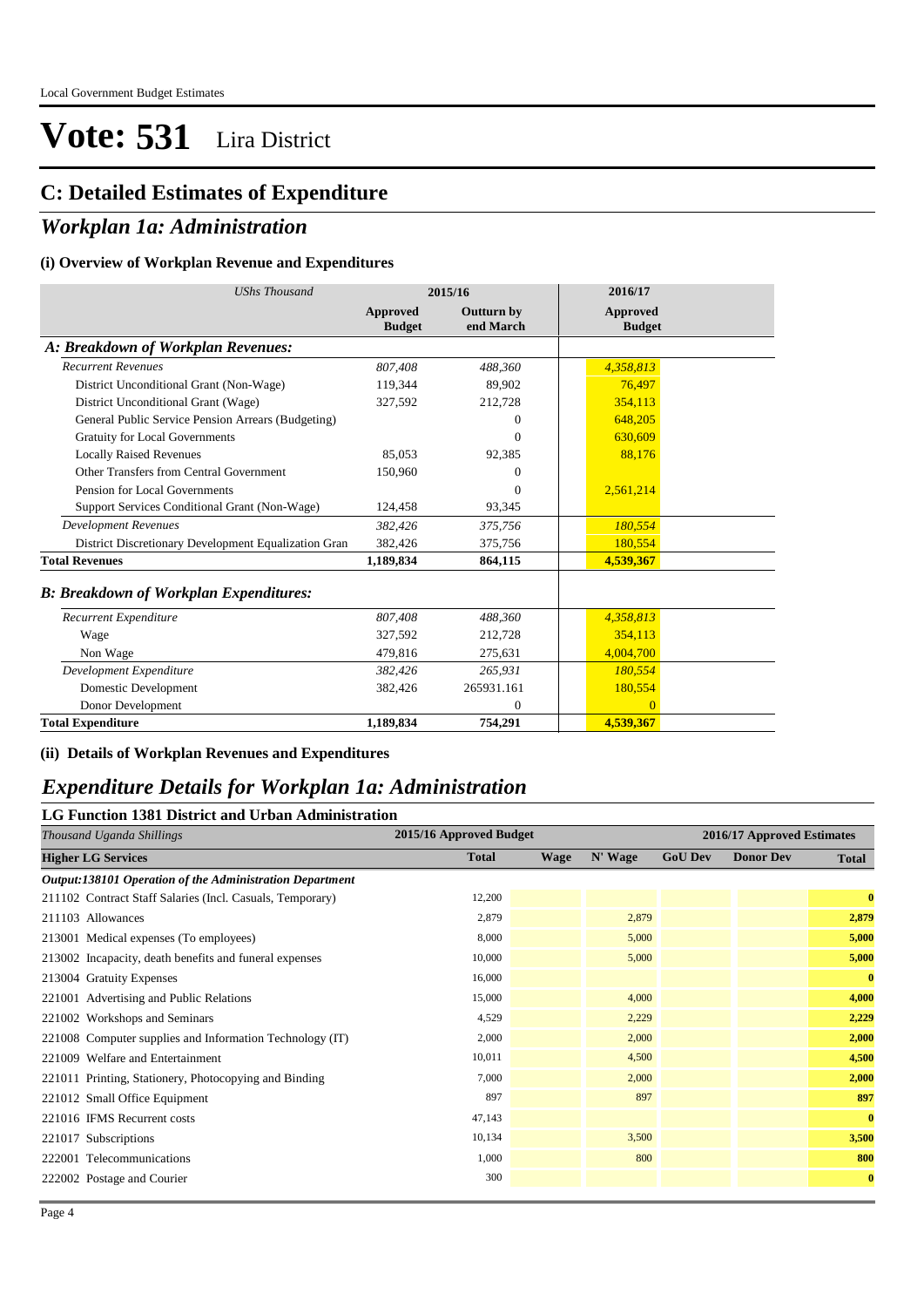### **C: Detailed Estimates of Expenditure**

#### *Workplan 1a: Administration*

#### **(i) Overview of Workplan Revenue and Expenditures**

| <b>UShs Thousand</b>                                 | 2015/16                          |                                | 2016/17                   |
|------------------------------------------------------|----------------------------------|--------------------------------|---------------------------|
|                                                      | <b>Approved</b><br><b>Budget</b> | <b>Outturn by</b><br>end March | Approved<br><b>Budget</b> |
| A: Breakdown of Workplan Revenues:                   |                                  |                                |                           |
| <b>Recurrent Revenues</b>                            | 807.408                          | 488.360                        | 4,358,813                 |
| District Unconditional Grant (Non-Wage)              | 119,344                          | 89,902                         | 76,497                    |
| District Unconditional Grant (Wage)                  | 327,592                          | 212,728                        | 354,113                   |
| General Public Service Pension Arrears (Budgeting)   |                                  | $\Omega$                       | 648,205                   |
| <b>Gratuity for Local Governments</b>                |                                  | $\overline{0}$                 | 630,609                   |
| <b>Locally Raised Revenues</b>                       | 85,053                           | 92,385                         | 88,176                    |
| Other Transfers from Central Government              | 150,960                          | $\theta$                       |                           |
| Pension for Local Governments                        |                                  | $\Omega$                       | 2,561,214                 |
| Support Services Conditional Grant (Non-Wage)        | 124,458                          | 93,345                         |                           |
| <b>Development Revenues</b>                          | 382,426                          | 375,756                        | 180,554                   |
| District Discretionary Development Equalization Gran | 382,426                          | 375,756                        | 180,554                   |
| <b>Total Revenues</b>                                | 1,189,834                        | 864,115                        | 4,539,367                 |
| <b>B: Breakdown of Workplan Expenditures:</b>        |                                  |                                |                           |
| Recurrent Expenditure                                | 807,408                          | 488,360                        | 4,358,813                 |
| Wage                                                 | 327,592                          | 212,728                        | 354,113                   |
| Non Wage                                             | 479.816                          | 275,631                        | 4,004,700                 |
| Development Expenditure                              | 382,426                          | 265,931                        | 180,554                   |
| Domestic Development                                 | 382,426                          | 265931.161                     | 180,554                   |
| Donor Development                                    |                                  | $\overline{0}$                 | $\Omega$                  |
| <b>Total Expenditure</b>                             | 1,189,834                        | 754,291                        | 4,539,367                 |

#### **(ii) Details of Workplan Revenues and Expenditures**

#### *Expenditure Details for Workplan 1a: Administration*

#### **LG Function 1381 District and Urban Administration**

| Thousand Uganda Shillings                                 | 2015/16 Approved Budget | 2016/17 Approved Estimates |         |                |                  |              |
|-----------------------------------------------------------|-------------------------|----------------------------|---------|----------------|------------------|--------------|
| <b>Higher LG Services</b>                                 | <b>Total</b>            | <b>Wage</b>                | N' Wage | <b>GoU Dev</b> | <b>Donor Dev</b> | <b>Total</b> |
| Output:138101 Operation of the Administration Department  |                         |                            |         |                |                  |              |
| 211102 Contract Staff Salaries (Incl. Casuals, Temporary) | 12,200                  |                            |         |                |                  | $\bf{0}$     |
| 211103 Allowances                                         | 2,879                   |                            | 2,879   |                |                  | 2,879        |
| 213001 Medical expenses (To employees)                    | 8,000                   |                            | 5,000   |                |                  | 5,000        |
| 213002 Incapacity, death benefits and funeral expenses    | 10,000                  |                            | 5,000   |                |                  | 5,000        |
| 213004 Gratuity Expenses                                  | 16,000                  |                            |         |                |                  | $\bf{0}$     |
| 221001 Advertising and Public Relations                   | 15,000                  |                            | 4,000   |                |                  | 4,000        |
| 221002 Workshops and Seminars                             | 4,529                   |                            | 2,229   |                |                  | 2,229        |
| 221008 Computer supplies and Information Technology (IT)  | 2,000                   |                            | 2,000   |                |                  | 2,000        |
| 221009 Welfare and Entertainment                          | 10,011                  |                            | 4,500   |                |                  | 4,500        |
| 221011 Printing, Stationery, Photocopying and Binding     | 7,000                   |                            | 2,000   |                |                  | 2,000        |
| 221012 Small Office Equipment                             | 897                     |                            | 897     |                |                  | 897          |
| 221016 IFMS Recurrent costs                               | 47,143                  |                            |         |                |                  | $\bf{0}$     |
| 221017 Subscriptions                                      | 10,134                  |                            | 3,500   |                |                  | 3,500        |
| 222001 Telecommunications                                 | 1,000                   |                            | 800     |                |                  | 800          |
| 222002 Postage and Courier                                | 300                     |                            |         |                |                  | $\bf{0}$     |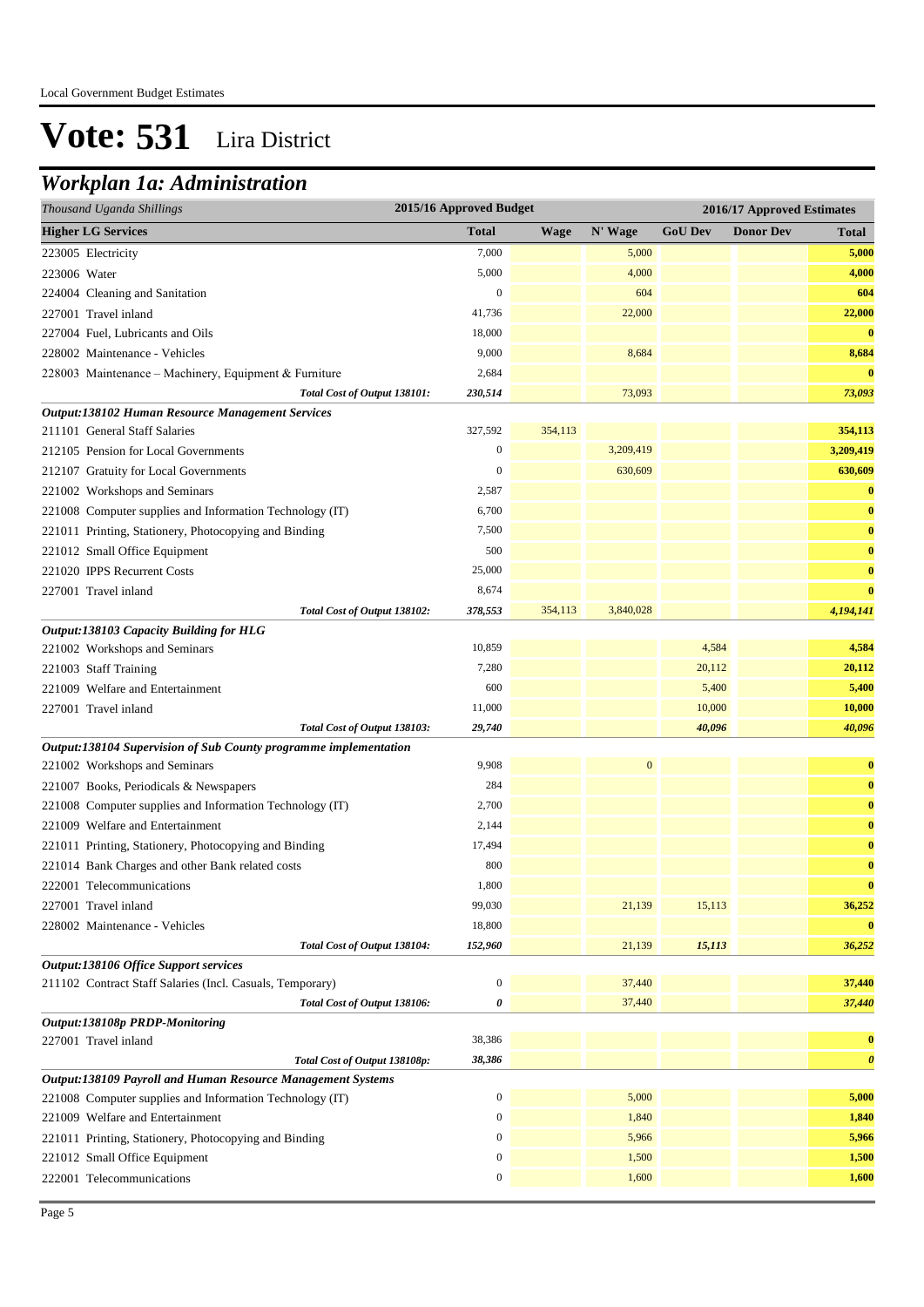### *Workplan 1a: Administration*

| Thousand Uganda Shillings                                        | 2015/16 Approved Budget |             |                  | 2016/17 Approved Estimates |                  |                       |
|------------------------------------------------------------------|-------------------------|-------------|------------------|----------------------------|------------------|-----------------------|
| <b>Higher LG Services</b>                                        | <b>Total</b>            | <b>Wage</b> | N' Wage          | <b>GoU Dev</b>             | <b>Donor Dev</b> | <b>Total</b>          |
| 223005 Electricity                                               | 7,000                   |             | 5,000            |                            |                  | 5,000                 |
| 223006 Water                                                     | 5,000                   |             | 4,000            |                            |                  | 4,000                 |
| 224004 Cleaning and Sanitation                                   | $\boldsymbol{0}$        |             | 604              |                            |                  | 604                   |
| 227001 Travel inland                                             | 41,736                  |             | 22,000           |                            |                  | 22,000                |
| 227004 Fuel, Lubricants and Oils                                 | 18,000                  |             |                  |                            |                  | $\bf{0}$              |
| 228002 Maintenance - Vehicles                                    | 9,000                   |             | 8,684            |                            |                  | 8,684                 |
| 228003 Maintenance - Machinery, Equipment & Furniture            | 2,684                   |             |                  |                            |                  | $\bf{0}$              |
| Total Cost of Output 138101:                                     | 230,514                 |             | 73,093           |                            |                  | 73,093                |
| Output:138102 Human Resource Management Services                 |                         |             |                  |                            |                  |                       |
| 211101 General Staff Salaries                                    | 327,592                 | 354,113     |                  |                            |                  | 354,113               |
| 212105 Pension for Local Governments                             | $\mathbf{0}$            |             | 3,209,419        |                            |                  | 3,209,419             |
| 212107 Gratuity for Local Governments                            | $\mathbf{0}$            |             | 630,609          |                            |                  | 630,609               |
| 221002 Workshops and Seminars                                    | 2,587                   |             |                  |                            |                  | $\bf{0}$              |
| 221008 Computer supplies and Information Technology (IT)         | 6,700                   |             |                  |                            |                  | $\bf{0}$              |
| 221011 Printing, Stationery, Photocopying and Binding            | 7,500                   |             |                  |                            |                  | $\bf{0}$              |
| 221012 Small Office Equipment                                    | 500                     |             |                  |                            |                  | $\bf{0}$              |
| 221020 IPPS Recurrent Costs                                      | 25,000                  |             |                  |                            |                  | $\bf{0}$              |
| 227001 Travel inland                                             | 8,674                   |             |                  |                            |                  | $\bf{0}$              |
| Total Cost of Output 138102:                                     | 378,553                 | 354,113     | 3,840,028        |                            |                  | 4,194,141             |
| Output:138103 Capacity Building for HLG                          |                         |             |                  |                            |                  |                       |
| 221002 Workshops and Seminars                                    | 10,859                  |             |                  | 4,584                      |                  | 4,584                 |
| 221003 Staff Training                                            | 7,280                   |             |                  | 20,112                     |                  | 20,112                |
| 221009 Welfare and Entertainment                                 | 600                     |             |                  | 5,400                      |                  | 5,400                 |
| 227001 Travel inland                                             | 11,000                  |             |                  | 10,000                     |                  | 10,000                |
| Total Cost of Output 138103:                                     | 29,740                  |             |                  | 40,096                     |                  | 40,096                |
| Output:138104 Supervision of Sub County programme implementation |                         |             |                  |                            |                  |                       |
| 221002 Workshops and Seminars                                    | 9,908                   |             | $\boldsymbol{0}$ |                            |                  | $\bf{0}$              |
| 221007 Books, Periodicals & Newspapers                           | 284                     |             |                  |                            |                  | $\bf{0}$              |
| 221008 Computer supplies and Information Technology (IT)         | 2,700                   |             |                  |                            |                  | $\bf{0}$              |
| 221009 Welfare and Entertainment                                 | 2,144                   |             |                  |                            |                  | $\bf{0}$              |
| 221011 Printing, Stationery, Photocopying and Binding            | 17,494                  |             |                  |                            |                  | $\bf{0}$              |
| 221014 Bank Charges and other Bank related costs                 | 800                     |             |                  |                            |                  | $\bf{0}$              |
| 222001 Telecommunications                                        | 1,800                   |             |                  |                            |                  | $\bf{0}$              |
| 227001 Travel inland                                             | 99,030                  |             | 21,139           | 15,113                     |                  | 36,252                |
| 228002 Maintenance - Vehicles                                    | 18,800                  |             |                  |                            |                  | $\bf{0}$              |
| Total Cost of Output 138104:                                     | 152,960                 |             | 21,139           | 15,113                     |                  | 36,252                |
| Output:138106 Office Support services                            |                         |             |                  |                            |                  |                       |
| 211102 Contract Staff Salaries (Incl. Casuals, Temporary)        | $\boldsymbol{0}$        |             | 37,440           |                            |                  | 37,440                |
| Total Cost of Output 138106:                                     | 0                       |             | 37,440           |                            |                  | 37,440                |
| Output:138108p PRDP-Monitoring                                   |                         |             |                  |                            |                  |                       |
| 227001 Travel inland                                             | 38,386                  |             |                  |                            |                  | $\bf{0}$              |
| Total Cost of Output 138108p:                                    | 38,386                  |             |                  |                            |                  | $\boldsymbol{\theta}$ |
| Output:138109 Payroll and Human Resource Management Systems      | 0                       |             | 5,000            |                            |                  | 5,000                 |
| 221008 Computer supplies and Information Technology (IT)         | $\boldsymbol{0}$        |             | 1,840            |                            |                  |                       |
| 221009 Welfare and Entertainment                                 |                         |             |                  |                            |                  | 1,840<br>5,966        |
| 221011 Printing, Stationery, Photocopying and Binding            | $\boldsymbol{0}$        |             | 5,966            |                            |                  | 1,500                 |
| 221012 Small Office Equipment                                    | $\boldsymbol{0}$        |             | 1,500            |                            |                  |                       |
| 222001 Telecommunications                                        | $\boldsymbol{0}$        |             | 1,600            |                            |                  | 1,600                 |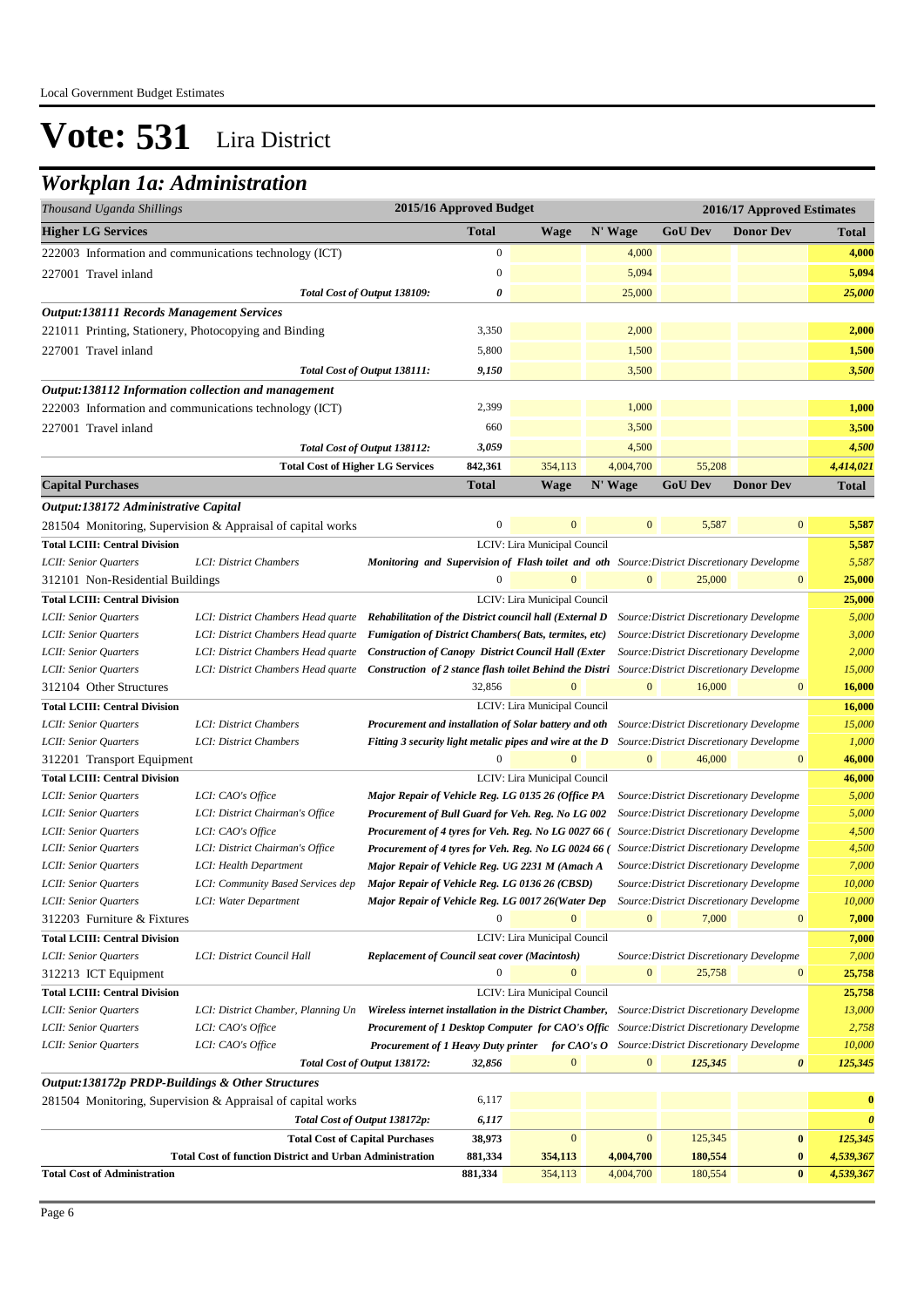### *Workplan 1a: Administration*

| Thousand Uganda Shillings                             |                                                                                            |                                                                                                                                              | 2015/16 Approved Budget |                              |              |                                          | 2016/17 Approved Estimates |                       |
|-------------------------------------------------------|--------------------------------------------------------------------------------------------|----------------------------------------------------------------------------------------------------------------------------------------------|-------------------------|------------------------------|--------------|------------------------------------------|----------------------------|-----------------------|
| <b>Higher LG Services</b>                             |                                                                                            |                                                                                                                                              | <b>Total</b>            | <b>Wage</b>                  | N' Wage      | <b>GoU Dev</b>                           | <b>Donor Dev</b>           | <b>Total</b>          |
|                                                       | 222003 Information and communications technology (ICT)                                     |                                                                                                                                              | $\mathbf{0}$            |                              | 4,000        |                                          |                            | 4,000                 |
| 227001 Travel inland                                  |                                                                                            |                                                                                                                                              | $\mathbf{0}$            |                              | 5,094        |                                          |                            | 5,094                 |
|                                                       |                                                                                            | Total Cost of Output 138109:                                                                                                                 | 0                       |                              | 25,000       |                                          |                            | 25,000                |
| <b>Output:138111 Records Management Services</b>      |                                                                                            |                                                                                                                                              |                         |                              |              |                                          |                            |                       |
| 221011 Printing, Stationery, Photocopying and Binding |                                                                                            |                                                                                                                                              | 3,350                   |                              | 2,000        |                                          |                            | 2,000                 |
|                                                       |                                                                                            |                                                                                                                                              | 5,800                   |                              | 1,500        |                                          |                            |                       |
| 227001 Travel inland                                  |                                                                                            |                                                                                                                                              |                         |                              |              |                                          |                            | 1,500                 |
|                                                       |                                                                                            | Total Cost of Output 138111:                                                                                                                 | 9,150                   |                              | 3,500        |                                          |                            | 3,500                 |
| Output:138112 Information collection and management   |                                                                                            |                                                                                                                                              |                         |                              |              |                                          |                            |                       |
|                                                       | 222003 Information and communications technology (ICT)                                     |                                                                                                                                              | 2,399                   |                              | 1,000        |                                          |                            | 1,000                 |
| 227001 Travel inland                                  |                                                                                            |                                                                                                                                              | 660                     |                              | 3,500        |                                          |                            | 3,500                 |
|                                                       |                                                                                            | Total Cost of Output 138112:                                                                                                                 | 3,059                   |                              | 4,500        |                                          |                            | 4,500                 |
|                                                       | <b>Total Cost of Higher LG Services</b>                                                    |                                                                                                                                              | 842,361                 | 354,113                      | 4,004,700    | 55,208                                   |                            | 4,414,021             |
| <b>Capital Purchases</b>                              |                                                                                            |                                                                                                                                              | <b>Total</b>            | <b>Wage</b>                  | N' Wage      | <b>GoU</b> Dev                           | <b>Donor Dev</b>           | <b>Total</b>          |
| Output:138172 Administrative Capital                  |                                                                                            |                                                                                                                                              |                         |                              |              |                                          |                            |                       |
|                                                       | 281504 Monitoring, Supervision & Appraisal of capital works                                |                                                                                                                                              | $\boldsymbol{0}$        | $\mathbf{0}$                 | $\mathbf{0}$ | 5,587                                    | $\boldsymbol{0}$           | 5,587                 |
| <b>Total LCIII: Central Division</b>                  |                                                                                            |                                                                                                                                              |                         | LCIV: Lira Municipal Council |              |                                          |                            | 5,587                 |
| LCII: Senior Quarters                                 | LCI: District Chambers                                                                     | Monitoring and Supervision of Flash toilet and oth Source: District Discretionary Developme                                                  |                         |                              |              |                                          |                            | 5,587                 |
| 312101 Non-Residential Buildings                      |                                                                                            |                                                                                                                                              | $\overline{0}$          | $\mathbf{0}$                 | $\mathbf{0}$ | 25,000                                   | $\boldsymbol{0}$           | 25,000                |
| <b>Total LCIII: Central Division</b>                  |                                                                                            |                                                                                                                                              |                         | LCIV: Lira Municipal Council |              |                                          |                            | 25,000                |
| LCII: Senior Quarters                                 | LCI: District Chambers Head quarte Rehabilitation of the District council hall (External D |                                                                                                                                              |                         |                              |              | Source: District Discretionary Developme |                            | 5,000                 |
| LCII: Senior Quarters                                 | LCI: District Chambers Head quarte Fumigation of District Chambers (Bats, termites, etc)   |                                                                                                                                              |                         |                              |              | Source: District Discretionary Developme |                            | 3,000                 |
| LCII: Senior Quarters                                 | LCI: District Chambers Head quarte                                                         | <b>Construction of Canopy District Council Hall (Exter</b>                                                                                   |                         |                              |              | Source: District Discretionary Developme |                            | 2,000                 |
| LCII: Senior Quarters                                 | LCI: District Chambers Head quarte                                                         | <b>Construction of 2 stance flash toilet Behind the Distri</b> Source: District Discretionary Developme                                      |                         |                              |              |                                          |                            | 15,000                |
| 312104 Other Structures                               |                                                                                            |                                                                                                                                              | 32,856                  |                              | $\mathbf{0}$ | 16,000                                   | $\boldsymbol{0}$           | 16,000                |
| <b>Total LCIII: Central Division</b>                  |                                                                                            |                                                                                                                                              |                         | LCIV: Lira Municipal Council |              |                                          |                            | 16,000                |
| LCII: Senior Quarters                                 | LCI: District Chambers                                                                     | <b>Procurement and installation of Solar battery and oth</b> Source: District Discretionary Developme                                        |                         |                              |              |                                          |                            | 15,000                |
| LCII: Senior Quarters                                 | LCI: District Chambers                                                                     | Fitting 3 security light metalic pipes and wire at the D Source: District Discretionary Developme                                            |                         |                              |              |                                          |                            | 1,000                 |
| 312201 Transport Equipment                            |                                                                                            |                                                                                                                                              | 0                       |                              | $\mathbf{0}$ | 46,000                                   | $\boldsymbol{0}$           | 46,000                |
| <b>Total LCIII: Central Division</b>                  |                                                                                            |                                                                                                                                              |                         | LCIV: Lira Municipal Council |              |                                          |                            | 46,000                |
| LCII: Senior Quarters                                 | LCI: CAO's Office                                                                          | Major Repair of Vehicle Reg. LG 0135 26 (Office PA                                                                                           |                         |                              |              | Source: District Discretionary Developme |                            | 5,000                 |
| LCII: Senior Quarters                                 | LCI: District Chairman's Office                                                            | Procurement of Bull Guard for Veh. Reg. No LG 002                                                                                            |                         |                              |              | Source: District Discretionary Developme |                            | 5,000                 |
| LCII: Senior Quarters                                 | LCI: CAO's Office                                                                          | Procurement of 4 tyres for Veh. Reg. No LG 0027 66 (                                                                                         |                         |                              |              | Source: District Discretionary Developme |                            | 4,500                 |
| LCII: Senior Quarters                                 | LCI: District Chairman's Office                                                            | Procurement of 4 tyres for Veh. Reg. No LG 0024 66 (                                                                                         |                         |                              |              | Source: District Discretionary Developme |                            | 4,500<br>7,000        |
| LCII: Senior Quarters                                 | LCI: Health Department                                                                     | Major Repair of Vehicle Reg. UG 2231 M (Amach A                                                                                              |                         |                              |              | Source: District Discretionary Developme |                            | 10,000                |
| LCII: Senior Quarters<br>LCII: Senior Quarters        | LCI: Community Based Services dep<br>LCI: Water Department                                 | Major Repair of Vehicle Reg. LG 0136 26 (CBSD)<br>Major Repair of Vehicle Reg. LG 0017 26(Water Dep Source: District Discretionary Developme |                         |                              |              | Source: District Discretionary Developme |                            | 10,000                |
| 312203 Furniture & Fixtures                           |                                                                                            |                                                                                                                                              |                         |                              | $\mathbf{0}$ | 7,000                                    | $\boldsymbol{0}$           | 7,000                 |
| <b>Total LCIII: Central Division</b>                  |                                                                                            |                                                                                                                                              |                         | LCIV: Lira Municipal Council |              |                                          |                            | 7,000                 |
| LCII: Senior Quarters                                 | LCI: District Council Hall                                                                 | <b>Replacement of Council seat cover (Macintosh)</b>                                                                                         |                         |                              |              | Source: District Discretionary Developme |                            | 7,000                 |
| 312213 ICT Equipment                                  |                                                                                            |                                                                                                                                              | $\Omega$                | $\Omega$                     | $\mathbf{0}$ | 25,758                                   | $\boldsymbol{0}$           | 25,758                |
| <b>Total LCIII: Central Division</b>                  |                                                                                            |                                                                                                                                              |                         | LCIV: Lira Municipal Council |              |                                          |                            | 25,758                |
| LCII: Senior Quarters                                 | LCI: District Chamber, Planning Un                                                         | Wireless internet installation in the District Chamber,                                                                                      |                         |                              |              | Source: District Discretionary Developme |                            | 13,000                |
| LCII: Senior Quarters                                 | LCI: CAO's Office                                                                          | Procurement of 1 Desktop Computer for CAO's Offic Source: District Discretionary Developme                                                   |                         |                              |              |                                          |                            | 2,758                 |
| LCII: Senior Quarters                                 | LCI: CAO's Office                                                                          | <b>Procurement of 1 Heavy Duty printer</b> for CAO's O Source: District Discretionary Developme                                              |                         |                              |              |                                          |                            | 10,000                |
|                                                       |                                                                                            | Total Cost of Output 138172:                                                                                                                 | 32,856                  | $\mathbf{0}$                 | $\mathbf{0}$ | 125,345                                  | $\boldsymbol{\theta}$      | 125,345               |
| Output:138172p PRDP-Buildings & Other Structures      |                                                                                            |                                                                                                                                              |                         |                              |              |                                          |                            |                       |
|                                                       | 281504 Monitoring, Supervision & Appraisal of capital works                                |                                                                                                                                              | 6,117                   |                              |              |                                          |                            | $\bf{0}$              |
|                                                       |                                                                                            | Total Cost of Output 138172p:                                                                                                                | 6,117                   |                              |              |                                          |                            | $\boldsymbol{\theta}$ |
|                                                       | <b>Total Cost of Capital Purchases</b>                                                     |                                                                                                                                              | 38,973                  | $\mathbf{0}$                 | $\mathbf{0}$ | 125,345                                  | $\bf{0}$                   | 125,345               |
|                                                       | <b>Total Cost of function District and Urban Administration</b>                            |                                                                                                                                              | 881,334                 | 354,113                      | 4,004,700    | 180,554                                  | $\bf{0}$                   | 4,539,367             |
| <b>Total Cost of Administration</b>                   |                                                                                            |                                                                                                                                              | 881,334                 | 354,113                      | 4,004,700    | 180,554                                  | $\pmb{0}$                  | 4,539,367             |
|                                                       |                                                                                            |                                                                                                                                              |                         |                              |              |                                          |                            |                       |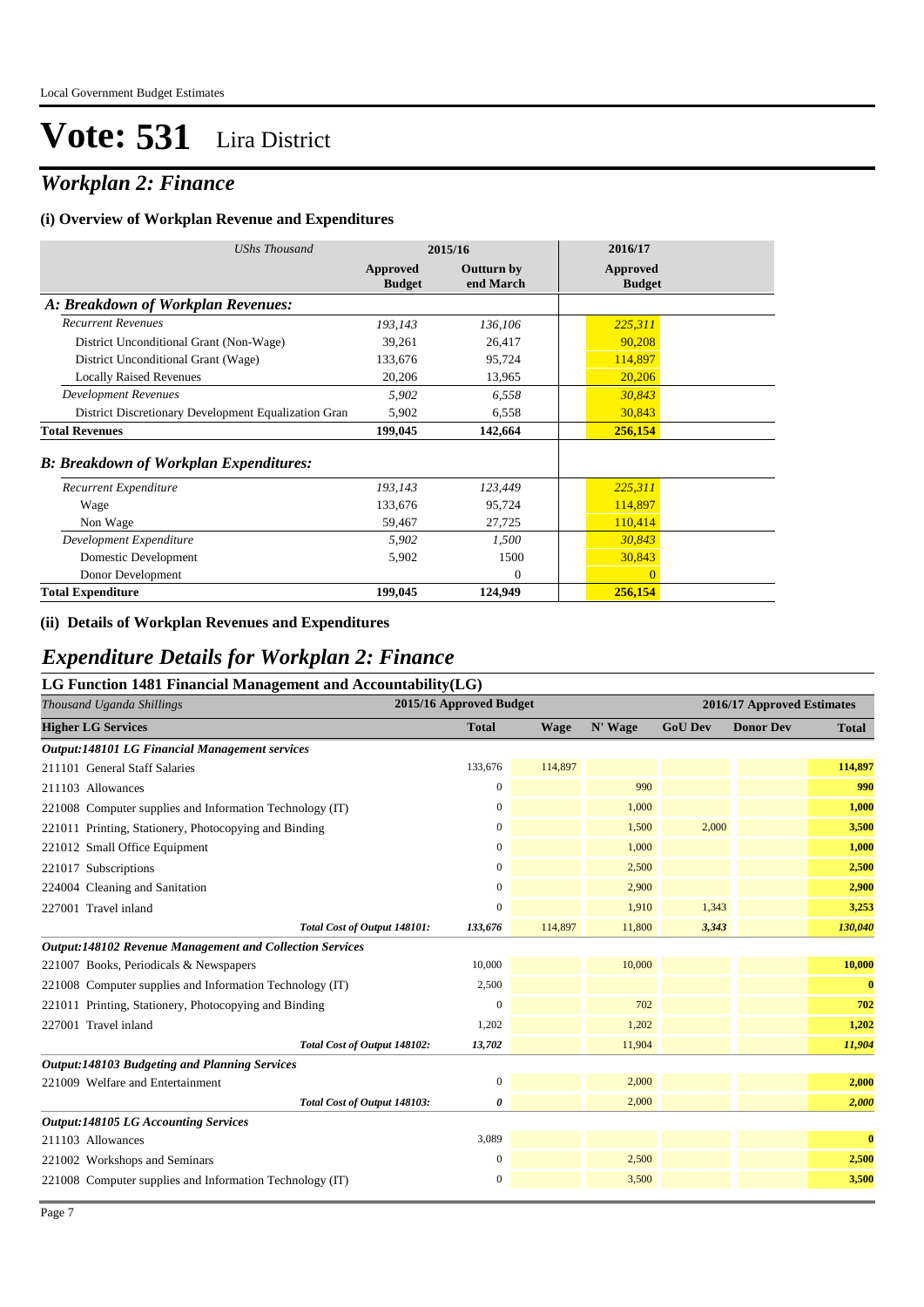### *Workplan 2: Finance*

#### **(i) Overview of Workplan Revenue and Expenditures**

| <b>UShs Thousand</b>                                 | 2015/16                   |                                | 2016/17                   |
|------------------------------------------------------|---------------------------|--------------------------------|---------------------------|
|                                                      | Approved<br><b>Budget</b> | <b>Outturn by</b><br>end March | Approved<br><b>Budget</b> |
| A: Breakdown of Workplan Revenues:                   |                           |                                |                           |
| <b>Recurrent Revenues</b>                            | 193,143                   | 136,106                        | 225,311                   |
| District Unconditional Grant (Non-Wage)              | 39,261                    | 26,417                         | 90,208                    |
| District Unconditional Grant (Wage)                  | 133,676                   | 95,724                         | 114,897                   |
| <b>Locally Raised Revenues</b>                       | 20,206                    | 13,965                         | 20,206                    |
| <b>Development Revenues</b>                          | 5,902                     | 6,558                          | 30,843                    |
| District Discretionary Development Equalization Gran | 5,902                     | 6,558                          | 30,843                    |
| <b>Total Revenues</b>                                | 199,045                   | 142,664                        | 256,154                   |
| <b>B: Breakdown of Workplan Expenditures:</b>        |                           |                                |                           |
| Recurrent Expenditure                                | 193,143                   | 123,449                        | 225,311                   |
| Wage                                                 | 133,676                   | 95,724                         | 114,897                   |
| Non Wage                                             | 59,467                    | 27,725                         | 110,414                   |
| Development Expenditure                              | 5,902                     | 1,500                          | 30,843                    |
| Domestic Development                                 | 5,902                     | 1500                           | 30,843                    |
| Donor Development                                    |                           | $\Omega$                       | $\Omega$                  |
| <b>Total Expenditure</b>                             | 199,045                   | 124,949                        | 256,154                   |

#### **(ii) Details of Workplan Revenues and Expenditures**

### *Expenditure Details for Workplan 2: Finance*

| Thousand Uganda Shillings                                       | 2015/16 Approved Budget |         |         | 2016/17 Approved Estimates |                  |          |
|-----------------------------------------------------------------|-------------------------|---------|---------|----------------------------|------------------|----------|
| <b>Higher LG Services</b>                                       | <b>Total</b>            | Wage    | N' Wage | <b>GoU Dev</b>             | <b>Donor Dev</b> | Total    |
| <b>Output:148101 LG Financial Management services</b>           |                         |         |         |                            |                  |          |
| 211101 General Staff Salaries                                   | 133,676                 | 114,897 |         |                            |                  | 114,897  |
| 211103 Allowances                                               | $\overline{0}$          |         | 990     |                            |                  | 990      |
| 221008 Computer supplies and Information Technology (IT)        | $\overline{0}$          |         | 1,000   |                            |                  | 1,000    |
| 221011 Printing, Stationery, Photocopying and Binding           | 0                       |         | 1,500   | 2,000                      |                  | 3,500    |
| 221012 Small Office Equipment                                   | $\overline{0}$          |         | 1,000   |                            |                  | 1,000    |
| 221017 Subscriptions                                            | $\boldsymbol{0}$        |         | 2,500   |                            |                  | 2,500    |
| 224004 Cleaning and Sanitation                                  | $\overline{0}$          |         | 2,900   |                            |                  | 2,900    |
| 227001 Travel inland                                            | $\overline{0}$          |         | 1,910   | 1,343                      |                  | 3,253    |
| Total Cost of Output 148101:                                    | 133,676                 | 114,897 | 11,800  | 3,343                      |                  | 130,040  |
| <b>Output:148102 Revenue Management and Collection Services</b> |                         |         |         |                            |                  |          |
| 221007 Books, Periodicals & Newspapers                          | 10,000                  |         | 10,000  |                            |                  | 10,000   |
| 221008 Computer supplies and Information Technology (IT)        | 2,500                   |         |         |                            |                  | $\bf{0}$ |
| 221011 Printing, Stationery, Photocopying and Binding           | $\mathbf{0}$            |         | 702     |                            |                  | 702      |
| 227001 Travel inland                                            | 1,202                   |         | 1,202   |                            |                  | 1,202    |
| Total Cost of Output 148102:                                    | 13,702                  |         | 11,904  |                            |                  | 11,904   |
| <b>Output:148103 Budgeting and Planning Services</b>            |                         |         |         |                            |                  |          |
| 221009 Welfare and Entertainment                                | $\mathbf{0}$            |         | 2,000   |                            |                  | 2,000    |
| Total Cost of Output 148103:                                    | 0                       |         | 2,000   |                            |                  | 2,000    |
| <b>Output:148105 LG Accounting Services</b>                     |                         |         |         |                            |                  |          |
| 211103 Allowances                                               | 3,089                   |         |         |                            |                  | $\bf{0}$ |
| 221002 Workshops and Seminars                                   | $\mathbf{0}$            |         | 2,500   |                            |                  | 2,500    |
| 221008 Computer supplies and Information Technology (IT)        | $\overline{0}$          |         | 3,500   |                            |                  | 3,500    |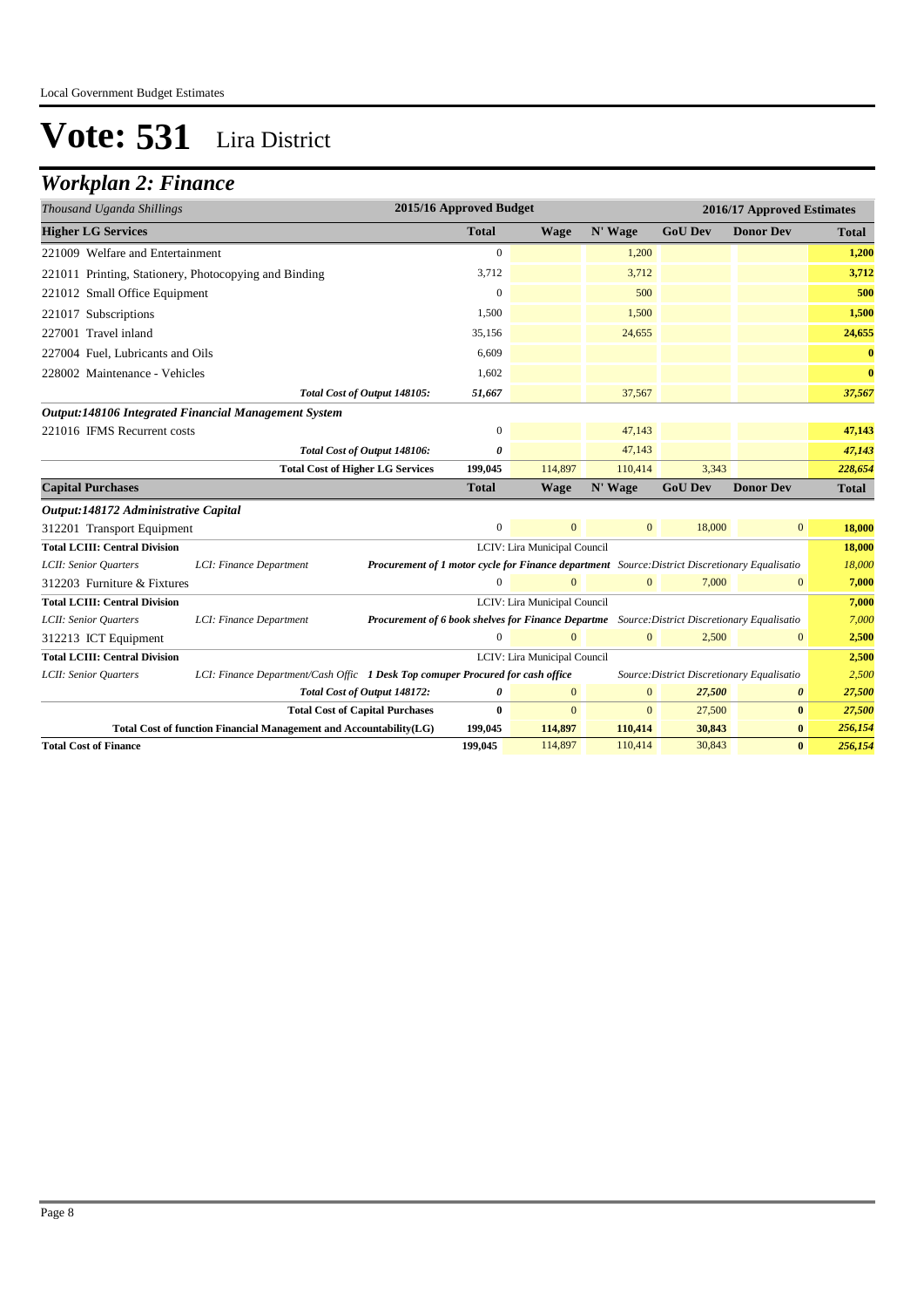## *Workplan 2: Finance*

| Thousand Uganda Shillings                             |                                                                                |                                                                                                | 2015/16 Approved Budget |                              |              |                                            | 2016/17 Approved Estimates |              |
|-------------------------------------------------------|--------------------------------------------------------------------------------|------------------------------------------------------------------------------------------------|-------------------------|------------------------------|--------------|--------------------------------------------|----------------------------|--------------|
| <b>Higher LG Services</b>                             |                                                                                |                                                                                                | <b>Total</b>            | <b>Wage</b>                  | N' Wage      | <b>GoU Dev</b>                             | <b>Donor Dev</b>           | <b>Total</b> |
| 221009 Welfare and Entertainment                      |                                                                                |                                                                                                | $\mathbf{0}$            |                              | 1,200        |                                            |                            | 1,200        |
| 221011 Printing, Stationery, Photocopying and Binding |                                                                                |                                                                                                | 3,712                   |                              | 3,712        |                                            |                            | 3,712        |
| 221012 Small Office Equipment                         |                                                                                |                                                                                                | $\mathbf{0}$            |                              | 500          |                                            |                            | 500          |
| 221017 Subscriptions                                  |                                                                                |                                                                                                | 1,500                   |                              | 1,500        |                                            |                            | 1,500        |
| 227001 Travel inland                                  |                                                                                |                                                                                                | 35,156                  |                              | 24,655       |                                            |                            | 24,655       |
| 227004 Fuel, Lubricants and Oils                      |                                                                                |                                                                                                | 6.609                   |                              |              |                                            |                            | $\bf{0}$     |
| 228002 Maintenance - Vehicles                         |                                                                                |                                                                                                | 1,602                   |                              |              |                                            |                            | $\bf{0}$     |
|                                                       |                                                                                | Total Cost of Output 148105:                                                                   | 51,667                  |                              | 37,567       |                                            |                            | 37,567       |
|                                                       | Output:148106 Integrated Financial Management System                           |                                                                                                |                         |                              |              |                                            |                            |              |
| 221016 IFMS Recurrent costs                           |                                                                                |                                                                                                | $\mathbf{0}$            |                              | 47,143       |                                            |                            | 47,143       |
|                                                       |                                                                                | Total Cost of Output 148106:                                                                   | 0                       |                              | 47,143       |                                            |                            | 47,143       |
|                                                       | <b>Total Cost of Higher LG Services</b>                                        |                                                                                                | 199,045                 | 114,897                      | 110,414      | 3.343                                      |                            | 228,654      |
| <b>Capital Purchases</b>                              |                                                                                |                                                                                                | <b>Total</b>            | <b>Wage</b>                  | N' Wage      | <b>GoU Dev</b>                             | <b>Donor Dev</b>           | <b>Total</b> |
| Output:148172 Administrative Capital                  |                                                                                |                                                                                                |                         |                              |              |                                            |                            |              |
| 312201 Transport Equipment                            |                                                                                |                                                                                                | $\mathbf{0}$            | $\overline{0}$               | $\mathbf{0}$ | 18,000                                     | $\mathbf{0}$               | 18,000       |
| <b>Total LCIII: Central Division</b>                  |                                                                                |                                                                                                |                         | LCIV: Lira Municipal Council |              |                                            |                            | 18,000       |
| LCII: Senior Quarters                                 | LCI: Finance Department                                                        | Procurement of 1 motor cycle for Finance department Source: District Discretionary Equalisatio |                         |                              |              |                                            |                            | 18,000       |
| 312203 Furniture & Fixtures                           |                                                                                |                                                                                                | $\mathbf{0}$            | $\mathbf{0}$                 | $\mathbf{0}$ | 7,000                                      | $\mathbf{0}$               | 7,000        |
| <b>Total LCIII: Central Division</b>                  |                                                                                |                                                                                                |                         | LCIV: Lira Municipal Council |              |                                            |                            | 7,000        |
| LCII: Senior Quarters                                 | LCI: Finance Department                                                        | Procurement of 6 book shelves for Finance Departme Source: District Discretionary Equalisatio  |                         |                              |              |                                            |                            | 7,000        |
| 312213 ICT Equipment                                  |                                                                                |                                                                                                | $\Omega$                | $\Omega$                     | $\mathbf{0}$ | 2,500                                      | $\mathbf{0}$               | 2,500        |
| <b>Total LCIII: Central Division</b>                  |                                                                                |                                                                                                |                         | LCIV: Lira Municipal Council |              |                                            |                            | 2,500        |
| LCII: Senior Quarters                                 | LCI: Finance Department/Cash Offic 1 Desk Top comuper Procured for cash office |                                                                                                |                         |                              |              | Source: District Discretionary Equalisatio |                            | 2,500        |
|                                                       |                                                                                | Total Cost of Output 148172:                                                                   | $\boldsymbol{\theta}$   | $\mathbf{0}$                 | $\mathbf{0}$ | 27,500                                     | $\boldsymbol{\theta}$      | 27,500       |
|                                                       | <b>Total Cost of Capital Purchases</b>                                         |                                                                                                | $\mathbf{0}$            | $\Omega$                     | $\Omega$     | 27,500                                     | $\bf{0}$                   | 27,500       |
|                                                       | Total Cost of function Financial Management and Accountability(LG)             |                                                                                                | 199,045                 | 114,897                      | 110,414      | 30,843                                     | $\bf{0}$                   | 256,154      |
| <b>Total Cost of Finance</b>                          |                                                                                |                                                                                                | 199,045                 | 114,897                      | 110,414      | 30,843                                     | $\bf{0}$                   | 256,154      |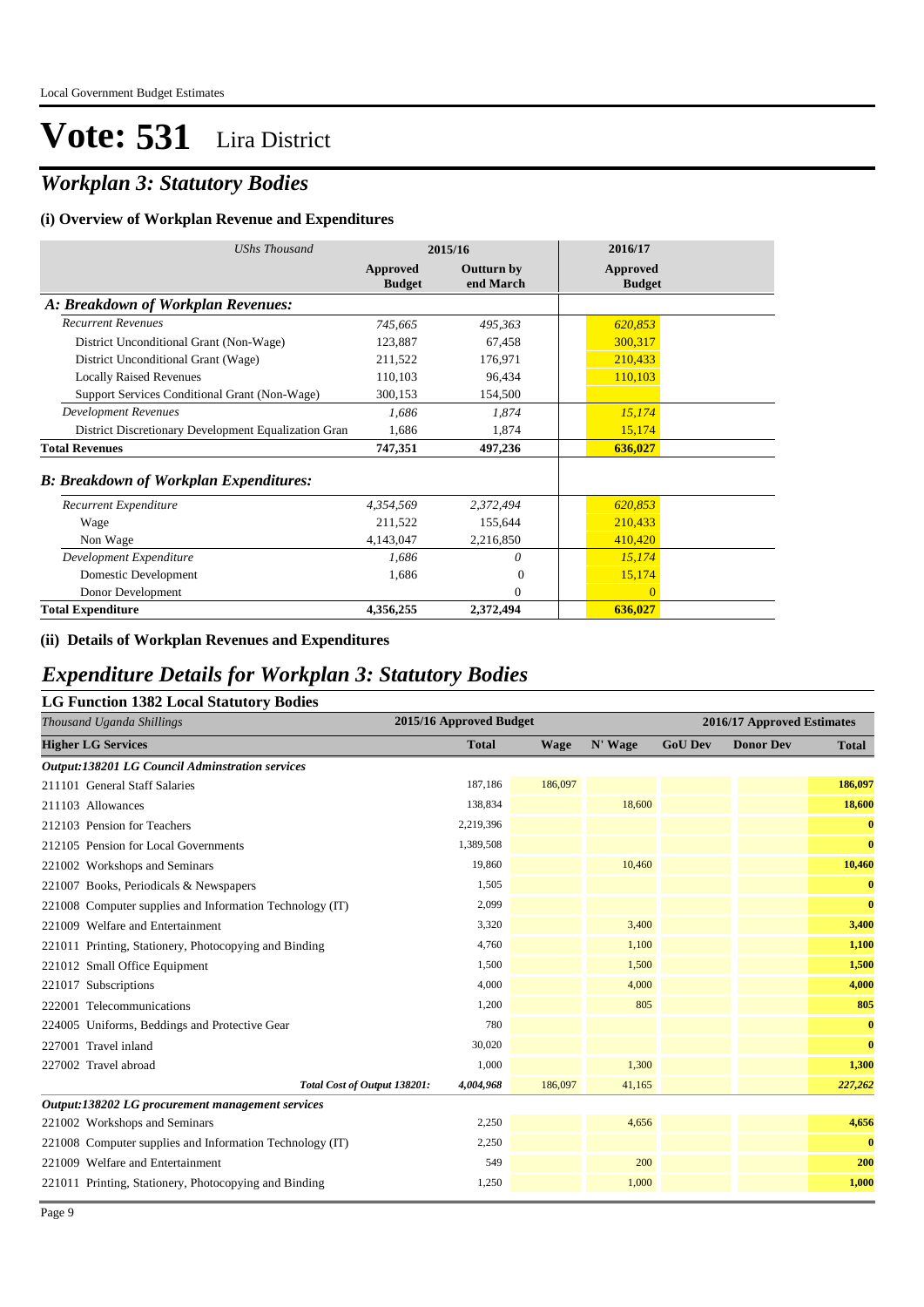### *Workplan 3: Statutory Bodies*

#### **(i) Overview of Workplan Revenue and Expenditures**

| <b>UShs Thousand</b>                                 | 2015/16                   |                                | 2016/17                          |
|------------------------------------------------------|---------------------------|--------------------------------|----------------------------------|
|                                                      | Approved<br><b>Budget</b> | <b>Outturn by</b><br>end March | <b>Approved</b><br><b>Budget</b> |
| A: Breakdown of Workplan Revenues:                   |                           |                                |                                  |
| <b>Recurrent Revenues</b>                            | 745,665                   | 495,363                        | 620,853                          |
| District Unconditional Grant (Non-Wage)              | 123,887                   | 67,458                         | 300,317                          |
| District Unconditional Grant (Wage)                  | 211,522                   | 176,971                        | 210,433                          |
| <b>Locally Raised Revenues</b>                       | 110,103                   | 96,434                         | 110,103                          |
| Support Services Conditional Grant (Non-Wage)        | 300,153                   | 154,500                        |                                  |
| <b>Development Revenues</b>                          | 1,686                     | 1.874                          | 15,174                           |
| District Discretionary Development Equalization Gran | 1,686                     | 1,874                          | 15,174                           |
| <b>Total Revenues</b>                                | 747,351                   | 497,236                        | 636,027                          |
| <b>B: Breakdown of Workplan Expenditures:</b>        |                           |                                |                                  |
| Recurrent Expenditure                                | 4,354,569                 | 2,372,494                      | 620,853                          |
| Wage                                                 | 211,522                   | 155,644                        | 210,433                          |
| Non Wage                                             | 4,143,047                 | 2,216,850                      | 410,420                          |
| Development Expenditure                              | 1,686                     | 0                              | 15,174                           |
| Domestic Development                                 | 1,686                     | $\overline{0}$                 | 15,174                           |
| Donor Development                                    |                           | $\Omega$                       | $\Omega$                         |
| <b>Total Expenditure</b>                             | 4,356,255                 | 2,372,494                      | 636,027                          |

#### **(ii) Details of Workplan Revenues and Expenditures**

#### *Expenditure Details for Workplan 3: Statutory Bodies*

| <b>LG Function 1382 Local Statutory Bodies</b>           |                         |             |         |                |                            |              |
|----------------------------------------------------------|-------------------------|-------------|---------|----------------|----------------------------|--------------|
| Thousand Uganda Shillings                                | 2015/16 Approved Budget |             |         |                | 2016/17 Approved Estimates |              |
| <b>Higher LG Services</b>                                | <b>Total</b>            | <b>Wage</b> | N' Wage | <b>GoU Dev</b> | <b>Donor Dev</b>           | <b>Total</b> |
| <b>Output:138201 LG Council Adminstration services</b>   |                         |             |         |                |                            |              |
| 211101 General Staff Salaries                            | 187,186                 | 186,097     |         |                |                            | 186,097      |
| 211103 Allowances                                        | 138,834                 |             | 18,600  |                |                            | 18,600       |
| 212103 Pension for Teachers                              | 2,219,396               |             |         |                |                            | $\bf{0}$     |
| 212105 Pension for Local Governments                     | 1,389,508               |             |         |                |                            | $\bf{0}$     |
| 221002 Workshops and Seminars                            | 19,860                  |             | 10,460  |                |                            | 10,460       |
| 221007 Books, Periodicals & Newspapers                   | 1,505                   |             |         |                |                            | $\bf{0}$     |
| 221008 Computer supplies and Information Technology (IT) | 2,099                   |             |         |                |                            | $\bf{0}$     |
| 221009 Welfare and Entertainment                         | 3,320                   |             | 3,400   |                |                            | 3,400        |
| 221011 Printing, Stationery, Photocopying and Binding    | 4,760                   |             | 1,100   |                |                            | 1,100        |
| 221012 Small Office Equipment                            | 1,500                   |             | 1,500   |                |                            | 1,500        |
| 221017 Subscriptions                                     | 4,000                   |             | 4,000   |                |                            | 4,000        |
| 222001 Telecommunications                                | 1,200                   |             | 805     |                |                            | 805          |
| 224005 Uniforms, Beddings and Protective Gear            | 780                     |             |         |                |                            | $\bf{0}$     |
| 227001 Travel inland                                     | 30,020                  |             |         |                |                            | $\bf{0}$     |
| 227002 Travel abroad                                     | 1,000                   |             | 1,300   |                |                            | 1,300        |
| Total Cost of Output 138201:                             | 4,004,968               | 186,097     | 41,165  |                |                            | 227,262      |
| Output:138202 LG procurement management services         |                         |             |         |                |                            |              |
| 221002 Workshops and Seminars                            | 2,250                   |             | 4,656   |                |                            | 4,656        |
| 221008 Computer supplies and Information Technology (IT) | 2,250                   |             |         |                |                            | $\bf{0}$     |
| 221009 Welfare and Entertainment                         | 549                     |             | 200     |                |                            | 200          |
| 221011 Printing, Stationery, Photocopying and Binding    | 1,250                   |             | 1,000   |                |                            | 1,000        |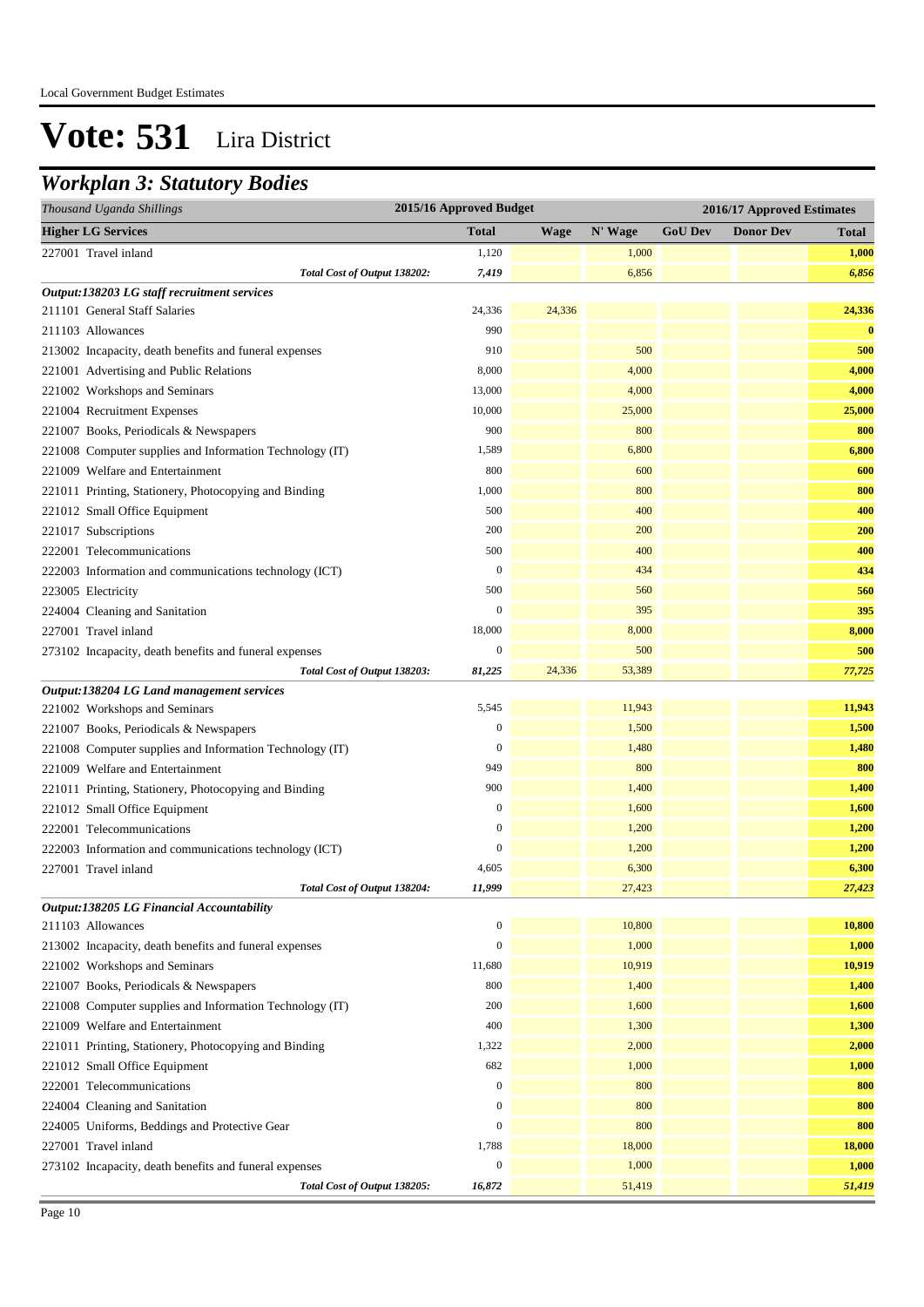### *Workplan 3: Statutory Bodies*

| Thousand Uganda Shillings                                |                              | 2015/16 Approved Budget |             |         | 2016/17 Approved Estimates |                  |              |
|----------------------------------------------------------|------------------------------|-------------------------|-------------|---------|----------------------------|------------------|--------------|
| <b>Higher LG Services</b>                                |                              | <b>Total</b>            | <b>Wage</b> | N' Wage | <b>GoU</b> Dev             | <b>Donor Dev</b> | <b>Total</b> |
| 227001 Travel inland                                     |                              | 1,120                   |             | 1,000   |                            |                  | 1,000        |
|                                                          | Total Cost of Output 138202: | 7,419                   |             | 6,856   |                            |                  | 6,856        |
| Output:138203 LG staff recruitment services              |                              |                         |             |         |                            |                  |              |
| 211101 General Staff Salaries                            |                              | 24,336                  | 24,336      |         |                            |                  | 24,336       |
| 211103 Allowances                                        |                              | 990                     |             |         |                            |                  | $\bf{0}$     |
| 213002 Incapacity, death benefits and funeral expenses   |                              | 910                     |             | 500     |                            |                  | 500          |
| 221001 Advertising and Public Relations                  |                              | 8,000                   |             | 4,000   |                            |                  | 4,000        |
| 221002 Workshops and Seminars                            |                              | 13,000                  |             | 4,000   |                            |                  | 4,000        |
| 221004 Recruitment Expenses                              |                              | 10,000                  |             | 25,000  |                            |                  | 25,000       |
| 221007 Books, Periodicals & Newspapers                   |                              | 900                     |             | 800     |                            |                  | 800          |
| 221008 Computer supplies and Information Technology (IT) |                              | 1,589                   |             | 6,800   |                            |                  | 6,800        |
| 221009 Welfare and Entertainment                         |                              | 800                     |             | 600     |                            |                  | 600          |
| 221011 Printing, Stationery, Photocopying and Binding    |                              | 1,000                   |             | 800     |                            |                  | 800          |
| 221012 Small Office Equipment                            |                              | 500                     |             | 400     |                            |                  | 400          |
| 221017 Subscriptions                                     |                              | 200                     |             | 200     |                            |                  | 200          |
| 222001 Telecommunications                                |                              | 500                     |             | 400     |                            |                  | 400          |
| 222003 Information and communications technology (ICT)   |                              | $\mathbf{0}$            |             | 434     |                            |                  | 434          |
| 223005 Electricity                                       |                              | 500                     |             | 560     |                            |                  | 560          |
| 224004 Cleaning and Sanitation                           |                              | $\mathbf{0}$            |             | 395     |                            |                  | 395          |
| 227001 Travel inland                                     |                              | 18,000                  |             | 8,000   |                            |                  | 8,000        |
| 273102 Incapacity, death benefits and funeral expenses   |                              | $\mathbf{0}$            |             | 500     |                            |                  | 500          |
|                                                          | Total Cost of Output 138203: | 81,225                  | 24,336      | 53,389  |                            |                  | 77,725       |
| Output:138204 LG Land management services                |                              |                         |             |         |                            |                  |              |
| 221002 Workshops and Seminars                            |                              | 5,545                   |             | 11,943  |                            |                  | 11,943       |
| 221007 Books, Periodicals & Newspapers                   |                              | $\mathbf{0}$            |             | 1,500   |                            |                  | 1,500        |
| 221008 Computer supplies and Information Technology (IT) |                              | $\mathbf{0}$            |             | 1,480   |                            |                  | 1,480        |
| 221009 Welfare and Entertainment                         |                              | 949                     |             | 800     |                            |                  | 800          |
| 221011 Printing, Stationery, Photocopying and Binding    |                              | 900                     |             | 1,400   |                            |                  | 1,400        |
| 221012 Small Office Equipment                            |                              | $\mathbf{0}$            |             | 1,600   |                            |                  | 1,600        |
| 222001 Telecommunications                                |                              | $\boldsymbol{0}$        |             | 1,200   |                            |                  | 1,200        |
| 222003 Information and communications technology (ICT)   |                              | $\boldsymbol{0}$        |             | 1,200   |                            |                  | 1,200        |
| 227001 Travel inland                                     |                              | 4,605                   |             | 6,300   |                            |                  | 6,300        |
|                                                          | Total Cost of Output 138204: | 11,999                  |             | 27,423  |                            |                  | 27,423       |
| Output:138205 LG Financial Accountability                |                              |                         |             |         |                            |                  |              |
| 211103 Allowances                                        |                              | $\mathbf{0}$            |             | 10,800  |                            |                  | 10,800       |
| 213002 Incapacity, death benefits and funeral expenses   |                              | $\mathbf{0}$            |             | 1,000   |                            |                  | 1,000        |
| 221002 Workshops and Seminars                            |                              | 11,680                  |             | 10,919  |                            |                  | 10,919       |
| 221007 Books, Periodicals & Newspapers                   |                              | 800                     |             | 1,400   |                            |                  | 1,400        |
| 221008 Computer supplies and Information Technology (IT) |                              | 200                     |             | 1,600   |                            |                  | 1,600        |
| 221009 Welfare and Entertainment                         |                              | 400                     |             | 1,300   |                            |                  | 1,300        |
| 221011 Printing, Stationery, Photocopying and Binding    |                              | 1,322                   |             | 2,000   |                            |                  | 2,000        |
| 221012 Small Office Equipment                            |                              | 682                     |             | 1,000   |                            |                  | 1,000        |
| 222001 Telecommunications                                |                              | $\boldsymbol{0}$        |             | 800     |                            |                  | 800          |
| 224004 Cleaning and Sanitation                           |                              | $\mathbf{0}$            |             | 800     |                            |                  | 800          |
| 224005 Uniforms, Beddings and Protective Gear            |                              | $\boldsymbol{0}$        |             | 800     |                            |                  | 800          |
| 227001 Travel inland                                     |                              | 1,788                   |             | 18,000  |                            |                  | 18,000       |
| 273102 Incapacity, death benefits and funeral expenses   |                              | $\boldsymbol{0}$        |             | 1,000   |                            |                  | 1,000        |
|                                                          | Total Cost of Output 138205: | 16,872                  |             | 51,419  |                            |                  | 51,419       |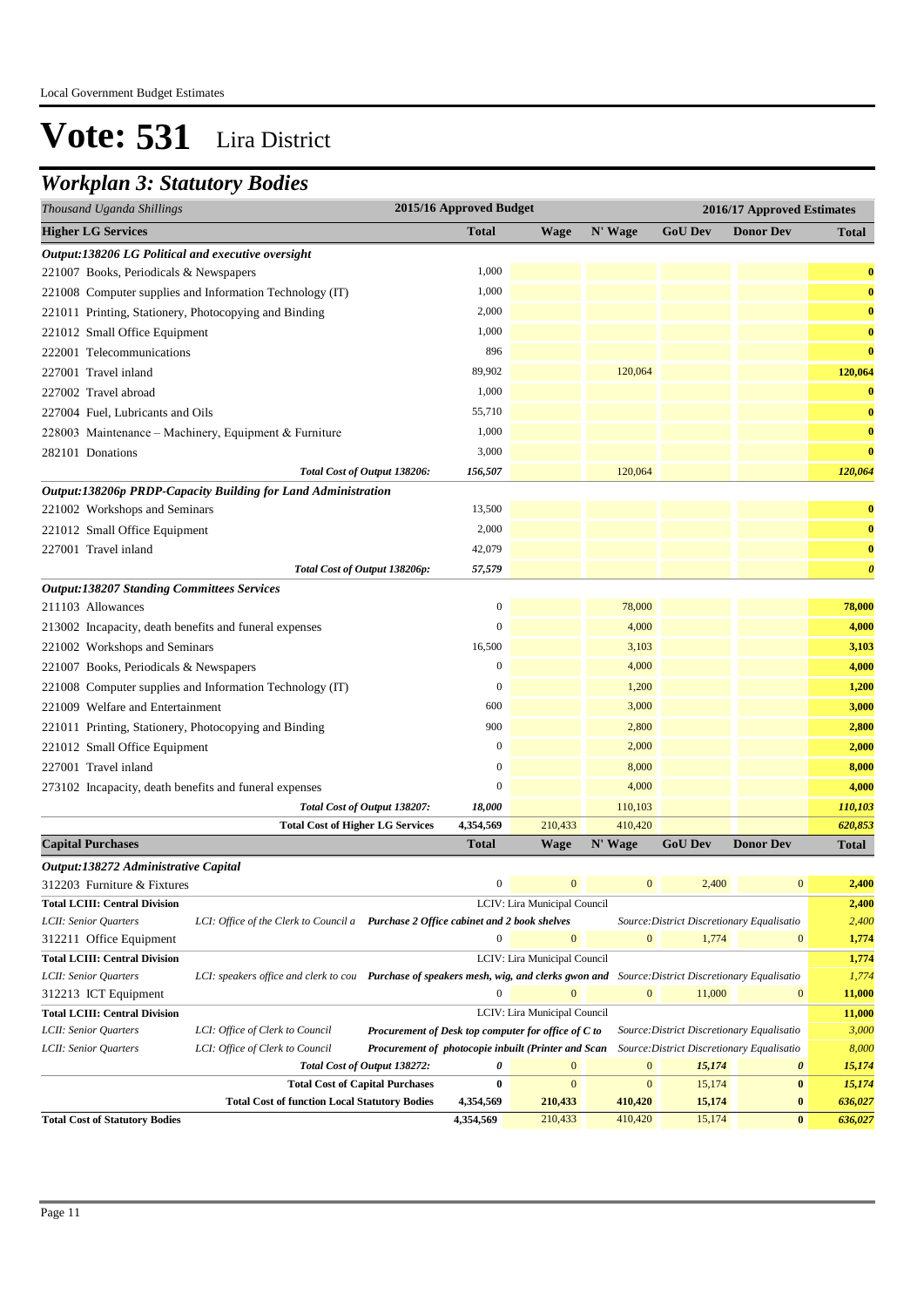### *Workplan 3: Statutory Bodies*

| Thousand Uganda Shillings                                     | 2015/16 Approved Budget |             | 2016/17 Approved Estimates |                |                  |                       |
|---------------------------------------------------------------|-------------------------|-------------|----------------------------|----------------|------------------|-----------------------|
| <b>Higher LG Services</b>                                     | <b>Total</b>            | <b>Wage</b> | N' Wage                    | <b>GoU Dev</b> | <b>Donor Dev</b> | <b>Total</b>          |
| Output:138206 LG Political and executive oversight            |                         |             |                            |                |                  |                       |
| 221007 Books, Periodicals & Newspapers                        | 1,000                   |             |                            |                |                  | $\bf{0}$              |
| 221008 Computer supplies and Information Technology (IT)      | 1,000                   |             |                            |                |                  | $\bf{0}$              |
| 221011 Printing, Stationery, Photocopying and Binding         | 2,000                   |             |                            |                |                  | $\bf{0}$              |
| 221012 Small Office Equipment                                 | 1,000                   |             |                            |                |                  | $\bf{0}$              |
| 222001 Telecommunications                                     | 896                     |             |                            |                |                  | $\bf{0}$              |
| 227001 Travel inland                                          | 89,902                  |             | 120,064                    |                |                  | 120,064               |
| 227002 Travel abroad                                          | 1,000                   |             |                            |                |                  | $\bf{0}$              |
| 227004 Fuel, Lubricants and Oils                              | 55,710                  |             |                            |                |                  | $\bf{0}$              |
| 228003 Maintenance - Machinery, Equipment & Furniture         | 1,000                   |             |                            |                |                  | $\bf{0}$              |
| 282101 Donations                                              | 3,000                   |             |                            |                |                  | $\bf{0}$              |
| Total Cost of Output 138206:                                  | 156,507                 |             | 120,064                    |                |                  | 120,064               |
| Output:138206p PRDP-Capacity Building for Land Administration |                         |             |                            |                |                  |                       |
| 221002 Workshops and Seminars                                 | 13,500                  |             |                            |                |                  | $\bf{0}$              |
| 221012 Small Office Equipment                                 | 2,000                   |             |                            |                |                  | $\bf{0}$              |
| 227001 Travel inland                                          | 42,079                  |             |                            |                |                  | $\bf{0}$              |
| Total Cost of Output 138206p:                                 | 57,579                  |             |                            |                |                  | $\boldsymbol{\theta}$ |
| <b>Output:138207 Standing Committees Services</b>             |                         |             |                            |                |                  |                       |
| 211103 Allowances                                             | $\boldsymbol{0}$        |             | 78,000                     |                |                  | 78,000                |
| 213002 Incapacity, death benefits and funeral expenses        | $\mathbf{0}$            |             | 4,000                      |                |                  | 4,000                 |
| 221002 Workshops and Seminars                                 | 16,500                  |             | 3,103                      |                |                  | 3,103                 |
| 221007 Books, Periodicals & Newspapers                        | $\overline{0}$          |             | 4,000                      |                |                  | 4,000                 |
| 221008 Computer supplies and Information Technology (IT)      | $\overline{0}$          |             | 1,200                      |                |                  | 1,200                 |
| 221009 Welfare and Entertainment                              | 600                     |             | 3,000                      |                |                  | 3,000                 |
| 221011 Printing, Stationery, Photocopying and Binding         | 900                     |             | 2,800                      |                |                  | 2,800                 |
| 221012 Small Office Equipment                                 | $\mathbf{0}$            |             | 2,000                      |                |                  | 2,000                 |
| 227001 Travel inland                                          | $\boldsymbol{0}$        |             | 8,000                      |                |                  | 8,000                 |
| 273102 Incapacity, death benefits and funeral expenses        | $\mathbf{0}$            |             | 4,000                      |                |                  | 4,000                 |
| Total Cost of Output 138207:                                  | 18,000                  |             | 110,103                    |                |                  | 110,103               |
| <b>Total Cost of Higher LG Services</b>                       | 4,354,569               | 210,433     | 410,420                    |                |                  | 620,853               |
| <b>Capital Purchases</b>                                      | <b>Total</b>            | Wage        | N' Wage                    | <b>GoU Dev</b> | <b>Donor Dev</b> | Total                 |

| Output:138272 Administrative Capital  |                                       |                                                                                                                                      |           |                              |                |                                            |                       |         |
|---------------------------------------|---------------------------------------|--------------------------------------------------------------------------------------------------------------------------------------|-----------|------------------------------|----------------|--------------------------------------------|-----------------------|---------|
| 312203 Furniture & Fixtures           |                                       |                                                                                                                                      | $\Omega$  | $\overline{0}$               | $\mathbf{0}$   | 2,400                                      | $\overline{0}$        | 2,400   |
| <b>Total LCIII: Central Division</b>  |                                       |                                                                                                                                      |           | LCIV: Lira Municipal Council |                |                                            |                       | 2,400   |
| LCII: Senior Ouarters                 | LCI: Office of the Clerk to Council a | Purchase 2 Office cabinet and 2 book shelves                                                                                         |           |                              |                | Source: District Discretionary Equalisatio |                       | 2,400   |
| 312211 Office Equipment               |                                       |                                                                                                                                      | 0         | $\mathbf{0}$                 | $\mathbf{0}$   | 1,774                                      | $\overline{0}$        | 1,774   |
| <b>Total LCIII: Central Division</b>  |                                       |                                                                                                                                      |           | LCIV: Lira Municipal Council |                |                                            |                       | 1,774   |
| LCII: Senior Ouarters                 |                                       | LCI: speakers office and clerk to cou Purchase of speakers mesh, wig, and clerks gwon and Source: District Discretionary Equalisatio |           |                              |                |                                            |                       | 1,774   |
| 312213 ICT Equipment                  |                                       |                                                                                                                                      | $\theta$  | $\mathbf{0}$                 | $\mathbf{0}$   | 11,000                                     | $\overline{0}$        | 11,000  |
| <b>Total LCIII: Central Division</b>  |                                       |                                                                                                                                      |           | LCIV: Lira Municipal Council |                |                                            |                       | 11,000  |
| LCII: Senior Ouarters                 | LCI: Office of Clerk to Council       | <b>Procurement of Desk top computer for office of C to</b>                                                                           |           |                              |                | Source: District Discretionary Equalisatio |                       | 3,000   |
| LCII: Senior Quarters                 | LCI: Office of Clerk to Council       | Procurement of photocopie inbuilt (Printer and Scan                                                                                  |           |                              |                | Source: District Discretionary Equalisatio |                       | 8,000   |
|                                       |                                       | Total Cost of Output 138272:                                                                                                         | 0         | $\mathbf{0}$                 | $\overline{0}$ | 15,174                                     | $\boldsymbol{\theta}$ | 15,174  |
|                                       |                                       | <b>Total Cost of Capital Purchases</b>                                                                                               | 0         | $\Omega$                     | $\mathbf{0}$   | 15.174                                     | $\bf{0}$              | 15,174  |
|                                       |                                       | <b>Total Cost of function Local Statutory Bodies</b><br>4,354,569<br>15,174<br>210,433<br>410,420<br>$\bf{0}$                        |           |                              |                |                                            | 636,027               |         |
| <b>Total Cost of Statutory Bodies</b> |                                       |                                                                                                                                      | 4,354,569 | 210,433                      | 410,420        | 15,174                                     | $\bf{0}$              | 636,027 |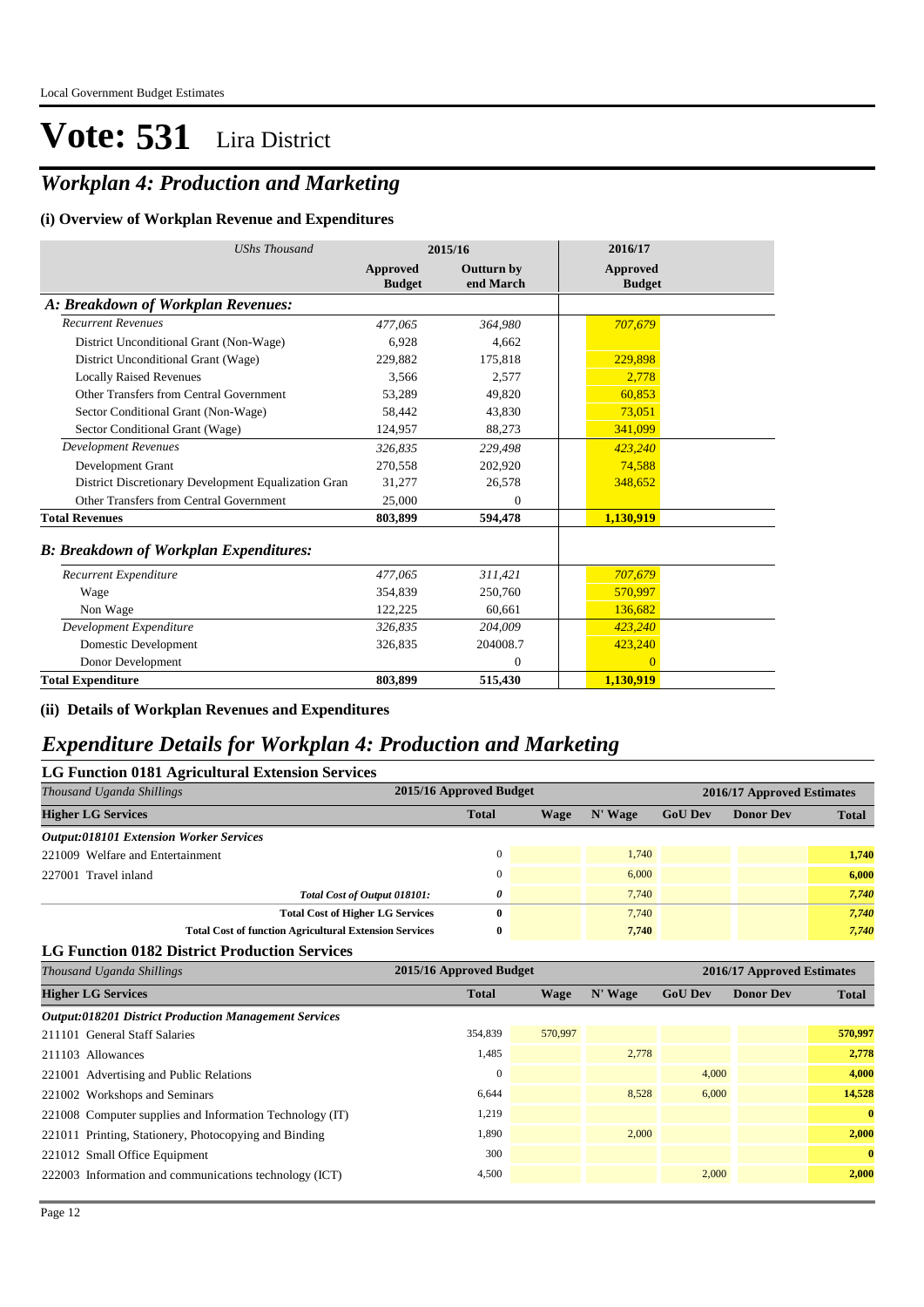### *Workplan 4: Production and Marketing*

#### **(i) Overview of Workplan Revenue and Expenditures**

| <b>UShs Thousand</b>                                 |                                  | 2015/16                        | 2016/17                          |
|------------------------------------------------------|----------------------------------|--------------------------------|----------------------------------|
|                                                      | <b>Approved</b><br><b>Budget</b> | <b>Outturn by</b><br>end March | <b>Approved</b><br><b>Budget</b> |
| A: Breakdown of Workplan Revenues:                   |                                  |                                |                                  |
| <b>Recurrent Revenues</b>                            | 477,065                          | 364,980                        | 707,679                          |
| District Unconditional Grant (Non-Wage)              | 6.928                            | 4.662                          |                                  |
| District Unconditional Grant (Wage)                  | 229.882                          | 175,818                        | 229,898                          |
| <b>Locally Raised Revenues</b>                       | 3,566                            | 2,577                          | 2,778                            |
| Other Transfers from Central Government              | 53,289                           | 49,820                         | 60,853                           |
| Sector Conditional Grant (Non-Wage)                  | 58,442                           | 43,830                         | 73,051                           |
| Sector Conditional Grant (Wage)                      | 124,957                          | 88,273                         | 341,099                          |
| <b>Development Revenues</b>                          | 326.835                          | 229,498                        | 423,240                          |
| Development Grant                                    | 270,558                          | 202,920                        | 74,588                           |
| District Discretionary Development Equalization Gran | 31,277                           | 26,578                         | 348,652                          |
| Other Transfers from Central Government              | 25,000                           | $\Omega$                       |                                  |
| <b>Total Revenues</b>                                | 803,899                          | 594,478                        | 1,130,919                        |
| <b>B: Breakdown of Workplan Expenditures:</b>        |                                  |                                |                                  |
| Recurrent Expenditure                                | 477,065                          | 311,421                        | 707,679                          |
| Wage                                                 | 354,839                          | 250,760                        | 570,997                          |
| Non Wage                                             | 122,225                          | 60,661                         | 136,682                          |
| Development Expenditure                              | 326,835                          | 204,009                        | 423,240                          |
| Domestic Development                                 | 326,835                          | 204008.7                       | 423,240                          |
| Donor Development                                    |                                  | $\mathbf{0}$                   | $\Omega$                         |
| <b>Total Expenditure</b>                             | 803,899                          | 515,430                        | 1,130,919                        |

#### **(ii) Details of Workplan Revenues and Expenditures**

#### *Expenditure Details for Workplan 4: Production and Marketing*

| LG Function 0181 Agricultural Extension Services              |                                         |                         |      |         |                            |                  |              |  |  |
|---------------------------------------------------------------|-----------------------------------------|-------------------------|------|---------|----------------------------|------------------|--------------|--|--|
| Thousand Uganda Shillings                                     |                                         | 2015/16 Approved Budget |      |         | 2016/17 Approved Estimates |                  |              |  |  |
| <b>Higher LG Services</b>                                     |                                         | <b>Total</b>            | Wage | N' Wage | <b>GoU Dev</b>             | <b>Donor Dev</b> | <b>Total</b> |  |  |
| <b>Output:018101 Extension Worker Services</b>                |                                         |                         |      |         |                            |                  |              |  |  |
| 221009 Welfare and Entertainment                              |                                         | $\Omega$                |      | 1.740   |                            |                  | 1,740        |  |  |
| 227001 Travel inland                                          |                                         | $\Omega$                |      | 6,000   |                            |                  | 6,000        |  |  |
|                                                               | Total Cost of Output 018101:            | 0                       |      | 7.740   |                            |                  | 7,740        |  |  |
|                                                               | <b>Total Cost of Higher LG Services</b> | 0                       |      | 7.740   |                            |                  | 7,740        |  |  |
| <b>Total Cost of function Agricultural Extension Services</b> |                                         | $\bf{0}$                |      | 7,740   |                            |                  | 7,740        |  |  |

**LG Function 0182 District Production Services**

| Thousand Uganda Shillings                                    | 2015/16 Approved Budget |         | 2016/17 Approved Estimates |                |                  |              |
|--------------------------------------------------------------|-------------------------|---------|----------------------------|----------------|------------------|--------------|
| <b>Higher LG Services</b>                                    | <b>Total</b>            | Wage    | N' Wage                    | <b>GoU Dev</b> | <b>Donor Dev</b> | <b>Total</b> |
| <b>Output:018201 District Production Management Services</b> |                         |         |                            |                |                  |              |
| 211101 General Staff Salaries                                | 354,839                 | 570,997 |                            |                |                  | 570,997      |
| 211103 Allowances                                            | 1,485                   |         | 2.778                      |                |                  | 2,778        |
| 221001 Advertising and Public Relations                      | $\Omega$                |         |                            | 4,000          |                  | 4,000        |
| 221002 Workshops and Seminars                                | 6,644                   |         | 8,528                      | 6,000          |                  | 14,528       |
| 221008 Computer supplies and Information Technology (IT)     | 1,219                   |         |                            |                |                  | $\mathbf{0}$ |
| 221011 Printing, Stationery, Photocopying and Binding        | 1,890                   |         | 2.000                      |                |                  | 2,000        |
| 221012 Small Office Equipment                                | 300                     |         |                            |                |                  | $\mathbf{0}$ |
| 222003 Information and communications technology (ICT)       | 4,500                   |         |                            | 2,000          |                  | 2,000        |
|                                                              |                         |         |                            |                |                  |              |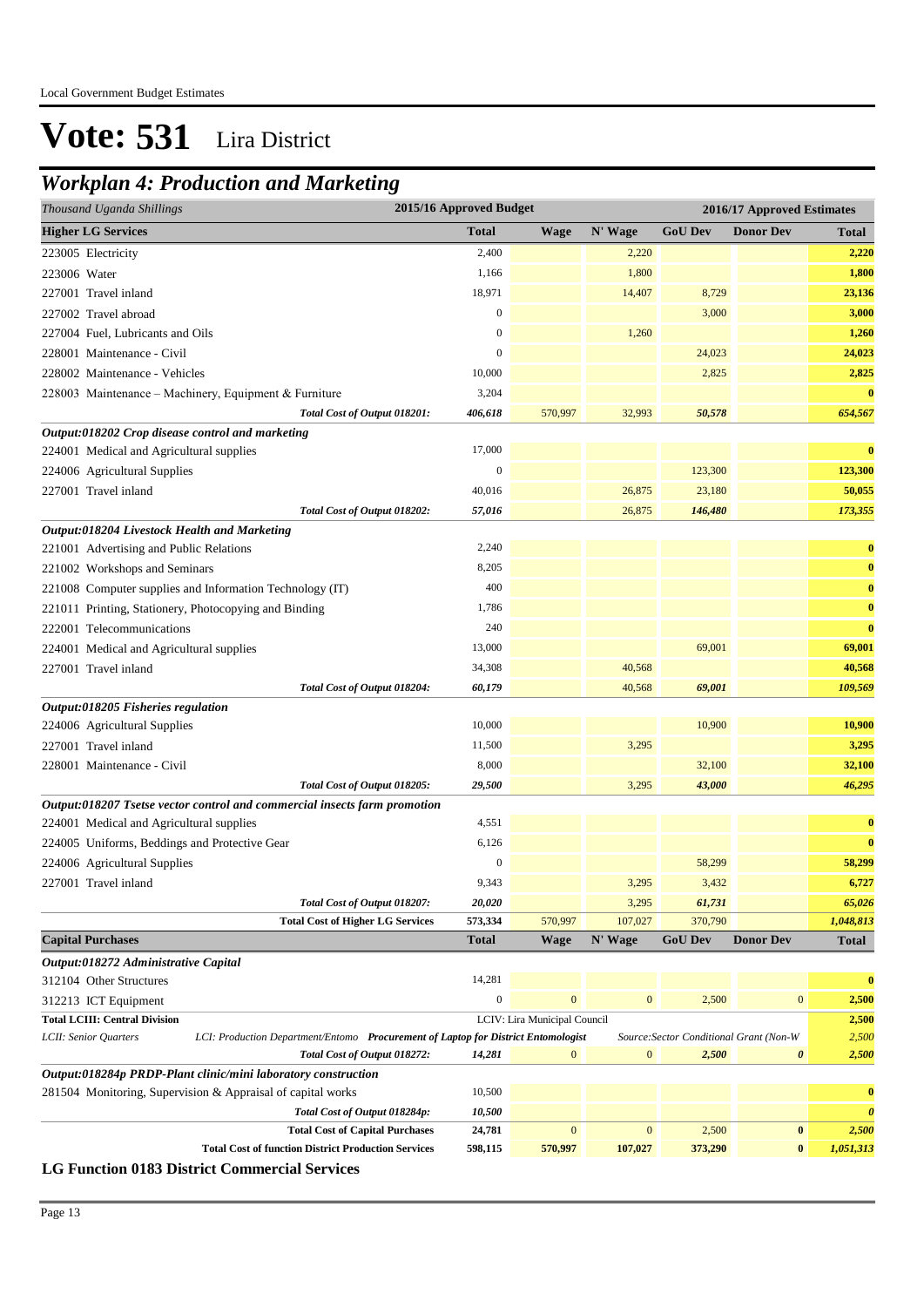### *Workplan 4: Production and Marketing*

| Thousand Uganda Shillings                                                                                  | 2015/16 Approved Budget<br>2016/17 Approved Estimates |                  |                              |              |                                                  |                       |                       |
|------------------------------------------------------------------------------------------------------------|-------------------------------------------------------|------------------|------------------------------|--------------|--------------------------------------------------|-----------------------|-----------------------|
| <b>Higher LG Services</b>                                                                                  |                                                       | <b>Total</b>     | <b>Wage</b>                  | N' Wage      | <b>GoU Dev</b>                                   | <b>Donor Dev</b>      | <b>Total</b>          |
| 223005 Electricity                                                                                         |                                                       | 2,400            |                              | 2,220        |                                                  |                       | 2,220                 |
| 223006 Water                                                                                               |                                                       | 1,166            |                              | 1,800        |                                                  |                       | 1,800                 |
| 227001 Travel inland                                                                                       |                                                       | 18,971           |                              | 14,407       | 8,729                                            |                       | 23,136                |
| 227002 Travel abroad                                                                                       |                                                       | $\boldsymbol{0}$ |                              |              | 3,000                                            |                       | 3,000                 |
| 227004 Fuel, Lubricants and Oils                                                                           |                                                       | $\boldsymbol{0}$ |                              | 1,260        |                                                  |                       | 1,260                 |
| 228001 Maintenance - Civil                                                                                 |                                                       | $\boldsymbol{0}$ |                              |              | 24,023                                           |                       | 24,023                |
| 228002 Maintenance - Vehicles                                                                              |                                                       | 10,000           |                              |              | 2,825                                            |                       | 2,825                 |
| 228003 Maintenance - Machinery, Equipment & Furniture                                                      |                                                       | 3,204            |                              |              |                                                  |                       | $\bf{0}$              |
|                                                                                                            | Total Cost of Output 018201:                          | 406,618          | 570,997                      | 32,993       | 50,578                                           |                       | 654,567               |
| Output:018202 Crop disease control and marketing                                                           |                                                       |                  |                              |              |                                                  |                       |                       |
| 224001 Medical and Agricultural supplies                                                                   |                                                       | 17,000           |                              |              |                                                  |                       | $\bf{0}$              |
| 224006 Agricultural Supplies                                                                               |                                                       | $\mathbf{0}$     |                              |              | 123,300                                          |                       | 123,300               |
| 227001 Travel inland                                                                                       |                                                       | 40,016           |                              | 26,875       | 23,180                                           |                       | 50,055                |
|                                                                                                            | Total Cost of Output 018202:                          | 57,016           |                              | 26,875       | 146,480                                          |                       | 173,355               |
| Output:018204 Livestock Health and Marketing                                                               |                                                       |                  |                              |              |                                                  |                       |                       |
| 221001 Advertising and Public Relations                                                                    |                                                       | 2,240            |                              |              |                                                  |                       | $\bf{0}$              |
| 221002 Workshops and Seminars                                                                              |                                                       | 8,205            |                              |              |                                                  |                       | $\bf{0}$              |
| 221008 Computer supplies and Information Technology (IT)                                                   |                                                       | 400              |                              |              |                                                  |                       | $\bf{0}$              |
| 221011 Printing, Stationery, Photocopying and Binding                                                      |                                                       | 1,786            |                              |              |                                                  |                       | $\bf{0}$              |
| 222001 Telecommunications                                                                                  |                                                       | 240              |                              |              |                                                  |                       | $\bf{0}$              |
| 224001 Medical and Agricultural supplies                                                                   |                                                       | 13,000           |                              |              | 69,001                                           |                       | 69,001                |
| 227001 Travel inland                                                                                       |                                                       | 34,308           |                              | 40,568       |                                                  |                       | 40,568                |
|                                                                                                            | Total Cost of Output 018204:                          | 60,179           |                              | 40,568       | 69,001                                           |                       | 109,569               |
| Output:018205 Fisheries regulation                                                                         |                                                       |                  |                              |              |                                                  |                       |                       |
| 224006 Agricultural Supplies                                                                               |                                                       | 10,000           |                              |              | 10,900                                           |                       | 10,900                |
| 227001 Travel inland                                                                                       |                                                       | 11,500           |                              | 3,295        |                                                  |                       | 3,295                 |
| 228001 Maintenance - Civil                                                                                 |                                                       | 8,000            |                              |              | 32,100                                           |                       | 32,100                |
|                                                                                                            | Total Cost of Output 018205:                          | 29,500           |                              | 3,295        | 43,000                                           |                       | 46,295                |
| Output:018207 Tsetse vector control and commercial insects farm promotion                                  |                                                       |                  |                              |              |                                                  |                       |                       |
| 224001 Medical and Agricultural supplies                                                                   |                                                       | 4,551            |                              |              |                                                  |                       | $\bf{0}$              |
| 224005 Uniforms, Beddings and Protective Gear                                                              |                                                       | 6,126            |                              |              |                                                  |                       | $\bf{0}$              |
| 224006 Agricultural Supplies                                                                               |                                                       | $\mathbf{0}$     |                              |              | 58,299                                           |                       | 58,299                |
| 227001 Travel inland                                                                                       |                                                       | 9,343            |                              | 3,295        | 3,432                                            |                       | 6,727                 |
|                                                                                                            | Total Cost of Output 018207:                          | 20,020           |                              | 3,295        | 61,731                                           |                       | 65,026                |
|                                                                                                            | <b>Total Cost of Higher LG Services</b>               | 573,334          | 570,997                      | 107,027      | 370,790                                          |                       | 1,048,813             |
| <b>Capital Purchases</b>                                                                                   |                                                       | <b>Total</b>     | <b>Wage</b>                  | N' Wage      | <b>GoU Dev</b>                                   | <b>Donor Dev</b>      | <b>Total</b>          |
| Output:018272 Administrative Capital                                                                       |                                                       |                  |                              |              |                                                  |                       |                       |
| 312104 Other Structures                                                                                    |                                                       | 14,281           |                              |              |                                                  |                       | $\bf{0}$              |
| 312213 ICT Equipment                                                                                       |                                                       | $\boldsymbol{0}$ | $\mathbf{0}$                 | $\mathbf{0}$ | 2,500                                            | $\bf{0}$              | 2,500                 |
| <b>Total LCIII: Central Division</b>                                                                       |                                                       |                  | LCIV: Lira Municipal Council |              |                                                  |                       | 2,500                 |
| LCII: Senior Quarters<br>LCI: Production Department/Entomo Procurement of Laptop for District Entomologist | Total Cost of Output 018272:                          | 14,281           | $\overline{0}$               | $\mathbf{0}$ | Source: Sector Conditional Grant (Non-W<br>2,500 | $\boldsymbol{\theta}$ | 2,500<br>2,500        |
| Output:018284p PRDP-Plant clinic/mini laboratory construction                                              |                                                       |                  |                              |              |                                                  |                       |                       |
| 281504 Monitoring, Supervision & Appraisal of capital works                                                |                                                       | 10,500           |                              |              |                                                  |                       | $\bf{0}$              |
|                                                                                                            | Total Cost of Output 018284p:                         | 10,500           |                              |              |                                                  |                       | $\boldsymbol{\theta}$ |
|                                                                                                            | <b>Total Cost of Capital Purchases</b>                | 24,781           | $\mathbf{0}$                 | $\mathbf{0}$ | 2,500                                            | $\bf{0}$              | 2,500                 |
| <b>Total Cost of function District Production Services</b>                                                 |                                                       | 598,115          | 570,997                      | 107,027      | 373,290                                          | $\bf{0}$              | 1,051,313             |
| <b>LG Function 0183 District Commercial Services</b>                                                       |                                                       |                  |                              |              |                                                  |                       |                       |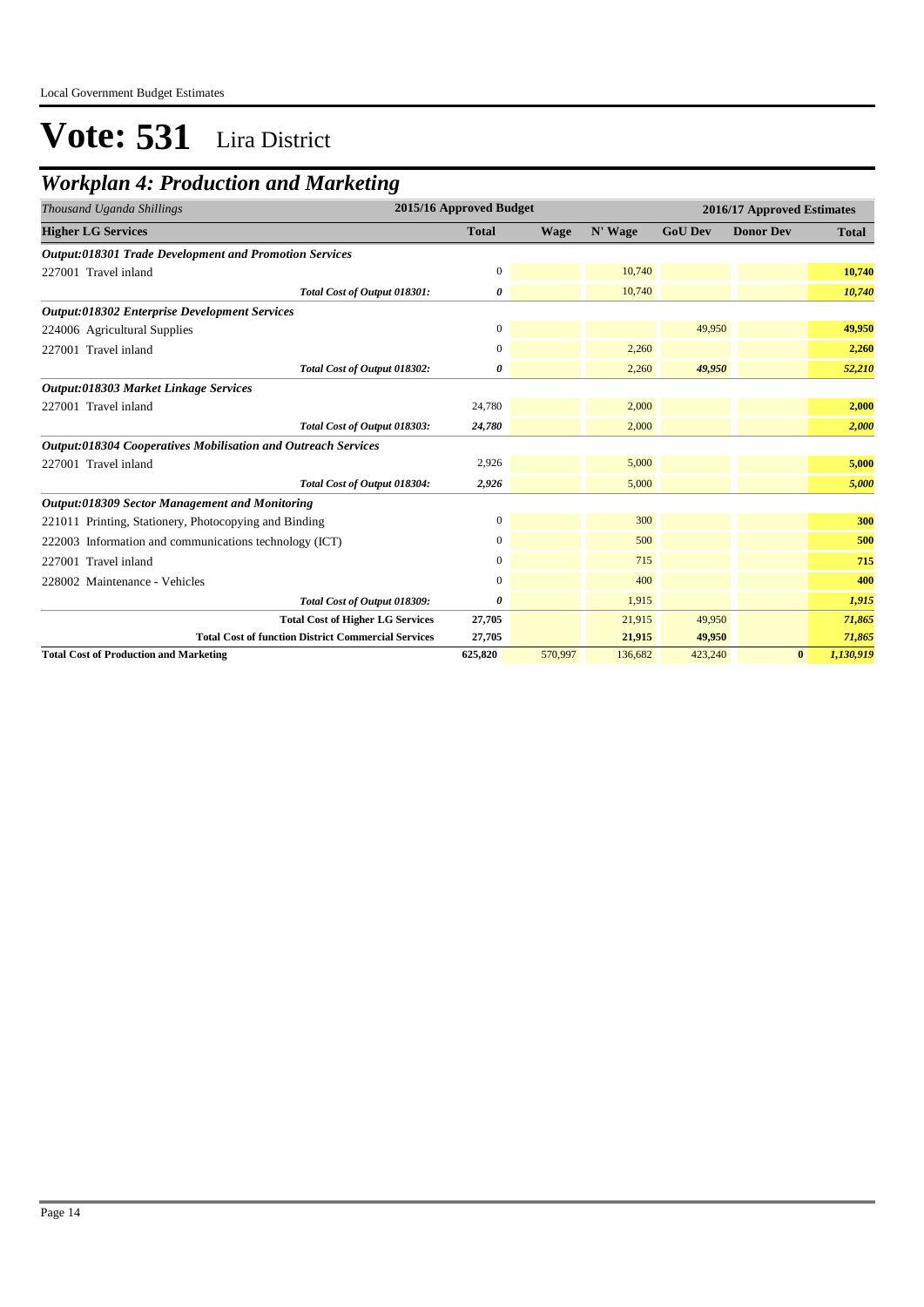### *Workplan 4: Production and Marketing*

| Thousand Uganda Shillings                                     |                  | 2015/16 Approved Budget |         |                | 2016/17 Approved Estimates |              |  |  |
|---------------------------------------------------------------|------------------|-------------------------|---------|----------------|----------------------------|--------------|--|--|
| <b>Higher LG Services</b>                                     | <b>Total</b>     | <b>Wage</b>             | N' Wage | <b>GoU Dev</b> | <b>Donor Dev</b>           | <b>Total</b> |  |  |
| <b>Output:018301 Trade Development and Promotion Services</b> |                  |                         |         |                |                            |              |  |  |
| 227001 Travel inland                                          | $\mathbf{0}$     |                         | 10,740  |                |                            | 10,740       |  |  |
| Total Cost of Output 018301:                                  | 0                |                         | 10,740  |                |                            | 10,740       |  |  |
| <b>Output:018302 Enterprise Development Services</b>          |                  |                         |         |                |                            |              |  |  |
| 224006 Agricultural Supplies                                  | $\mathbf{0}$     |                         |         | 49,950         |                            | 49,950       |  |  |
| 227001 Travel inland                                          | $\mathbf{0}$     |                         | 2,260   |                |                            | 2,260        |  |  |
| Total Cost of Output 018302:                                  | 0                |                         | 2,260   | 49,950         |                            | 52,210       |  |  |
| Output:018303 Market Linkage Services                         |                  |                         |         |                |                            |              |  |  |
| 227001 Travel inland                                          | 24,780           |                         | 2,000   |                |                            | 2,000        |  |  |
| Total Cost of Output 018303:                                  | 24,780           |                         | 2,000   |                |                            | 2,000        |  |  |
| Output:018304 Cooperatives Mobilisation and Outreach Services |                  |                         |         |                |                            |              |  |  |
| 227001 Travel inland                                          | 2,926            |                         | 5,000   |                |                            | 5,000        |  |  |
| Total Cost of Output 018304:                                  | 2,926            |                         | 5,000   |                |                            | 5,000        |  |  |
| Output:018309 Sector Management and Monitoring                |                  |                         |         |                |                            |              |  |  |
| 221011 Printing, Stationery, Photocopying and Binding         | $\mathbf{0}$     |                         | 300     |                |                            | 300          |  |  |
| 222003 Information and communications technology (ICT)        | $\mathbf{0}$     |                         | 500     |                |                            | 500          |  |  |
| 227001 Travel inland                                          | $\mathbf{0}$     |                         | 715     |                |                            | 715          |  |  |
| 228002 Maintenance - Vehicles                                 | $\boldsymbol{0}$ |                         | 400     |                |                            | 400          |  |  |
| Total Cost of Output 018309:                                  | 0                |                         | 1,915   |                |                            | 1,915        |  |  |
| <b>Total Cost of Higher LG Services</b>                       | 27,705           |                         | 21,915  | 49,950         |                            | 71,865       |  |  |
| <b>Total Cost of function District Commercial Services</b>    | 27,705           |                         | 21,915  | 49,950         |                            | 71,865       |  |  |
| <b>Total Cost of Production and Marketing</b>                 | 625,820          | 570,997                 | 136,682 | 423,240        | $\bf{0}$                   | 1,130,919    |  |  |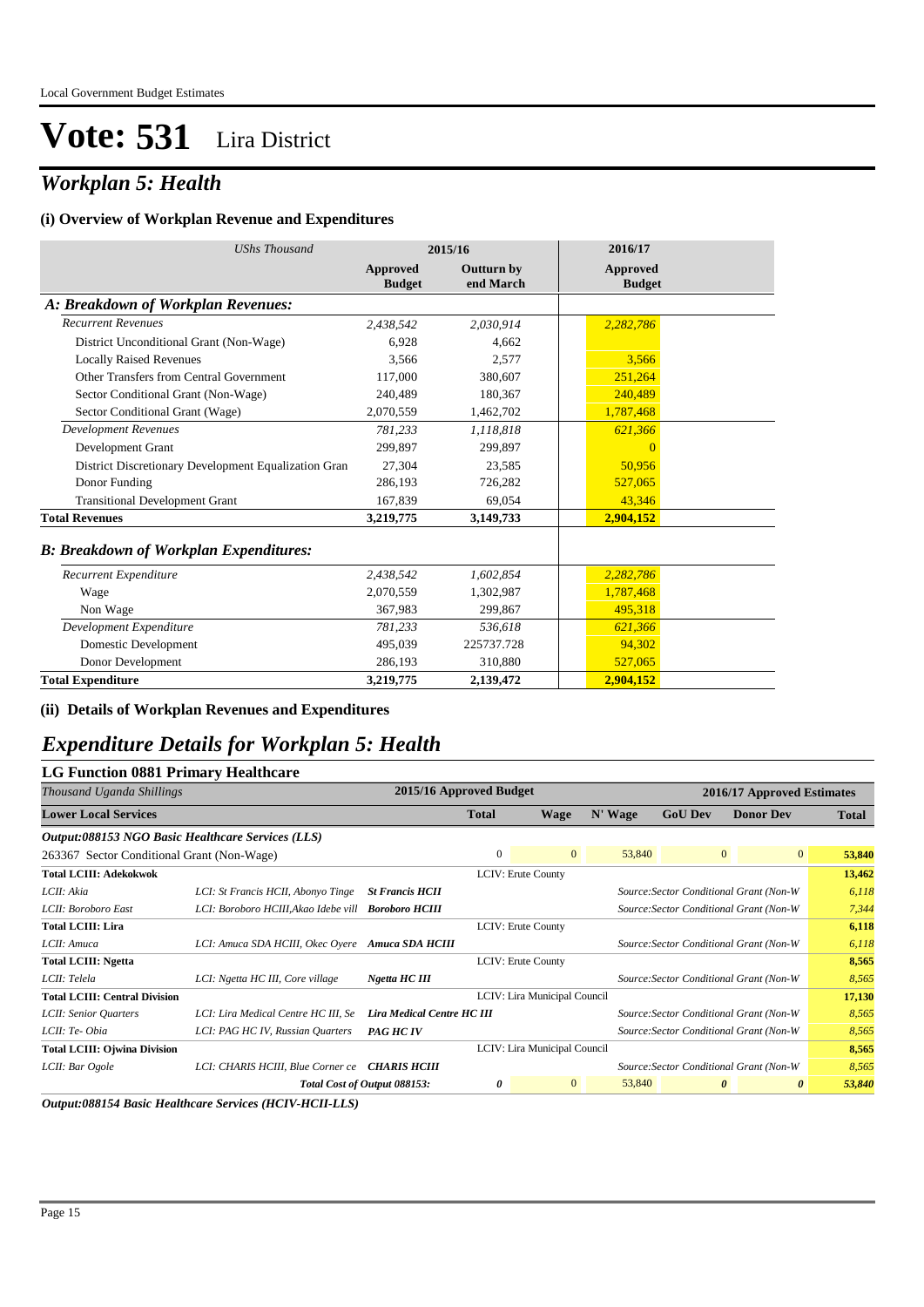### *Workplan 5: Health*

#### **(i) Overview of Workplan Revenue and Expenditures**

| <b>UShs Thousand</b>                                 |                           | 2015/16                 | 2016/17                          |
|------------------------------------------------------|---------------------------|-------------------------|----------------------------------|
|                                                      | Approved<br><b>Budget</b> | Outturn by<br>end March | <b>Approved</b><br><b>Budget</b> |
| A: Breakdown of Workplan Revenues:                   |                           |                         |                                  |
| <b>Recurrent Revenues</b>                            | 2,438,542                 | 2,030,914               | 2,282,786                        |
| District Unconditional Grant (Non-Wage)              | 6.928                     | 4.662                   |                                  |
| <b>Locally Raised Revenues</b>                       | 3.566                     | 2.577                   | 3.566                            |
| Other Transfers from Central Government              | 117,000                   | 380,607                 | 251,264                          |
| Sector Conditional Grant (Non-Wage)                  | 240,489                   | 180,367                 | 240,489                          |
| Sector Conditional Grant (Wage)                      | 2,070,559                 | 1,462,702               | 1,787,468                        |
| <b>Development Revenues</b>                          | 781.233                   | 1,118,818               | 621,366                          |
| Development Grant                                    | 299.897                   | 299.897                 | $\Omega$                         |
| District Discretionary Development Equalization Gran | 27.304                    | 23,585                  | 50,956                           |
| Donor Funding                                        | 286,193                   | 726,282                 | 527,065                          |
| <b>Transitional Development Grant</b>                | 167,839                   | 69,054                  | 43,346                           |
| <b>Total Revenues</b>                                | 3,219,775                 | 3,149,733               | 2,904,152                        |
| <b>B: Breakdown of Workplan Expenditures:</b>        |                           |                         |                                  |
| Recurrent Expenditure                                | 2,438,542                 | 1,602,854               | 2,282,786                        |
| Wage                                                 | 2,070,559                 | 1,302,987               | 1,787,468                        |
| Non Wage                                             | 367,983                   | 299,867                 | 495,318                          |
| Development Expenditure                              | 781.233                   | 536.618                 | 621,366                          |
| Domestic Development                                 | 495,039                   | 225737.728              | 94,302                           |
| Donor Development                                    | 286,193                   | 310,880                 | 527,065                          |
| <b>Total Expenditure</b>                             | 3,219,775                 | 2,139,472               | 2,904,152                        |

#### **(ii) Details of Workplan Revenues and Expenditures**

#### *Expenditure Details for Workplan 5: Health*

#### **LG Function 0881 Primary Healthcare**

| Thousand Uganda Shillings                         |                                                     | 2015/16 Approved Budget           |                           |                              |         |                | 2016/17 Approved Estimates              |              |
|---------------------------------------------------|-----------------------------------------------------|-----------------------------------|---------------------------|------------------------------|---------|----------------|-----------------------------------------|--------------|
| <b>Lower Local Services</b>                       |                                                     |                                   | <b>Total</b>              | Wage                         | N' Wage | <b>GoU Dev</b> | <b>Donor Dev</b>                        | <b>Total</b> |
| Output:088153 NGO Basic Healthcare Services (LLS) |                                                     |                                   |                           |                              |         |                |                                         |              |
| 263367 Sector Conditional Grant (Non-Wage)        |                                                     |                                   | $\mathbf{0}$              | $\overline{0}$               | 53,840  |                | $\overline{0}$<br>$\overline{0}$        | 53,840       |
| <b>Total LCIII: Adekokwok</b>                     |                                                     |                                   | LCIV: Erute County        |                              |         |                |                                         | 13,462       |
| LCII: Akia                                        | LCI: St Francis HCII, Abonyo Tinge                  | <b>St Francis HCII</b>            |                           |                              |         |                | Source: Sector Conditional Grant (Non-W | 6,118        |
| LCII: Boroboro East                               | LCI: Boroboro HCIII, Akao Idebe vill Boroboro HCIII |                                   |                           |                              |         |                | Source: Sector Conditional Grant (Non-W | 7,344        |
| <b>Total LCIII: Lira</b>                          |                                                     |                                   | LCIV: Erute County        |                              |         |                |                                         | 6,118        |
| LCII: Amuca                                       | LCI: Amuca SDA HCIII, Okec Oyere Amuca SDA HCIII    |                                   |                           |                              |         |                | Source: Sector Conditional Grant (Non-W | 6,118        |
| <b>Total LCIII: Ngetta</b>                        |                                                     |                                   | <b>LCIV: Erute County</b> |                              |         |                |                                         | 8,565        |
| LCII: Telela                                      | LCI: Ngetta HC III, Core village                    | Ngetta HC III                     |                           |                              |         |                | Source: Sector Conditional Grant (Non-W | 8,565        |
| <b>Total LCIII: Central Division</b>              |                                                     |                                   |                           | LCIV: Lira Municipal Council |         |                |                                         | 17,130       |
| LCII: Senior Quarters                             | LCI: Lira Medical Centre HC III, Se                 | <b>Lira Medical Centre HC III</b> |                           |                              |         |                | Source: Sector Conditional Grant (Non-W | 8,565        |
| LCII: Te-Obia                                     | LCI: PAG HC IV, Russian Quarters                    | <b>PAG HC IV</b>                  |                           |                              |         |                | Source: Sector Conditional Grant (Non-W | 8,565        |
| <b>Total LCIII: Ojwina Division</b>               |                                                     |                                   |                           | LCIV: Lira Municipal Council |         |                |                                         | 8,565        |
| LCII: Bar Ogole                                   | LCI: CHARIS HCIII, Blue Corner ce                   | <b>CHARIS HCIII</b>               |                           |                              |         |                | Source: Sector Conditional Grant (Non-W | 8,565        |
|                                                   |                                                     | Total Cost of Output 088153:      | 0                         | $\mathbf{0}$                 | 53,840  |                | $\boldsymbol{\theta}$<br>0              | 53,840       |

*Output:088154 Basic Healthcare Services (HCIV-HCII-LLS)*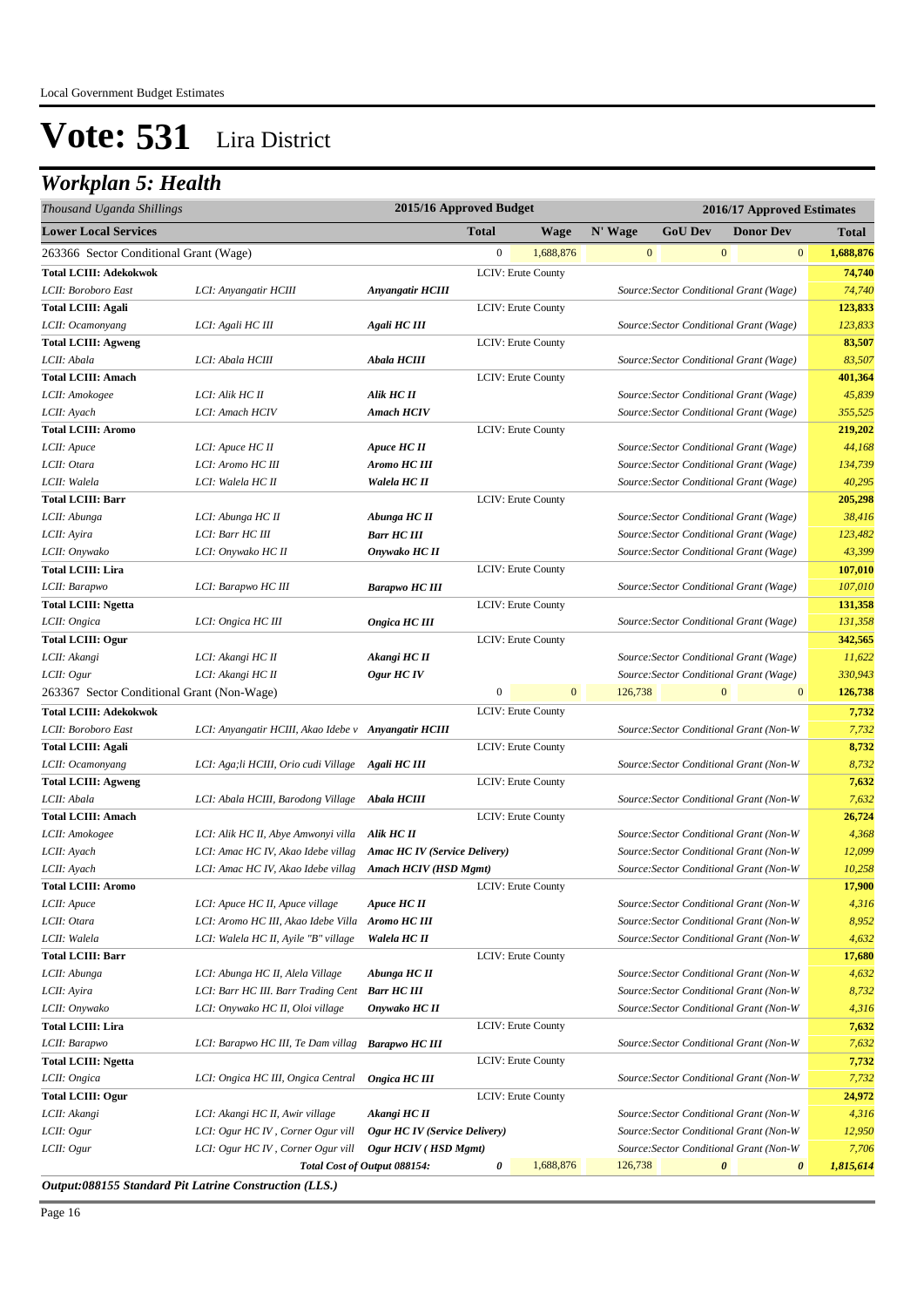### *Workplan 5: Health*

| Thousand Uganda Shillings                  |                                                      | 2015/16 Approved Budget              |                  |                           |         | 2016/17 Approved Estimates              |                       |                  |              |              |
|--------------------------------------------|------------------------------------------------------|--------------------------------------|------------------|---------------------------|---------|-----------------------------------------|-----------------------|------------------|--------------|--------------|
| <b>Lower Local Services</b>                |                                                      |                                      | <b>Total</b>     | <b>Wage</b>               | N' Wage | <b>GoU Dev</b>                          |                       | <b>Donor Dev</b> |              | <b>Total</b> |
| 263366 Sector Conditional Grant (Wage)     |                                                      |                                      | $\boldsymbol{0}$ | 1,688,876                 |         | $\mathbf{0}$                            | $\mathbf{0}$          |                  | $\mathbf{0}$ | 1,688,876    |
| <b>Total LCIII: Adekokwok</b>              |                                                      |                                      |                  | LCIV: Erute County        |         |                                         |                       |                  |              | 74,740       |
| LCII: Boroboro East                        | LCI: Anyangatir HCIII                                | <b>Anyangatir HCIII</b>              |                  |                           |         | Source: Sector Conditional Grant (Wage) |                       |                  |              | 74,740       |
| <b>Total LCIII: Agali</b>                  |                                                      |                                      |                  | LCIV: Erute County        |         |                                         |                       |                  |              | 123,833      |
| LCII: Ocamonyang                           | LCI: Agali HC III                                    | Agali HC III                         |                  |                           |         | Source: Sector Conditional Grant (Wage) |                       |                  |              | 123,833      |
| <b>Total LCIII: Agweng</b>                 |                                                      |                                      |                  | LCIV: Erute County        |         |                                         |                       |                  |              | 83,507       |
| LCII: Abala                                | LCI: Abala HCIII                                     | Abala HCIII                          |                  |                           |         | Source: Sector Conditional Grant (Wage) |                       |                  |              | 83,507       |
| <b>Total LCIII: Amach</b>                  |                                                      |                                      |                  | LCIV: Erute County        |         |                                         |                       |                  |              | 401,364      |
| LCII: Amokogee                             | LCI: Alik HC II                                      | Alik HC II                           |                  |                           |         | Source: Sector Conditional Grant (Wage) |                       |                  |              | 45,839       |
| LCII: Ayach                                | LCI: Amach HCIV                                      | <b>Amach HCIV</b>                    |                  |                           |         | Source: Sector Conditional Grant (Wage) |                       |                  |              | 355,525      |
| <b>Total LCIII: Aromo</b>                  |                                                      |                                      |                  | LCIV: Erute County        |         |                                         |                       |                  |              | 219,202      |
| LCII: Apuce                                | LCI: Apuce HC II                                     | Apuce HC II                          |                  |                           |         | Source: Sector Conditional Grant (Wage) |                       |                  |              | 44,168       |
| LCII: Otara                                | LCI: Aromo HC III                                    | Aromo HC III                         |                  |                           |         | Source: Sector Conditional Grant (Wage) |                       |                  |              | 134,739      |
| LCII: Walela                               | LCI: Walela HC II                                    | Walela HC II                         |                  |                           |         | Source: Sector Conditional Grant (Wage) |                       |                  |              | 40,295       |
| <b>Total LCIII: Barr</b>                   |                                                      |                                      |                  | LCIV: Erute County        |         |                                         |                       |                  |              | 205,298      |
| LCII: Abunga                               | LCI: Abunga HC II                                    | Abunga HC II                         |                  |                           |         | Source: Sector Conditional Grant (Wage) |                       |                  |              | 38,416       |
| LCII: Ayira                                | LCI: Barr HC III                                     | <b>Barr HC III</b>                   |                  |                           |         | Source: Sector Conditional Grant (Wage) |                       |                  |              | 123,482      |
| LCII: Onywako                              | LCI: Onywako HC II                                   | Onywako HC II                        |                  |                           |         | Source: Sector Conditional Grant (Wage) |                       |                  |              | 43,399       |
| <b>Total LCIII: Lira</b>                   |                                                      |                                      |                  | <b>LCIV: Erute County</b> |         |                                         |                       |                  |              | 107,010      |
| LCII: Barapwo                              | LCI: Barapwo HC III                                  | <b>Barapwo HC III</b>                |                  |                           |         | Source: Sector Conditional Grant (Wage) |                       |                  |              | 107,010      |
| <b>Total LCIII: Ngetta</b>                 |                                                      |                                      |                  | LCIV: Erute County        |         |                                         |                       |                  |              | 131,358      |
| LCII: Ongica                               | LCI: Ongica HC III                                   | Ongica HC III                        |                  |                           |         | Source: Sector Conditional Grant (Wage) |                       |                  |              | 131,358      |
| <b>Total LCIII: Ogur</b>                   |                                                      |                                      |                  | LCIV: Erute County        |         |                                         |                       |                  |              | 342,565      |
| LCII: Akangi                               | LCI: Akangi HC II                                    | Akangi HC II                         |                  |                           |         | Source: Sector Conditional Grant (Wage) |                       |                  |              | 11,622       |
| LCII: Ogur                                 | LCI: Akangi HC II                                    | Ogur HC IV                           |                  |                           |         | Source: Sector Conditional Grant (Wage) |                       |                  |              | 330,943      |
| 263367 Sector Conditional Grant (Non-Wage) |                                                      |                                      | $\boldsymbol{0}$ | $\overline{0}$            | 126,738 |                                         | $\mathbf{0}$          |                  | $\mathbf{0}$ | 126,738      |
| <b>Total LCIII: Adekokwok</b>              |                                                      |                                      |                  | LCIV: Erute County        |         |                                         |                       |                  |              | 7,732        |
| LCII: Boroboro East                        | LCI: Anyangatir HCIII, Akao Idebe v Anyangatir HCIII |                                      |                  |                           |         | Source: Sector Conditional Grant (Non-W |                       |                  |              | 7,732        |
| <b>Total LCIII: Agali</b>                  |                                                      |                                      |                  | LCIV: Erute County        |         |                                         |                       |                  |              | 8,732        |
| LCII: Ocamonyang                           | LCI: Aga;li HCIII, Orio cudi Village                 | Agali HC III                         |                  |                           |         | Source: Sector Conditional Grant (Non-W |                       |                  |              | 8,732        |
| <b>Total LCIII: Agweng</b>                 |                                                      |                                      |                  | LCIV: Erute County        |         |                                         |                       |                  |              | 7,632        |
| LCII: Abala                                | LCI: Abala HCIII, Barodong Village                   | <b>Abala HCIII</b>                   |                  |                           |         | Source: Sector Conditional Grant (Non-W |                       |                  |              | 7,632        |
| <b>Total LCIII: Amach</b>                  |                                                      |                                      |                  | LCIV: Erute County        |         |                                         |                       |                  |              | 26,724       |
| LCII: Amokogee                             | LCI: Alik HC II, Abye Amwonyi villa                  | Alik HC II                           |                  |                           |         | Source: Sector Conditional Grant (Non-W |                       |                  |              | 4,368        |
| LCII: Ayach                                | LCI: Amac HC IV, Akao Idebe villag                   | <b>Amac HC IV</b> (Service Delivery) |                  |                           |         | Source: Sector Conditional Grant (Non-W |                       |                  |              | 12,099       |
| LCII: Ayach                                | LCI: Amac HC IV, Akao Idebe villag                   | Amach HCIV (HSD Mgmt)                |                  |                           |         | Source: Sector Conditional Grant (Non-W |                       |                  |              | 10,258       |
| <b>Total LCIII: Aromo</b>                  |                                                      |                                      |                  | LCIV: Erute County        |         |                                         |                       |                  |              | 17,900       |
| LCII: Apuce                                | LCI: Apuce HC II, Apuce village                      | Apuce HC II                          |                  |                           |         | Source: Sector Conditional Grant (Non-W |                       |                  |              | 4,316        |
| LCII: Otara                                | LCI: Aromo HC III, Akao Idebe Villa                  | Aromo HC III                         |                  |                           |         | Source: Sector Conditional Grant (Non-W |                       |                  |              | 8,952        |
| LCII: Walela                               | LCI: Walela HC II, Ayile "B" village                 | Walela HC II                         |                  |                           |         | Source: Sector Conditional Grant (Non-W |                       |                  |              | 4,632        |
| <b>Total LCIII: Barr</b>                   |                                                      |                                      |                  | LCIV: Erute County        |         |                                         |                       |                  |              | 17,680       |
| LCII: Abunga                               | LCI: Abunga HC II, Alela Village                     | Abunga HC II                         |                  |                           |         | Source: Sector Conditional Grant (Non-W |                       |                  |              | 4,632        |
| LCII: Ayira                                | LCI: Barr HC III. Barr Trading Cent Barr HC III      |                                      |                  |                           |         | Source: Sector Conditional Grant (Non-W |                       |                  |              | 8,732        |
| LCII: Onywako                              | LCI: Onywako HC II, Oloi village                     | Onywako HC II                        |                  |                           |         | Source: Sector Conditional Grant (Non-W |                       |                  |              | 4,316        |
| <b>Total LCIII: Lira</b>                   |                                                      |                                      |                  | LCIV: Erute County        |         |                                         |                       |                  |              | 7,632        |
| LCII: Barapwo                              | LCI: Barapwo HC III, Te Dam villag                   | <b>Barapwo HC III</b>                |                  |                           |         | Source: Sector Conditional Grant (Non-W |                       |                  |              | 7,632        |
| <b>Total LCIII: Ngetta</b>                 |                                                      |                                      |                  | LCIV: Erute County        |         |                                         |                       |                  |              | 7,732        |
| LCII: Ongica                               | LCI: Ongica HC III, Ongica Central                   | Ongica HC III                        |                  |                           |         | Source: Sector Conditional Grant (Non-W |                       |                  |              | 7,732        |
| <b>Total LCIII: Ogur</b>                   |                                                      |                                      |                  | LCIV: Erute County        |         |                                         |                       |                  |              | 24,972       |
| LCII: Akangi                               | LCI: Akangi HC II, Awir village                      | Akangi HC II                         |                  |                           |         | Source: Sector Conditional Grant (Non-W |                       |                  |              | 4,316        |
| LCII: Ogur                                 | LCI: Ogur HC IV, Corner Ogur vill                    | Ogur HC IV (Service Delivery)        |                  |                           |         | Source: Sector Conditional Grant (Non-W |                       |                  |              | 12,950       |
| LCII: Ogur                                 | LCI: Ogur HC IV, Corner Ogur vill                    | Ogur HCIV (HSD Mgmt)                 |                  |                           |         | Source: Sector Conditional Grant (Non-W |                       |                  |              | 7,706        |
|                                            |                                                      | Total Cost of Output 088154:         | 0                | 1,688,876                 | 126,738 |                                         | $\boldsymbol{\theta}$ |                  | 0            | 1,815,614    |

*Output:088155 Standard Pit Latrine Construction (LLS.)*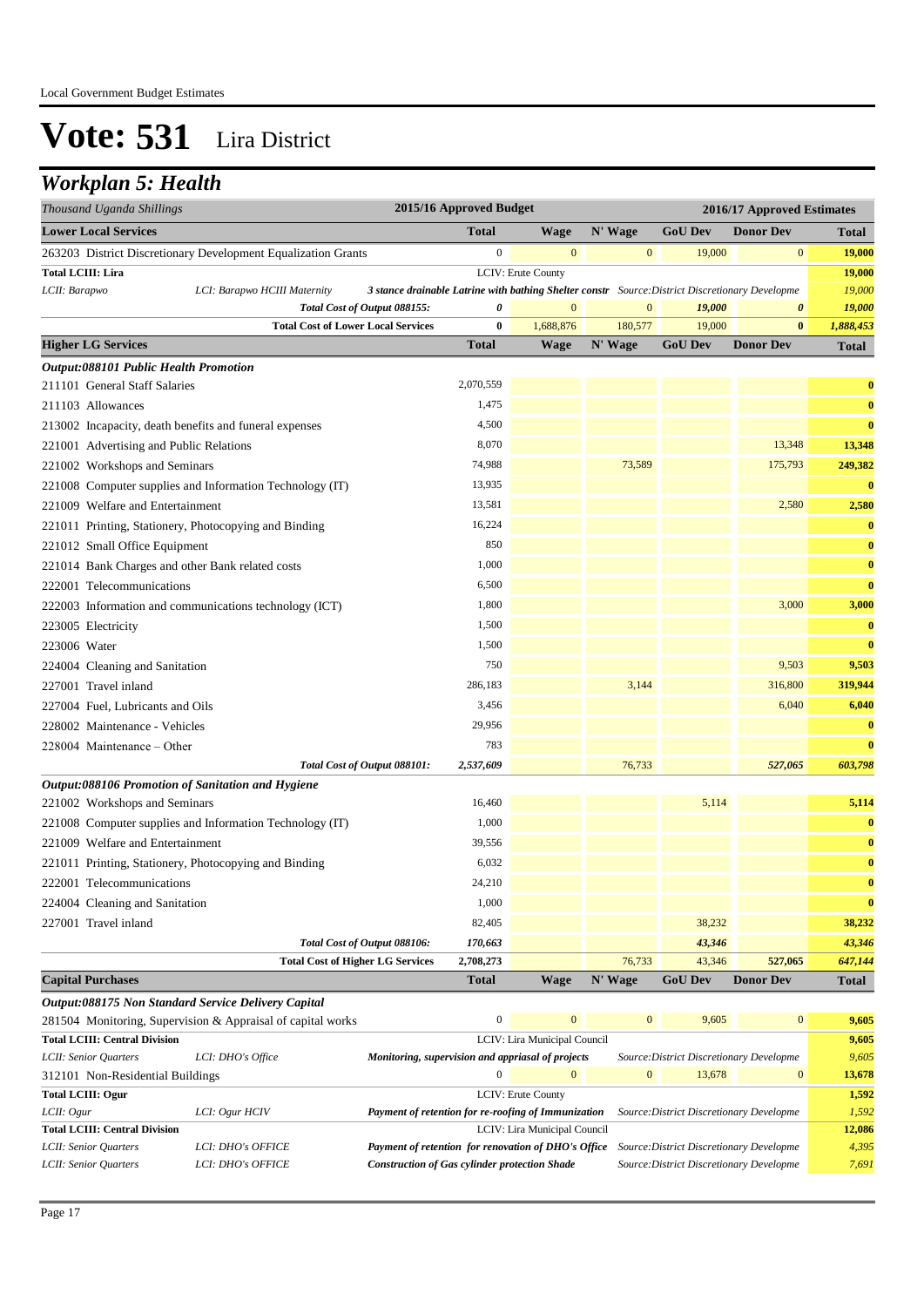### *Workplan 5: Health*

| Thousand Uganda Shillings                        |                                                                                   | 2015/16 Approved Budget                                                                         |                              |                   |                                          | 2016/17 Approved Estimates  |                         |
|--------------------------------------------------|-----------------------------------------------------------------------------------|-------------------------------------------------------------------------------------------------|------------------------------|-------------------|------------------------------------------|-----------------------------|-------------------------|
| <b>Lower Local Services</b>                      |                                                                                   | <b>Total</b>                                                                                    | <b>Wage</b>                  | N' Wage           | <b>GoU Dev</b>                           | <b>Donor Dev</b>            | <b>Total</b>            |
|                                                  | 263203 District Discretionary Development Equalization Grants                     | $\boldsymbol{0}$                                                                                | $\mathbf{0}$                 | $\mathbf{0}$      | 19,000                                   | $\bf{0}$                    | 19,000                  |
| <b>Total LCIII: Lira</b>                         |                                                                                   |                                                                                                 | LCIV: Erute County           |                   |                                          |                             | 19,000                  |
| LCII: Barapwo                                    | LCI: Barapwo HCIII Maternity                                                      | 3 stance drainable Latrine with bathing Shelter constr Source: District Discretionary Developme |                              |                   |                                          |                             | 19,000                  |
|                                                  | Total Cost of Output 088155:                                                      | 0                                                                                               | $\mathbf{0}$                 | $\boldsymbol{0}$  | 19,000                                   | 0                           | 19,000                  |
|                                                  | <b>Total Cost of Lower Local Services</b>                                         | 0                                                                                               | 1,688,876                    | 180,577           | 19,000                                   | $\bf{0}$                    | 1,888,453               |
| <b>Higher LG Services</b>                        |                                                                                   | <b>Total</b>                                                                                    | <b>Wage</b>                  | N' Wage           | <b>GoU Dev</b>                           | <b>Donor Dev</b>            | <b>Total</b>            |
| <b>Output:088101 Public Health Promotion</b>     |                                                                                   |                                                                                                 |                              |                   |                                          |                             |                         |
| 211101 General Staff Salaries                    |                                                                                   | 2,070,559                                                                                       |                              |                   |                                          |                             | $\bf{0}$                |
| 211103 Allowances                                |                                                                                   | 1,475                                                                                           |                              |                   |                                          |                             | $\bf{0}$                |
|                                                  | 213002 Incapacity, death benefits and funeral expenses                            | 4,500                                                                                           |                              |                   |                                          |                             | $\bf{0}$                |
| 221001 Advertising and Public Relations          |                                                                                   | 8,070                                                                                           |                              |                   |                                          | 13,348                      | 13,348                  |
| 221002 Workshops and Seminars                    |                                                                                   | 74,988                                                                                          |                              | 73,589            |                                          | 175,793                     | 249,382                 |
|                                                  | 221008 Computer supplies and Information Technology (IT)                          | 13,935                                                                                          |                              |                   |                                          |                             | $\bf{0}$                |
| 221009 Welfare and Entertainment                 |                                                                                   | 13,581                                                                                          |                              |                   |                                          | 2,580                       | 2,580                   |
|                                                  | 221011 Printing, Stationery, Photocopying and Binding                             | 16,224                                                                                          |                              |                   |                                          |                             | $\bf{0}$                |
| 221012 Small Office Equipment                    |                                                                                   | 850                                                                                             |                              |                   |                                          |                             | $\bf{0}$                |
| 221014 Bank Charges and other Bank related costs |                                                                                   | 1,000                                                                                           |                              |                   |                                          |                             | $\bf{0}$                |
| 222001 Telecommunications                        |                                                                                   | 6,500                                                                                           |                              |                   |                                          |                             | $\bf{0}$                |
|                                                  | 222003 Information and communications technology (ICT)                            | 1,800                                                                                           |                              |                   |                                          | 3,000                       | 3,000                   |
| 223005 Electricity                               |                                                                                   | 1,500                                                                                           |                              |                   |                                          |                             | $\bf{0}$                |
| 223006 Water                                     |                                                                                   | 1,500                                                                                           |                              |                   |                                          |                             | $\bf{0}$                |
| 224004 Cleaning and Sanitation                   |                                                                                   | 750                                                                                             |                              |                   |                                          | 9,503                       | 9,503                   |
| 227001 Travel inland                             |                                                                                   | 286,183                                                                                         |                              | 3,144             |                                          | 316,800                     | 319,944                 |
| 227004 Fuel, Lubricants and Oils                 |                                                                                   | 3,456                                                                                           |                              |                   |                                          | 6,040                       | 6,040                   |
| 228002 Maintenance - Vehicles                    |                                                                                   | 29,956                                                                                          |                              |                   |                                          |                             | $\bf{0}$                |
|                                                  |                                                                                   | 783                                                                                             |                              |                   |                                          |                             | $\bf{0}$                |
| 228004 Maintenance – Other                       |                                                                                   |                                                                                                 |                              | 76,733            |                                          |                             |                         |
|                                                  | Total Cost of Output 088101:<br>Output:088106 Promotion of Sanitation and Hygiene | 2,537,609                                                                                       |                              |                   |                                          | 527,065                     | 603,798                 |
| 221002 Workshops and Seminars                    |                                                                                   | 16,460                                                                                          |                              |                   | 5,114                                    |                             | 5,114                   |
|                                                  | 221008 Computer supplies and Information Technology (IT)                          | 1,000                                                                                           |                              |                   |                                          |                             | $\bf{0}$                |
| 221009 Welfare and Entertainment                 |                                                                                   | 39,556                                                                                          |                              |                   |                                          |                             | $\bf{0}$                |
|                                                  |                                                                                   | 6,032                                                                                           |                              |                   |                                          |                             | $\bf{0}$                |
|                                                  | 221011 Printing, Stationery, Photocopying and Binding                             | 24,210                                                                                          |                              |                   |                                          |                             | $\bf{0}$                |
| 222001 Telecommunications                        |                                                                                   |                                                                                                 |                              |                   |                                          |                             |                         |
| 224004 Cleaning and Sanitation                   |                                                                                   | 1,000                                                                                           |                              |                   |                                          |                             | $\bf{0}$                |
| 227001 Travel inland                             |                                                                                   | 82,405                                                                                          |                              |                   | 38,232                                   |                             | 38,232                  |
|                                                  | Total Cost of Output 088106:                                                      | 170,663<br>2,708,273                                                                            |                              |                   | 43,346                                   |                             | 43,346                  |
| <b>Capital Purchases</b>                         | <b>Total Cost of Higher LG Services</b>                                           | <b>Total</b>                                                                                    | Wage                         | 76,733<br>N' Wage | 43,346<br><b>GoU</b> Dev                 | 527,065<br><b>Donor Dev</b> | 647,144<br><b>Total</b> |
|                                                  |                                                                                   |                                                                                                 |                              |                   |                                          |                             |                         |
|                                                  | Output:088175 Non Standard Service Delivery Capital                               | $\boldsymbol{0}$                                                                                | $\mathbf{0}$                 | $\boldsymbol{0}$  | 9,605                                    | $\bf{0}$                    |                         |
| <b>Total LCIII: Central Division</b>             | 281504 Monitoring, Supervision & Appraisal of capital works                       |                                                                                                 | LCIV: Lira Municipal Council |                   |                                          |                             | 9,605<br>9,605          |
| LCII: Senior Quarters                            | LCI: DHO's Office                                                                 | Monitoring, supervision and appriasal of projects                                               |                              |                   | Source: District Discretionary Developme |                             | 9,605                   |
| 312101 Non-Residential Buildings                 |                                                                                   | $\overline{0}$                                                                                  | $\mathbf{0}$                 | $\boldsymbol{0}$  | 13,678                                   | $\boldsymbol{0}$            | 13,678                  |
| <b>Total LCIII: Ogur</b>                         |                                                                                   |                                                                                                 | LCIV: Erute County           |                   |                                          |                             | 1,592                   |
| LCII: Ogur                                       | LCI: Ogur HCIV                                                                    | Payment of retention for re-roofing of Immunization                                             |                              |                   | Source: District Discretionary Developme |                             | 1,592                   |
| <b>Total LCIII: Central Division</b>             |                                                                                   |                                                                                                 | LCIV: Lira Municipal Council |                   |                                          |                             | 12,086                  |
| LCII: Senior Quarters                            | LCI: DHO's OFFICE                                                                 | Payment of retention for renovation of DHO's Office                                             |                              |                   | Source: District Discretionary Developme |                             | 4,395                   |
| LCII: Senior Quarters                            | LCI: DHO's OFFICE                                                                 | <b>Construction of Gas cylinder protection Shade</b>                                            |                              |                   | Source: District Discretionary Developme |                             | 7,691                   |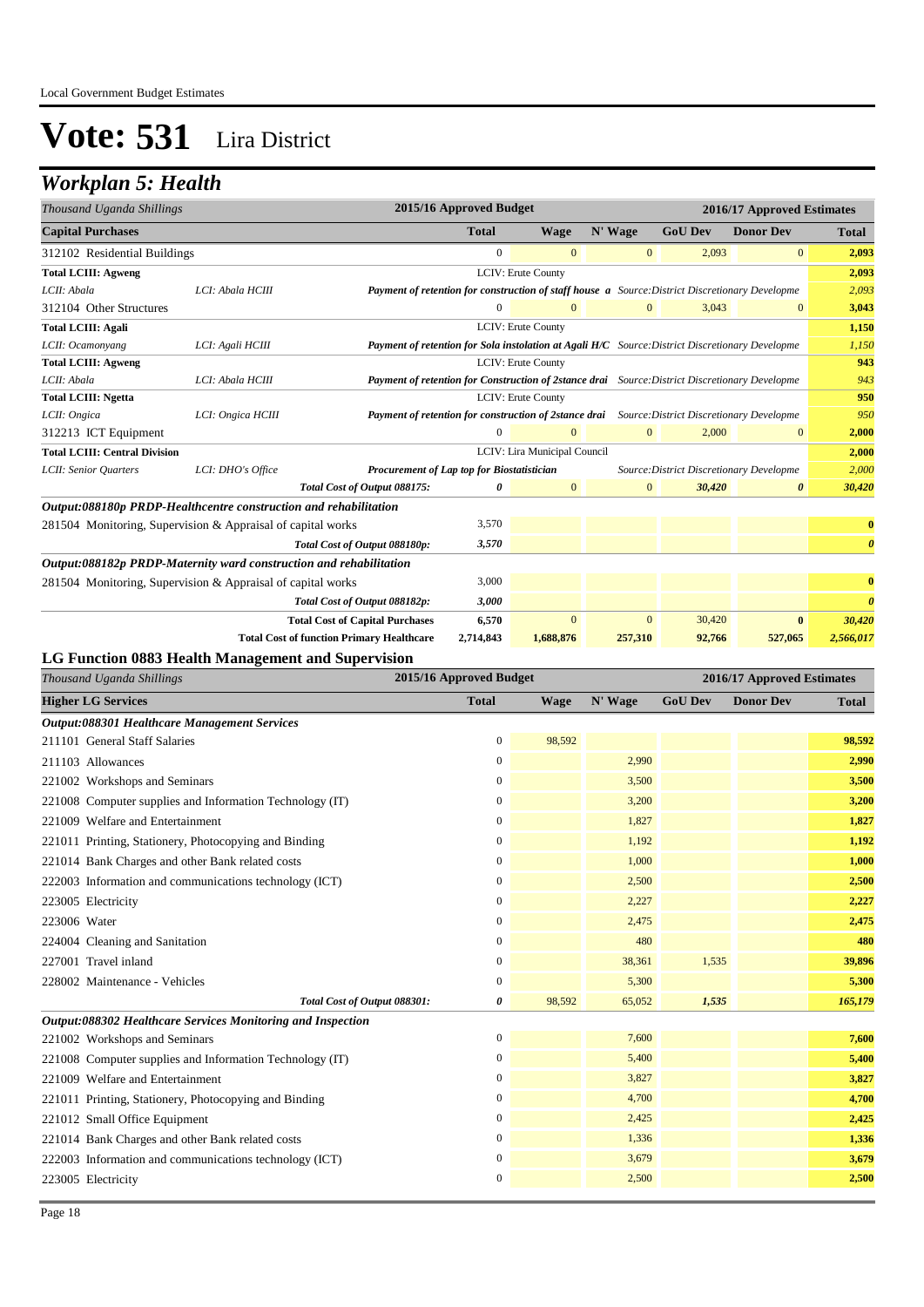### *Workplan 5: Health*

| Thousand Uganda Shillings            | 2015/16 Approved Budget<br>2016/17 Approved Estimates              |                                                                                                        |              |                              |              |                                          |                  |                       |
|--------------------------------------|--------------------------------------------------------------------|--------------------------------------------------------------------------------------------------------|--------------|------------------------------|--------------|------------------------------------------|------------------|-----------------------|
| <b>Capital Purchases</b>             |                                                                    |                                                                                                        | <b>Total</b> | <b>Wage</b>                  | N' Wage      | <b>GoU Dev</b>                           | <b>Donor Dev</b> | <b>Total</b>          |
| 312102 Residential Buildings         |                                                                    |                                                                                                        | $\mathbf{0}$ | $\overline{0}$               | $\mathbf{0}$ | 2,093                                    | $\overline{0}$   | 2,093                 |
| <b>Total LCIII: Agweng</b>           |                                                                    |                                                                                                        |              | <b>LCIV: Erute County</b>    |              |                                          |                  | 2,093                 |
| LCII: Abala                          | LCI: Abala HCIII                                                   | Payment of retention for construction of staff house a Source: District Discretionary Developme        |              |                              |              |                                          |                  | 2,093                 |
| 312104 Other Structures              |                                                                    |                                                                                                        | $\mathbf{0}$ | $\Omega$                     | $\mathbf{0}$ | 3,043                                    | $\mathbf{0}$     | 3,043                 |
| <b>Total LCIII: Agali</b>            |                                                                    |                                                                                                        |              | <b>LCIV: Erute County</b>    |              |                                          |                  | 1,150                 |
| LCII: Ocamonyang                     | LCI: Agali HCIII                                                   | <b>Payment of retention for Sola instolation at Agali H/C</b> Source: District Discretionary Developme |              |                              |              |                                          |                  | 1,150                 |
| <b>Total LCIII: Agweng</b>           |                                                                    |                                                                                                        |              | <b>LCIV: Erute County</b>    |              |                                          |                  | 943                   |
| LCII: Abala                          | LCI: Abala HCIII                                                   | Payment of retention for Construction of 2stance drai Source: District Discretionary Developme         |              |                              |              |                                          |                  | 943                   |
| <b>Total LCIII: Ngetta</b>           |                                                                    |                                                                                                        |              | <b>LCIV: Erute County</b>    |              |                                          |                  | 950                   |
| LCII: Ongica                         | LCI: Ongica HCIII                                                  | Payment of retention for construction of 2stance drai Source: District Discretionary Developme         |              |                              |              |                                          |                  | 950                   |
| 312213 ICT Equipment                 |                                                                    |                                                                                                        | $\Omega$     | $\Omega$                     | $\mathbf{0}$ | 2,000                                    | $\mathbf{0}$     | 2,000                 |
| <b>Total LCIII: Central Division</b> |                                                                    |                                                                                                        |              | LCIV: Lira Municipal Council |              |                                          |                  | 2,000                 |
| LCII: Senior Quarters                | LCI: DHO's Office                                                  | Procurement of Lap top for Biostatistician                                                             |              |                              |              | Source: District Discretionary Developme |                  | 2,000                 |
|                                      |                                                                    | Total Cost of Output 088175:                                                                           | 0            | $\overline{0}$               | $\mathbf{0}$ | 30,420                                   | 0                | 30,420                |
|                                      | Output:088180p PRDP-Healthcentre construction and rehabilitation   |                                                                                                        |              |                              |              |                                          |                  |                       |
|                                      | 281504 Monitoring, Supervision & Appraisal of capital works        |                                                                                                        | 3,570        |                              |              |                                          |                  | $\bf{0}$              |
|                                      |                                                                    | Total Cost of Output 088180p:                                                                          | 3,570        |                              |              |                                          |                  | $\boldsymbol{\theta}$ |
|                                      | Output:088182p PRDP-Maternity ward construction and rehabilitation |                                                                                                        |              |                              |              |                                          |                  |                       |
|                                      | 281504 Monitoring, Supervision & Appraisal of capital works        |                                                                                                        | 3,000        |                              |              |                                          |                  | $\bf{0}$              |
|                                      |                                                                    | Total Cost of Output 088182p:                                                                          | 3,000        |                              |              |                                          |                  | $\boldsymbol{\theta}$ |
|                                      |                                                                    | <b>Total Cost of Capital Purchases</b>                                                                 | 6,570        | $\mathbf{0}$                 | $\mathbf{0}$ | 30,420                                   | $\bf{0}$         | 30,420                |
|                                      | <b>Total Cost of function Primary Healthcare</b>                   |                                                                                                        | 2,714,843    | 1,688,876                    | 257,310      | 92,766                                   | 527,065          | 2,566,017             |

#### **LG Function 0883 Health Management and Supervision**

| Thousand Uganda Shillings                                   | 2015/16 Approved Budget |             |         |                | 2016/17 Approved Estimates |              |  |
|-------------------------------------------------------------|-------------------------|-------------|---------|----------------|----------------------------|--------------|--|
| <b>Higher LG Services</b>                                   | <b>Total</b>            | <b>Wage</b> | N' Wage | <b>GoU Dev</b> | <b>Donor Dev</b>           | <b>Total</b> |  |
| Output:088301 Healthcare Management Services                |                         |             |         |                |                            |              |  |
| 211101 General Staff Salaries                               | $\mathbf{0}$            | 98,592      |         |                |                            | 98,592       |  |
| 211103 Allowances                                           | $\overline{0}$          |             | 2,990   |                |                            | 2,990        |  |
| 221002 Workshops and Seminars                               | $\boldsymbol{0}$        |             | 3,500   |                |                            | 3,500        |  |
| 221008 Computer supplies and Information Technology (IT)    | $\overline{0}$          |             | 3,200   |                |                            | 3,200        |  |
| 221009 Welfare and Entertainment                            | $\overline{0}$          |             | 1,827   |                |                            | 1,827        |  |
| 221011 Printing, Stationery, Photocopying and Binding       | $\overline{0}$          |             | 1,192   |                |                            | 1,192        |  |
| 221014 Bank Charges and other Bank related costs            | $\boldsymbol{0}$        |             | 1,000   |                |                            | 1,000        |  |
| 222003 Information and communications technology (ICT)      | $\mathbf{0}$            |             | 2,500   |                |                            | 2,500        |  |
| 223005 Electricity                                          | $\mathbf{0}$            |             | 2,227   |                |                            | 2,227        |  |
| 223006 Water                                                | $\boldsymbol{0}$        |             | 2,475   |                |                            | 2,475        |  |
| 224004 Cleaning and Sanitation                              | $\boldsymbol{0}$        |             | 480     |                |                            | 480          |  |
| 227001 Travel inland                                        | $\overline{0}$          |             | 38,361  | 1,535          |                            | 39,896       |  |
| 228002 Maintenance - Vehicles                               | 0                       |             | 5,300   |                |                            | 5,300        |  |
| Total Cost of Output 088301:                                | 0                       | 98,592      | 65,052  | 1,535          |                            | 165,179      |  |
| Output:088302 Healthcare Services Monitoring and Inspection |                         |             |         |                |                            |              |  |
| 221002 Workshops and Seminars                               | $\boldsymbol{0}$        |             | 7,600   |                |                            | 7,600        |  |
| 221008 Computer supplies and Information Technology (IT)    | $\boldsymbol{0}$        |             | 5,400   |                |                            | 5,400        |  |
| 221009 Welfare and Entertainment                            | $\mathbf{0}$            |             | 3,827   |                |                            | 3,827        |  |
| 221011 Printing, Stationery, Photocopying and Binding       | $\overline{0}$          |             | 4,700   |                |                            | 4,700        |  |
| 221012 Small Office Equipment                               | $\boldsymbol{0}$        |             | 2,425   |                |                            | 2,425        |  |
| 221014 Bank Charges and other Bank related costs            | $\mathbf{0}$            |             | 1,336   |                |                            | 1,336        |  |
| 222003 Information and communications technology (ICT)      | $\boldsymbol{0}$        |             | 3,679   |                |                            | 3,679        |  |
| 223005 Electricity                                          | 0                       |             | 2,500   |                |                            | 2,500        |  |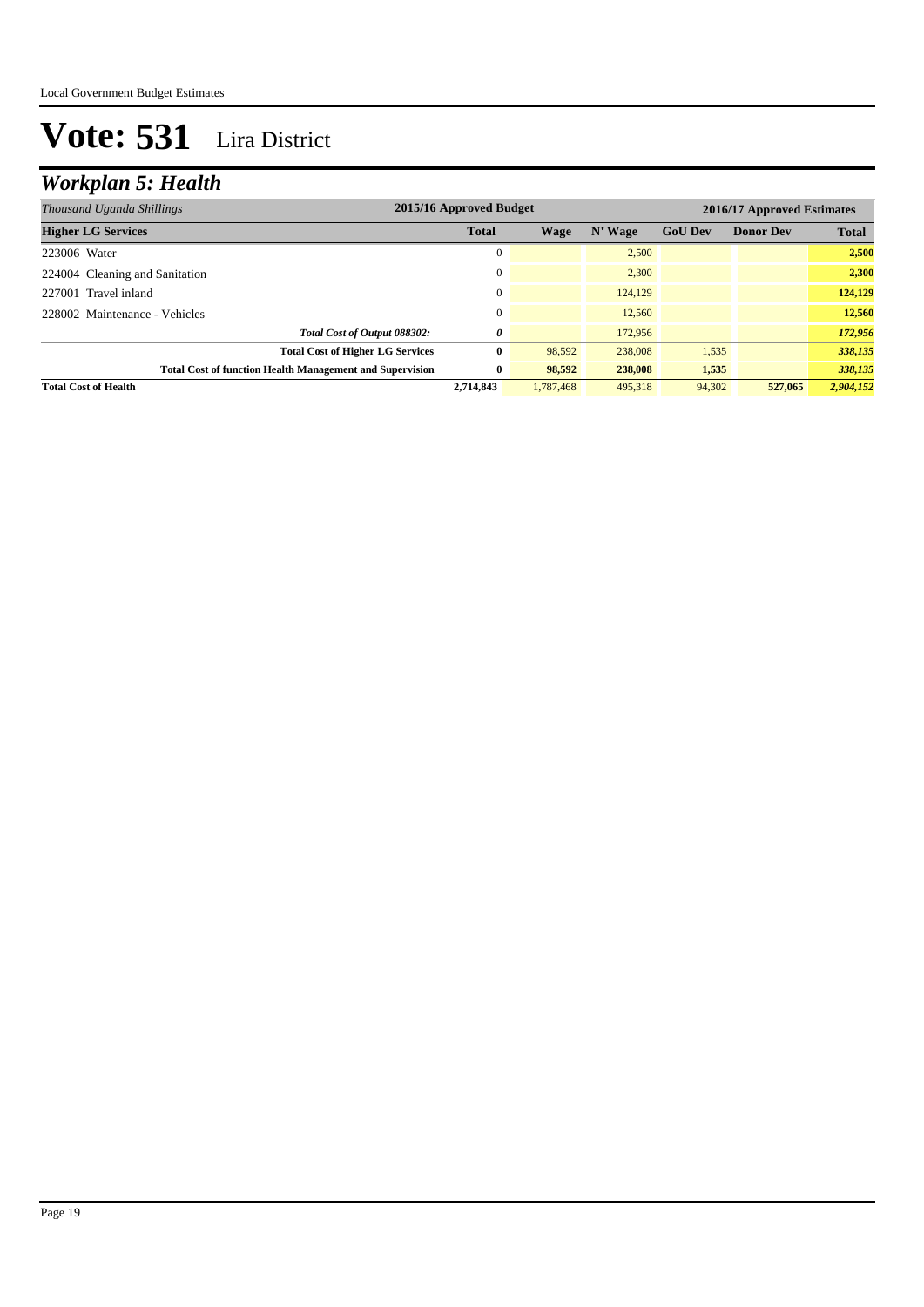### *Workplan 5: Health*

| Thousand Uganda Shillings                                       | 2015/16 Approved Budget |           |         |                | 2016/17 Approved Estimates |              |  |  |
|-----------------------------------------------------------------|-------------------------|-----------|---------|----------------|----------------------------|--------------|--|--|
| <b>Higher LG Services</b>                                       | <b>Total</b>            | Wage      | N' Wage | <b>GoU Dev</b> | <b>Donor Dev</b>           | <b>Total</b> |  |  |
| 223006 Water                                                    | 0                       |           | 2,500   |                |                            | 2,500        |  |  |
| 224004 Cleaning and Sanitation                                  | $\mathbf{0}$            |           | 2.300   |                |                            | 2,300        |  |  |
| 227001 Travel inland                                            | $\Omega$                |           | 124,129 |                |                            | 124,129      |  |  |
| 228002 Maintenance - Vehicles                                   | $\Omega$                |           | 12.560  |                |                            | 12.560       |  |  |
| Total Cost of Output 088302:                                    | 0                       |           | 172,956 |                |                            | 172,956      |  |  |
| <b>Total Cost of Higher LG Services</b>                         | 0                       | 98,592    | 238,008 | 1,535          |                            | 338,135      |  |  |
| <b>Total Cost of function Health Management and Supervision</b> | $\bf{0}$                | 98.592    | 238,008 | 1,535          |                            | 338,135      |  |  |
| <b>Total Cost of Health</b>                                     | 2,714,843               | 1.787,468 | 495,318 | 94,302         | 527,065                    | 2,904,152    |  |  |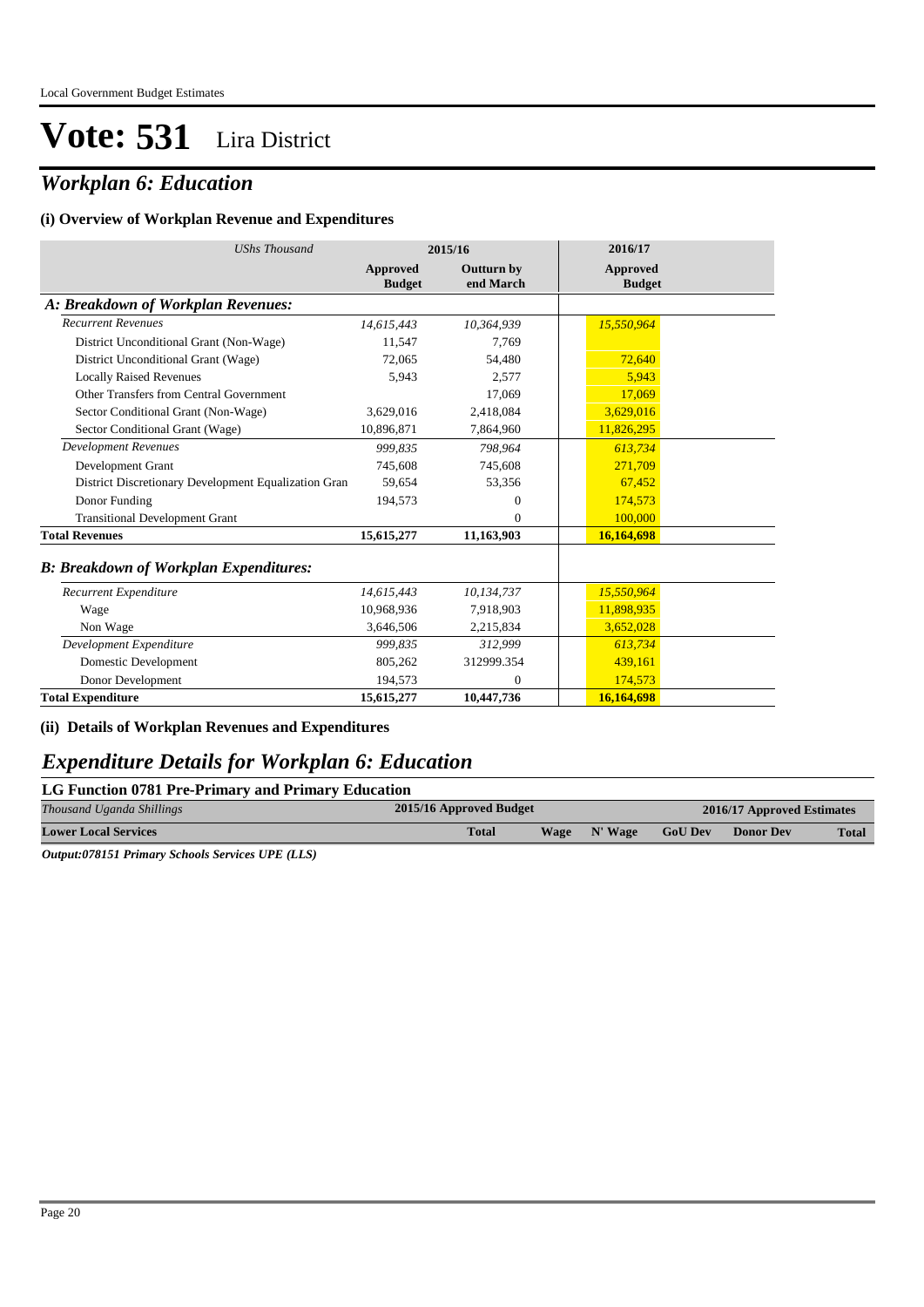### *Workplan 6: Education*

#### **(i) Overview of Workplan Revenue and Expenditures**

| <b>UShs Thousand</b>                                 |                                  | 2015/16                        | 2016/17                          |
|------------------------------------------------------|----------------------------------|--------------------------------|----------------------------------|
|                                                      | <b>Approved</b><br><b>Budget</b> | <b>Outturn by</b><br>end March | <b>Approved</b><br><b>Budget</b> |
| A: Breakdown of Workplan Revenues:                   |                                  |                                |                                  |
| <b>Recurrent Revenues</b>                            | 14,615,443                       | 10,364,939                     | 15,550,964                       |
| District Unconditional Grant (Non-Wage)              | 11,547                           | 7,769                          |                                  |
| District Unconditional Grant (Wage)                  | 72,065                           | 54,480                         | 72,640                           |
| <b>Locally Raised Revenues</b>                       | 5,943                            | 2,577                          | 5,943                            |
| Other Transfers from Central Government              |                                  | 17,069                         | 17,069                           |
| Sector Conditional Grant (Non-Wage)                  | 3,629,016                        | 2,418,084                      | 3,629,016                        |
| Sector Conditional Grant (Wage)                      | 10.896.871                       | 7,864,960                      | 11,826,295                       |
| <b>Development Revenues</b>                          | 999.835                          | 798,964                        | 613,734                          |
| Development Grant                                    | 745,608                          | 745,608                        | 271,709                          |
| District Discretionary Development Equalization Gran | 59,654                           | 53,356                         | 67,452                           |
| Donor Funding                                        | 194,573                          | $\mathbf{0}$                   | 174,573                          |
| <b>Transitional Development Grant</b>                |                                  | $\Omega$                       | 100,000                          |
| <b>Total Revenues</b>                                | 15,615,277                       | 11,163,903                     | 16,164,698                       |
| <b>B: Breakdown of Workplan Expenditures:</b>        |                                  |                                |                                  |
| Recurrent Expenditure                                | 14,615,443                       | 10,134,737                     | 15,550,964                       |
| Wage                                                 | 10,968,936                       | 7,918,903                      | 11,898,935                       |
| Non Wage                                             | 3,646,506                        | 2,215,834                      | 3,652,028                        |
| Development Expenditure                              | 999.835                          | 312,999                        | 613.734                          |
| Domestic Development                                 | 805,262                          | 312999.354                     | 439,161                          |
| Donor Development                                    | 194,573                          | $\theta$                       | 174,573                          |
| <b>Total Expenditure</b>                             | 15,615,277                       | 10,447,736                     | 16,164,698                       |

**(ii) Details of Workplan Revenues and Expenditures**

#### *Expenditure Details for Workplan 6: Education*

#### **LG Function 0781 Pre-Primary and Primary Education**

| Thousand Uganda Shillings              | 2015/16 Approved Budget |             |         |                | 2016/17 Approved Estimates |              |  |
|----------------------------------------|-------------------------|-------------|---------|----------------|----------------------------|--------------|--|
| <b>Lower Local Services</b>            | <b>Total</b>            | <b>Wage</b> | N' Wage | <b>GoU Dev</b> | <b>Donor Dev</b>           | <b>Total</b> |  |
| - - -------<br>__________<br>_ _ _ _ _ |                         |             |         |                |                            |              |  |

*Output:078151 Primary Schools Services UPE (LLS)*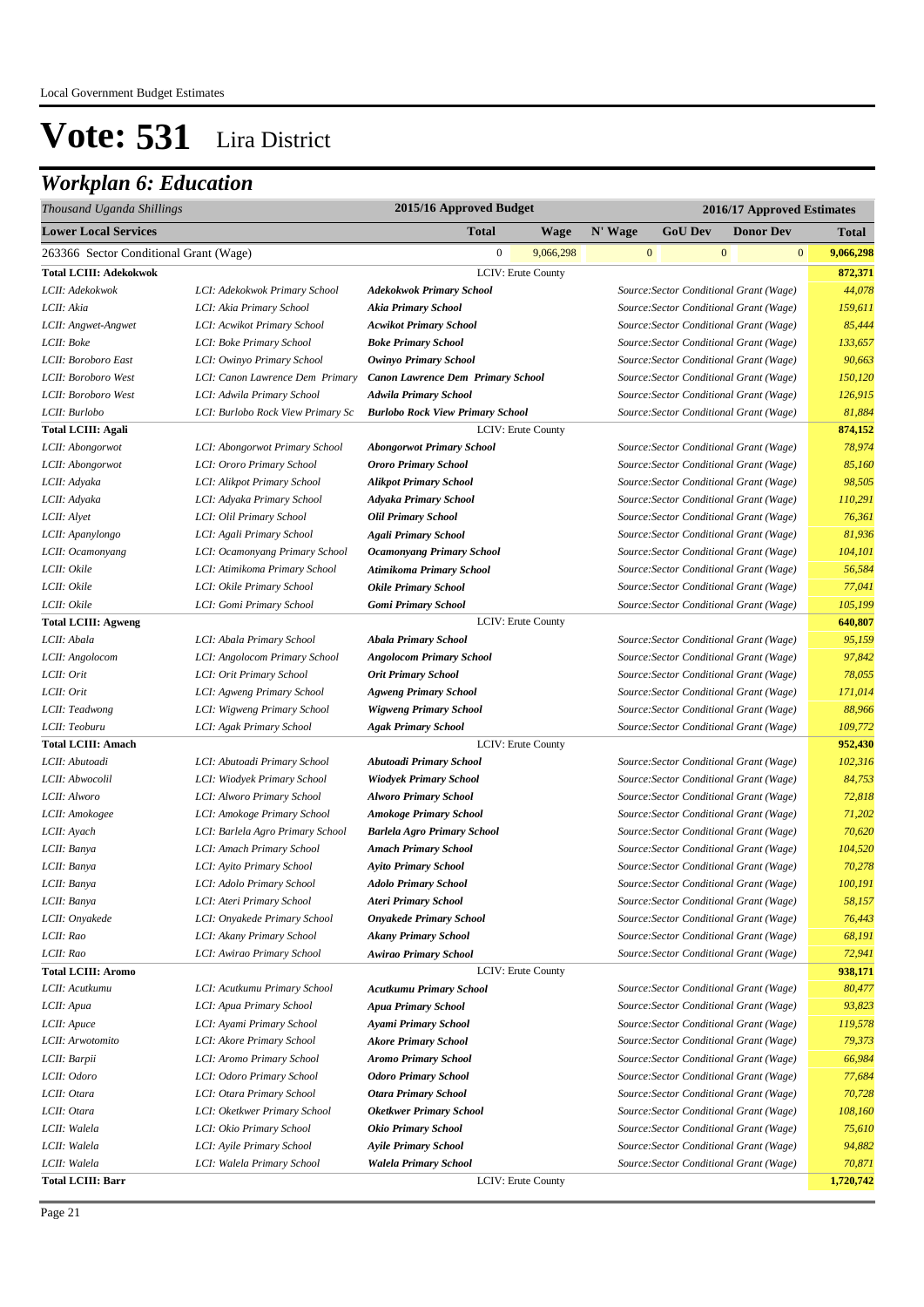| Thousand Uganda Shillings              |                                   | 2015/16 Approved Budget<br>2016/17 Approved Estimates |                    |                |                                         |                  |  |              |           |
|----------------------------------------|-----------------------------------|-------------------------------------------------------|--------------------|----------------|-----------------------------------------|------------------|--|--------------|-----------|
| <b>Lower Local Services</b>            |                                   | <b>Total</b>                                          | N' Wage            | <b>GoU Dev</b> |                                         | <b>Donor Dev</b> |  | Total        |           |
| 263366 Sector Conditional Grant (Wage) |                                   | $\boldsymbol{0}$                                      | 9,066,298          |                | $\mathbf{0}$                            | $\mathbf{0}$     |  | $\mathbf{0}$ | 9,066,298 |
| <b>Total LCIII: Adekokwok</b>          |                                   |                                                       | LCIV: Erute County |                |                                         |                  |  |              | 872,371   |
| LCII: Adekokwok                        | LCI: Adekokwok Primary School     | <b>Adekokwok Primary School</b>                       |                    |                | Source: Sector Conditional Grant (Wage) |                  |  |              | 44,078    |
| LCII: Akia                             | LCI: Akia Primary School          | <b>Akia Primary School</b>                            |                    |                | Source: Sector Conditional Grant (Wage) |                  |  |              | 159,611   |
| LCII: Angwet-Angwet                    | LCI: Acwikot Primary School       | <b>Acwikot Primary School</b>                         |                    |                | Source: Sector Conditional Grant (Wage) |                  |  |              | 85,444    |
| LCII: Boke                             | LCI: Boke Primary School          | <b>Boke Primary School</b>                            |                    |                | Source: Sector Conditional Grant (Wage) |                  |  |              | 133,657   |
| LCII: Boroboro East                    | LCI: Owinyo Primary School        | <b>Owinyo Primary School</b>                          |                    |                | Source: Sector Conditional Grant (Wage) |                  |  |              | 90,663    |
| LCII: Boroboro West                    | LCI: Canon Lawrence Dem Primary   | <b>Canon Lawrence Dem Primary School</b>              |                    |                | Source: Sector Conditional Grant (Wage) |                  |  |              | 150,120   |
| LCII: Boroboro West                    | LCI: Adwila Primary School        | <b>Adwila Primary School</b>                          |                    |                | Source: Sector Conditional Grant (Wage) |                  |  |              | 126,915   |
| LCII: Burlobo                          | LCI: Burlobo Rock View Primary Sc | <b>Burlobo Rock View Primary School</b>               |                    |                | Source: Sector Conditional Grant (Wage) |                  |  |              | 81,884    |
| <b>Total LCIII: Agali</b>              |                                   |                                                       | LCIV: Erute County |                |                                         |                  |  |              | 874,152   |
| LCII: Abongorwot                       | LCI: Abongorwot Primary School    | <b>Abongorwot Primary School</b>                      |                    |                | Source: Sector Conditional Grant (Wage) |                  |  |              | 78,974    |
| LCII: Abongorwot                       | LCI: Ororo Primary School         | Ororo Primary School                                  |                    |                | Source: Sector Conditional Grant (Wage) |                  |  |              | 85,160    |
| LCII: Adyaka                           | LCI: Alikpot Primary School       | <b>Alikpot Primary School</b>                         |                    |                | Source: Sector Conditional Grant (Wage) |                  |  |              | 98,505    |
| LCII: Adyaka                           | LCI: Adyaka Primary School        | <b>Adyaka Primary School</b>                          |                    |                | Source: Sector Conditional Grant (Wage) |                  |  |              | 110,291   |
| LCII: Alyet                            | LCI: Olil Primary School          | <b>Olil Primary School</b>                            |                    |                | Source: Sector Conditional Grant (Wage) |                  |  |              | 76,361    |
| LCII: Apanylongo                       | LCI: Agali Primary School         | <b>Agali Primary School</b>                           |                    |                | Source: Sector Conditional Grant (Wage) |                  |  |              | 81,936    |
| LCII: Ocamonyang                       | LCI: Ocamonyang Primary School    | <b>Ocamonyang Primary School</b>                      |                    |                | Source: Sector Conditional Grant (Wage) |                  |  |              | 104,101   |
| LCII: Okile                            | LCI: Atimikoma Primary School     | Atimikoma Primary School                              |                    |                | Source: Sector Conditional Grant (Wage) |                  |  |              | 56,584    |
| LCII: Okile                            | LCI: Okile Primary School         | <b>Okile Primary School</b>                           |                    |                | Source: Sector Conditional Grant (Wage) |                  |  |              | 77,041    |
| LCII: Okile                            | LCI: Gomi Primary School          | Gomi Primary School                                   |                    |                | Source: Sector Conditional Grant (Wage) |                  |  |              | 105,199   |
| <b>Total LCIII: Agweng</b>             |                                   |                                                       | LCIV: Erute County |                |                                         |                  |  |              | 640,807   |
| LCII: Abala                            | LCI: Abala Primary School         | <b>Abala Primary School</b>                           |                    |                | Source: Sector Conditional Grant (Wage) |                  |  |              | 95,159    |
| LCII: Angolocom                        | LCI: Angolocom Primary School     | <b>Angolocom Primary School</b>                       |                    |                | Source: Sector Conditional Grant (Wage) |                  |  |              | 97,842    |
| LCII: Orit                             | LCI: Orit Primary School          | <b>Orit Primary School</b>                            |                    |                | Source: Sector Conditional Grant (Wage) |                  |  |              | 78,055    |
| LCII: Orit                             | LCI: Agweng Primary School        | <b>Agweng Primary School</b>                          |                    |                | Source: Sector Conditional Grant (Wage) |                  |  |              | 171,014   |
| LCII: Teadwong                         | LCI: Wigweng Primary School       | <b>Wigweng Primary School</b>                         |                    |                | Source: Sector Conditional Grant (Wage) |                  |  |              | 88,966    |
| LCII: Teoburu                          | LCI: Agak Primary School          | <b>Agak Primary School</b>                            |                    |                | Source: Sector Conditional Grant (Wage) |                  |  |              | 109,772   |
| <b>Total LCIII: Amach</b>              |                                   |                                                       | LCIV: Erute County |                |                                         |                  |  |              | 952,430   |
| LCII: Abutoadi                         | LCI: Abutoadi Primary School      | Abutoadi Primary School                               |                    |                | Source: Sector Conditional Grant (Wage) |                  |  |              | 102,316   |
| LCII: Abwocolil                        | LCI: Wiodyek Primary School       | <b>Wiodyek Primary School</b>                         |                    |                | Source: Sector Conditional Grant (Wage) |                  |  |              | 84,753    |
| LCII: Alworo                           | LCI: Alworo Primary School        | <b>Alworo Primary School</b>                          |                    |                | Source: Sector Conditional Grant (Wage) |                  |  |              | 72,818    |
| LCII: Amokogee                         | LCI: Amokoge Primary School       | <b>Amokoge Primary School</b>                         |                    |                | Source: Sector Conditional Grant (Wage) |                  |  |              | 71,202    |
| LCII: Ayach                            | LCI: Barlela Agro Primary School  | <b>Barlela Agro Primary School</b>                    |                    |                | Source: Sector Conditional Grant (Wage) |                  |  |              | 70,620    |
| LCII: Banya                            | LCI: Amach Primary School         | <b>Amach Primary School</b>                           |                    |                | Source: Sector Conditional Grant (Wage) |                  |  |              | 104,520   |
| LCII: Banya                            | LCI: Ayito Primary School         | <b>Ayito Primary School</b>                           |                    |                | Source: Sector Conditional Grant (Wage) |                  |  |              | 70,278    |
| LCII: Banya                            | LCI: Adolo Primary School         | <b>Adolo Primary School</b>                           |                    |                | Source: Sector Conditional Grant (Wage) |                  |  |              | 100,191   |
| LCII: Banya                            | LCI: Ateri Primary School         | <b>Ateri Primary School</b>                           |                    |                | Source: Sector Conditional Grant (Wage) |                  |  |              | 58,157    |
| LCII: Onyakede                         | LCI: Onyakede Primary School      | <b>Onyakede Primary School</b>                        |                    |                | Source: Sector Conditional Grant (Wage) |                  |  |              | 76,443    |
| LCII: Rao                              | LCI: Akany Primary School         | <b>Akany Primary School</b>                           |                    |                | Source: Sector Conditional Grant (Wage) |                  |  |              | 68,191    |
| LCII: Rao                              | LCI: Awirao Primary School        | <b>Awirao Primary School</b>                          |                    |                | Source: Sector Conditional Grant (Wage) |                  |  |              | 72,941    |
| <b>Total LCIII: Aromo</b>              |                                   |                                                       | LCIV: Erute County |                |                                         |                  |  |              | 938,171   |
| LCII: Acutkumu                         | LCI: Acutkumu Primary School      | <b>Acutkumu Primary School</b>                        |                    |                | Source: Sector Conditional Grant (Wage) |                  |  |              | 80,477    |
| LCII: Apua                             | LCI: Apua Primary School          | <b>Apua Primary School</b>                            |                    |                | Source: Sector Conditional Grant (Wage) |                  |  |              | 93,823    |
| LCII: Apuce                            | LCI: Ayami Primary School         | Ayami Primary School                                  |                    |                | Source: Sector Conditional Grant (Wage) |                  |  |              | 119,578   |
| LCII: Arwotomito                       | LCI: Akore Primary School         | <b>Akore Primary School</b>                           |                    |                | Source: Sector Conditional Grant (Wage) |                  |  |              | 79,373    |
| LCII: Barpii                           | LCI: Aromo Primary School         | <b>Aromo Primary School</b>                           |                    |                | Source: Sector Conditional Grant (Wage) |                  |  |              | 66,984    |
| LCII: Odoro                            | LCI: Odoro Primary School         | <b>Odoro Primary School</b>                           |                    |                | Source: Sector Conditional Grant (Wage) |                  |  |              | 77,684    |
| LCII: Otara                            | LCI: Otara Primary School         | <b>Otara Primary School</b>                           |                    |                | Source: Sector Conditional Grant (Wage) |                  |  |              | 70,728    |
| LCII: Otara                            | LCI: Oketkwer Primary School      | <b>Oketkwer Primary School</b>                        |                    |                | Source: Sector Conditional Grant (Wage) |                  |  |              | 108,160   |
| LCII: Walela                           | LCI: Okio Primary School          | Okio Primary School                                   |                    |                | Source: Sector Conditional Grant (Wage) |                  |  |              | 75,610    |
| LCII: Walela                           | LCI: Ayile Primary School         | <b>Ayile Primary School</b>                           |                    |                | Source: Sector Conditional Grant (Wage) |                  |  |              | 94,882    |
| LCII: Walela                           | LCI: Walela Primary School        | <b>Walela Primary School</b>                          |                    |                | Source: Sector Conditional Grant (Wage) |                  |  |              | 70,871    |
| <b>Total LCIII: Barr</b>               |                                   |                                                       | LCIV: Erute County |                |                                         |                  |  |              | 1,720,742 |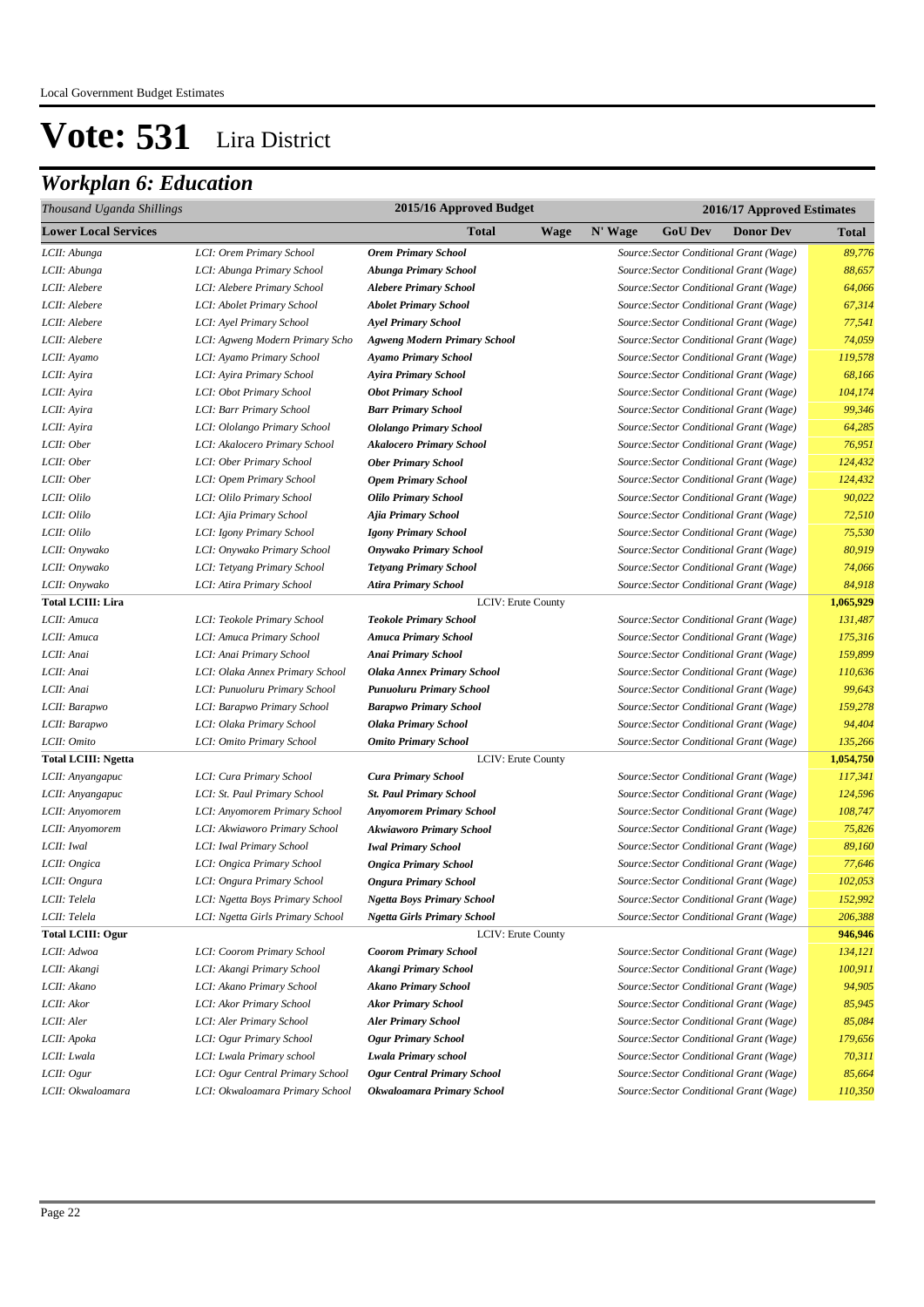| Thousand Uganda Shillings   |                                  | 2015/16 Approved Budget             |      | 2016/17 Approved Estimates |                |                                         |              |
|-----------------------------|----------------------------------|-------------------------------------|------|----------------------------|----------------|-----------------------------------------|--------------|
| <b>Lower Local Services</b> |                                  | Total                               | Wage | N' Wage                    | <b>GoU</b> Dev | <b>Donor Dev</b>                        | <b>Total</b> |
| LCII: Abunga                | LCI: Orem Primary School         | <b>Orem Primary School</b>          |      |                            |                | Source: Sector Conditional Grant (Wage) | 89,776       |
| LCII: Abunga                | LCI: Abunga Primary School       | Abunga Primary School               |      |                            |                | Source: Sector Conditional Grant (Wage) | 88,657       |
| LCII: Alebere               | LCI: Alebere Primary School      | <b>Alebere Primary School</b>       |      |                            |                | Source: Sector Conditional Grant (Wage) | 64,066       |
| LCII: Alebere               | LCI: Abolet Primary School       | <b>Abolet Primary School</b>        |      |                            |                | Source: Sector Conditional Grant (Wage) | 67,314       |
| LCII: Alebere               | LCI: Ayel Primary School         | <b>Ayel Primary School</b>          |      |                            |                | Source: Sector Conditional Grant (Wage) | 77,541       |
| LCII: Alebere               | LCI: Agweng Modern Primary Scho  | <b>Agweng Modern Primary School</b> |      |                            |                | Source: Sector Conditional Grant (Wage) | 74,059       |
| LCII: Ayamo                 | LCI: Ayamo Primary School        | <b>Ayamo Primary School</b>         |      |                            |                | Source: Sector Conditional Grant (Wage) | 119,578      |
| LCII: Ayira                 | LCI: Ayira Primary School        | Ayira Primary School                |      |                            |                | Source: Sector Conditional Grant (Wage) | 68,166       |
| LCII: Ayira                 | LCI: Obot Primary School         | <b>Obot Primary School</b>          |      |                            |                | Source: Sector Conditional Grant (Wage) | 104,174      |
| LCII: Ayira                 | LCI: Barr Primary School         | <b>Barr Primary School</b>          |      |                            |                | Source: Sector Conditional Grant (Wage) | 99,346       |
| LCII: Ayira                 | LCI: Ololango Primary School     | <b>Ololango Primary School</b>      |      |                            |                | Source: Sector Conditional Grant (Wage) | 64,285       |
| LCII: Ober                  | LCI: Akalocero Primary School    | <b>Akalocero Primary School</b>     |      |                            |                | Source: Sector Conditional Grant (Wage) | 76,951       |
| LCII: Ober                  | LCI: Ober Primary School         | <b>Ober Primary School</b>          |      |                            |                | Source: Sector Conditional Grant (Wage) | 124,432      |
| LCII: Ober                  | LCI: Opem Primary School         | <b>Opem Primary School</b>          |      |                            |                | Source: Sector Conditional Grant (Wage) | 124,432      |
| LCII: Olilo                 | LCI: Olilo Primary School        | <b>Olilo Primary School</b>         |      |                            |                | Source: Sector Conditional Grant (Wage) | 90,022       |
| LCII: Olilo                 | LCI: Ajia Primary School         | Ajia Primary School                 |      |                            |                | Source: Sector Conditional Grant (Wage) | 72,510       |
| LCII: Olilo                 | LCI: Igony Primary School        | <b>Igony Primary School</b>         |      |                            |                | Source: Sector Conditional Grant (Wage) | 75,530       |
| LCII: Onywako               | LCI: Onywako Primary School      | <b>Onywako Primary School</b>       |      |                            |                | Source: Sector Conditional Grant (Wage) | 80,919       |
| LCII: Onywako               | LCI: Tetyang Primary School      | <b>Tetyang Primary School</b>       |      |                            |                | Source: Sector Conditional Grant (Wage) | 74,066       |
| LCII: Onywako               | LCI: Atira Primary School        | Atira Primary School                |      |                            |                | Source: Sector Conditional Grant (Wage) | 84,918       |
| <b>Total LCIII: Lira</b>    |                                  | <b>LCIV: Erute County</b>           |      |                            |                |                                         | 1,065,929    |
| LCII: Amuca                 | LCI: Teokole Primary School      | <b>Teokole Primary School</b>       |      |                            |                | Source: Sector Conditional Grant (Wage) | 131,487      |
| LCII: Amuca                 | LCI: Amuca Primary School        | <b>Amuca Primary School</b>         |      |                            |                | Source: Sector Conditional Grant (Wage) | 175,316      |
| LCII: Anai                  | LCI: Anai Primary School         | Anai Primary School                 |      |                            |                | Source: Sector Conditional Grant (Wage) | 159,899      |
| LCII: Anai                  | LCI: Olaka Annex Primary School  | <b>Olaka Annex Primary School</b>   |      |                            |                | Source: Sector Conditional Grant (Wage) | 110,636      |
| LCII: Anai                  | LCI: Punuoluru Primary School    | Punuoluru Primary School            |      |                            |                | Source: Sector Conditional Grant (Wage) | 99,643       |
| LCII: Barapwo               | LCI: Barapwo Primary School      | <b>Barapwo Primary School</b>       |      |                            |                | Source: Sector Conditional Grant (Wage) | 159,278      |
| LCII: Barapwo               | LCI: Olaka Primary School        | <b>Olaka Primary School</b>         |      |                            |                | Source: Sector Conditional Grant (Wage) | 94,404       |
| LCII: Omito                 | LCI: Omito Primary School        | <b>Omito Primary School</b>         |      |                            |                | Source: Sector Conditional Grant (Wage) | 135,266      |
| <b>Total LCIII: Ngetta</b>  |                                  | LCIV: Erute County                  |      |                            |                |                                         | 1,054,750    |
| LCII: Anyangapuc            | LCI: Cura Primary School         | <b>Cura Primary School</b>          |      |                            |                | Source: Sector Conditional Grant (Wage) | 117,341      |
| LCII: Anyangapuc            | LCI: St. Paul Primary School     | <b>St. Paul Primary School</b>      |      |                            |                | Source: Sector Conditional Grant (Wage) | 124,596      |
| LCII: Anyomorem             | LCI: Anyomorem Primary School    | <b>Anyomorem Primary School</b>     |      |                            |                | Source: Sector Conditional Grant (Wage) | 108,747      |
| LCII: Anyomorem             | LCI: Akwiaworo Primary School    | <b>Akwiaworo Primary School</b>     |      |                            |                | Source: Sector Conditional Grant (Wage) | 75,826       |
| LCII: Iwal                  | LCI: Iwal Primary School         | <b>Iwal Primary School</b>          |      |                            |                | Source: Sector Conditional Grant (Wage) | 89,160       |
| LCII: Ongica                | LCI: Ongica Primary School       | <b>Ongica Primary School</b>        |      |                            |                | Source: Sector Conditional Grant (Wage) | 77,646       |
| LCII: Ongura                | LCI: Ongura Primary School       | <b>Ongura Primary School</b>        |      |                            |                | Source: Sector Conditional Grant (Wage) | 102,053      |
| LCII: Telela                | LCI: Ngetta Boys Primary School  | Ngetta Boys Primary School          |      |                            |                | Source:Sector Conditional Grant (Wage)  | 152,992      |
| LCII: Telela                | LCI: Ngetta Girls Primary School | Ngetta Girls Primary School         |      |                            |                | Source:Sector Conditional Grant (Wage)  | 206,388      |
| <b>Total LCIII: Ogur</b>    |                                  | <b>LCIV: Erute County</b>           |      |                            |                |                                         | 946,946      |
| LCII: Adwoa                 | LCI: Coorom Primary School       | <b>Coorom Primary School</b>        |      |                            |                | Source: Sector Conditional Grant (Wage) | 134,121      |
| LCII: Akangi                | LCI: Akangi Primary School       | Akangi Primary School               |      |                            |                | Source: Sector Conditional Grant (Wage) | 100,911      |
| LCII: Akano                 | LCI: Akano Primary School        | <b>Akano Primary School</b>         |      |                            |                | Source: Sector Conditional Grant (Wage) | 94,905       |
| LCII: Akor                  | LCI: Akor Primary School         | <b>Akor Primary School</b>          |      |                            |                | Source: Sector Conditional Grant (Wage) | 85,945       |
| LCII: Aler                  | LCI: Aler Primary School         | <b>Aler Primary School</b>          |      |                            |                | Source: Sector Conditional Grant (Wage) | 85,084       |
| LCII: Apoka                 | LCI: Ogur Primary School         | <b>Ogur Primary School</b>          |      |                            |                | Source: Sector Conditional Grant (Wage) | 179,656      |
| LCII: Lwala                 | LCI: Lwala Primary school        | Lwala Primary school                |      |                            |                | Source: Sector Conditional Grant (Wage) | 70,311       |
| LCII: Ogur                  | LCI: Ogur Central Primary School | <b>Ogur Central Primary School</b>  |      |                            |                | Source: Sector Conditional Grant (Wage) | 85,664       |
| LCII: Okwaloamara           | LCI: Okwaloamara Primary School  | Okwaloamara Primary School          |      |                            |                | Source: Sector Conditional Grant (Wage) | 110,350      |
|                             |                                  |                                     |      |                            |                |                                         |              |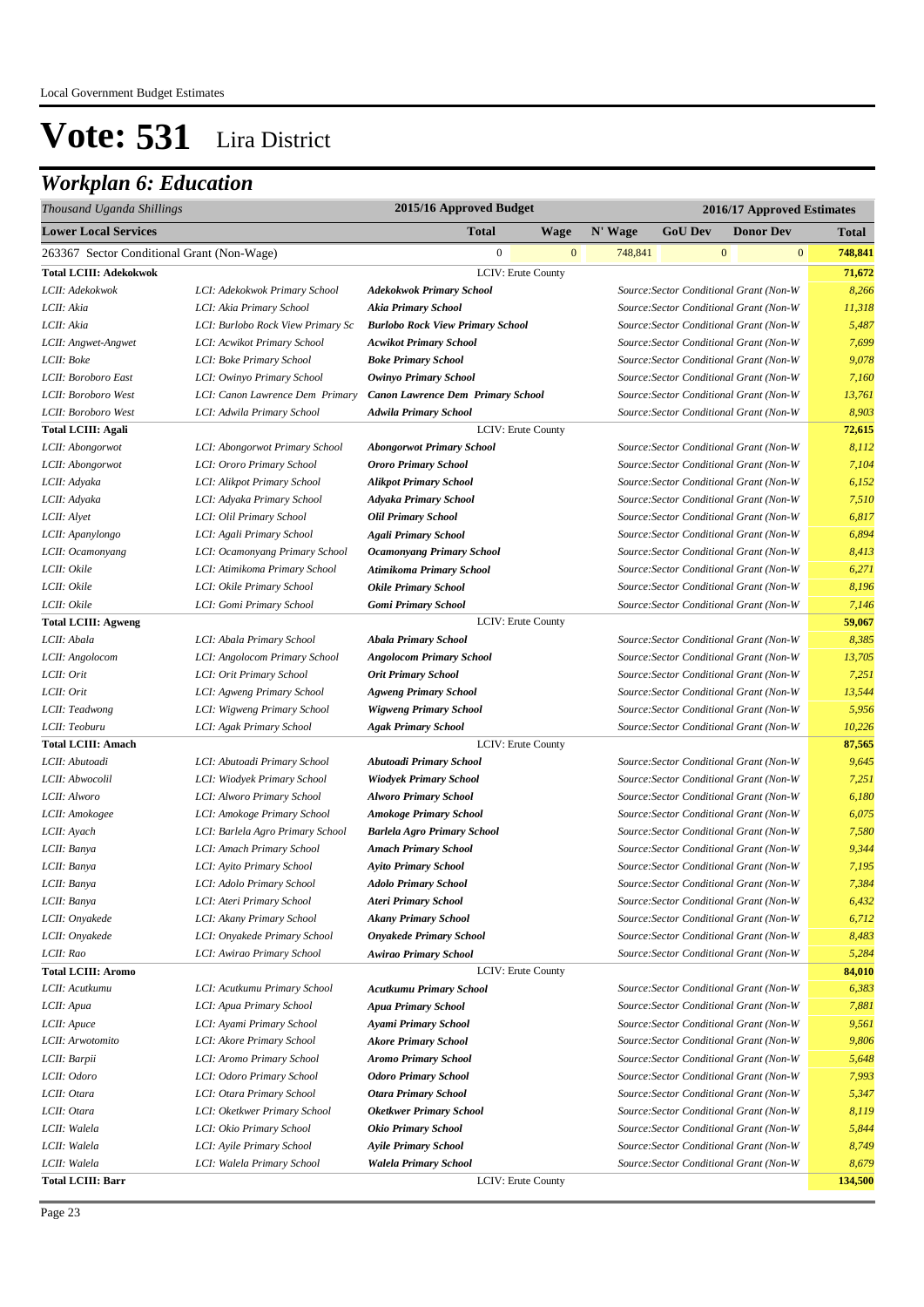| 2015/16 Approved Budget<br>Thousand Uganda Shillings<br>2016/17 Approved Estimates |                                   |                                          |                         |                |              |                                         |                         |
|------------------------------------------------------------------------------------|-----------------------------------|------------------------------------------|-------------------------|----------------|--------------|-----------------------------------------|-------------------------|
| <b>Lower Local Services</b>                                                        |                                   | <b>Total</b><br><b>Wage</b>              | N' Wage                 | <b>GoU Dev</b> |              | <b>Donor Dev</b>                        | <b>Total</b>            |
| 263367 Sector Conditional Grant (Non-Wage)                                         |                                   | $\overline{0}$                           | $\mathbf{0}$<br>748,841 |                | $\mathbf{0}$ |                                         | $\mathbf{0}$<br>748,841 |
| Total LCIII: Adekokwok                                                             |                                   | <b>LCIV: Erute County</b>                |                         |                |              |                                         | 71,672                  |
| LCII: Adekokwok                                                                    | LCI: Adekokwok Primary School     | <b>Adekokwok Primary School</b>          |                         |                |              | Source: Sector Conditional Grant (Non-W | 8,266                   |
| LCII: Akia                                                                         | LCI: Akia Primary School          | <b>Akia Primary School</b>               |                         |                |              | Source: Sector Conditional Grant (Non-W | 11,318                  |
| LCII: Akia                                                                         | LCI: Burlobo Rock View Primary Sc | <b>Burlobo Rock View Primary School</b>  |                         |                |              | Source: Sector Conditional Grant (Non-W | 5,487                   |
| LCII: Angwet-Angwet                                                                | LCI: Acwikot Primary School       | <b>Acwikot Primary School</b>            |                         |                |              | Source: Sector Conditional Grant (Non-W | 7,699                   |
| LCII: Boke                                                                         | LCI: Boke Primary School          | <b>Boke Primary School</b>               |                         |                |              | Source: Sector Conditional Grant (Non-W | 9,078                   |
| LCII: Boroboro East                                                                | LCI: Owinyo Primary School        | Owinyo Primary School                    |                         |                |              | Source: Sector Conditional Grant (Non-W | 7,160                   |
| LCII: Boroboro West                                                                | LCI: Canon Lawrence Dem Primary   | <b>Canon Lawrence Dem Primary School</b> |                         |                |              | Source: Sector Conditional Grant (Non-W | 13,761                  |
| LCII: Boroboro West                                                                | LCI: Adwila Primary School        | <b>Adwila Primary School</b>             |                         |                |              | Source: Sector Conditional Grant (Non-W | 8,903                   |
| <b>Total LCIII: Agali</b>                                                          |                                   | <b>LCIV: Erute County</b>                |                         |                |              |                                         | 72,615                  |
| LCII: Abongorwot                                                                   | LCI: Abongorwot Primary School    | <b>Abongorwot Primary School</b>         |                         |                |              | Source: Sector Conditional Grant (Non-W | 8,112                   |
| LCII: Abongorwot                                                                   | LCI: Ororo Primary School         | <b>Ororo Primary School</b>              |                         |                |              | Source: Sector Conditional Grant (Non-W | 7,104                   |
| LCII: Adyaka                                                                       | LCI: Alikpot Primary School       | <b>Alikpot Primary School</b>            |                         |                |              | Source: Sector Conditional Grant (Non-W | 6,152                   |
| LCII: Adyaka                                                                       | LCI: Adyaka Primary School        | <b>Adyaka Primary School</b>             |                         |                |              | Source: Sector Conditional Grant (Non-W | 7,510                   |
| LCII: Alyet                                                                        | LCI: Olil Primary School          | <b>Olil Primary School</b>               |                         |                |              | Source: Sector Conditional Grant (Non-W | 6,817                   |
| LCII: Apanylongo                                                                   | LCI: Agali Primary School         | <b>Agali Primary School</b>              |                         |                |              | Source: Sector Conditional Grant (Non-W | 6,894                   |
| LCII: Ocamonyang                                                                   | LCI: Ocamonyang Primary School    | <b>Ocamonyang Primary School</b>         |                         |                |              | Source: Sector Conditional Grant (Non-W | 8,413                   |
| LCII: Okile                                                                        | LCI: Atimikoma Primary School     | Atimikoma Primary School                 |                         |                |              | Source: Sector Conditional Grant (Non-W | 6,271                   |
| LCII: Okile                                                                        | LCI: Okile Primary School         | <b>Okile Primary School</b>              |                         |                |              | Source: Sector Conditional Grant (Non-W | 8,196                   |
| LCII: Okile                                                                        | LCI: Gomi Primary School          | <b>Gomi Primary School</b>               |                         |                |              | Source: Sector Conditional Grant (Non-W | 7,146                   |
| <b>Total LCIII: Agweng</b>                                                         |                                   | LCIV: Erute County                       |                         |                |              |                                         | 59,067                  |
| LCII: Abala                                                                        | LCI: Abala Primary School         | <b>Abala Primary School</b>              |                         |                |              | Source: Sector Conditional Grant (Non-W | 8,385                   |
| LCII: Angolocom                                                                    | LCI: Angolocom Primary School     | <b>Angolocom Primary School</b>          |                         |                |              | Source: Sector Conditional Grant (Non-W | 13,705                  |
| LCII: Orit                                                                         | LCI: Orit Primary School          | <b>Orit Primary School</b>               |                         |                |              | Source: Sector Conditional Grant (Non-W | 7,251                   |
| LCII: Orit                                                                         | LCI: Agweng Primary School        | <b>Agweng Primary School</b>             |                         |                |              | Source: Sector Conditional Grant (Non-W | 13,544                  |
| LCII: Teadwong                                                                     | LCI: Wigweng Primary School       | <b>Wigweng Primary School</b>            |                         |                |              | Source: Sector Conditional Grant (Non-W | 5,956                   |
| LCII: Teoburu                                                                      | LCI: Agak Primary School          | <b>Agak Primary School</b>               |                         |                |              | Source: Sector Conditional Grant (Non-W | 10,226                  |
| <b>Total LCIII: Amach</b>                                                          |                                   | LCIV: Erute County                       |                         |                |              |                                         | 87,565                  |
| LCII: Abutoadi                                                                     | LCI: Abutoadi Primary School      | Abutoadi Primary School                  |                         |                |              | Source: Sector Conditional Grant (Non-W | 9,645                   |
| LCII: Abwocolil                                                                    | LCI: Wiodyek Primary School       | <b>Wiodyek Primary School</b>            |                         |                |              | Source: Sector Conditional Grant (Non-W | 7,251                   |
| LCII: Alworo                                                                       | LCI: Alworo Primary School        | <b>Alworo Primary School</b>             |                         |                |              | Source: Sector Conditional Grant (Non-W | 6,180                   |
| LCII: Amokogee                                                                     | LCI: Amokoge Primary School       | <b>Amokoge Primary School</b>            |                         |                |              | Source: Sector Conditional Grant (Non-W | 6,075                   |
| LCII: Ayach                                                                        | LCI: Barlela Agro Primary School  | <b>Barlela Agro Primary School</b>       |                         |                |              | Source: Sector Conditional Grant (Non-W | 7,580                   |
| LCII: Banya                                                                        | LCI: Amach Primary School         | <b>Amach Primary School</b>              |                         |                |              | Source: Sector Conditional Grant (Non-W | 9,344                   |
| LCII: Banya                                                                        | LCI: Ayito Primary School         | <b>Ayito Primary School</b>              |                         |                |              | Source: Sector Conditional Grant (Non-W | 7,195                   |
| LCII: Banya                                                                        | LCI: Adolo Primary School         | <b>Adolo Primary School</b>              |                         |                |              | Source: Sector Conditional Grant (Non-W | 7,384                   |
| LCII: Banya                                                                        | LCI: Ateri Primary School         | <b>Ateri Primary School</b>              |                         |                |              | Source:Sector Conditional Grant (Non-W  | 6,432                   |
| LCII: Onyakede                                                                     | LCI: Akany Primary School         | <b>Akany Primary School</b>              |                         |                |              | Source: Sector Conditional Grant (Non-W | 6,712                   |
| LCII: Onyakede                                                                     | LCI: Onyakede Primary School      | <b>Onyakede Primary School</b>           |                         |                |              | Source: Sector Conditional Grant (Non-W | 8,483                   |
| LCII: Rao                                                                          | LCI: Awirao Primary School        | <b>Awirao Primary School</b>             |                         |                |              | Source: Sector Conditional Grant (Non-W | 5,284                   |
| <b>Total LCIII: Aromo</b>                                                          |                                   | LCIV: Erute County                       |                         |                |              |                                         | 84,010                  |
| LCII: Acutkumu                                                                     | LCI: Acutkumu Primary School      | <b>Acutkumu Primary School</b>           |                         |                |              | Source: Sector Conditional Grant (Non-W | 6,383                   |
| LCII: Apua                                                                         | LCI: Apua Primary School          | <b>Apua Primary School</b>               |                         |                |              | Source: Sector Conditional Grant (Non-W | 7,881                   |
| LCII: Apuce                                                                        | LCI: Ayami Primary School         | Ayami Primary School                     |                         |                |              | Source: Sector Conditional Grant (Non-W | 9,561                   |
| LCII: Arwotomito                                                                   | LCI: Akore Primary School         | <b>Akore Primary School</b>              |                         |                |              | Source: Sector Conditional Grant (Non-W | 9,806                   |
| LCII: Barpii                                                                       | LCI: Aromo Primary School         | <b>Aromo Primary School</b>              |                         |                |              | Source: Sector Conditional Grant (Non-W | 5,648                   |
| LCII: Odoro                                                                        | LCI: Odoro Primary School         | <b>Odoro Primary School</b>              |                         |                |              | Source: Sector Conditional Grant (Non-W | 7,993                   |
| LCII: Otara                                                                        | LCI: Otara Primary School         | <b>Otara Primary School</b>              |                         |                |              | Source: Sector Conditional Grant (Non-W | 5,347                   |
| LCII: Otara                                                                        | LCI: Oketkwer Primary School      | <b>Oketkwer Primary School</b>           |                         |                |              | Source: Sector Conditional Grant (Non-W | 8,119                   |
| LCII: Walela                                                                       | LCI: Okio Primary School          | <b>Okio Primary School</b>               |                         |                |              | Source: Sector Conditional Grant (Non-W | 5,844                   |
| LCII: Walela                                                                       | LCI: Ayile Primary School         | <b>Ayile Primary School</b>              |                         |                |              | Source: Sector Conditional Grant (Non-W | 8,749                   |
| LCII: Walela                                                                       | LCI: Walela Primary School        | <b>Walela Primary School</b>             |                         |                |              | Source: Sector Conditional Grant (Non-W | 8,679                   |
| <b>Total LCIII: Barr</b>                                                           |                                   | LCIV: Erute County                       |                         |                |              |                                         | 134,500                 |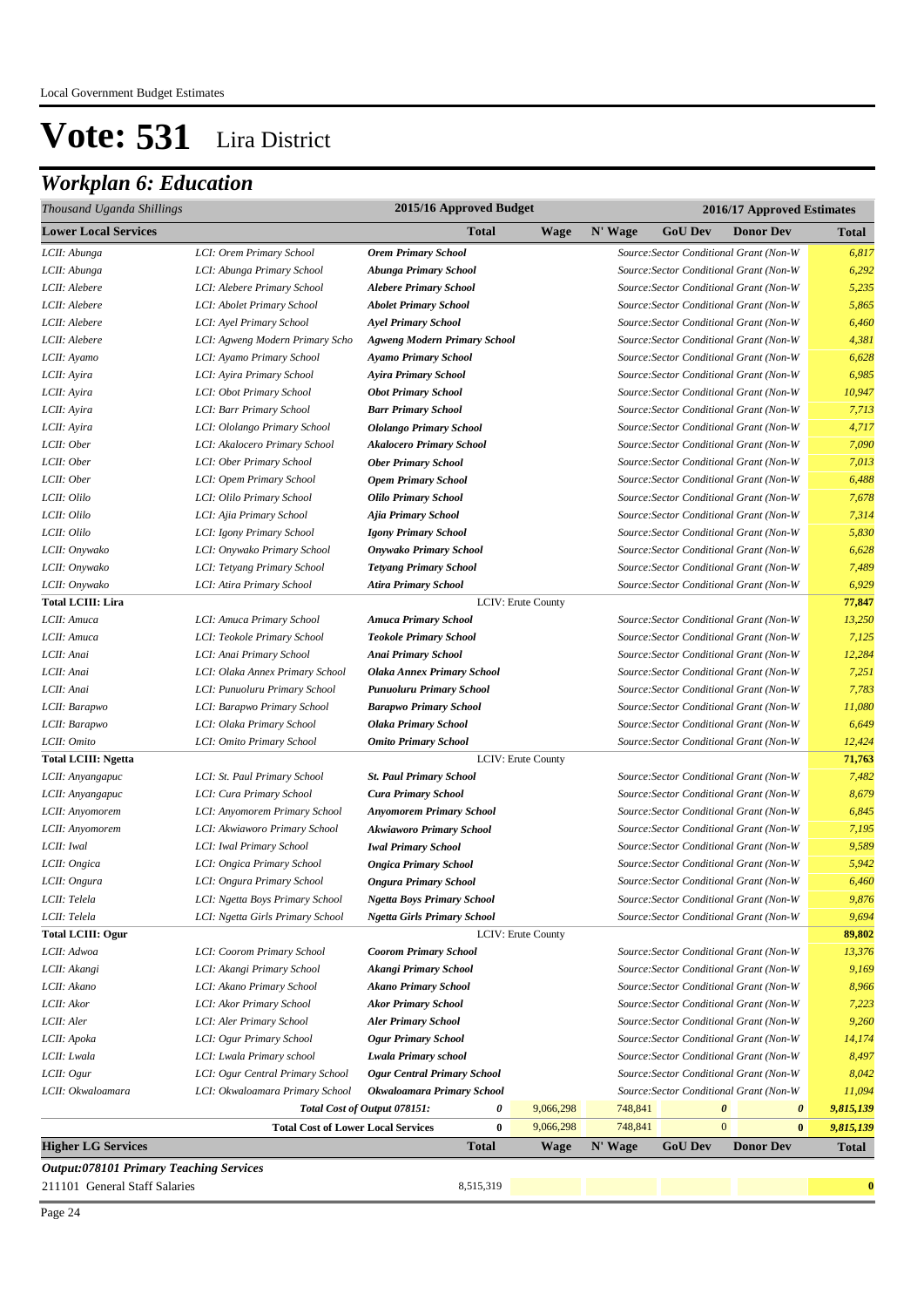| Thousand Uganda Shillings                      |                                           | 2015/16 Approved Budget             |                    |         | 2016/17 Approved Estimates |                                                |              |
|------------------------------------------------|-------------------------------------------|-------------------------------------|--------------------|---------|----------------------------|------------------------------------------------|--------------|
| <b>Lower Local Services</b>                    |                                           | Total                               | <b>Wage</b>        | N' Wage | <b>GoU Dev</b>             | <b>Donor Dev</b>                               | <b>Total</b> |
| LCII: Abunga                                   | LCI: Orem Primary School                  | <b>Orem Primary School</b>          |                    |         |                            | Source: Sector Conditional Grant (Non-W        | 6,817        |
| LCII: Abunga                                   | LCI: Abunga Primary School                | <b>Abunga Primary School</b>        |                    |         |                            | Source: Sector Conditional Grant (Non-W        | 6,292        |
| LCII: Alebere                                  | LCI: Alebere Primary School               | <b>Alebere Primary School</b>       |                    |         |                            | Source: Sector Conditional Grant (Non-W        | 5,235        |
| LCII: Alebere                                  | LCI: Abolet Primary School                | <b>Abolet Primary School</b>        |                    |         |                            | Source: Sector Conditional Grant (Non-W        | 5,865        |
| LCII: Alebere                                  | LCI: Ayel Primary School                  | <b>Ayel Primary School</b>          |                    |         |                            | Source: Sector Conditional Grant (Non-W        | 6,460        |
| LCII: Alebere                                  | LCI: Agweng Modern Primary Scho           | <b>Agweng Modern Primary School</b> |                    |         |                            | Source: Sector Conditional Grant (Non-W        | 4,381        |
| LCII: Ayamo                                    | LCI: Ayamo Primary School                 | <b>Ayamo Primary School</b>         |                    |         |                            | Source: Sector Conditional Grant (Non-W        | 6,628        |
| LCII: Ayira                                    | LCI: Ayira Primary School                 | <b>Ayira Primary School</b>         |                    |         |                            | Source: Sector Conditional Grant (Non-W        | 6,985        |
| LCII: Ayira                                    | LCI: Obot Primary School                  | <b>Obot Primary School</b>          |                    |         |                            | Source: Sector Conditional Grant (Non-W        | 10,947       |
| LCII: Ayira                                    | LCI: Barr Primary School                  | <b>Barr Primary School</b>          |                    |         |                            | Source: Sector Conditional Grant (Non-W        | 7,713        |
| LCII: Ayira                                    | LCI: Ololango Primary School              | <b>Ololango Primary School</b>      |                    |         |                            | Source: Sector Conditional Grant (Non-W        | 4,717        |
| LCII: Ober                                     | LCI: Akalocero Primary School             | <b>Akalocero Primary School</b>     |                    |         |                            | Source: Sector Conditional Grant (Non-W        | 7,090        |
| LCII: Ober                                     | LCI: Ober Primary School                  | <b>Ober Primary School</b>          |                    |         |                            | Source: Sector Conditional Grant (Non-W        | 7,013        |
| LCII: Ober                                     | LCI: Opem Primary School                  | <b>Opem Primary School</b>          |                    |         |                            | Source: Sector Conditional Grant (Non-W        | 6,488        |
| LCII: Olilo                                    | LCI: Olilo Primary School                 | <b>Olilo Primary School</b>         |                    |         |                            | Source: Sector Conditional Grant (Non-W        | 7,678        |
| LCII: Olilo                                    | LCI: Ajia Primary School                  | Ajia Primary School                 |                    |         |                            | Source: Sector Conditional Grant (Non-W        | 7,314        |
| LCII: Olilo                                    | LCI: Igony Primary School                 | <b>Igony Primary School</b>         |                    |         |                            | Source: Sector Conditional Grant (Non-W        | 5,830        |
| LCII: Onywako                                  | LCI: Onywako Primary School               | <b>Onywako Primary School</b>       |                    |         |                            | Source: Sector Conditional Grant (Non-W        | 6,628        |
| LCII: Onywako                                  | LCI: Tetyang Primary School               | <b>Tetyang Primary School</b>       |                    |         |                            | Source: Sector Conditional Grant (Non-W        | 7,489        |
| LCII: Onywako                                  | LCI: Atira Primary School                 | <b>Atira Primary School</b>         |                    |         |                            | Source: Sector Conditional Grant (Non-W        | 6,929        |
| <b>Total LCIII: Lira</b>                       |                                           |                                     | LCIV: Erute County |         |                            |                                                | 77,847       |
| LCII: Amuca                                    | LCI: Amuca Primary School                 | <b>Amuca Primary School</b>         |                    |         |                            | Source: Sector Conditional Grant (Non-W        | 13,250       |
| LCII: Amuca                                    | LCI: Teokole Primary School               | <b>Teokole Primary School</b>       |                    |         |                            | Source: Sector Conditional Grant (Non-W        | 7,125        |
| LCII: Anai                                     | LCI: Anai Primary School                  | <b>Anai Primary School</b>          |                    |         |                            | Source: Sector Conditional Grant (Non-W        | 12,284       |
| LCII: Anai                                     | LCI: Olaka Annex Primary School           | <b>Olaka Annex Primary School</b>   |                    |         |                            | Source: Sector Conditional Grant (Non-W        | 7,251        |
| LCII: Anai                                     | LCI: Punuoluru Primary School             | Punuoluru Primary School            |                    |         |                            | Source: Sector Conditional Grant (Non-W        | 7,783        |
| LCII: Barapwo                                  | LCI: Barapwo Primary School               | <b>Barapwo Primary School</b>       |                    |         |                            | Source: Sector Conditional Grant (Non-W        | 11,080       |
| LCII: Barapwo                                  | LCI: Olaka Primary School                 | <b>Olaka Primary School</b>         |                    |         |                            | Source: Sector Conditional Grant (Non-W        | 6,649        |
| LCII: Omito                                    | LCI: Omito Primary School                 | <b>Omito Primary School</b>         |                    |         |                            | Source: Sector Conditional Grant (Non-W        | 12,424       |
| <b>Total LCIII: Ngetta</b>                     |                                           |                                     | LCIV: Erute County |         |                            |                                                | 71,763       |
| LCII: Anyangapuc                               | LCI: St. Paul Primary School              | <b>St. Paul Primary School</b>      |                    |         |                            | Source: Sector Conditional Grant (Non-W        | 7,482        |
| LCII: Anyangapuc                               | LCI: Cura Primary School                  | <b>Cura Primary School</b>          |                    |         |                            | Source: Sector Conditional Grant (Non-W        | 8,679        |
| LCII: Anyomorem                                | LCI: Anyomorem Primary School             | <b>Anyomorem Primary School</b>     |                    |         |                            | Source: Sector Conditional Grant (Non-W        | 6,845        |
| LCII: Anyomorem                                | LCI: Akwiaworo Primary School             | <b>Akwiaworo Primary School</b>     |                    |         |                            | Source: Sector Conditional Grant (Non-W        | 7,195        |
| LCII: Iwal                                     | LCI: Iwal Primary School                  | <b>Iwal Primary School</b>          |                    |         |                            | Source: Sector Conditional Grant (Non-W        | 9,589        |
| LCII: Ongica                                   | LCI: Ongica Primary School                | <b>Ongica Primary School</b>        |                    |         |                            | Source: Sector Conditional Grant (Non-W        | 5,942        |
| LCII: Ongura                                   | LCI: Ongura Primary School                | <b>Ongura Primary School</b>        |                    |         |                            | Source: Sector Conditional Grant (Non-W        | 6,460        |
| LCII: Telela                                   | LCI: Ngetta Boys Primary School           | <b>Ngetta Boys Primary School</b>   |                    |         |                            | Source: Sector Conditional Grant (Non-W        | 9,876        |
| LCII: Telela                                   | LCI: Ngetta Girls Primary School          | <b>Ngetta Girls Primary School</b>  |                    |         |                            | Source: Sector Conditional Grant (Non-W        | 9,694        |
| <b>Total LCIII: Ogur</b>                       |                                           |                                     | LCIV: Erute County |         |                            |                                                | 89,802       |
| LCII: Adwoa                                    | LCI: Coorom Primary School                | <b>Coorom Primary School</b>        |                    |         |                            | Source: Sector Conditional Grant (Non-W        | 13,376       |
| LCII: Akangi                                   | LCI: Akangi Primary School                | Akangi Primary School               |                    |         |                            | Source: Sector Conditional Grant (Non-W        | 9,169        |
| LCII: Akano                                    | LCI: Akano Primary School                 | <b>Akano Primary School</b>         |                    |         |                            | Source: Sector Conditional Grant (Non-W        | 8,966        |
| LCII: Akor                                     | LCI: Akor Primary School                  | <b>Akor Primary School</b>          |                    |         |                            | Source: Sector Conditional Grant (Non-W        | 7,223        |
| LCII: Aler                                     | LCI: Aler Primary School                  | <b>Aler Primary School</b>          |                    |         |                            | Source: Sector Conditional Grant (Non-W        | 9,260        |
| LCII: Apoka                                    | LCI: Ogur Primary School                  | <b>Ogur Primary School</b>          |                    |         |                            | Source: Sector Conditional Grant (Non-W        | 14,174       |
| LCII: Lwala                                    | LCI: Lwala Primary school                 | Lwala Primary school                |                    |         |                            | Source: Sector Conditional Grant (Non-W        | 8,497        |
| LCII: Ogur                                     | LCI: Ogur Central Primary School          | <b>Ogur Central Primary School</b>  |                    |         |                            | Source: Sector Conditional Grant (Non-W        | 8,042        |
| LCII: Okwaloamara                              | LCI: Okwaloamara Primary School           | Okwaloamara Primary School          |                    |         |                            | Source: Sector Conditional Grant (Non-W        | 11,094       |
|                                                |                                           | Total Cost of Output 078151:<br>0   | 9,066,298          | 748,841 |                            | $\boldsymbol{\theta}$<br>$\boldsymbol{\theta}$ | 9,815,139    |
|                                                | <b>Total Cost of Lower Local Services</b> | $\bf{0}$                            | 9,066,298          | 748,841 |                            | $\mathbf{0}$<br>$\bf{0}$                       | 9,815,139    |
| <b>Higher LG Services</b>                      |                                           | <b>Total</b>                        | <b>Wage</b>        | N' Wage | <b>GoU Dev</b>             | <b>Donor Dev</b>                               | <b>Total</b> |
| <b>Output:078101 Primary Teaching Services</b> |                                           |                                     |                    |         |                            |                                                |              |
| 211101 General Staff Salaries                  |                                           | 8,515,319                           |                    |         |                            |                                                | $\bf{0}$     |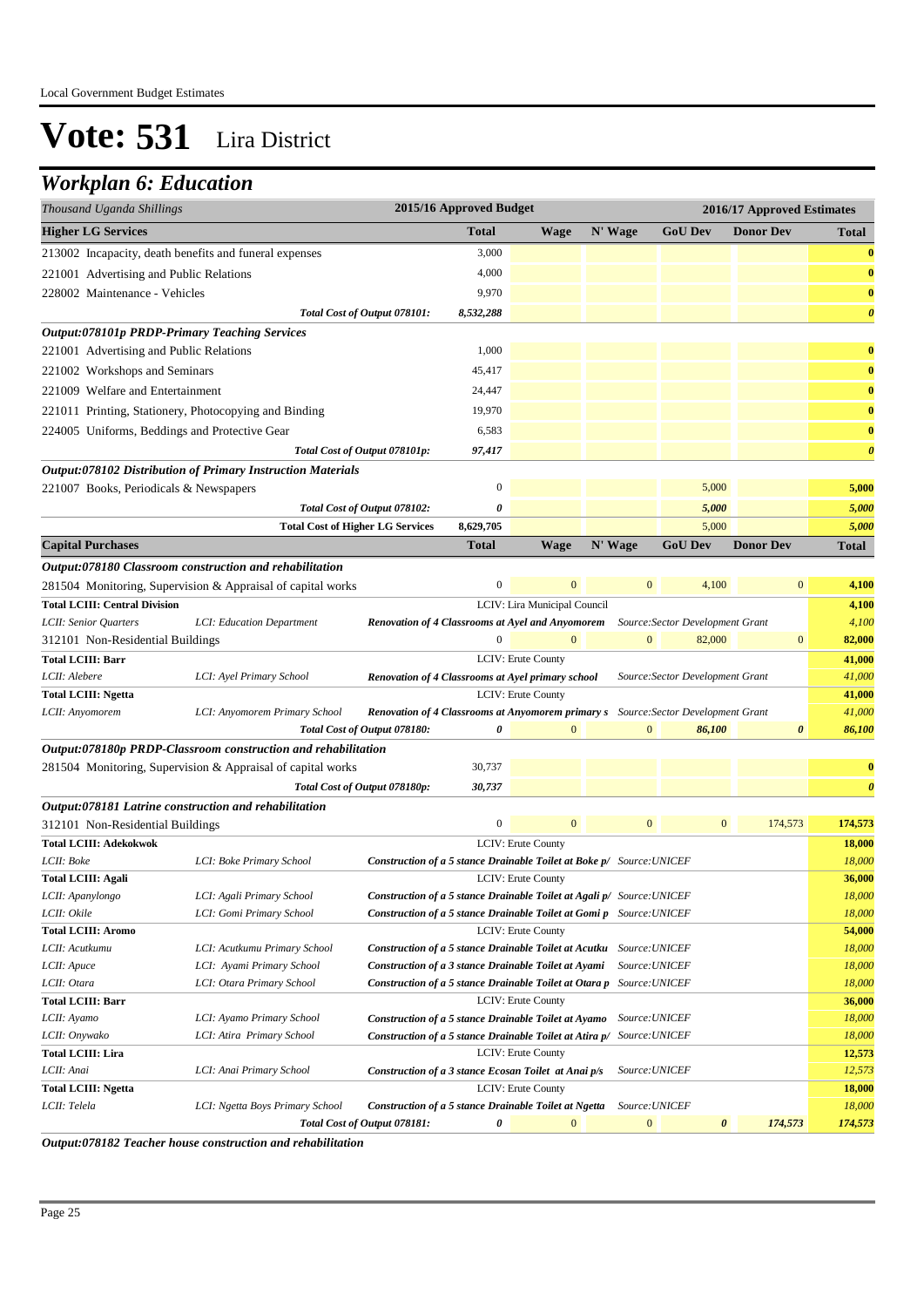### *Workplan 6: Education*

| <b>Total</b><br>N' Wage<br><b>GoU Dev</b><br><b>Donor Dev</b><br><b>Wage</b><br><b>Total</b><br>3,000<br>213002 Incapacity, death benefits and funeral expenses<br>$\boldsymbol{0}$<br>4,000<br>221001 Advertising and Public Relations<br>$\bf{0}$<br>9,970<br>$\bf{0}$<br>228002 Maintenance - Vehicles<br>8,532,288<br>$\boldsymbol{\theta}$<br>Total Cost of Output 078101:<br>Output:078101p PRDP-Primary Teaching Services<br>1,000<br>221001 Advertising and Public Relations<br>$\bf{0}$<br>45,417<br>$\bf{0}$<br>221002 Workshops and Seminars<br>$\bf{0}$<br>221009 Welfare and Entertainment<br>24,447<br>19,970<br>$\bf{0}$<br>221011 Printing, Stationery, Photocopying and Binding<br>6,583<br>224005 Uniforms, Beddings and Protective Gear<br>$\bf{0}$<br>97,417<br>$\boldsymbol{\theta}$<br>Total Cost of Output 078101p:<br>Output:078102 Distribution of Primary Instruction Materials<br>$\boldsymbol{0}$<br>5,000<br>5,000<br>221007 Books, Periodicals & Newspapers<br>0<br>5,000<br>5,000<br>Total Cost of Output 078102:<br><b>Total Cost of Higher LG Services</b><br>8,629,705<br>5,000<br>5,000<br>Total<br><b>Wage</b><br>N' Wage<br><b>GoU Dev</b><br><b>Donor Dev</b><br>Total<br>Output:078180 Classroom construction and rehabilitation<br>$\boldsymbol{0}$<br>$\mathbf{0}$<br>4,100<br>$\mathbf{0}$<br>4,100<br>281504 Monitoring, Supervision & Appraisal of capital works<br>LCIV: Lira Municipal Council<br>4,100<br>4,100<br>LCII: Senior Quarters<br>LCI: Education Department<br>Renovation of 4 Classrooms at Ayel and Anyomorem<br>Source: Sector Development Grant<br>$\boldsymbol{0}$<br>$\mathbf{0}$<br>$\mathbf{0}$<br>82,000<br>$\mathbf{0}$<br>82,000<br>312101 Non-Residential Buildings<br>LCIV: Erute County<br>41,000<br>41,000<br>LCI: Ayel Primary School<br>Source: Sector Development Grant<br>Renovation of 4 Classrooms at Ayel primary school<br>LCIV: Erute County<br>41,000<br>41,000<br>LCI: Anyomorem Primary School<br><b>Renovation of 4 Classrooms at Anyomorem primary s</b> Source: Sector Development Grant<br>86,100<br>Total Cost of Output 078180:<br>0<br>$\mathbf{0}$<br>$\mathbf{0}$<br>86,100<br>$\boldsymbol{\theta}$<br>Output:078180p PRDP-Classroom construction and rehabilitation<br>281504 Monitoring, Supervision & Appraisal of capital works<br>30,737<br>$\bf{0}$<br>30,737<br>$\boldsymbol{\theta}$<br>Total Cost of Output 078180p:<br>Output:078181 Latrine construction and rehabilitation<br>$\boldsymbol{0}$<br>$\overline{0}$<br>174,573<br>312101 Non-Residential Buildings<br>$\mathbf{0}$<br>$\mathbf{0}$<br>174,573<br>18,000<br>LCIV: Erute County<br>Construction of a 5 stance Drainable Toilet at Boke p/ Source: UNICEF<br>18,000<br>LCI: Boke Primary School<br>36,000<br>LCIV: Erute County<br>Construction of a 5 stance Drainable Toilet at Agali p/ Source: UNICEF<br>18,000<br>LCI: Agali Primary School<br>18,000<br>LCI: Gomi Primary School<br><b>Construction of a 5 stance Drainable Toilet at Gomi p</b> Source: UNICEF<br>LCIV: Erute County<br>54,000<br>18,000<br>LCI: Acutkumu Primary School<br>Construction of a 5 stance Drainable Toilet at Acutku Source: UNICEF<br>LCI: Ayami Primary School<br>18,000<br>Construction of a 3 stance Drainable Toilet at Ayami<br>Source: UNICEF<br>LCII: Otara<br>18,000<br>LCI: Otara Primary School<br><b>Construction of a 5 stance Drainable Toilet at Otara p</b> Source: UNICEF<br><b>Total LCIII: Barr</b><br><b>LCIV: Erute County</b><br>36,000<br>18,000<br>LCII: Ayamo<br>LCI: Ayamo Primary School<br><b>Construction of a 5 stance Drainable Toilet at Ayamo</b> Source: UNICEF<br>18,000<br>LCII: Onywako<br>LCI: Atira Primary School<br>Construction of a 5 stance Drainable Toilet at Atira p/ Source: UNICEF | Thousand Uganda Shillings              |                                 | 2015/16 Approved Budget<br>2016/17 Approved Estimates |  |  |  |  |  |                  |
|---------------------------------------------------------------------------------------------------------------------------------------------------------------------------------------------------------------------------------------------------------------------------------------------------------------------------------------------------------------------------------------------------------------------------------------------------------------------------------------------------------------------------------------------------------------------------------------------------------------------------------------------------------------------------------------------------------------------------------------------------------------------------------------------------------------------------------------------------------------------------------------------------------------------------------------------------------------------------------------------------------------------------------------------------------------------------------------------------------------------------------------------------------------------------------------------------------------------------------------------------------------------------------------------------------------------------------------------------------------------------------------------------------------------------------------------------------------------------------------------------------------------------------------------------------------------------------------------------------------------------------------------------------------------------------------------------------------------------------------------------------------------------------------------------------------------------------------------------------------------------------------------------------------------------------------------------------------------------------------------------------------------------------------------------------------------------------------------------------------------------------------------------------------------------------------------------------------------------------------------------------------------------------------------------------------------------------------------------------------------------------------------------------------------------------------------------------------------------------------------------------------------------------------------------------------------------------------------------------------------------------------------------------------------------------------------------------------------------------------------------------------------------------------------------------------------------------------------------------------------------------------------------------------------------------------------------------------------------------------------------------------------------------------------------------------------------------------------------------------------------------------------------------------------------------------------------------------------------------------------------------------------------------------------------------------------------------------------------------------------------------------------------------------------------------------------------------------------------------------------------------------------------------------------------------------------------------------------------------------------------------------------------------------------------------------------------------------------------------------------------------------------------------------------|----------------------------------------|---------------------------------|-------------------------------------------------------|--|--|--|--|--|------------------|
|                                                                                                                                                                                                                                                                                                                                                                                                                                                                                                                                                                                                                                                                                                                                                                                                                                                                                                                                                                                                                                                                                                                                                                                                                                                                                                                                                                                                                                                                                                                                                                                                                                                                                                                                                                                                                                                                                                                                                                                                                                                                                                                                                                                                                                                                                                                                                                                                                                                                                                                                                                                                                                                                                                                                                                                                                                                                                                                                                                                                                                                                                                                                                                                                                                                                                                                                                                                                                                                                                                                                                                                                                                                                                                                                                                                             | <b>Higher LG Services</b>              |                                 |                                                       |  |  |  |  |  |                  |
|                                                                                                                                                                                                                                                                                                                                                                                                                                                                                                                                                                                                                                                                                                                                                                                                                                                                                                                                                                                                                                                                                                                                                                                                                                                                                                                                                                                                                                                                                                                                                                                                                                                                                                                                                                                                                                                                                                                                                                                                                                                                                                                                                                                                                                                                                                                                                                                                                                                                                                                                                                                                                                                                                                                                                                                                                                                                                                                                                                                                                                                                                                                                                                                                                                                                                                                                                                                                                                                                                                                                                                                                                                                                                                                                                                                             |                                        |                                 |                                                       |  |  |  |  |  |                  |
|                                                                                                                                                                                                                                                                                                                                                                                                                                                                                                                                                                                                                                                                                                                                                                                                                                                                                                                                                                                                                                                                                                                                                                                                                                                                                                                                                                                                                                                                                                                                                                                                                                                                                                                                                                                                                                                                                                                                                                                                                                                                                                                                                                                                                                                                                                                                                                                                                                                                                                                                                                                                                                                                                                                                                                                                                                                                                                                                                                                                                                                                                                                                                                                                                                                                                                                                                                                                                                                                                                                                                                                                                                                                                                                                                                                             |                                        |                                 |                                                       |  |  |  |  |  |                  |
|                                                                                                                                                                                                                                                                                                                                                                                                                                                                                                                                                                                                                                                                                                                                                                                                                                                                                                                                                                                                                                                                                                                                                                                                                                                                                                                                                                                                                                                                                                                                                                                                                                                                                                                                                                                                                                                                                                                                                                                                                                                                                                                                                                                                                                                                                                                                                                                                                                                                                                                                                                                                                                                                                                                                                                                                                                                                                                                                                                                                                                                                                                                                                                                                                                                                                                                                                                                                                                                                                                                                                                                                                                                                                                                                                                                             |                                        |                                 |                                                       |  |  |  |  |  |                  |
|                                                                                                                                                                                                                                                                                                                                                                                                                                                                                                                                                                                                                                                                                                                                                                                                                                                                                                                                                                                                                                                                                                                                                                                                                                                                                                                                                                                                                                                                                                                                                                                                                                                                                                                                                                                                                                                                                                                                                                                                                                                                                                                                                                                                                                                                                                                                                                                                                                                                                                                                                                                                                                                                                                                                                                                                                                                                                                                                                                                                                                                                                                                                                                                                                                                                                                                                                                                                                                                                                                                                                                                                                                                                                                                                                                                             |                                        |                                 |                                                       |  |  |  |  |  |                  |
|                                                                                                                                                                                                                                                                                                                                                                                                                                                                                                                                                                                                                                                                                                                                                                                                                                                                                                                                                                                                                                                                                                                                                                                                                                                                                                                                                                                                                                                                                                                                                                                                                                                                                                                                                                                                                                                                                                                                                                                                                                                                                                                                                                                                                                                                                                                                                                                                                                                                                                                                                                                                                                                                                                                                                                                                                                                                                                                                                                                                                                                                                                                                                                                                                                                                                                                                                                                                                                                                                                                                                                                                                                                                                                                                                                                             |                                        |                                 |                                                       |  |  |  |  |  |                  |
|                                                                                                                                                                                                                                                                                                                                                                                                                                                                                                                                                                                                                                                                                                                                                                                                                                                                                                                                                                                                                                                                                                                                                                                                                                                                                                                                                                                                                                                                                                                                                                                                                                                                                                                                                                                                                                                                                                                                                                                                                                                                                                                                                                                                                                                                                                                                                                                                                                                                                                                                                                                                                                                                                                                                                                                                                                                                                                                                                                                                                                                                                                                                                                                                                                                                                                                                                                                                                                                                                                                                                                                                                                                                                                                                                                                             |                                        |                                 |                                                       |  |  |  |  |  |                  |
|                                                                                                                                                                                                                                                                                                                                                                                                                                                                                                                                                                                                                                                                                                                                                                                                                                                                                                                                                                                                                                                                                                                                                                                                                                                                                                                                                                                                                                                                                                                                                                                                                                                                                                                                                                                                                                                                                                                                                                                                                                                                                                                                                                                                                                                                                                                                                                                                                                                                                                                                                                                                                                                                                                                                                                                                                                                                                                                                                                                                                                                                                                                                                                                                                                                                                                                                                                                                                                                                                                                                                                                                                                                                                                                                                                                             |                                        |                                 |                                                       |  |  |  |  |  |                  |
|                                                                                                                                                                                                                                                                                                                                                                                                                                                                                                                                                                                                                                                                                                                                                                                                                                                                                                                                                                                                                                                                                                                                                                                                                                                                                                                                                                                                                                                                                                                                                                                                                                                                                                                                                                                                                                                                                                                                                                                                                                                                                                                                                                                                                                                                                                                                                                                                                                                                                                                                                                                                                                                                                                                                                                                                                                                                                                                                                                                                                                                                                                                                                                                                                                                                                                                                                                                                                                                                                                                                                                                                                                                                                                                                                                                             |                                        |                                 |                                                       |  |  |  |  |  |                  |
|                                                                                                                                                                                                                                                                                                                                                                                                                                                                                                                                                                                                                                                                                                                                                                                                                                                                                                                                                                                                                                                                                                                                                                                                                                                                                                                                                                                                                                                                                                                                                                                                                                                                                                                                                                                                                                                                                                                                                                                                                                                                                                                                                                                                                                                                                                                                                                                                                                                                                                                                                                                                                                                                                                                                                                                                                                                                                                                                                                                                                                                                                                                                                                                                                                                                                                                                                                                                                                                                                                                                                                                                                                                                                                                                                                                             |                                        |                                 |                                                       |  |  |  |  |  |                  |
|                                                                                                                                                                                                                                                                                                                                                                                                                                                                                                                                                                                                                                                                                                                                                                                                                                                                                                                                                                                                                                                                                                                                                                                                                                                                                                                                                                                                                                                                                                                                                                                                                                                                                                                                                                                                                                                                                                                                                                                                                                                                                                                                                                                                                                                                                                                                                                                                                                                                                                                                                                                                                                                                                                                                                                                                                                                                                                                                                                                                                                                                                                                                                                                                                                                                                                                                                                                                                                                                                                                                                                                                                                                                                                                                                                                             |                                        |                                 |                                                       |  |  |  |  |  |                  |
|                                                                                                                                                                                                                                                                                                                                                                                                                                                                                                                                                                                                                                                                                                                                                                                                                                                                                                                                                                                                                                                                                                                                                                                                                                                                                                                                                                                                                                                                                                                                                                                                                                                                                                                                                                                                                                                                                                                                                                                                                                                                                                                                                                                                                                                                                                                                                                                                                                                                                                                                                                                                                                                                                                                                                                                                                                                                                                                                                                                                                                                                                                                                                                                                                                                                                                                                                                                                                                                                                                                                                                                                                                                                                                                                                                                             |                                        |                                 |                                                       |  |  |  |  |  |                  |
|                                                                                                                                                                                                                                                                                                                                                                                                                                                                                                                                                                                                                                                                                                                                                                                                                                                                                                                                                                                                                                                                                                                                                                                                                                                                                                                                                                                                                                                                                                                                                                                                                                                                                                                                                                                                                                                                                                                                                                                                                                                                                                                                                                                                                                                                                                                                                                                                                                                                                                                                                                                                                                                                                                                                                                                                                                                                                                                                                                                                                                                                                                                                                                                                                                                                                                                                                                                                                                                                                                                                                                                                                                                                                                                                                                                             |                                        |                                 |                                                       |  |  |  |  |  |                  |
|                                                                                                                                                                                                                                                                                                                                                                                                                                                                                                                                                                                                                                                                                                                                                                                                                                                                                                                                                                                                                                                                                                                                                                                                                                                                                                                                                                                                                                                                                                                                                                                                                                                                                                                                                                                                                                                                                                                                                                                                                                                                                                                                                                                                                                                                                                                                                                                                                                                                                                                                                                                                                                                                                                                                                                                                                                                                                                                                                                                                                                                                                                                                                                                                                                                                                                                                                                                                                                                                                                                                                                                                                                                                                                                                                                                             |                                        |                                 |                                                       |  |  |  |  |  |                  |
|                                                                                                                                                                                                                                                                                                                                                                                                                                                                                                                                                                                                                                                                                                                                                                                                                                                                                                                                                                                                                                                                                                                                                                                                                                                                                                                                                                                                                                                                                                                                                                                                                                                                                                                                                                                                                                                                                                                                                                                                                                                                                                                                                                                                                                                                                                                                                                                                                                                                                                                                                                                                                                                                                                                                                                                                                                                                                                                                                                                                                                                                                                                                                                                                                                                                                                                                                                                                                                                                                                                                                                                                                                                                                                                                                                                             |                                        |                                 |                                                       |  |  |  |  |  |                  |
|                                                                                                                                                                                                                                                                                                                                                                                                                                                                                                                                                                                                                                                                                                                                                                                                                                                                                                                                                                                                                                                                                                                                                                                                                                                                                                                                                                                                                                                                                                                                                                                                                                                                                                                                                                                                                                                                                                                                                                                                                                                                                                                                                                                                                                                                                                                                                                                                                                                                                                                                                                                                                                                                                                                                                                                                                                                                                                                                                                                                                                                                                                                                                                                                                                                                                                                                                                                                                                                                                                                                                                                                                                                                                                                                                                                             |                                        |                                 |                                                       |  |  |  |  |  |                  |
|                                                                                                                                                                                                                                                                                                                                                                                                                                                                                                                                                                                                                                                                                                                                                                                                                                                                                                                                                                                                                                                                                                                                                                                                                                                                                                                                                                                                                                                                                                                                                                                                                                                                                                                                                                                                                                                                                                                                                                                                                                                                                                                                                                                                                                                                                                                                                                                                                                                                                                                                                                                                                                                                                                                                                                                                                                                                                                                                                                                                                                                                                                                                                                                                                                                                                                                                                                                                                                                                                                                                                                                                                                                                                                                                                                                             |                                        |                                 |                                                       |  |  |  |  |  |                  |
|                                                                                                                                                                                                                                                                                                                                                                                                                                                                                                                                                                                                                                                                                                                                                                                                                                                                                                                                                                                                                                                                                                                                                                                                                                                                                                                                                                                                                                                                                                                                                                                                                                                                                                                                                                                                                                                                                                                                                                                                                                                                                                                                                                                                                                                                                                                                                                                                                                                                                                                                                                                                                                                                                                                                                                                                                                                                                                                                                                                                                                                                                                                                                                                                                                                                                                                                                                                                                                                                                                                                                                                                                                                                                                                                                                                             | <b>Capital Purchases</b>               |                                 |                                                       |  |  |  |  |  |                  |
|                                                                                                                                                                                                                                                                                                                                                                                                                                                                                                                                                                                                                                                                                                                                                                                                                                                                                                                                                                                                                                                                                                                                                                                                                                                                                                                                                                                                                                                                                                                                                                                                                                                                                                                                                                                                                                                                                                                                                                                                                                                                                                                                                                                                                                                                                                                                                                                                                                                                                                                                                                                                                                                                                                                                                                                                                                                                                                                                                                                                                                                                                                                                                                                                                                                                                                                                                                                                                                                                                                                                                                                                                                                                                                                                                                                             |                                        |                                 |                                                       |  |  |  |  |  |                  |
|                                                                                                                                                                                                                                                                                                                                                                                                                                                                                                                                                                                                                                                                                                                                                                                                                                                                                                                                                                                                                                                                                                                                                                                                                                                                                                                                                                                                                                                                                                                                                                                                                                                                                                                                                                                                                                                                                                                                                                                                                                                                                                                                                                                                                                                                                                                                                                                                                                                                                                                                                                                                                                                                                                                                                                                                                                                                                                                                                                                                                                                                                                                                                                                                                                                                                                                                                                                                                                                                                                                                                                                                                                                                                                                                                                                             |                                        |                                 |                                                       |  |  |  |  |  |                  |
|                                                                                                                                                                                                                                                                                                                                                                                                                                                                                                                                                                                                                                                                                                                                                                                                                                                                                                                                                                                                                                                                                                                                                                                                                                                                                                                                                                                                                                                                                                                                                                                                                                                                                                                                                                                                                                                                                                                                                                                                                                                                                                                                                                                                                                                                                                                                                                                                                                                                                                                                                                                                                                                                                                                                                                                                                                                                                                                                                                                                                                                                                                                                                                                                                                                                                                                                                                                                                                                                                                                                                                                                                                                                                                                                                                                             | <b>Total LCIII: Central Division</b>   |                                 |                                                       |  |  |  |  |  |                  |
|                                                                                                                                                                                                                                                                                                                                                                                                                                                                                                                                                                                                                                                                                                                                                                                                                                                                                                                                                                                                                                                                                                                                                                                                                                                                                                                                                                                                                                                                                                                                                                                                                                                                                                                                                                                                                                                                                                                                                                                                                                                                                                                                                                                                                                                                                                                                                                                                                                                                                                                                                                                                                                                                                                                                                                                                                                                                                                                                                                                                                                                                                                                                                                                                                                                                                                                                                                                                                                                                                                                                                                                                                                                                                                                                                                                             |                                        |                                 |                                                       |  |  |  |  |  |                  |
|                                                                                                                                                                                                                                                                                                                                                                                                                                                                                                                                                                                                                                                                                                                                                                                                                                                                                                                                                                                                                                                                                                                                                                                                                                                                                                                                                                                                                                                                                                                                                                                                                                                                                                                                                                                                                                                                                                                                                                                                                                                                                                                                                                                                                                                                                                                                                                                                                                                                                                                                                                                                                                                                                                                                                                                                                                                                                                                                                                                                                                                                                                                                                                                                                                                                                                                                                                                                                                                                                                                                                                                                                                                                                                                                                                                             |                                        |                                 |                                                       |  |  |  |  |  |                  |
|                                                                                                                                                                                                                                                                                                                                                                                                                                                                                                                                                                                                                                                                                                                                                                                                                                                                                                                                                                                                                                                                                                                                                                                                                                                                                                                                                                                                                                                                                                                                                                                                                                                                                                                                                                                                                                                                                                                                                                                                                                                                                                                                                                                                                                                                                                                                                                                                                                                                                                                                                                                                                                                                                                                                                                                                                                                                                                                                                                                                                                                                                                                                                                                                                                                                                                                                                                                                                                                                                                                                                                                                                                                                                                                                                                                             | <b>Total LCIII: Barr</b>               |                                 |                                                       |  |  |  |  |  |                  |
|                                                                                                                                                                                                                                                                                                                                                                                                                                                                                                                                                                                                                                                                                                                                                                                                                                                                                                                                                                                                                                                                                                                                                                                                                                                                                                                                                                                                                                                                                                                                                                                                                                                                                                                                                                                                                                                                                                                                                                                                                                                                                                                                                                                                                                                                                                                                                                                                                                                                                                                                                                                                                                                                                                                                                                                                                                                                                                                                                                                                                                                                                                                                                                                                                                                                                                                                                                                                                                                                                                                                                                                                                                                                                                                                                                                             | LCII: Alebere                          |                                 |                                                       |  |  |  |  |  |                  |
|                                                                                                                                                                                                                                                                                                                                                                                                                                                                                                                                                                                                                                                                                                                                                                                                                                                                                                                                                                                                                                                                                                                                                                                                                                                                                                                                                                                                                                                                                                                                                                                                                                                                                                                                                                                                                                                                                                                                                                                                                                                                                                                                                                                                                                                                                                                                                                                                                                                                                                                                                                                                                                                                                                                                                                                                                                                                                                                                                                                                                                                                                                                                                                                                                                                                                                                                                                                                                                                                                                                                                                                                                                                                                                                                                                                             | <b>Total LCIII: Ngetta</b>             |                                 |                                                       |  |  |  |  |  |                  |
|                                                                                                                                                                                                                                                                                                                                                                                                                                                                                                                                                                                                                                                                                                                                                                                                                                                                                                                                                                                                                                                                                                                                                                                                                                                                                                                                                                                                                                                                                                                                                                                                                                                                                                                                                                                                                                                                                                                                                                                                                                                                                                                                                                                                                                                                                                                                                                                                                                                                                                                                                                                                                                                                                                                                                                                                                                                                                                                                                                                                                                                                                                                                                                                                                                                                                                                                                                                                                                                                                                                                                                                                                                                                                                                                                                                             | LCII: Anyomorem                        |                                 |                                                       |  |  |  |  |  |                  |
|                                                                                                                                                                                                                                                                                                                                                                                                                                                                                                                                                                                                                                                                                                                                                                                                                                                                                                                                                                                                                                                                                                                                                                                                                                                                                                                                                                                                                                                                                                                                                                                                                                                                                                                                                                                                                                                                                                                                                                                                                                                                                                                                                                                                                                                                                                                                                                                                                                                                                                                                                                                                                                                                                                                                                                                                                                                                                                                                                                                                                                                                                                                                                                                                                                                                                                                                                                                                                                                                                                                                                                                                                                                                                                                                                                                             |                                        |                                 |                                                       |  |  |  |  |  |                  |
|                                                                                                                                                                                                                                                                                                                                                                                                                                                                                                                                                                                                                                                                                                                                                                                                                                                                                                                                                                                                                                                                                                                                                                                                                                                                                                                                                                                                                                                                                                                                                                                                                                                                                                                                                                                                                                                                                                                                                                                                                                                                                                                                                                                                                                                                                                                                                                                                                                                                                                                                                                                                                                                                                                                                                                                                                                                                                                                                                                                                                                                                                                                                                                                                                                                                                                                                                                                                                                                                                                                                                                                                                                                                                                                                                                                             |                                        |                                 |                                                       |  |  |  |  |  |                  |
|                                                                                                                                                                                                                                                                                                                                                                                                                                                                                                                                                                                                                                                                                                                                                                                                                                                                                                                                                                                                                                                                                                                                                                                                                                                                                                                                                                                                                                                                                                                                                                                                                                                                                                                                                                                                                                                                                                                                                                                                                                                                                                                                                                                                                                                                                                                                                                                                                                                                                                                                                                                                                                                                                                                                                                                                                                                                                                                                                                                                                                                                                                                                                                                                                                                                                                                                                                                                                                                                                                                                                                                                                                                                                                                                                                                             |                                        |                                 |                                                       |  |  |  |  |  |                  |
|                                                                                                                                                                                                                                                                                                                                                                                                                                                                                                                                                                                                                                                                                                                                                                                                                                                                                                                                                                                                                                                                                                                                                                                                                                                                                                                                                                                                                                                                                                                                                                                                                                                                                                                                                                                                                                                                                                                                                                                                                                                                                                                                                                                                                                                                                                                                                                                                                                                                                                                                                                                                                                                                                                                                                                                                                                                                                                                                                                                                                                                                                                                                                                                                                                                                                                                                                                                                                                                                                                                                                                                                                                                                                                                                                                                             |                                        |                                 |                                                       |  |  |  |  |  |                  |
|                                                                                                                                                                                                                                                                                                                                                                                                                                                                                                                                                                                                                                                                                                                                                                                                                                                                                                                                                                                                                                                                                                                                                                                                                                                                                                                                                                                                                                                                                                                                                                                                                                                                                                                                                                                                                                                                                                                                                                                                                                                                                                                                                                                                                                                                                                                                                                                                                                                                                                                                                                                                                                                                                                                                                                                                                                                                                                                                                                                                                                                                                                                                                                                                                                                                                                                                                                                                                                                                                                                                                                                                                                                                                                                                                                                             |                                        |                                 |                                                       |  |  |  |  |  |                  |
|                                                                                                                                                                                                                                                                                                                                                                                                                                                                                                                                                                                                                                                                                                                                                                                                                                                                                                                                                                                                                                                                                                                                                                                                                                                                                                                                                                                                                                                                                                                                                                                                                                                                                                                                                                                                                                                                                                                                                                                                                                                                                                                                                                                                                                                                                                                                                                                                                                                                                                                                                                                                                                                                                                                                                                                                                                                                                                                                                                                                                                                                                                                                                                                                                                                                                                                                                                                                                                                                                                                                                                                                                                                                                                                                                                                             |                                        |                                 |                                                       |  |  |  |  |  |                  |
|                                                                                                                                                                                                                                                                                                                                                                                                                                                                                                                                                                                                                                                                                                                                                                                                                                                                                                                                                                                                                                                                                                                                                                                                                                                                                                                                                                                                                                                                                                                                                                                                                                                                                                                                                                                                                                                                                                                                                                                                                                                                                                                                                                                                                                                                                                                                                                                                                                                                                                                                                                                                                                                                                                                                                                                                                                                                                                                                                                                                                                                                                                                                                                                                                                                                                                                                                                                                                                                                                                                                                                                                                                                                                                                                                                                             | <b>Total LCIII: Adekokwok</b>          |                                 |                                                       |  |  |  |  |  |                  |
|                                                                                                                                                                                                                                                                                                                                                                                                                                                                                                                                                                                                                                                                                                                                                                                                                                                                                                                                                                                                                                                                                                                                                                                                                                                                                                                                                                                                                                                                                                                                                                                                                                                                                                                                                                                                                                                                                                                                                                                                                                                                                                                                                                                                                                                                                                                                                                                                                                                                                                                                                                                                                                                                                                                                                                                                                                                                                                                                                                                                                                                                                                                                                                                                                                                                                                                                                                                                                                                                                                                                                                                                                                                                                                                                                                                             | LCII: Boke                             |                                 |                                                       |  |  |  |  |  |                  |
|                                                                                                                                                                                                                                                                                                                                                                                                                                                                                                                                                                                                                                                                                                                                                                                                                                                                                                                                                                                                                                                                                                                                                                                                                                                                                                                                                                                                                                                                                                                                                                                                                                                                                                                                                                                                                                                                                                                                                                                                                                                                                                                                                                                                                                                                                                                                                                                                                                                                                                                                                                                                                                                                                                                                                                                                                                                                                                                                                                                                                                                                                                                                                                                                                                                                                                                                                                                                                                                                                                                                                                                                                                                                                                                                                                                             | <b>Total LCIII: Agali</b>              |                                 |                                                       |  |  |  |  |  |                  |
|                                                                                                                                                                                                                                                                                                                                                                                                                                                                                                                                                                                                                                                                                                                                                                                                                                                                                                                                                                                                                                                                                                                                                                                                                                                                                                                                                                                                                                                                                                                                                                                                                                                                                                                                                                                                                                                                                                                                                                                                                                                                                                                                                                                                                                                                                                                                                                                                                                                                                                                                                                                                                                                                                                                                                                                                                                                                                                                                                                                                                                                                                                                                                                                                                                                                                                                                                                                                                                                                                                                                                                                                                                                                                                                                                                                             | LCII: Apanylongo                       |                                 |                                                       |  |  |  |  |  |                  |
|                                                                                                                                                                                                                                                                                                                                                                                                                                                                                                                                                                                                                                                                                                                                                                                                                                                                                                                                                                                                                                                                                                                                                                                                                                                                                                                                                                                                                                                                                                                                                                                                                                                                                                                                                                                                                                                                                                                                                                                                                                                                                                                                                                                                                                                                                                                                                                                                                                                                                                                                                                                                                                                                                                                                                                                                                                                                                                                                                                                                                                                                                                                                                                                                                                                                                                                                                                                                                                                                                                                                                                                                                                                                                                                                                                                             | LCII: Okile                            |                                 |                                                       |  |  |  |  |  |                  |
|                                                                                                                                                                                                                                                                                                                                                                                                                                                                                                                                                                                                                                                                                                                                                                                                                                                                                                                                                                                                                                                                                                                                                                                                                                                                                                                                                                                                                                                                                                                                                                                                                                                                                                                                                                                                                                                                                                                                                                                                                                                                                                                                                                                                                                                                                                                                                                                                                                                                                                                                                                                                                                                                                                                                                                                                                                                                                                                                                                                                                                                                                                                                                                                                                                                                                                                                                                                                                                                                                                                                                                                                                                                                                                                                                                                             | <b>Total LCIII: Aromo</b>              |                                 |                                                       |  |  |  |  |  |                  |
|                                                                                                                                                                                                                                                                                                                                                                                                                                                                                                                                                                                                                                                                                                                                                                                                                                                                                                                                                                                                                                                                                                                                                                                                                                                                                                                                                                                                                                                                                                                                                                                                                                                                                                                                                                                                                                                                                                                                                                                                                                                                                                                                                                                                                                                                                                                                                                                                                                                                                                                                                                                                                                                                                                                                                                                                                                                                                                                                                                                                                                                                                                                                                                                                                                                                                                                                                                                                                                                                                                                                                                                                                                                                                                                                                                                             | LCII: Acutkumu                         |                                 |                                                       |  |  |  |  |  |                  |
|                                                                                                                                                                                                                                                                                                                                                                                                                                                                                                                                                                                                                                                                                                                                                                                                                                                                                                                                                                                                                                                                                                                                                                                                                                                                                                                                                                                                                                                                                                                                                                                                                                                                                                                                                                                                                                                                                                                                                                                                                                                                                                                                                                                                                                                                                                                                                                                                                                                                                                                                                                                                                                                                                                                                                                                                                                                                                                                                                                                                                                                                                                                                                                                                                                                                                                                                                                                                                                                                                                                                                                                                                                                                                                                                                                                             | LCII: Apuce                            |                                 |                                                       |  |  |  |  |  |                  |
|                                                                                                                                                                                                                                                                                                                                                                                                                                                                                                                                                                                                                                                                                                                                                                                                                                                                                                                                                                                                                                                                                                                                                                                                                                                                                                                                                                                                                                                                                                                                                                                                                                                                                                                                                                                                                                                                                                                                                                                                                                                                                                                                                                                                                                                                                                                                                                                                                                                                                                                                                                                                                                                                                                                                                                                                                                                                                                                                                                                                                                                                                                                                                                                                                                                                                                                                                                                                                                                                                                                                                                                                                                                                                                                                                                                             |                                        |                                 |                                                       |  |  |  |  |  |                  |
|                                                                                                                                                                                                                                                                                                                                                                                                                                                                                                                                                                                                                                                                                                                                                                                                                                                                                                                                                                                                                                                                                                                                                                                                                                                                                                                                                                                                                                                                                                                                                                                                                                                                                                                                                                                                                                                                                                                                                                                                                                                                                                                                                                                                                                                                                                                                                                                                                                                                                                                                                                                                                                                                                                                                                                                                                                                                                                                                                                                                                                                                                                                                                                                                                                                                                                                                                                                                                                                                                                                                                                                                                                                                                                                                                                                             |                                        |                                 |                                                       |  |  |  |  |  |                  |
|                                                                                                                                                                                                                                                                                                                                                                                                                                                                                                                                                                                                                                                                                                                                                                                                                                                                                                                                                                                                                                                                                                                                                                                                                                                                                                                                                                                                                                                                                                                                                                                                                                                                                                                                                                                                                                                                                                                                                                                                                                                                                                                                                                                                                                                                                                                                                                                                                                                                                                                                                                                                                                                                                                                                                                                                                                                                                                                                                                                                                                                                                                                                                                                                                                                                                                                                                                                                                                                                                                                                                                                                                                                                                                                                                                                             |                                        |                                 |                                                       |  |  |  |  |  |                  |
|                                                                                                                                                                                                                                                                                                                                                                                                                                                                                                                                                                                                                                                                                                                                                                                                                                                                                                                                                                                                                                                                                                                                                                                                                                                                                                                                                                                                                                                                                                                                                                                                                                                                                                                                                                                                                                                                                                                                                                                                                                                                                                                                                                                                                                                                                                                                                                                                                                                                                                                                                                                                                                                                                                                                                                                                                                                                                                                                                                                                                                                                                                                                                                                                                                                                                                                                                                                                                                                                                                                                                                                                                                                                                                                                                                                             |                                        |                                 |                                                       |  |  |  |  |  |                  |
| 12,573<br>LCIV: Erute County<br>12,573<br>LCI: Anai Primary School<br>Source: UNICEF                                                                                                                                                                                                                                                                                                                                                                                                                                                                                                                                                                                                                                                                                                                                                                                                                                                                                                                                                                                                                                                                                                                                                                                                                                                                                                                                                                                                                                                                                                                                                                                                                                                                                                                                                                                                                                                                                                                                                                                                                                                                                                                                                                                                                                                                                                                                                                                                                                                                                                                                                                                                                                                                                                                                                                                                                                                                                                                                                                                                                                                                                                                                                                                                                                                                                                                                                                                                                                                                                                                                                                                                                                                                                                        | <b>Total LCIII: Lira</b><br>LCII: Anai |                                 |                                                       |  |  |  |  |  |                  |
| Construction of a 3 stance Ecosan Toilet at Anai p/s<br>LCIV: Erute County<br><b>Total LCIII: Ngetta</b>                                                                                                                                                                                                                                                                                                                                                                                                                                                                                                                                                                                                                                                                                                                                                                                                                                                                                                                                                                                                                                                                                                                                                                                                                                                                                                                                                                                                                                                                                                                                                                                                                                                                                                                                                                                                                                                                                                                                                                                                                                                                                                                                                                                                                                                                                                                                                                                                                                                                                                                                                                                                                                                                                                                                                                                                                                                                                                                                                                                                                                                                                                                                                                                                                                                                                                                                                                                                                                                                                                                                                                                                                                                                                    |                                        |                                 |                                                       |  |  |  |  |  |                  |
| Construction of a 5 stance Drainable Toilet at Ngetta<br>Source: UNICEF                                                                                                                                                                                                                                                                                                                                                                                                                                                                                                                                                                                                                                                                                                                                                                                                                                                                                                                                                                                                                                                                                                                                                                                                                                                                                                                                                                                                                                                                                                                                                                                                                                                                                                                                                                                                                                                                                                                                                                                                                                                                                                                                                                                                                                                                                                                                                                                                                                                                                                                                                                                                                                                                                                                                                                                                                                                                                                                                                                                                                                                                                                                                                                                                                                                                                                                                                                                                                                                                                                                                                                                                                                                                                                                     |                                        |                                 |                                                       |  |  |  |  |  |                  |
| 0<br>$\mathbf{0}$<br>$\mathbf{0}$<br>$\boldsymbol{\theta}$<br>174,573<br>Total Cost of Output 078181:<br>174,573                                                                                                                                                                                                                                                                                                                                                                                                                                                                                                                                                                                                                                                                                                                                                                                                                                                                                                                                                                                                                                                                                                                                                                                                                                                                                                                                                                                                                                                                                                                                                                                                                                                                                                                                                                                                                                                                                                                                                                                                                                                                                                                                                                                                                                                                                                                                                                                                                                                                                                                                                                                                                                                                                                                                                                                                                                                                                                                                                                                                                                                                                                                                                                                                                                                                                                                                                                                                                                                                                                                                                                                                                                                                            | LCII: Telela                           | LCI: Ngetta Boys Primary School |                                                       |  |  |  |  |  | 18,000<br>18,000 |

*Output:078182 Teacher house construction and rehabilitation*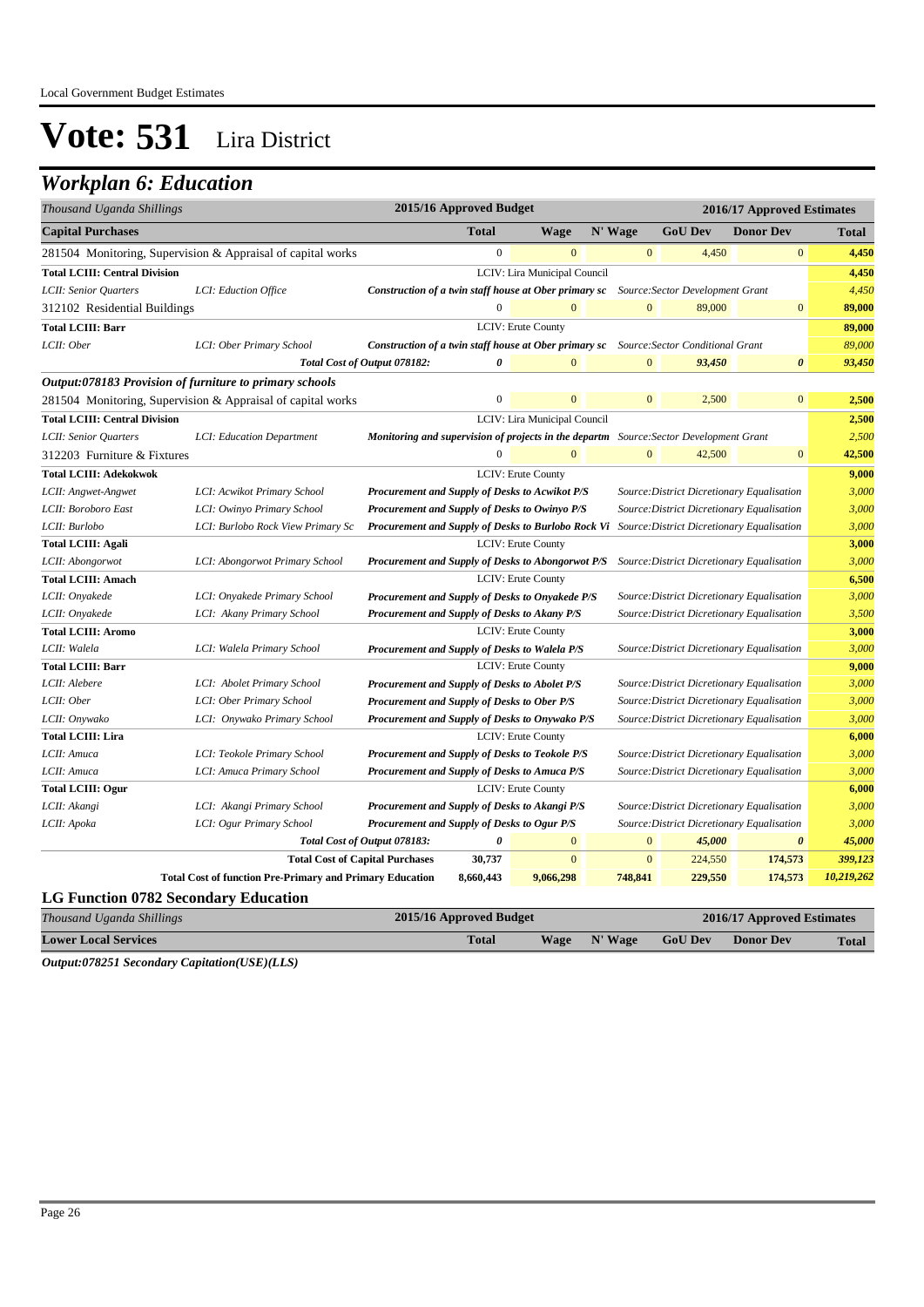### *Workplan 6: Education*

| Thousand Uganda Shillings            |                                                                 |                                                                                                     | 2015/16 Approved Budget |                              |              |                | 2016/17 Approved Estimates                 |              |
|--------------------------------------|-----------------------------------------------------------------|-----------------------------------------------------------------------------------------------------|-------------------------|------------------------------|--------------|----------------|--------------------------------------------|--------------|
| <b>Capital Purchases</b>             |                                                                 |                                                                                                     | <b>Total</b>            | <b>Wage</b>                  | N' Wage      | <b>GoU Dev</b> | <b>Donor Dev</b>                           | <b>Total</b> |
|                                      | 281504 Monitoring, Supervision & Appraisal of capital works     |                                                                                                     | $\mathbf{0}$            | $\mathbf{0}$                 | $\mathbf{0}$ | 4,450          | $\mathbf{0}$                               | 4,450        |
| <b>Total LCIII: Central Division</b> |                                                                 |                                                                                                     |                         | LCIV: Lira Municipal Council |              |                |                                            | 4,450        |
| LCII: Senior Quarters                | LCI: Eduction Office                                            | <b>Construction of a twin staff house at Ober primary sc</b> Source: Sector Development Grant       |                         |                              |              |                |                                            | 4,450        |
| 312102 Residential Buildings         |                                                                 |                                                                                                     | $\boldsymbol{0}$        | $\overline{0}$               | $\mathbf{0}$ | 89,000         | $\boldsymbol{0}$                           | 89,000       |
| <b>Total LCIII: Barr</b>             |                                                                 |                                                                                                     |                         | LCIV: Erute County           |              |                |                                            | 89,000       |
| LCII: Ober                           | LCI: Ober Primary School                                        | <b>Construction of a twin staff house at Ober primary sc</b> Source: Sector Conditional Grant       |                         |                              |              |                |                                            | 89,000       |
|                                      |                                                                 | Total Cost of Output 078182:                                                                        | 0                       | $\mathbf{0}$                 | $\mathbf{0}$ | 93,450         | $\boldsymbol{\theta}$                      | 93,450       |
|                                      | <i>Output:078183 Provision of furniture to primary schools</i>  |                                                                                                     |                         |                              |              |                |                                            |              |
|                                      | 281504 Monitoring, Supervision & Appraisal of capital works     |                                                                                                     | $\mathbf{0}$            | $\Omega$                     | $\Omega$     | 2,500          | $\mathbf{0}$                               | 2,500        |
| <b>Total LCIII: Central Division</b> |                                                                 |                                                                                                     |                         | LCIV: Lira Municipal Council |              |                |                                            | 2,500        |
| LCII: Senior Quarters                | LCI: Education Department                                       | <b>Monitoring and supervision of projects in the departm</b> Source: Sector Development Grant       |                         |                              |              |                |                                            | 2,500        |
| 312203 Furniture & Fixtures          |                                                                 |                                                                                                     | $\overline{0}$          | $\mathbf{0}$                 | $\mathbf{0}$ | 42,500         | $\boldsymbol{0}$                           | 42,500       |
| <b>Total LCIII: Adekokwok</b>        |                                                                 |                                                                                                     |                         | LCIV: Erute County           |              |                |                                            | 9,000        |
| LCII: Angwet-Angwet                  | LCI: Acwikot Primary School                                     | Procurement and Supply of Desks to Acwikot P/S                                                      |                         |                              |              |                | Source: District Dicretionary Equalisation | 3,000        |
| LCII: Boroboro East                  | LCI: Owinyo Primary School                                      | Procurement and Supply of Desks to Owinyo P/S                                                       |                         |                              |              |                | Source: District Dicretionary Equalisation | 3,000        |
| LCII: Burlobo                        | LCI: Burlobo Rock View Primary Sc                               | Procurement and Supply of Desks to Burlobo Rock Vi Source: District Dicretionary Equalisation       |                         |                              |              |                |                                            | 3,000        |
| <b>Total LCIII: Agali</b>            |                                                                 |                                                                                                     |                         | LCIV: Erute County           |              |                |                                            | 3,000        |
| LCII: Abongorwot                     | LCI: Abongorwot Primary School                                  | <b>Procurement and Supply of Desks to Abongorwot P/S</b> Source: District Dicretionary Equalisation |                         |                              |              |                |                                            | 3,000        |
| <b>Total LCIII: Amach</b>            |                                                                 |                                                                                                     |                         | <b>LCIV: Erute County</b>    |              |                |                                            | 6,500        |
| LCII: Onyakede                       | LCI: Onyakede Primary School                                    | Procurement and Supply of Desks to Onyakede P/S                                                     |                         |                              |              |                | Source: District Dicretionary Equalisation | 3,000        |
| LCII: Onyakede                       | LCI: Akany Primary School                                       | Procurement and Supply of Desks to Akany P/S                                                        |                         |                              |              |                | Source: District Dicretionary Equalisation | 3,500        |
| <b>Total LCIII: Aromo</b>            |                                                                 |                                                                                                     |                         | LCIV: Erute County           |              |                |                                            | 3,000        |
| LCII: Walela                         | LCI: Walela Primary School                                      | Procurement and Supply of Desks to Walela P/S                                                       |                         |                              |              |                | Source: District Dicretionary Equalisation | 3,000        |
| <b>Total LCIII: Barr</b>             |                                                                 |                                                                                                     |                         | LCIV: Erute County           |              |                |                                            | 9,000        |
| LCII: Alebere                        | LCI: Abolet Primary School                                      | <b>Procurement and Supply of Desks to Abolet P/S</b>                                                |                         |                              |              |                | Source: District Dicretionary Equalisation | 3,000        |
| LCII: Ober                           | LCI: Ober Primary School                                        | <b>Procurement and Supply of Desks to Ober P/S</b>                                                  |                         |                              |              |                | Source: District Dicretionary Equalisation | 3,000        |
| LCII: Onywako                        | LCI: Onywako Primary School                                     | Procurement and Supply of Desks to Onywako P/S                                                      |                         |                              |              |                | Source: District Dicretionary Equalisation | 3,000        |
| <b>Total LCIII: Lira</b>             |                                                                 |                                                                                                     |                         | LCIV: Erute County           |              |                |                                            | 6,000        |
| LCII: Amuca                          | LCI: Teokole Primary School                                     | Procurement and Supply of Desks to Teokole P/S                                                      |                         |                              |              |                | Source: District Dicretionary Equalisation | 3,000        |
| LCII: Amuca                          | LCI: Amuca Primary School                                       | <b>Procurement and Supply of Desks to Amuca P/S</b>                                                 |                         |                              |              |                | Source: District Dicretionary Equalisation | 3,000        |
| <b>Total LCIII: Ogur</b>             |                                                                 |                                                                                                     |                         | LCIV: Erute County           |              |                |                                            | 6,000        |
| LCII: Akangi                         | LCI: Akangi Primary School                                      | Procurement and Supply of Desks to Akangi P/S                                                       |                         |                              |              |                | Source: District Dicretionary Equalisation | 3,000        |
| LCII: Apoka                          | LCI: Ogur Primary School                                        | Procurement and Supply of Desks to Ogur P/S                                                         |                         |                              |              |                | Source: District Dicretionary Equalisation | 3,000        |
|                                      |                                                                 | Total Cost of Output 078183:                                                                        | $\boldsymbol{\theta}$   | $\mathbf{0}$                 | $\mathbf{0}$ | 45,000         | $\boldsymbol{\theta}$                      | 45,000       |
|                                      |                                                                 | <b>Total Cost of Capital Purchases</b>                                                              | 30,737                  | $\mathbf{0}$                 | $\mathbf{0}$ | 224,550        | 174,573                                    | 399,123      |
|                                      | <b>Total Cost of function Pre-Primary and Primary Education</b> |                                                                                                     | 8,660,443               | 9,066,298                    | 748,841      | 229,550        | 174,573                                    | 10,219,262   |
| LC Function 0782 Secondory Education |                                                                 |                                                                                                     |                         |                              |              |                |                                            |              |

#### **LG Function 0782 Secondary Education**

| Thousand Uganda Shillings                                                | 2015/16 Approved Budget |      | 2016/17 Approved Estimates |                |                  |              |
|--------------------------------------------------------------------------|-------------------------|------|----------------------------|----------------|------------------|--------------|
| <b>Lower Local Services</b>                                              | <b>Total</b>            | Wage | N' Wage                    | <b>GoU Dev</b> | <b>Donor Dev</b> | <b>Total</b> |
| $Q_{\text{in}}(1)$ $(0.70751 \text{ S}_{\text{e}})$ $(0.0014 \text{ m})$ |                         |      |                            |                |                  |              |

*Output:078251 Secondary Capitation(USE)(LLS)*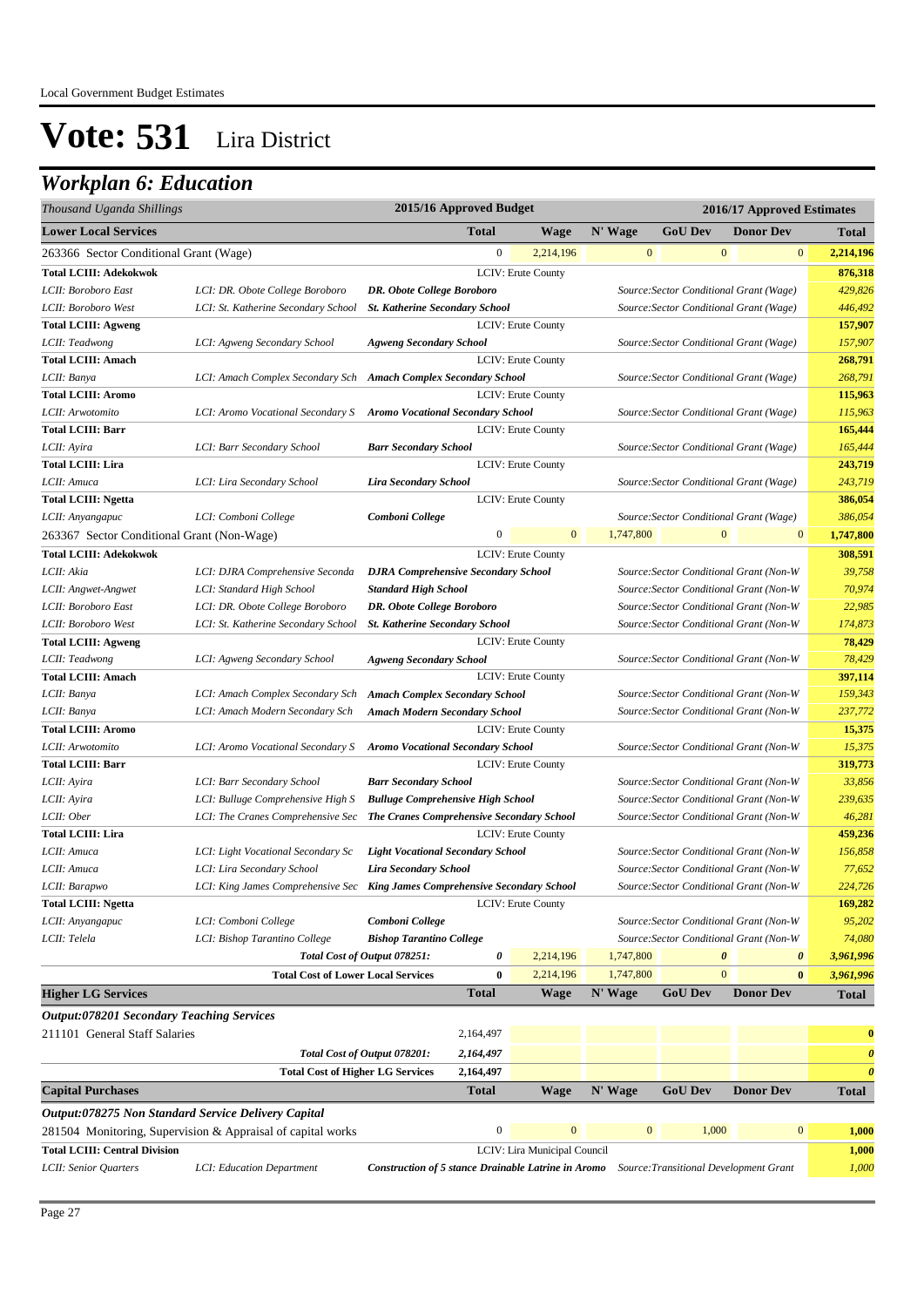| Thousand Uganda Shillings                           |                                                                             |                                                                                                   | 2015/16 Approved Budget |                              |                  |                | 2016/17 Approved Estimates                     |                       |
|-----------------------------------------------------|-----------------------------------------------------------------------------|---------------------------------------------------------------------------------------------------|-------------------------|------------------------------|------------------|----------------|------------------------------------------------|-----------------------|
| <b>Lower Local Services</b>                         |                                                                             |                                                                                                   | <b>Total</b>            | <b>Wage</b>                  | N' Wage          | <b>GoU Dev</b> | <b>Donor Dev</b>                               | <b>Total</b>          |
| 263366 Sector Conditional Grant (Wage)              |                                                                             |                                                                                                   | $\boldsymbol{0}$        | 2,214,196                    | $\boldsymbol{0}$ |                | $\mathbf{0}$<br>$\bf{0}$                       | 2,214,196             |
| <b>Total LCIII: Adekokwok</b>                       |                                                                             |                                                                                                   |                         | <b>LCIV: Erute County</b>    |                  |                |                                                | 876,318               |
| LCII: Boroboro East                                 | LCI: DR. Obote College Boroboro                                             | <b>DR.</b> Obote College Boroboro                                                                 |                         |                              |                  |                | Source: Sector Conditional Grant (Wage)        | 429,826               |
| LCII: Boroboro West                                 | LCI: St. Katherine Secondary School                                         | <b>St. Katherine Secondary School</b>                                                             |                         |                              |                  |                | Source: Sector Conditional Grant (Wage)        | 446,492               |
| <b>Total LCIII: Agweng</b>                          |                                                                             |                                                                                                   |                         | LCIV: Erute County           |                  |                |                                                | 157,907               |
| LCII: Teadwong                                      | LCI: Agweng Secondary School                                                | <b>Agweng Secondary School</b>                                                                    |                         |                              |                  |                | Source: Sector Conditional Grant (Wage)        | 157,907               |
| <b>Total LCIII: Amach</b>                           |                                                                             |                                                                                                   |                         | <b>LCIV: Erute County</b>    |                  |                |                                                | 268,791               |
| LCII: Banya                                         | LCI: Amach Complex Secondary Sch Amach Complex Secondary School             |                                                                                                   |                         |                              |                  |                | Source: Sector Conditional Grant (Wage)        | 268,791               |
| <b>Total LCIII: Aromo</b>                           |                                                                             |                                                                                                   |                         | <b>LCIV: Erute County</b>    |                  |                |                                                | 115,963               |
| LCII: Arwotomito                                    | LCI: Aromo Vocational Secondary S Aromo Vocational Secondary School         |                                                                                                   |                         |                              |                  |                | Source: Sector Conditional Grant (Wage)        | 115,963               |
| <b>Total LCIII: Barr</b>                            |                                                                             |                                                                                                   |                         | <b>LCIV: Erute County</b>    |                  |                |                                                | 165,444               |
| LCII: Ayira                                         | LCI: Barr Secondary School                                                  | <b>Barr Secondary School</b>                                                                      |                         |                              |                  |                | Source: Sector Conditional Grant (Wage)        | 165,444               |
| <b>Total LCIII: Lira</b>                            |                                                                             |                                                                                                   |                         | LCIV: Erute County           |                  |                |                                                | 243,719               |
| LCII: Amuca                                         | LCI: Lira Secondary School                                                  | <b>Lira Secondary School</b>                                                                      |                         |                              |                  |                | Source: Sector Conditional Grant (Wage)        | 243,719               |
| <b>Total LCIII: Ngetta</b>                          |                                                                             |                                                                                                   |                         | LCIV: Erute County           |                  |                |                                                | 386,054               |
| LCII: Anyangapuc                                    | LCI: Comboni College                                                        | Comboni College                                                                                   |                         |                              |                  |                | Source: Sector Conditional Grant (Wage)        | 386,054               |
| 263367 Sector Conditional Grant (Non-Wage)          |                                                                             |                                                                                                   | $\boldsymbol{0}$        | $\overline{0}$               | 1,747,800        |                | $\boldsymbol{0}$<br>$\mathbf{0}$               | 1,747,800             |
| <b>Total LCIII: Adekokwok</b>                       |                                                                             |                                                                                                   |                         | LCIV: Erute County           |                  |                |                                                | 308,591               |
| LCII: Akia                                          | LCI: DJRA Comprehensive Seconda                                             | <b>DJRA</b> Comprehensive Secondary School                                                        |                         |                              |                  |                | Source: Sector Conditional Grant (Non-W        | 39,758                |
| LCII: Angwet-Angwet                                 | LCI: Standard High School                                                   | <b>Standard High School</b>                                                                       |                         |                              |                  |                | Source: Sector Conditional Grant (Non-W        | 70,974                |
| LCII: Boroboro East                                 | LCI: DR. Obote College Boroboro                                             | DR. Obote College Boroboro                                                                        |                         |                              |                  |                | Source: Sector Conditional Grant (Non-W        | 22,985                |
| LCII: Boroboro West                                 | LCI: St. Katherine Secondary School                                         | <b>St. Katherine Secondary School</b>                                                             |                         |                              |                  |                | Source: Sector Conditional Grant (Non-W        | 174,873               |
| <b>Total LCIII: Agweng</b>                          |                                                                             |                                                                                                   |                         | LCIV: Erute County           |                  |                |                                                | 78,429                |
| LCII: Teadwong                                      | LCI: Agweng Secondary School                                                | <b>Agweng Secondary School</b>                                                                    |                         |                              |                  |                | Source: Sector Conditional Grant (Non-W        | 78,429                |
| <b>Total LCIII: Amach</b>                           |                                                                             |                                                                                                   |                         | <b>LCIV: Erute County</b>    |                  |                |                                                | 397,114               |
| LCII: Banya                                         | LCI: Amach Complex Secondary Sch                                            | <b>Amach Complex Secondary School</b>                                                             |                         |                              |                  |                | Source: Sector Conditional Grant (Non-W        | 159,343               |
| LCII: Banya                                         | LCI: Amach Modern Secondary Sch                                             | <b>Amach Modern Secondary School</b>                                                              |                         |                              |                  |                | Source: Sector Conditional Grant (Non-W        | 237,772               |
| <b>Total LCIII: Aromo</b>                           |                                                                             |                                                                                                   |                         | LCIV: Erute County           |                  |                |                                                | 15,375                |
| LCII: Arwotomito                                    | LCI: Aromo Vocational Secondary S                                           | <b>Aromo Vocational Secondary School</b>                                                          |                         |                              |                  |                | Source: Sector Conditional Grant (Non-W        | 15,375                |
| <b>Total LCIII: Barr</b>                            |                                                                             |                                                                                                   |                         | <b>LCIV: Erute County</b>    |                  |                |                                                | 319,773               |
| LCII: Ayira                                         | LCI: Barr Secondary School                                                  | <b>Barr Secondary School</b>                                                                      |                         |                              |                  |                | Source: Sector Conditional Grant (Non-W        | 33,856                |
| LCII: Ayira                                         | LCI: Bulluge Comprehensive High S                                           | <b>Bulluge Comprehensive High School</b>                                                          |                         |                              |                  |                | Source: Sector Conditional Grant (Non-W        | 239,635               |
| LCII: Ober                                          | LCI: The Cranes Comprehensive Sec                                           | The Cranes Comprehensive Secondary School                                                         |                         |                              |                  |                | Source: Sector Conditional Grant (Non-W        | 46,281                |
| <b>Total LCIII: Lira</b>                            |                                                                             |                                                                                                   |                         | <b>LCIV: Erute County</b>    |                  |                |                                                | 459,236               |
| LCII: Amuca                                         | LCI: Light Vocational Secondary Sc                                          | <b>Light Vocational Secondary School</b>                                                          |                         |                              |                  |                | Source: Sector Conditional Grant (Non-W        | 156,858               |
| LCII: Amuca                                         | LCI: Lira Secondary School                                                  | <b>Lira Secondary School</b>                                                                      |                         |                              |                  |                | Source: Sector Conditional Grant (Non-W        | 77,652                |
| LCII: Barapwo                                       | LCI: King James Comprehensive Sec King James Comprehensive Secondary School |                                                                                                   |                         |                              |                  |                | Source: Sector Conditional Grant (Non-W        | 224,726               |
| <b>Total LCIII: Ngetta</b>                          |                                                                             |                                                                                                   |                         | LCIV: Erute County           |                  |                |                                                | 169,282               |
| LCII: Anyangapuc                                    | LCI: Comboni College                                                        | Comboni College                                                                                   |                         |                              |                  |                | Source: Sector Conditional Grant (Non-W        | 95,202                |
| LCII: Telela                                        | LCI: Bishop Tarantino College                                               | <b>Bishop Tarantino College</b>                                                                   |                         |                              |                  |                | Source: Sector Conditional Grant (Non-W        | 74,080                |
|                                                     |                                                                             | Total Cost of Output 078251:                                                                      | 0                       | 2,214,196                    | 1,747,800        |                | $\boldsymbol{\theta}$<br>$\boldsymbol{\theta}$ | 3,961,996             |
|                                                     | <b>Total Cost of Lower Local Services</b>                                   |                                                                                                   | $\bf{0}$                | 2,214,196                    | 1,747,800        |                | $\mathbf{0}$<br>$\bf{0}$                       | 3,961,996             |
| <b>Higher LG Services</b>                           |                                                                             |                                                                                                   | <b>Total</b>            | <b>Wage</b>                  | N' Wage          | <b>GoU Dev</b> | <b>Donor Dev</b>                               | <b>Total</b>          |
| <b>Output:078201 Secondary Teaching Services</b>    |                                                                             |                                                                                                   |                         |                              |                  |                |                                                |                       |
| 211101 General Staff Salaries                       |                                                                             |                                                                                                   | 2,164,497               |                              |                  |                |                                                | $\bf{0}$              |
|                                                     |                                                                             | Total Cost of Output 078201:                                                                      | 2,164,497               |                              |                  |                |                                                | $\boldsymbol{\theta}$ |
|                                                     | <b>Total Cost of Higher LG Services</b>                                     |                                                                                                   | 2,164,497               |                              |                  |                |                                                | $\boldsymbol{\theta}$ |
| <b>Capital Purchases</b>                            |                                                                             |                                                                                                   | <b>Total</b>            | <b>Wage</b>                  | N' Wage          | <b>GoU Dev</b> | <b>Donor Dev</b>                               | <b>Total</b>          |
| Output:078275 Non Standard Service Delivery Capital |                                                                             |                                                                                                   |                         |                              |                  |                |                                                |                       |
|                                                     |                                                                             |                                                                                                   | $\boldsymbol{0}$        | $\mathbf{0}$                 | $\boldsymbol{0}$ | 1,000          | $\bf{0}$                                       | 1,000                 |
|                                                     | 281504 Monitoring, Supervision & Appraisal of capital works                 |                                                                                                   |                         |                              |                  |                |                                                |                       |
| <b>Total LCIII: Central Division</b>                |                                                                             |                                                                                                   |                         | LCIV: Lira Municipal Council |                  |                |                                                | 1,000                 |
| LCII: Senior Quarters                               | LCI: Education Department                                                   | <b>Construction of 5 stance Drainable Latrine in Aromo</b> Source: Transitional Development Grant |                         |                              |                  |                |                                                | 1,000                 |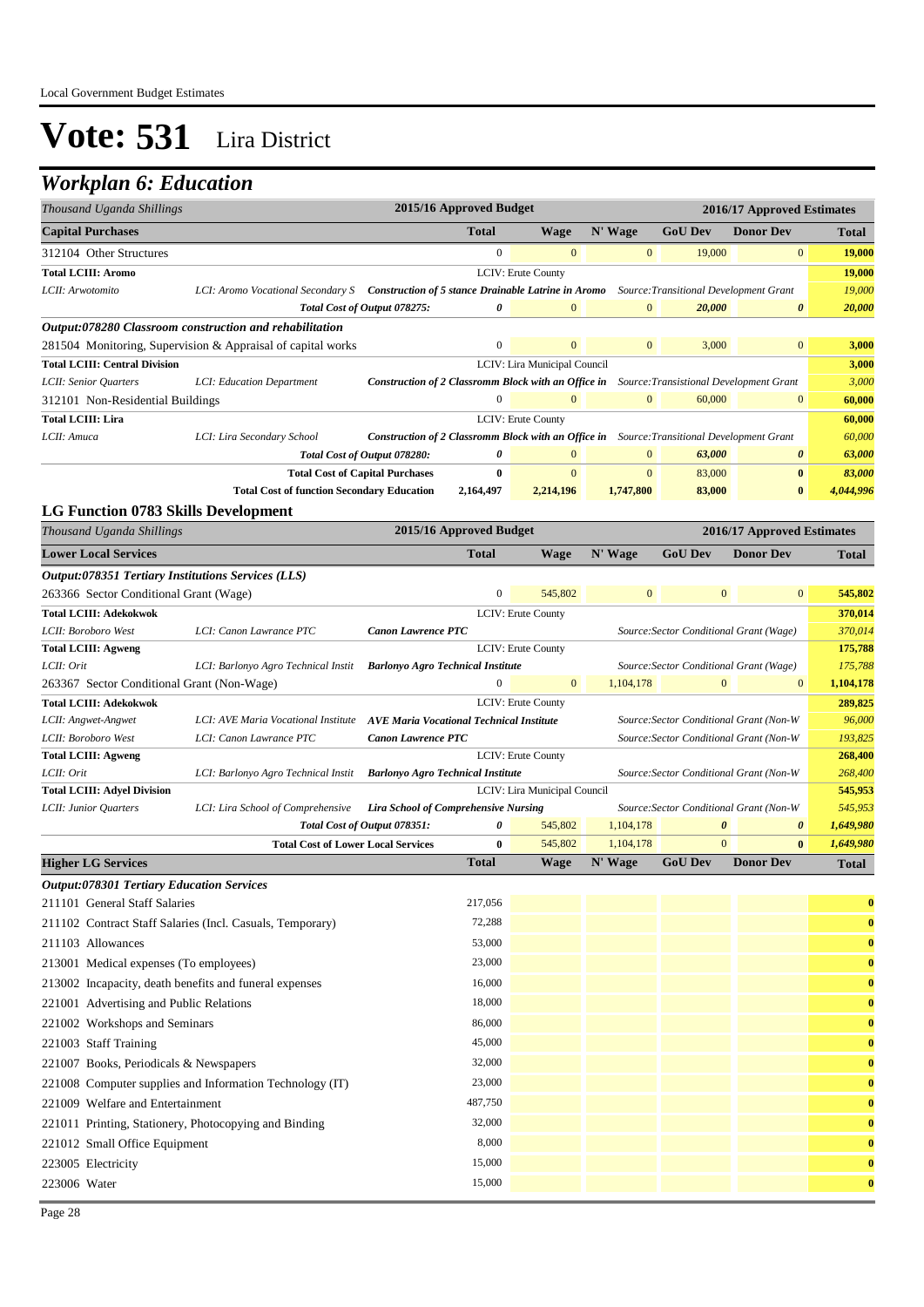| Thousand Uganda Shillings                                                                |                                                                                                                              |                                                                                                   | 2015/16 Approved Budget |                              |              |                                         | 2016/17 Approved Estimates |                    |
|------------------------------------------------------------------------------------------|------------------------------------------------------------------------------------------------------------------------------|---------------------------------------------------------------------------------------------------|-------------------------|------------------------------|--------------|-----------------------------------------|----------------------------|--------------------|
| <b>Capital Purchases</b>                                                                 |                                                                                                                              |                                                                                                   | Total                   | Wage                         | N' Wage      | <b>GoU Dev</b>                          | <b>Donor Dev</b>           | <b>Total</b>       |
| 312104 Other Structures                                                                  |                                                                                                                              |                                                                                                   | $\overline{0}$          | $\mathbf{0}$                 | $\mathbf{0}$ | 19,000                                  | $\mathbf{0}$               | 19,000             |
| <b>Total LCIII: Aromo</b>                                                                |                                                                                                                              |                                                                                                   |                         | LCIV: Erute County           |              |                                         |                            | 19,000             |
| LCII: Arwotomito                                                                         | LCI: Aromo Vocational Secondary S Construction of 5 stance Drainable Latrine in Aromo Source: Transitional Development Grant |                                                                                                   |                         |                              |              |                                         |                            | 19,000             |
|                                                                                          |                                                                                                                              | Total Cost of Output 078275:                                                                      | 0                       | $\mathbf{0}$                 | $\mathbf{0}$ | 20,000                                  | 0                          | 20,000             |
|                                                                                          | Output:078280 Classroom construction and rehabilitation                                                                      |                                                                                                   |                         |                              |              |                                         |                            |                    |
|                                                                                          | 281504 Monitoring, Supervision & Appraisal of capital works                                                                  |                                                                                                   | $\boldsymbol{0}$        | $\mathbf{0}$                 | $\mathbf{0}$ | 3,000                                   | $\mathbf{0}$               | 3,000              |
| <b>Total LCIII: Central Division</b>                                                     |                                                                                                                              |                                                                                                   |                         | LCIV: Lira Municipal Council |              |                                         |                            | 3,000              |
| LCII: Senior Quarters                                                                    | LCI: Education Department                                                                                                    | Construction of 2 Classromm Block with an Office in Source: Transistional Development Grant       |                         |                              |              |                                         |                            | 3,000              |
| 312101 Non-Residential Buildings                                                         |                                                                                                                              |                                                                                                   | $\boldsymbol{0}$        | $\Omega$                     | $\mathbf{0}$ | 60,000                                  | $\boldsymbol{0}$           | 60,000             |
| <b>Total LCIII: Lira</b>                                                                 |                                                                                                                              |                                                                                                   |                         | LCIV: Erute County           |              |                                         |                            | 60,000             |
| LCII: Amuca                                                                              | LCI: Lira Secondary School                                                                                                   | <b>Construction of 2 Classromm Block with an Office in</b> Source: Transitional Development Grant |                         |                              |              |                                         |                            | 60,000             |
|                                                                                          |                                                                                                                              | Total Cost of Output 078280:                                                                      | 0                       | $\mathbf{0}$                 | $\mathbf{0}$ | 63,000                                  | $\boldsymbol{\theta}$      | 63,000             |
|                                                                                          |                                                                                                                              | <b>Total Cost of Capital Purchases</b>                                                            | $\bf{0}$                | $\mathbf{0}$                 | $\mathbf{0}$ | 83,000                                  | $\bf{0}$                   | 83,000             |
|                                                                                          | <b>Total Cost of function Secondary Education</b>                                                                            |                                                                                                   | 2,164,497               | 2,214,196                    | 1,747,800    | 83,000                                  | $\bf{0}$                   | 4,044,996          |
| <b>LG Function 0783 Skills Development</b>                                               |                                                                                                                              |                                                                                                   |                         |                              |              |                                         |                            |                    |
| Thousand Uganda Shillings                                                                |                                                                                                                              |                                                                                                   | 2015/16 Approved Budget |                              |              |                                         | 2016/17 Approved Estimates |                    |
| <b>Lower Local Services</b>                                                              |                                                                                                                              |                                                                                                   | <b>Total</b>            | <b>Wage</b>                  | N' Wage      | <b>GoU</b> Dev                          | <b>Donor Dev</b>           | <b>Total</b>       |
| Output:078351 Tertiary Institutions Services (LLS)                                       |                                                                                                                              |                                                                                                   |                         |                              |              |                                         |                            |                    |
| 263366 Sector Conditional Grant (Wage)                                                   |                                                                                                                              |                                                                                                   | $\mathbf{0}$            | 545,802                      | $\mathbf{0}$ | $\mathbf{0}$                            | $\mathbf{0}$               | 545,802            |
| <b>Total LCIII: Adekokwok</b>                                                            |                                                                                                                              |                                                                                                   |                         | <b>LCIV: Erute County</b>    |              |                                         |                            | 370,014            |
| LCII: Boroboro West                                                                      | LCI: Canon Lawrance PTC                                                                                                      | <b>Canon Lawrence PTC</b>                                                                         |                         |                              |              | Source: Sector Conditional Grant (Wage) |                            | 370,014            |
| <b>Total LCIII: Agweng</b>                                                               |                                                                                                                              |                                                                                                   |                         | LCIV: Erute County           |              |                                         |                            | 175,788            |
| LCII: Orit                                                                               | LCI: Barlonyo Agro Technical Instit                                                                                          | <b>Barlonyo Agro Technical Institute</b>                                                          |                         |                              |              | Source: Sector Conditional Grant (Wage) |                            | 175,788            |
| 263367 Sector Conditional Grant (Non-Wage)                                               |                                                                                                                              |                                                                                                   | $\overline{0}$          | $\mathbf{0}$                 | 1,104,178    | $\mathbf{0}$                            | $\mathbf{0}$               | 1,104,178          |
| <b>Total LCIII: Adekokwok</b>                                                            |                                                                                                                              |                                                                                                   |                         | LCIV: Erute County           |              |                                         |                            | 289,825            |
| LCII: Angwet-Angwet                                                                      | LCI: AVE Maria Vocational Institute AVE Maria Vocational Technical Institute                                                 |                                                                                                   |                         |                              |              | Source: Sector Conditional Grant (Non-W |                            | 96,000             |
| LCII: Boroboro West                                                                      | LCI: Canon Lawrance PTC                                                                                                      | <b>Canon Lawrence PTC</b>                                                                         |                         |                              |              | Source: Sector Conditional Grant (Non-W |                            | 193,825            |
| <b>Total LCIII: Agweng</b>                                                               |                                                                                                                              |                                                                                                   |                         | LCIV: Erute County           |              |                                         |                            | 268,400            |
| LCII: Orit                                                                               | LCI: Barlonyo Agro Technical Instit                                                                                          | <b>Barlonyo Agro Technical Institute</b>                                                          |                         |                              |              | Source: Sector Conditional Grant (Non-W |                            | 268,400            |
| <b>Total LCIII: Adyel Division</b><br>LCII: Junior Quarters                              | LCI: Lira School of Comprehensive                                                                                            | <b>Lira School of Comprehensive Nursing</b>                                                       |                         | LCIV: Lira Municipal Council |              | Source: Sector Conditional Grant (Non-W |                            | 545,953<br>545,953 |
|                                                                                          |                                                                                                                              | Total Cost of Output 078351:                                                                      | 0                       | 545,802                      | 1,104,178    | 0                                       | 0                          | 1,649,980          |
|                                                                                          | <b>Total Cost of Lower Local Services</b>                                                                                    |                                                                                                   | $\bf{0}$                | 545,802                      | 1,104,178    | $\mathbf{0}$                            | $\bf{0}$                   | 1,649,980          |
| <b>Higher LG Services</b>                                                                |                                                                                                                              |                                                                                                   | <b>Total</b>            | <b>Wage</b>                  | N' Wage      | <b>GoU Dev</b>                          | <b>Donor Dev</b>           | <b>Total</b>       |
|                                                                                          |                                                                                                                              |                                                                                                   |                         |                              |              |                                         |                            |                    |
| <i><b>Output:078301 Tertiary Education Services</b></i><br>211101 General Staff Salaries |                                                                                                                              |                                                                                                   | 217,056                 |                              |              |                                         |                            | $\bf{0}$           |
|                                                                                          | 211102 Contract Staff Salaries (Incl. Casuals, Temporary)                                                                    |                                                                                                   | 72,288                  |                              |              |                                         |                            | $\bf{0}$           |
|                                                                                          |                                                                                                                              |                                                                                                   | 53,000                  |                              |              |                                         |                            |                    |
| 211103 Allowances                                                                        |                                                                                                                              |                                                                                                   |                         |                              |              |                                         |                            | $\bf{0}$           |
| 213001 Medical expenses (To employees)                                                   |                                                                                                                              |                                                                                                   | 23,000                  |                              |              |                                         |                            | $\bf{0}$           |
| 213002 Incapacity, death benefits and funeral expenses                                   |                                                                                                                              |                                                                                                   | 16,000                  |                              |              |                                         |                            | $\bf{0}$           |
| 221001 Advertising and Public Relations                                                  |                                                                                                                              |                                                                                                   | 18,000                  |                              |              |                                         |                            | $\bf{0}$           |
| 221002 Workshops and Seminars                                                            |                                                                                                                              |                                                                                                   | 86,000                  |                              |              |                                         |                            | $\bf{0}$           |
| 221003 Staff Training                                                                    |                                                                                                                              |                                                                                                   | 45,000                  |                              |              |                                         |                            | $\bf{0}$           |
| 221007 Books, Periodicals & Newspapers                                                   |                                                                                                                              |                                                                                                   | 32,000                  |                              |              |                                         |                            | $\bf{0}$           |
|                                                                                          | 221008 Computer supplies and Information Technology (IT)                                                                     |                                                                                                   | 23,000                  |                              |              |                                         |                            | $\bf{0}$           |
| 221009 Welfare and Entertainment                                                         |                                                                                                                              |                                                                                                   | 487,750                 |                              |              |                                         |                            | $\bf{0}$           |
| 221011 Printing, Stationery, Photocopying and Binding                                    |                                                                                                                              |                                                                                                   | 32,000                  |                              |              |                                         |                            | $\bf{0}$           |
| 221012 Small Office Equipment                                                            |                                                                                                                              |                                                                                                   | 8,000                   |                              |              |                                         |                            | $\bf{0}$           |
| 223005 Electricity                                                                       |                                                                                                                              |                                                                                                   | 15,000                  |                              |              |                                         |                            | $\bf{0}$           |
| 223006 Water                                                                             |                                                                                                                              |                                                                                                   | 15,000                  |                              |              |                                         |                            | $\bf{0}$           |
|                                                                                          |                                                                                                                              |                                                                                                   |                         |                              |              |                                         |                            |                    |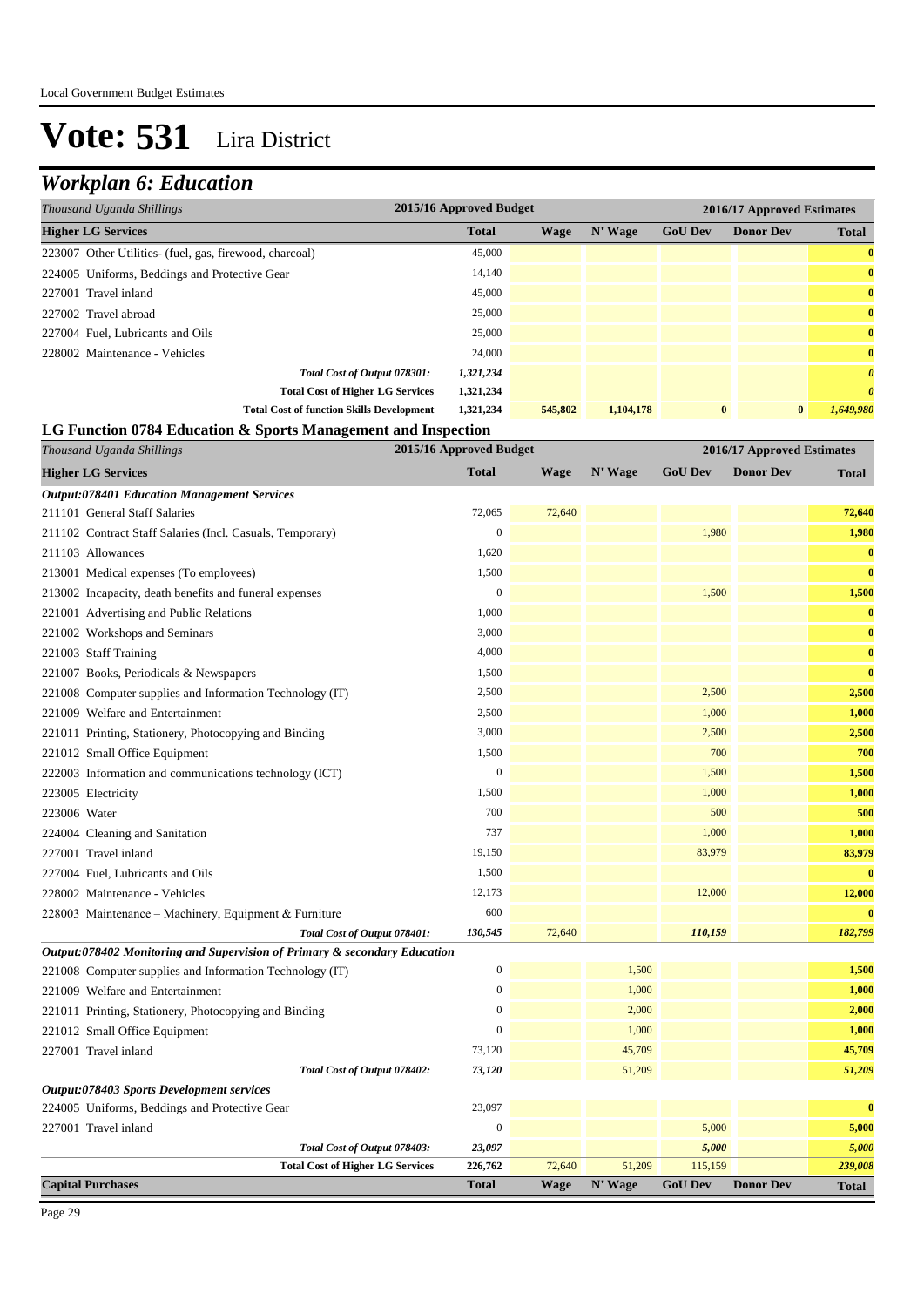### *Workplan 6: Education*

| Thousand Uganda Shillings                               | 2015/16 Approved Budget |         |           |                |                  | 2016/17 Approved Estimates |  |  |  |
|---------------------------------------------------------|-------------------------|---------|-----------|----------------|------------------|----------------------------|--|--|--|
| <b>Higher LG Services</b>                               | <b>Total</b>            | Wage    | N' Wage   | <b>GoU Dev</b> | <b>Donor Dev</b> | <b>Total</b>               |  |  |  |
| 223007 Other Utilities- (fuel, gas, firewood, charcoal) | 45,000                  |         |           |                |                  | $\bf{0}$                   |  |  |  |
| 224005 Uniforms, Beddings and Protective Gear           | 14,140                  |         |           |                |                  | $\bf{0}$                   |  |  |  |
| 227001 Travel inland                                    | 45,000                  |         |           |                |                  | $\bf{0}$                   |  |  |  |
| 227002 Travel abroad                                    | 25,000                  |         |           |                |                  | $\bf{0}$                   |  |  |  |
| 227004 Fuel, Lubricants and Oils                        | 25,000                  |         |           |                |                  | $\bf{0}$                   |  |  |  |
| 228002 Maintenance - Vehicles                           | 24,000                  |         |           |                |                  | $\bf{0}$                   |  |  |  |
| Total Cost of Output 078301:                            | 1,321,234               |         |           |                |                  | $\boldsymbol{\theta}$      |  |  |  |
| <b>Total Cost of Higher LG Services</b>                 | 1,321,234               |         |           |                |                  | $\boldsymbol{\theta}$      |  |  |  |
| <b>Total Cost of function Skills Development</b>        | 1,321,234               | 545,802 | 1,104,178 | $\bf{0}$       | $\bf{0}$         | 1.649.980                  |  |  |  |

#### **LG Function 0784 Education & Sports Management and Inspection**

| Thousand Uganda Shillings                                                 | 2015/16 Approved Budget |             |         |                | 2016/17 Approved Estimates |              |  |
|---------------------------------------------------------------------------|-------------------------|-------------|---------|----------------|----------------------------|--------------|--|
| <b>Higher LG Services</b>                                                 | <b>Total</b>            | <b>Wage</b> | N' Wage | <b>GoU Dev</b> | <b>Donor Dev</b>           | <b>Total</b> |  |
| <b>Output:078401 Education Management Services</b>                        |                         |             |         |                |                            |              |  |
| 211101 General Staff Salaries                                             | 72,065                  | 72,640      |         |                |                            | 72,640       |  |
| 211102 Contract Staff Salaries (Incl. Casuals, Temporary)                 | $\mathbf{0}$            |             |         | 1,980          |                            | 1,980        |  |
| 211103 Allowances                                                         | 1,620                   |             |         |                |                            | $\bf{0}$     |  |
| 213001 Medical expenses (To employees)                                    | 1,500                   |             |         |                |                            | $\bf{0}$     |  |
| 213002 Incapacity, death benefits and funeral expenses                    | $\boldsymbol{0}$        |             |         | 1,500          |                            | 1,500        |  |
| 221001 Advertising and Public Relations                                   | 1,000                   |             |         |                |                            | $\bf{0}$     |  |
| 221002 Workshops and Seminars                                             | 3,000                   |             |         |                |                            | $\bf{0}$     |  |
| 221003 Staff Training                                                     | 4,000                   |             |         |                |                            | $\bf{0}$     |  |
| 221007 Books, Periodicals & Newspapers                                    | 1,500                   |             |         |                |                            | $\bf{0}$     |  |
| 221008 Computer supplies and Information Technology (IT)                  | 2,500                   |             |         | 2,500          |                            | 2,500        |  |
| 221009 Welfare and Entertainment                                          | 2,500                   |             |         | 1,000          |                            | 1,000        |  |
| 221011 Printing, Stationery, Photocopying and Binding                     | 3,000                   |             |         | 2,500          |                            | 2,500        |  |
| 221012 Small Office Equipment                                             | 1,500                   |             |         | 700            |                            | 700          |  |
| 222003 Information and communications technology (ICT)                    | $\boldsymbol{0}$        |             |         | 1,500          |                            | 1,500        |  |
| 223005 Electricity                                                        | 1,500                   |             |         | 1,000          |                            | 1,000        |  |
| 223006 Water                                                              | 700                     |             |         | 500            |                            | 500          |  |
| 224004 Cleaning and Sanitation                                            | 737                     |             |         | 1,000          |                            | 1,000        |  |
| 227001 Travel inland                                                      | 19,150                  |             |         | 83,979         |                            | 83,979       |  |
| 227004 Fuel, Lubricants and Oils                                          | 1,500                   |             |         |                |                            | $\bf{0}$     |  |
| 228002 Maintenance - Vehicles                                             | 12,173                  |             |         | 12,000         |                            | 12,000       |  |
| 228003 Maintenance – Machinery, Equipment & Furniture                     | 600                     |             |         |                |                            | $\bf{0}$     |  |
| Total Cost of Output 078401:                                              | 130,545                 | 72,640      |         | 110,159        |                            | 182,799      |  |
| Output:078402 Monitoring and Supervision of Primary & secondary Education |                         |             |         |                |                            |              |  |
| 221008 Computer supplies and Information Technology (IT)                  | $\boldsymbol{0}$        |             | 1,500   |                |                            | 1,500        |  |
| 221009 Welfare and Entertainment                                          | $\mathbf{0}$            |             | 1,000   |                |                            | 1,000        |  |
| 221011 Printing, Stationery, Photocopying and Binding                     | $\overline{0}$          |             | 2,000   |                |                            | 2,000        |  |
| 221012 Small Office Equipment                                             | $\mathbf{0}$            |             | 1,000   |                |                            | 1,000        |  |
| 227001 Travel inland                                                      | 73,120                  |             | 45,709  |                |                            | 45,709       |  |
| Total Cost of Output 078402:                                              | 73,120                  |             | 51,209  |                |                            | 51,209       |  |
| <b>Output:078403 Sports Development services</b>                          |                         |             |         |                |                            |              |  |
| 224005 Uniforms, Beddings and Protective Gear                             | 23,097                  |             |         |                |                            | $\bf{0}$     |  |
| 227001 Travel inland                                                      | $\boldsymbol{0}$        |             |         | 5,000          |                            | 5,000        |  |
| Total Cost of Output 078403:                                              | 23,097                  |             |         | 5,000          |                            | 5,000        |  |
| <b>Total Cost of Higher LG Services</b>                                   | 226,762                 | 72,640      | 51,209  | 115,159        |                            | 239,008      |  |
| <b>Capital Purchases</b>                                                  | <b>Total</b>            | <b>Wage</b> | N' Wage | <b>GoU Dev</b> | <b>Donor Dev</b>           | <b>Total</b> |  |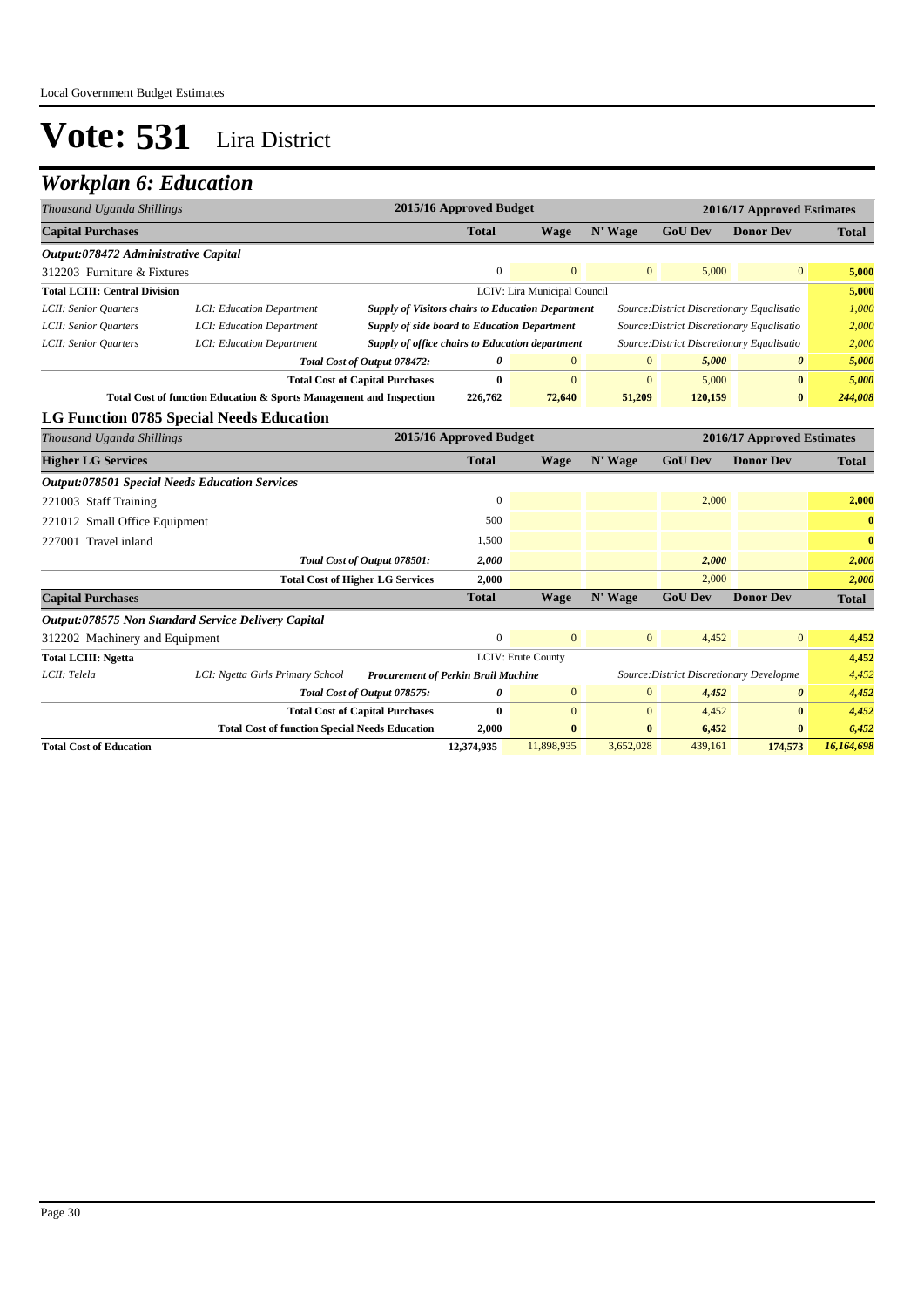| Thousand Uganda Shillings                             |                                                                     |                                                                                               | 2015/16 Approved Budget |                              |              |                                            | 2016/17 Approved Estimates |              |
|-------------------------------------------------------|---------------------------------------------------------------------|-----------------------------------------------------------------------------------------------|-------------------------|------------------------------|--------------|--------------------------------------------|----------------------------|--------------|
| <b>Capital Purchases</b>                              |                                                                     |                                                                                               | <b>Total</b>            | <b>Wage</b>                  | N' Wage      | <b>GoU Dev</b>                             | <b>Donor Dev</b>           | <b>Total</b> |
| Output:078472 Administrative Capital                  |                                                                     |                                                                                               |                         |                              |              |                                            |                            |              |
| 312203 Furniture & Fixtures                           |                                                                     |                                                                                               | $\Omega$                | $\mathbf{0}$                 | $\mathbf{0}$ | 5,000                                      | $\mathbf{0}$               | 5,000        |
| <b>Total LCIII: Central Division</b>                  |                                                                     |                                                                                               |                         | LCIV: Lira Municipal Council |              |                                            |                            | 5,000        |
| LCII: Senior Ouarters                                 | LCI: Education Department                                           | <b>Supply of Visitors chairs to Education Department</b>                                      |                         |                              |              | Source: District Discretionary Equalisatio |                            | 1,000        |
| LCII: Senior Quarters                                 | LCI: Education Department                                           | <b>Supply of side board to Education Department</b>                                           |                         |                              |              | Source: District Discretionary Equalisatio |                            | 2,000        |
| LCII: Senior Quarters                                 | LCI: Education Department                                           | Supply of office chairs to Education department<br>Source: District Discretionary Equalisatio |                         |                              |              |                                            |                            | 2,000        |
|                                                       |                                                                     | Total Cost of Output 078472:                                                                  | 0                       | $\mathbf{0}$                 | $\mathbf{0}$ | 5,000                                      | 0                          | 5,000        |
|                                                       |                                                                     | <b>Total Cost of Capital Purchases</b>                                                        | $\bf{0}$                | $\mathbf{0}$                 | $\mathbf{0}$ | 5,000                                      | $\bf{0}$                   | 5,000        |
|                                                       | Total Cost of function Education & Sports Management and Inspection |                                                                                               | 226,762                 | 72,640                       | 51,209       | 120,159                                    | $\bf{0}$                   | 244,008      |
|                                                       | LG Function 0785 Special Needs Education                            |                                                                                               |                         |                              |              |                                            |                            |              |
| Thousand Uganda Shillings                             |                                                                     |                                                                                               | 2015/16 Approved Budget |                              |              |                                            | 2016/17 Approved Estimates |              |
| <b>Higher LG Services</b>                             |                                                                     |                                                                                               | <b>Total</b>            | <b>Wage</b>                  | N' Wage      | <b>GoU Dev</b>                             | <b>Donor Dev</b>           | <b>Total</b> |
| <b>Output:078501 Special Needs Education Services</b> |                                                                     |                                                                                               |                         |                              |              |                                            |                            |              |
| 221003 Staff Training                                 |                                                                     |                                                                                               | $\overline{0}$          |                              |              | 2,000                                      |                            | 2,000        |
| 221012 Small Office Equipment                         |                                                                     |                                                                                               | 500                     |                              |              |                                            |                            | $\bf{0}$     |
| 227001 Travel inland                                  |                                                                     |                                                                                               | 1,500                   |                              |              |                                            |                            | $\bf{0}$     |
|                                                       |                                                                     | Total Cost of Output 078501:                                                                  | 2,000                   |                              |              | 2,000                                      |                            | 2,000        |
|                                                       |                                                                     | <b>Total Cost of Higher LG Services</b>                                                       | 2,000                   |                              |              | 2,000                                      |                            | 2,000        |
| <b>Capital Purchases</b>                              |                                                                     |                                                                                               | <b>Total</b>            | <b>Wage</b>                  | N' Wage      | <b>GoU Dev</b>                             | <b>Donor Dev</b>           | <b>Total</b> |
|                                                       | Output:078575 Non Standard Service Delivery Capital                 |                                                                                               |                         |                              |              |                                            |                            |              |
| 312202 Machinery and Equipment                        |                                                                     |                                                                                               | $\Omega$                | $\Omega$                     | $\mathbf{0}$ | 4,452                                      | $\mathbf{0}$               | 4,452        |
| <b>Total LCIII: Ngetta</b>                            |                                                                     |                                                                                               |                         | LCIV: Erute County           |              |                                            |                            | 4,452        |
| LCII: Telela                                          | LCI: Ngetta Girls Primary School                                    | <b>Procurement of Perkin Brail Machine</b>                                                    |                         |                              |              | Source: District Discretionary Developme   |                            | 4,452        |
|                                                       |                                                                     | Total Cost of Output 078575:                                                                  | 0                       | $\mathbf{0}$                 | $\mathbf{0}$ | 4,452                                      | $\boldsymbol{\theta}$      | 4,452        |
|                                                       |                                                                     | <b>Total Cost of Capital Purchases</b>                                                        | $\bf{0}$                | $\Omega$                     | $\mathbf{0}$ | 4,452                                      | $\bf{0}$                   | 4,452        |
|                                                       | <b>Total Cost of function Special Needs Education</b>               |                                                                                               | 2,000                   | $\bf{0}$                     | $\bf{0}$     | 6,452                                      | $\bf{0}$                   | 6,452        |
| <b>Total Cost of Education</b>                        |                                                                     |                                                                                               | 12,374,935              | 11,898,935                   | 3,652,028    | 439.161                                    | 174,573                    | 16,164,698   |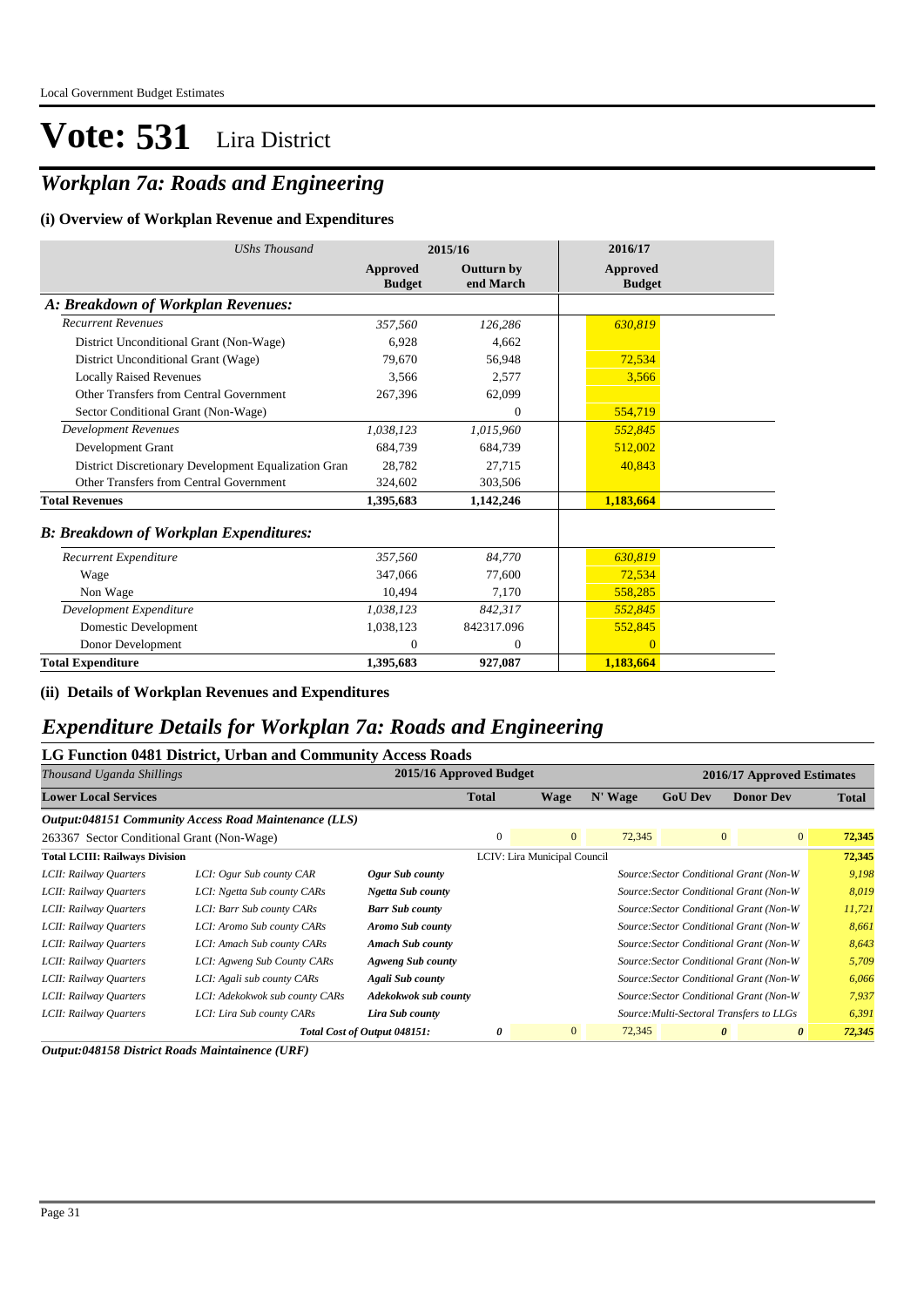### *Workplan 7a: Roads and Engineering*

#### **(i) Overview of Workplan Revenue and Expenditures**

| <b>UShs Thousand</b>                                 |                           | 2015/16                        | 2016/17                   |  |
|------------------------------------------------------|---------------------------|--------------------------------|---------------------------|--|
|                                                      | Approved<br><b>Budget</b> | <b>Outturn by</b><br>end March | Approved<br><b>Budget</b> |  |
| A: Breakdown of Workplan Revenues:                   |                           |                                |                           |  |
| <b>Recurrent Revenues</b>                            | 357,560                   | 126.286                        | 630.819                   |  |
| District Unconditional Grant (Non-Wage)              | 6.928                     | 4.662                          |                           |  |
| District Unconditional Grant (Wage)                  | 79.670                    | 56.948                         | 72,534                    |  |
| <b>Locally Raised Revenues</b>                       | 3.566                     | 2,577                          | 3,566                     |  |
| Other Transfers from Central Government              | 267,396                   | 62,099                         |                           |  |
| Sector Conditional Grant (Non-Wage)                  |                           | $\mathbf{0}$                   | 554,719                   |  |
| <b>Development Revenues</b>                          | 1,038,123                 | 1,015,960                      | 552.845                   |  |
| Development Grant                                    | 684.739                   | 684,739                        | 512,002                   |  |
| District Discretionary Development Equalization Gran | 28.782                    | 27.715                         | 40,843                    |  |
| Other Transfers from Central Government              | 324,602                   | 303,506                        |                           |  |
| <b>Total Revenues</b>                                | 1,395,683                 | 1,142,246                      | 1,183,664                 |  |
| <b>B: Breakdown of Workplan Expenditures:</b>        |                           |                                |                           |  |
| Recurrent Expenditure                                | 357,560                   | 84.770                         | 630,819                   |  |
| Wage                                                 | 347,066                   | 77.600                         | 72,534                    |  |
| Non Wage                                             | 10.494                    | 7.170                          | 558,285                   |  |
| Development Expenditure                              | 1,038,123                 | 842.317                        | 552,845                   |  |
| Domestic Development                                 | 1,038,123                 | 842317.096                     | 552,845                   |  |
| Donor Development                                    | $\mathbf{0}$              | $\mathbf{0}$                   | $\Omega$                  |  |
| <b>Total Expenditure</b>                             | 1,395,683                 | 927,087                        | 1,183,664                 |  |

**(ii) Details of Workplan Revenues and Expenditures**

#### *Expenditure Details for Workplan 7a: Roads and Engineering*

#### **LG Function 0481 District, Urban and Community Access Roads**

| Thousand Uganda Shillings                  |                                                       | 2015/16 Approved Budget      |              |                              |         |                                          | 2016/17 Approved Estimates              |              |
|--------------------------------------------|-------------------------------------------------------|------------------------------|--------------|------------------------------|---------|------------------------------------------|-----------------------------------------|--------------|
| <b>Lower Local Services</b>                |                                                       |                              | <b>Total</b> | Wage                         | N' Wage | <b>GoU Dev</b>                           | <b>Donor Dev</b>                        | <b>Total</b> |
|                                            | Output:048151 Community Access Road Maintenance (LLS) |                              |              |                              |         |                                          |                                         |              |
| 263367 Sector Conditional Grant (Non-Wage) |                                                       |                              | $\mathbf{0}$ | $\mathbf{0}$                 | 72,345  | $\overline{0}$                           | $\overline{0}$                          | 72,345       |
| <b>Total LCIII: Railways Division</b>      |                                                       |                              |              | LCIV: Lira Municipal Council |         |                                          |                                         | 72,345       |
| LCII: Railway Quarters                     | LCI: Ogur Sub county CAR                              | Ogur Sub county              |              |                              |         |                                          | Source: Sector Conditional Grant (Non-W | 9,198        |
| LCII: Railway Quarters                     | LCI: Ngetta Sub county CARs                           | Ngetta Sub county            |              |                              |         |                                          | Source: Sector Conditional Grant (Non-W | 8,019        |
| LCII: Railway Quarters                     | LCI: Barr Sub county CARs                             | <b>Barr Sub county</b>       |              |                              |         |                                          | Source: Sector Conditional Grant (Non-W | 11,721       |
| LCII: Railway Quarters                     | LCI: Aromo Sub county CARs                            | Aromo Sub county             |              |                              |         |                                          | Source: Sector Conditional Grant (Non-W | 8,661        |
| LCII: Railway Quarters                     | LCI: Amach Sub county CARs                            | <b>Amach Sub county</b>      |              |                              |         |                                          | Source: Sector Conditional Grant (Non-W | 8,643        |
| LCII: Railway Quarters                     | LCI: Agweng Sub County CARs                           | Agweng Sub county            |              |                              |         |                                          | Source: Sector Conditional Grant (Non-W | 5,709        |
| LCII: Railway Quarters                     | LCI: Agali sub county CARs                            | Agali Sub county             |              |                              |         |                                          | Source: Sector Conditional Grant (Non-W | 6,066        |
| LCII: Railway Quarters                     | LCI: Adekokwok sub county CARs                        | Adekokwok sub county         |              |                              |         |                                          | Source: Sector Conditional Grant (Non-W | 7,937        |
| LCII: Railway Quarters                     | LCI: Lira Sub county CARs                             | Lira Sub county              |              |                              |         | Source: Multi-Sectoral Transfers to LLGs |                                         | 6,391        |
|                                            |                                                       | Total Cost of Output 048151: | 0            | $\overline{0}$               | 72,345  | 0                                        | 0                                       | 72,345       |

*Output:048158 District Roads Maintainence (URF)*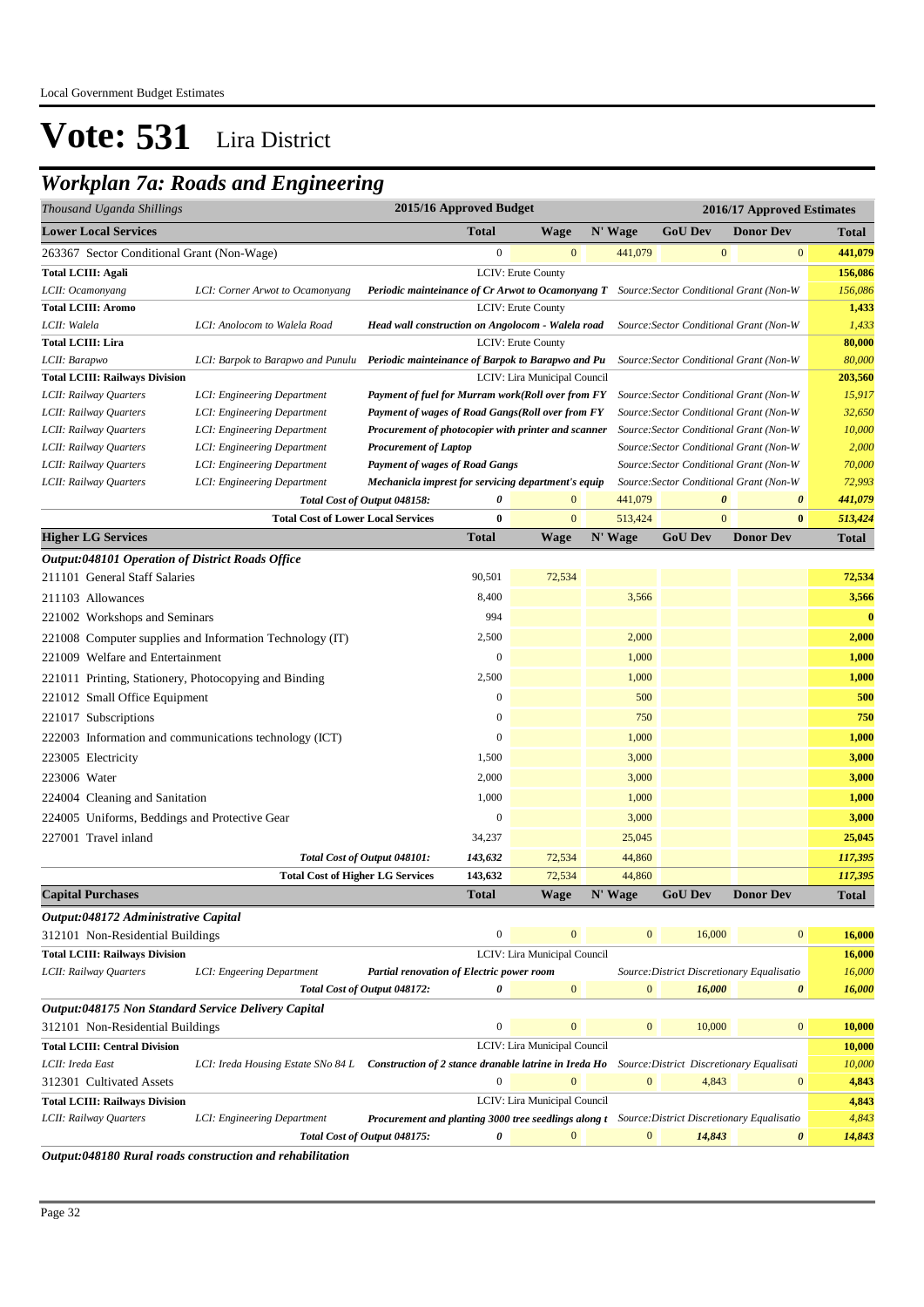### *Workplan 7a: Roads and Engineering*

| Thousand Uganda Shillings                             | 2015/16 Approved Budget<br>2016/17 Approved Estimates                                    |                                                                                                        |                  |                              |                  |                       |                                            |              |
|-------------------------------------------------------|------------------------------------------------------------------------------------------|--------------------------------------------------------------------------------------------------------|------------------|------------------------------|------------------|-----------------------|--------------------------------------------|--------------|
| <b>Lower Local Services</b>                           |                                                                                          |                                                                                                        | <b>Total</b>     | <b>Wage</b>                  | N' Wage          | <b>GoU Dev</b>        | <b>Donor Dev</b>                           | <b>Total</b> |
| 263367 Sector Conditional Grant (Non-Wage)            |                                                                                          |                                                                                                        | $\boldsymbol{0}$ | $\mathbf{0}$                 | 441,079          | $\mathbf{0}$          | $\bf{0}$                                   | 441,079      |
| <b>Total LCIII: Agali</b>                             |                                                                                          |                                                                                                        |                  | LCIV: Erute County           |                  |                       |                                            | 156,086      |
| LCII: Ocamonyang                                      | LCI: Corner Arwot to Ocamonyang                                                          | Periodic mainteinance of Cr Arwot to Ocamonyang T Source: Sector Conditional Grant (Non-W              |                  |                              |                  |                       |                                            | 156,086      |
| <b>Total LCIII: Aromo</b>                             |                                                                                          |                                                                                                        |                  | <b>LCIV: Erute County</b>    |                  |                       |                                            | 1,433        |
| LCII: Walela                                          | LCI: Anolocom to Walela Road                                                             | Head wall construction on Angolocom - Walela road                                                      |                  |                              |                  |                       | Source: Sector Conditional Grant (Non-W    | 1,433        |
| <b>Total LCIII: Lira</b>                              |                                                                                          |                                                                                                        |                  | LCIV: Erute County           |                  |                       |                                            | 80,000       |
| LCII: Barapwo                                         | LCI: Barpok to Barapwo and Punulu Periodic mainteinance of Barpok to Barapwo and Pu      |                                                                                                        |                  |                              |                  |                       | Source: Sector Conditional Grant (Non-W    | 80,000       |
| <b>Total LCIII: Railways Division</b>                 |                                                                                          |                                                                                                        |                  | LCIV: Lira Municipal Council |                  |                       |                                            | 203,560      |
| LCII: Railway Quarters                                | LCI: Engineering Department                                                              | Payment of fuel for Murram work(Roll over from FY                                                      |                  |                              |                  |                       | Source: Sector Conditional Grant (Non-W    | 15,917       |
| LCII: Railway Quarters                                | LCI: Engineering Department                                                              | Payment of wages of Road Gangs(Roll over from FY                                                       |                  |                              |                  |                       | Source: Sector Conditional Grant (Non-W    | 32,650       |
| LCII: Railway Quarters                                | LCI: Engineering Department                                                              | Procurement of photocopier with printer and scanner                                                    |                  |                              |                  |                       | Source: Sector Conditional Grant (Non-W    | 10,000       |
| LCII: Railway Quarters                                | LCI: Engineering Department                                                              | <b>Procurement of Laptop</b>                                                                           |                  |                              |                  |                       | Source: Sector Conditional Grant (Non-W    | 2,000        |
| LCII: Railway Quarters                                | LCI: Engineering Department                                                              | Source: Sector Conditional Grant (Non-W<br><b>Payment of wages of Road Gangs</b>                       |                  |                              |                  |                       |                                            | 70,000       |
| LCII: Railway Quarters                                | LCI: Engineering Department                                                              | Mechanicla imprest for servicing department's equip                                                    |                  |                              |                  |                       | Source: Sector Conditional Grant (Non-W    | 72,993       |
|                                                       |                                                                                          | Total Cost of Output 048158:                                                                           | 0                | $\boldsymbol{0}$             | 441,079          | $\boldsymbol{\theta}$ | $\boldsymbol{\theta}$                      | 441,079      |
|                                                       | <b>Total Cost of Lower Local Services</b>                                                |                                                                                                        | $\bf{0}$         | $\mathbf{0}$                 | 513,424          | $\mathbf{0}$          | $\bf{0}$                                   | 513,424      |
| <b>Higher LG Services</b>                             |                                                                                          |                                                                                                        | <b>Total</b>     | <b>Wage</b>                  | N' Wage          | <b>GoU Dev</b>        | <b>Donor Dev</b>                           | <b>Total</b> |
| Output:048101 Operation of District Roads Office      |                                                                                          |                                                                                                        |                  |                              |                  |                       |                                            |              |
| 211101 General Staff Salaries                         |                                                                                          |                                                                                                        | 90,501           | 72,534                       |                  |                       |                                            | 72,534       |
| 211103 Allowances                                     |                                                                                          |                                                                                                        | 8,400            |                              | 3,566            |                       |                                            | 3,566        |
| 221002 Workshops and Seminars                         |                                                                                          |                                                                                                        | 994              |                              |                  |                       |                                            | $\bf{0}$     |
|                                                       | 221008 Computer supplies and Information Technology (IT)                                 |                                                                                                        | 2,500            |                              | 2,000            |                       |                                            | 2,000        |
| 221009 Welfare and Entertainment                      |                                                                                          |                                                                                                        | $\mathbf{0}$     |                              | 1,000            |                       |                                            | 1,000        |
| 221011 Printing, Stationery, Photocopying and Binding |                                                                                          |                                                                                                        | 2,500            |                              | 1,000            |                       |                                            | 1,000        |
|                                                       |                                                                                          |                                                                                                        | $\boldsymbol{0}$ |                              | 500              |                       |                                            | 500          |
| 221012 Small Office Equipment                         |                                                                                          |                                                                                                        |                  |                              |                  |                       |                                            |              |
| 221017 Subscriptions                                  |                                                                                          |                                                                                                        | $\boldsymbol{0}$ |                              | 750              |                       |                                            | 750          |
|                                                       | 222003 Information and communications technology (ICT)                                   |                                                                                                        | $\mathbf{0}$     |                              | 1,000            |                       |                                            | 1,000        |
| 223005 Electricity                                    |                                                                                          |                                                                                                        | 1,500            |                              | 3,000            |                       |                                            | 3,000        |
| 223006 Water                                          |                                                                                          |                                                                                                        | 2,000            |                              | 3,000            |                       |                                            | 3,000        |
| 224004 Cleaning and Sanitation                        |                                                                                          |                                                                                                        | 1,000            |                              | 1,000            |                       |                                            | 1,000        |
| 224005 Uniforms, Beddings and Protective Gear         |                                                                                          |                                                                                                        | $\boldsymbol{0}$ |                              | 3,000            |                       |                                            | 3,000        |
| 227001 Travel inland                                  |                                                                                          |                                                                                                        | 34,237           |                              | 25,045           |                       |                                            | 25,045       |
|                                                       |                                                                                          | Total Cost of Output 048101:                                                                           | 143,632          | 72,534                       | 44,860           |                       |                                            | 117,395      |
|                                                       | <b>Total Cost of Higher LG Services</b>                                                  |                                                                                                        | 143,632          | 72,534                       | 44,860           |                       |                                            | 117,395      |
| <b>Capital Purchases</b>                              |                                                                                          |                                                                                                        | <b>Total</b>     | Wage                         | N' Wage          | <b>GoU Dev</b>        | <b>Donor Dev</b>                           | <b>Total</b> |
| Output:048172 Administrative Capital                  |                                                                                          |                                                                                                        |                  |                              |                  |                       |                                            |              |
| 312101 Non-Residential Buildings                      |                                                                                          |                                                                                                        | $\boldsymbol{0}$ | $\mathbf{0}$                 | $\mathbf{0}$     | 16,000                | $\mathbf{0}$                               | 16,000       |
| <b>Total LCIII: Railways Division</b>                 |                                                                                          |                                                                                                        |                  | LCIV: Lira Municipal Council |                  |                       |                                            | 16,000       |
| LCII: Railway Quarters                                | LCI: Engeering Department                                                                | <b>Partial renovation of Electric power room</b>                                                       |                  |                              |                  |                       | Source: District Discretionary Equalisatio | 16,000       |
|                                                       |                                                                                          | Total Cost of Output 048172:                                                                           | 0                | $\mathbf{0}$                 | $\boldsymbol{0}$ | 16,000                | $\boldsymbol{\theta}$                      | 16,000       |
| Output:048175 Non Standard Service Delivery Capital   |                                                                                          |                                                                                                        |                  |                              |                  |                       |                                            |              |
| 312101 Non-Residential Buildings                      |                                                                                          |                                                                                                        | $\boldsymbol{0}$ | $\mathbf{0}$                 | $\mathbf{0}$     | 10,000                | $\bf{0}$                                   | 10,000       |
| <b>Total LCIII: Central Division</b>                  |                                                                                          |                                                                                                        |                  | LCIV: Lira Municipal Council |                  |                       |                                            | 10,000       |
| LCII: Ireda East                                      | LCI: Ireda Housing Estate SNo 84 L Construction of 2 stance dranable latrine in Ireda Ho |                                                                                                        |                  |                              |                  |                       | Source: District Discretionary Equalisati  | 10,000       |
| 312301 Cultivated Assets                              |                                                                                          |                                                                                                        | $\boldsymbol{0}$ | $\boldsymbol{0}$             | $\boldsymbol{0}$ | 4,843                 | $\mathbf{0}$                               | 4,843        |
| <b>Total LCIII: Railways Division</b>                 |                                                                                          |                                                                                                        |                  | LCIV: Lira Municipal Council |                  |                       |                                            | 4,843        |
| LCII: Railway Quarters                                | LCI: Engineering Department                                                              | <b>Procurement and planting 3000 tree seedlings along t</b> Source: District Discretionary Equalisatio |                  |                              |                  |                       |                                            | 4,843        |
|                                                       |                                                                                          | Total Cost of Output 048175:                                                                           | 0                | $\mathbf{0}$                 | $\mathbf{0}$     | 14,843                | $\boldsymbol{\theta}$                      | 14,843       |
|                                                       |                                                                                          |                                                                                                        |                  |                              |                  |                       |                                            |              |

*Output:048180 Rural roads construction and rehabilitation*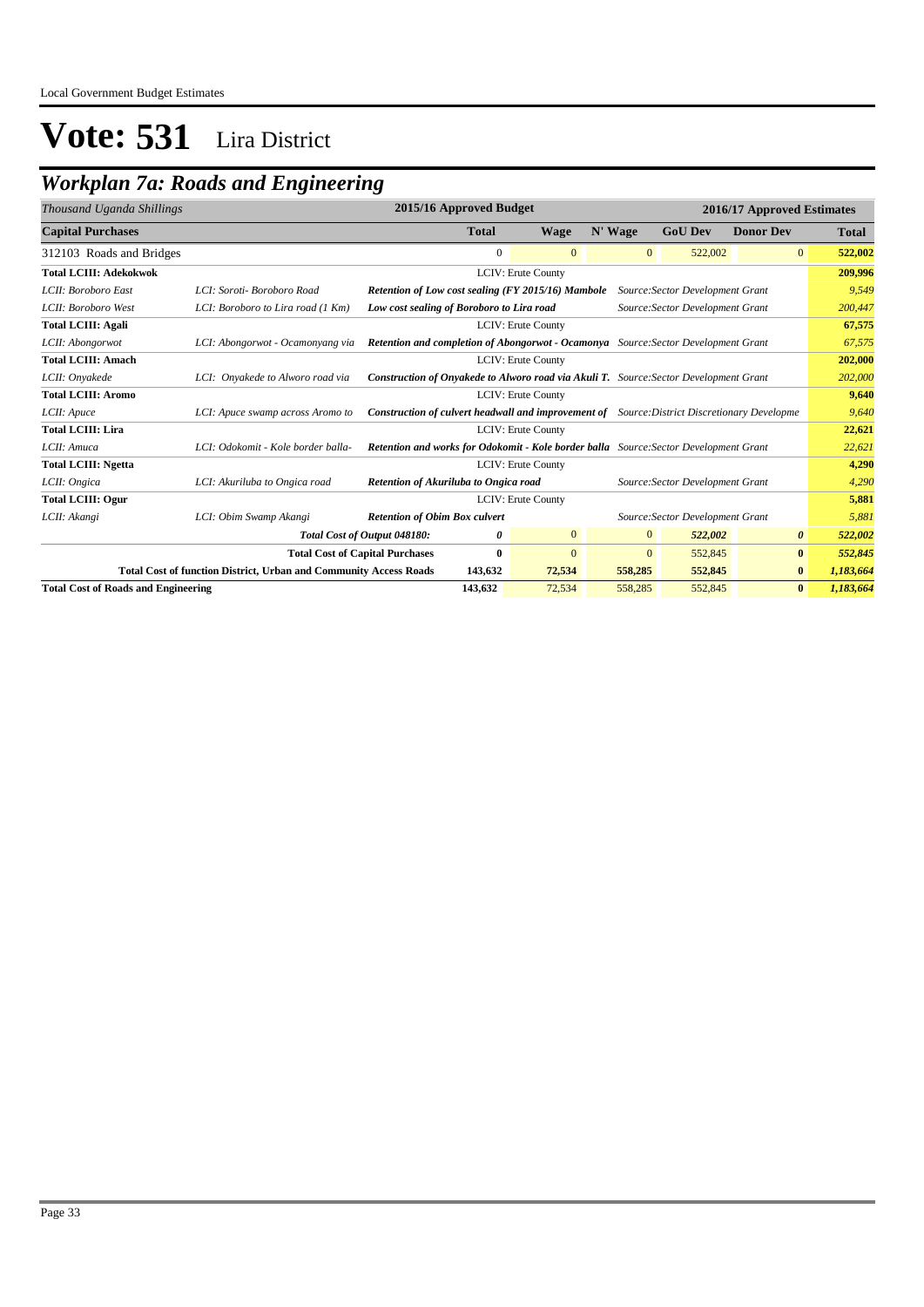### *Workplan 7a: Roads and Engineering*

| Thousand Uganda Shillings                  |                                                                          | 2015/16 Approved Budget                                                                             |              |                    |              |                                  | 2016/17 Approved Estimates |              |
|--------------------------------------------|--------------------------------------------------------------------------|-----------------------------------------------------------------------------------------------------|--------------|--------------------|--------------|----------------------------------|----------------------------|--------------|
| <b>Capital Purchases</b>                   |                                                                          |                                                                                                     | <b>Total</b> | <b>Wage</b>        | N' Wage      | <b>GoU Dev</b>                   | <b>Donor Dev</b>           | <b>Total</b> |
| 312103 Roads and Bridges                   |                                                                          |                                                                                                     | $\mathbf{0}$ | $\mathbf{0}$       | $\mathbf{0}$ | 522,002                          | $\overline{0}$             | 522,002      |
| <b>Total LCIII: Adekokwok</b>              |                                                                          |                                                                                                     |              | LCIV: Erute County |              |                                  |                            | 209,996      |
| LCII: Boroboro East                        | LCI: Soroti- Boroboro Road                                               | Retention of Low cost sealing (FY 2015/16) Mambole                                                  |              |                    |              | Source: Sector Development Grant |                            | 9,549        |
| LCII: Boroboro West                        | LCI: Boroboro to Lira road (1 Km)                                        | Low cost sealing of Boroboro to Lira road                                                           |              |                    |              | Source: Sector Development Grant |                            | 200,447      |
| <b>Total LCIII: Agali</b>                  |                                                                          |                                                                                                     |              | LCIV: Erute County |              |                                  |                            | 67,575       |
| LCII: Abongorwot                           | LCI: Abongorwot - Ocamonyang via                                         | <b>Retention and completion of Abongorwot - Ocamonya</b> Source: Sector Development Grant           |              |                    |              |                                  |                            | 67,575       |
| <b>Total LCIII: Amach</b>                  |                                                                          |                                                                                                     |              | LCIV: Erute County |              |                                  |                            | 202,000      |
| LCII: Onyakede                             | LCI: Onyakede to Alworo road via                                         | Construction of Onyakede to Alworo road via Akuli T. Source: Sector Development Grant               |              |                    |              |                                  |                            | 202,000      |
| <b>Total LCIII: Aromo</b>                  |                                                                          | LCIV: Erute County                                                                                  |              |                    |              |                                  |                            | 9.640        |
| LCII: Apuce                                | LCI: Apuce swamp across Aromo to                                         | <b>Construction of culvert headwall and improvement of</b> Source: District Discretionary Developme |              |                    |              |                                  |                            | 9.640        |
| <b>Total LCIII: Lira</b>                   |                                                                          |                                                                                                     |              | LCIV: Erute County |              |                                  |                            | 22,621       |
| LCII: Amuca                                | LCI: Odokomit - Kole border balla-                                       | Retention and works for Odokomit - Kole border balla Source: Sector Development Grant               |              |                    |              |                                  |                            | 22,621       |
| <b>Total LCIII: Ngetta</b>                 |                                                                          |                                                                                                     |              | LCIV: Erute County |              |                                  |                            | 4,290        |
| LCII: Ongica                               | LCI: Akuriluba to Ongica road                                            | Retention of Akuriluba to Ongica road                                                               |              |                    |              | Source: Sector Development Grant |                            | 4,290        |
| <b>Total LCIII: Ogur</b>                   |                                                                          |                                                                                                     |              | LCIV: Erute County |              |                                  |                            | 5,881        |
| LCII: Akangi                               | LCI: Obim Swamp Akangi                                                   | <b>Retention of Obim Box culvert</b>                                                                |              |                    |              | Source: Sector Development Grant |                            | 5,881        |
|                                            |                                                                          | Total Cost of Output 048180:                                                                        | 0            | $\mathbf{0}$       | $\mathbf{0}$ | 522,002                          | 0                          | 522,002      |
|                                            |                                                                          | <b>Total Cost of Capital Purchases</b>                                                              | $\bf{0}$     | $\Omega$           | $\Omega$     | 552,845                          | $\bf{0}$                   | 552,845      |
|                                            | <b>Total Cost of function District, Urban and Community Access Roads</b> |                                                                                                     | 143,632      | 72,534             | 558,285      | 552,845                          | $\bf{0}$                   | 1,183,664    |
| <b>Total Cost of Roads and Engineering</b> |                                                                          |                                                                                                     | 143,632      | 72,534             | 558,285      | 552,845                          | $\bf{0}$                   | 1,183,664    |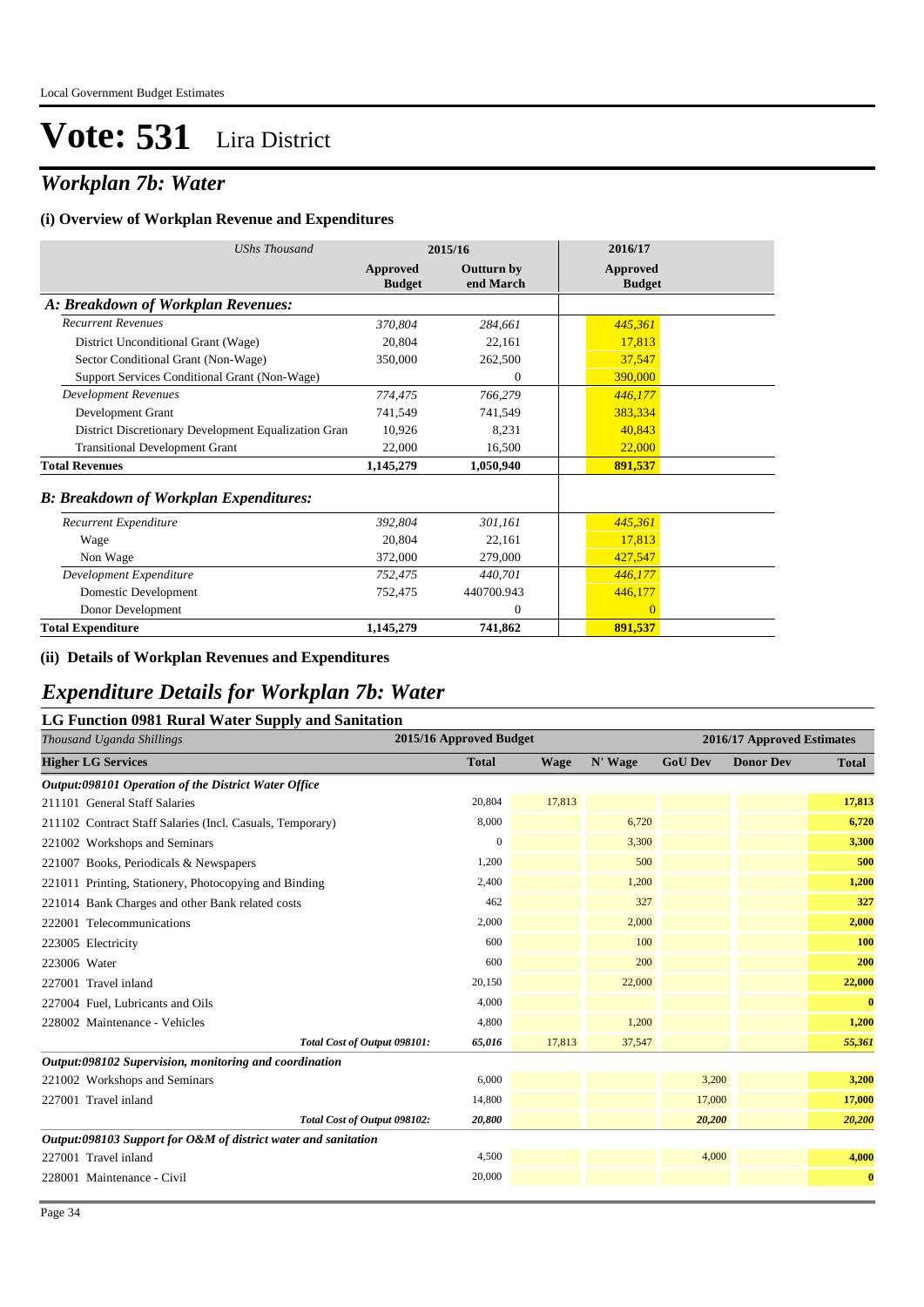### *Workplan 7b: Water*

#### **(i) Overview of Workplan Revenue and Expenditures**

| <b>UShs Thousand</b>                                 |                           | 2015/16                        | 2016/17                   |
|------------------------------------------------------|---------------------------|--------------------------------|---------------------------|
|                                                      | Approved<br><b>Budget</b> | <b>Outturn by</b><br>end March | Approved<br><b>Budget</b> |
| A: Breakdown of Workplan Revenues:                   |                           |                                |                           |
| <b>Recurrent Revenues</b>                            | 370,804                   | 284,661                        | 445,361                   |
| District Unconditional Grant (Wage)                  | 20,804                    | 22,161                         | 17,813                    |
| Sector Conditional Grant (Non-Wage)                  | 350,000                   | 262,500                        | 37,547                    |
| Support Services Conditional Grant (Non-Wage)        |                           | $\theta$                       | 390,000                   |
| <b>Development Revenues</b>                          | 774,475                   | 766,279                        | 446,177                   |
| Development Grant                                    | 741,549                   | 741,549                        | 383,334                   |
| District Discretionary Development Equalization Gran | 10,926                    | 8,231                          | 40,843                    |
| <b>Transitional Development Grant</b>                | 22,000                    | 16,500                         | 22,000                    |
| <b>Total Revenues</b>                                | 1,145,279                 | 1,050,940                      | 891,537                   |
| <b>B: Breakdown of Workplan Expenditures:</b>        |                           |                                |                           |
| Recurrent Expenditure                                | 392,804                   | 301,161                        | 445,361                   |
| Wage                                                 | 20,804                    | 22,161                         | 17,813                    |
| Non Wage                                             | 372,000                   | 279,000                        | 427,547                   |
| Development Expenditure                              | 752,475                   | 440,701                        | 446,177                   |
| Domestic Development                                 | 752,475                   | 440700.943                     | 446,177                   |
| Donor Development                                    |                           | $\mathbf{0}$                   | $\overline{0}$            |
| <b>Total Expenditure</b>                             | 1,145,279                 | 741,862                        | 891,537                   |

#### **(ii) Details of Workplan Revenues and Expenditures**

#### *Expenditure Details for Workplan 7b: Water*

#### **LG Function 0981 Rural Water Supply and Sanitation**

| Thousand Uganda Shillings                                      | 2015/16 Approved Budget |             |         |                | 2016/17 Approved Estimates |              |
|----------------------------------------------------------------|-------------------------|-------------|---------|----------------|----------------------------|--------------|
| <b>Higher LG Services</b>                                      | <b>Total</b>            | <b>Wage</b> | N' Wage | <b>GoU Dev</b> | <b>Donor Dev</b>           | <b>Total</b> |
| Output:098101 Operation of the District Water Office           |                         |             |         |                |                            |              |
| 211101 General Staff Salaries                                  | 20,804                  | 17,813      |         |                |                            | 17,813       |
| 211102 Contract Staff Salaries (Incl. Casuals, Temporary)      | 8,000                   |             | 6,720   |                |                            | 6,720        |
| 221002 Workshops and Seminars                                  | $\Omega$                |             | 3,300   |                |                            | 3,300        |
| 221007 Books, Periodicals & Newspapers                         | 1,200                   |             | 500     |                |                            | 500          |
| 221011 Printing, Stationery, Photocopying and Binding          | 2,400                   |             | 1,200   |                |                            | 1,200        |
| 221014 Bank Charges and other Bank related costs               | 462                     |             | 327     |                |                            | 327          |
| 222001 Telecommunications                                      | 2,000                   |             | 2,000   |                |                            | 2,000        |
| 223005 Electricity                                             | 600                     |             | 100     |                |                            | 100          |
| 223006 Water                                                   | 600                     |             | 200     |                |                            | 200          |
| 227001 Travel inland                                           | 20,150                  |             | 22,000  |                |                            | 22,000       |
| 227004 Fuel, Lubricants and Oils                               | 4,000                   |             |         |                |                            | $\bf{0}$     |
| 228002 Maintenance - Vehicles                                  | 4,800                   |             | 1,200   |                |                            | 1,200        |
| Total Cost of Output 098101:                                   | 65,016                  | 17,813      | 37,547  |                |                            | 55,361       |
| Output:098102 Supervision, monitoring and coordination         |                         |             |         |                |                            |              |
| 221002 Workshops and Seminars                                  | 6,000                   |             |         | 3,200          |                            | 3,200        |
| 227001 Travel inland                                           | 14,800                  |             |         | 17,000         |                            | 17,000       |
| Total Cost of Output 098102:                                   | 20,800                  |             |         | 20,200         |                            | 20,200       |
| Output:098103 Support for O&M of district water and sanitation |                         |             |         |                |                            |              |
| 227001 Travel inland                                           | 4,500                   |             |         | 4,000          |                            | 4,000        |
| 228001 Maintenance - Civil                                     | 20,000                  |             |         |                |                            | $\bf{0}$     |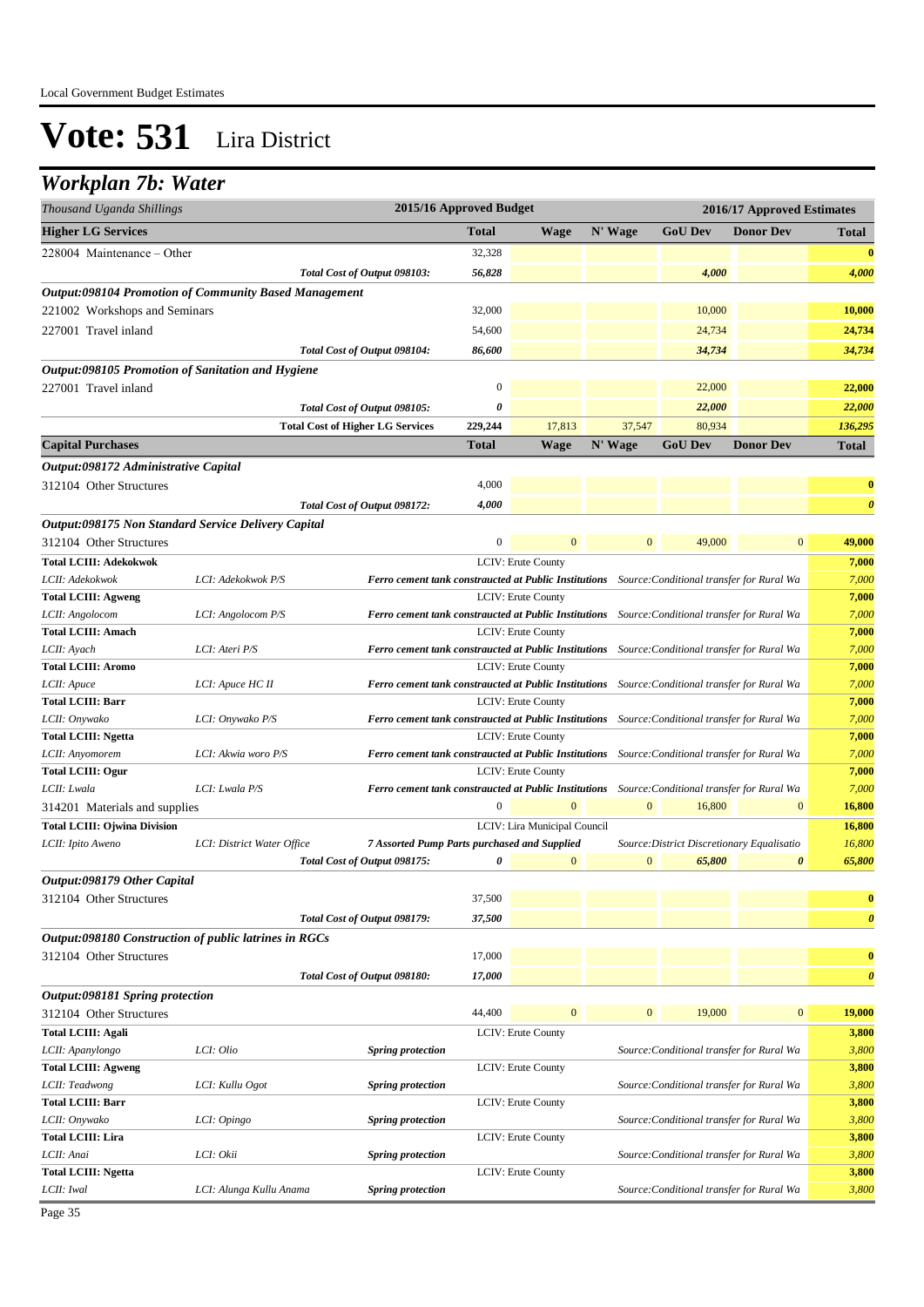### *Workplan 7b: Water*

| Thousand Uganda Shillings                                                      |                                                                                                                          |                                         |                                              | 2015/16 Approved Budget |                                                                                                        |                |                                            | 2016/17 Approved Estimates |                       |
|--------------------------------------------------------------------------------|--------------------------------------------------------------------------------------------------------------------------|-----------------------------------------|----------------------------------------------|-------------------------|--------------------------------------------------------------------------------------------------------|----------------|--------------------------------------------|----------------------------|-----------------------|
| <b>Higher LG Services</b>                                                      |                                                                                                                          |                                         |                                              | <b>Total</b>            | Wage                                                                                                   | N' Wage        | <b>GoU Dev</b>                             | <b>Donor Dev</b>           | <b>Total</b>          |
| 228004 Maintenance – Other                                                     |                                                                                                                          |                                         |                                              | 32,328                  |                                                                                                        |                |                                            |                            | $\bf{0}$              |
|                                                                                |                                                                                                                          | Total Cost of Output 098103:            |                                              | 56,828                  |                                                                                                        |                | 4,000                                      |                            | 4,000                 |
| <b>Output:098104 Promotion of Community Based Management</b>                   |                                                                                                                          |                                         |                                              |                         |                                                                                                        |                |                                            |                            |                       |
| 221002 Workshops and Seminars                                                  |                                                                                                                          |                                         |                                              | 32,000                  |                                                                                                        |                | 10,000                                     |                            | 10,000                |
| 227001 Travel inland                                                           |                                                                                                                          |                                         |                                              | 54,600                  |                                                                                                        |                | 24,734                                     |                            | 24,734                |
|                                                                                |                                                                                                                          | Total Cost of Output 098104:            |                                              | 86,600                  |                                                                                                        |                | 34,734                                     |                            | 34,734                |
| Output:098105 Promotion of Sanitation and Hygiene                              |                                                                                                                          |                                         |                                              |                         |                                                                                                        |                |                                            |                            |                       |
| 227001 Travel inland                                                           |                                                                                                                          |                                         |                                              | $\mathbf{0}$            |                                                                                                        |                | 22,000                                     |                            | 22,000                |
|                                                                                |                                                                                                                          | Total Cost of Output 098105:            |                                              | $\boldsymbol{\theta}$   |                                                                                                        |                | 22,000                                     |                            | 22,000                |
|                                                                                |                                                                                                                          | <b>Total Cost of Higher LG Services</b> |                                              | 229,244                 | 17,813                                                                                                 | 37,547         | 80,934                                     |                            | 136,295               |
| <b>Capital Purchases</b>                                                       |                                                                                                                          |                                         |                                              | Total                   | <b>Wage</b>                                                                                            | N' Wage        | <b>GoU</b> Dev                             | <b>Donor Dev</b>           | Total                 |
| Output:098172 Administrative Capital                                           |                                                                                                                          |                                         |                                              |                         |                                                                                                        |                |                                            |                            |                       |
| 312104 Other Structures                                                        |                                                                                                                          |                                         |                                              | 4,000                   |                                                                                                        |                |                                            |                            | $\bf{0}$              |
|                                                                                |                                                                                                                          | Total Cost of Output 098172:            |                                              | 4,000                   |                                                                                                        |                |                                            |                            | $\boldsymbol{\theta}$ |
|                                                                                |                                                                                                                          |                                         |                                              |                         |                                                                                                        |                |                                            |                            |                       |
| Output:098175 Non Standard Service Delivery Capital<br>312104 Other Structures |                                                                                                                          |                                         |                                              | $\mathbf{0}$            | $\mathbf{0}$                                                                                           | $\mathbf{0}$   | 49,000                                     | $\mathbf{0}$               | 49,000                |
| <b>Total LCIII: Adekokwok</b>                                                  |                                                                                                                          |                                         |                                              |                         | LCIV: Erute County                                                                                     |                |                                            |                            | 7,000                 |
| LCII: Adekokwok                                                                | LCI: Adekokwok P/S                                                                                                       |                                         |                                              |                         | Ferro cement tank constraucted at Public Institutions Source: Conditional transfer for Rural Wa        |                |                                            |                            | 7,000                 |
| <b>Total LCIII: Agweng</b>                                                     |                                                                                                                          |                                         |                                              |                         | LCIV: Erute County                                                                                     |                |                                            |                            | 7,000                 |
| LCII: Angolocom                                                                | LCI: Angolocom P/S                                                                                                       |                                         |                                              |                         | <b>Ferro cement tank constraucted at Public Institutions</b> Source: Conditional transfer for Rural Wa |                |                                            |                            | 7,000                 |
| <b>Total LCIII: Amach</b>                                                      |                                                                                                                          |                                         |                                              |                         | <b>LCIV: Erute County</b>                                                                              |                |                                            |                            | 7,000                 |
| LCII: Ayach                                                                    | LCI: Ateri P/S<br><b>Ferro cement tank constraucted at Public Institutions</b> Source: Conditional transfer for Rural Wa |                                         |                                              |                         |                                                                                                        |                | 7,000                                      |                            |                       |
| <b>Total LCIII: Aromo</b>                                                      |                                                                                                                          |                                         |                                              |                         | LCIV: Erute County                                                                                     |                |                                            |                            | 7,000                 |
| LCII: Apuce                                                                    | LCI: Apuce HC II                                                                                                         |                                         |                                              |                         | Ferro cement tank constraucted at Public Institutions Source: Conditional transfer for Rural Wa        |                |                                            |                            | 7,000                 |
| <b>Total LCIII: Barr</b>                                                       |                                                                                                                          |                                         |                                              |                         | LCIV: Erute County                                                                                     |                |                                            |                            | 7,000                 |
| LCII: Onywako                                                                  | LCI: Onywako P/S                                                                                                         |                                         |                                              |                         | Ferro cement tank constraucted at Public Institutions Source: Conditional transfer for Rural Wa        |                |                                            |                            | 7,000                 |
| <b>Total LCIII: Ngetta</b>                                                     |                                                                                                                          |                                         |                                              |                         | LCIV: Erute County                                                                                     |                |                                            |                            | 7,000                 |
| LCII: Anyomorem                                                                | LCI: Akwia woro P/S                                                                                                      |                                         |                                              |                         | Ferro cement tank constraucted at Public Institutions Source: Conditional transfer for Rural Wa        |                |                                            |                            | 7,000                 |
| <b>Total LCIII: Ogur</b>                                                       |                                                                                                                          |                                         |                                              |                         | LCIV: Erute County                                                                                     |                |                                            |                            | 7,000                 |
| LCII: Lwala                                                                    | LCI: Lwala P/S                                                                                                           |                                         |                                              |                         | Ferro cement tank constraucted at Public Institutions Source: Conditional transfer for Rural Wa        |                |                                            |                            | 7,000                 |
| 314201 Materials and supplies                                                  |                                                                                                                          |                                         |                                              | $\boldsymbol{0}$        | $\mathbf{0}$                                                                                           | $\mathbf{0}$   | 16,800                                     | $\boldsymbol{0}$           | 16,800                |
| <b>Total LCIII: Ojwina Division</b>                                            |                                                                                                                          |                                         |                                              |                         | LCIV: Lira Municipal Council                                                                           |                |                                            |                            | 16,800                |
| LCII: Ipito Aweno                                                              | LCI: District Water Office                                                                                               |                                         | 7 Assorted Pump Parts purchased and Supplied |                         |                                                                                                        |                | Source: District Discretionary Equalisatio |                            | 16,800                |
|                                                                                |                                                                                                                          | Total Cost of Output 098175:            |                                              | 0                       | $\mathbf{0}$                                                                                           | $\mathbf{0}$   | 65,800                                     | 0                          | 65,800                |
| Output:098179 Other Capital                                                    |                                                                                                                          |                                         |                                              |                         |                                                                                                        |                |                                            |                            |                       |
| 312104 Other Structures                                                        |                                                                                                                          |                                         |                                              | 37,500                  |                                                                                                        |                |                                            |                            | $\bf{0}$              |
|                                                                                |                                                                                                                          | Total Cost of Output 098179:            |                                              | 37,500                  |                                                                                                        |                |                                            |                            | $\boldsymbol{\theta}$ |
| Output:098180 Construction of public latrines in RGCs                          |                                                                                                                          |                                         |                                              |                         |                                                                                                        |                |                                            |                            |                       |
| 312104 Other Structures                                                        |                                                                                                                          |                                         |                                              | 17,000                  |                                                                                                        |                |                                            |                            | $\bf{0}$              |
|                                                                                |                                                                                                                          | Total Cost of Output 098180:            |                                              | 17,000                  |                                                                                                        |                |                                            |                            | $\boldsymbol{\theta}$ |
| Output:098181 Spring protection                                                |                                                                                                                          |                                         |                                              |                         |                                                                                                        |                |                                            |                            |                       |
| 312104 Other Structures                                                        |                                                                                                                          |                                         |                                              | 44,400                  | $\mathbf{0}$                                                                                           | $\overline{0}$ | 19,000                                     | $\boldsymbol{0}$           | 19,000                |
| <b>Total LCIII: Agali</b>                                                      |                                                                                                                          |                                         |                                              |                         | LCIV: Erute County                                                                                     |                |                                            |                            | 3,800                 |
| LCII: Apanylongo                                                               | LCI: Olio                                                                                                                |                                         | <b>Spring protection</b>                     |                         |                                                                                                        |                | Source: Conditional transfer for Rural Wa  |                            | 3,800                 |
| <b>Total LCIII: Agweng</b>                                                     |                                                                                                                          |                                         |                                              |                         | <b>LCIV: Erute County</b>                                                                              |                |                                            |                            | 3,800                 |
| LCII: Teadwong                                                                 | LCI: Kullu Ogot                                                                                                          |                                         | <b>Spring protection</b>                     |                         |                                                                                                        |                | Source: Conditional transfer for Rural Wa  |                            | 3,800                 |
| <b>Total LCIII: Barr</b>                                                       |                                                                                                                          |                                         |                                              |                         | LCIV: Erute County                                                                                     |                |                                            |                            | 3,800                 |
| LCII: Onywako                                                                  | LCI: Opingo                                                                                                              |                                         | <b>Spring protection</b>                     |                         |                                                                                                        |                | Source: Conditional transfer for Rural Wa  |                            | 3,800                 |
| <b>Total LCIII: Lira</b>                                                       |                                                                                                                          |                                         |                                              |                         | LCIV: Erute County                                                                                     |                |                                            |                            | 3,800                 |
| LCII: Anai                                                                     | LCI: Okii                                                                                                                |                                         | <b>Spring protection</b>                     |                         |                                                                                                        |                | Source: Conditional transfer for Rural Wa  |                            | 3,800                 |
| <b>Total LCIII: Ngetta</b>                                                     |                                                                                                                          |                                         |                                              |                         | LCIV: Erute County                                                                                     |                |                                            |                            | 3,800<br>3,800        |
| LCII: Iwal                                                                     | LCI: Alunga Kullu Anama                                                                                                  |                                         | <b>Spring protection</b>                     |                         |                                                                                                        |                | Source: Conditional transfer for Rural Wa  |                            |                       |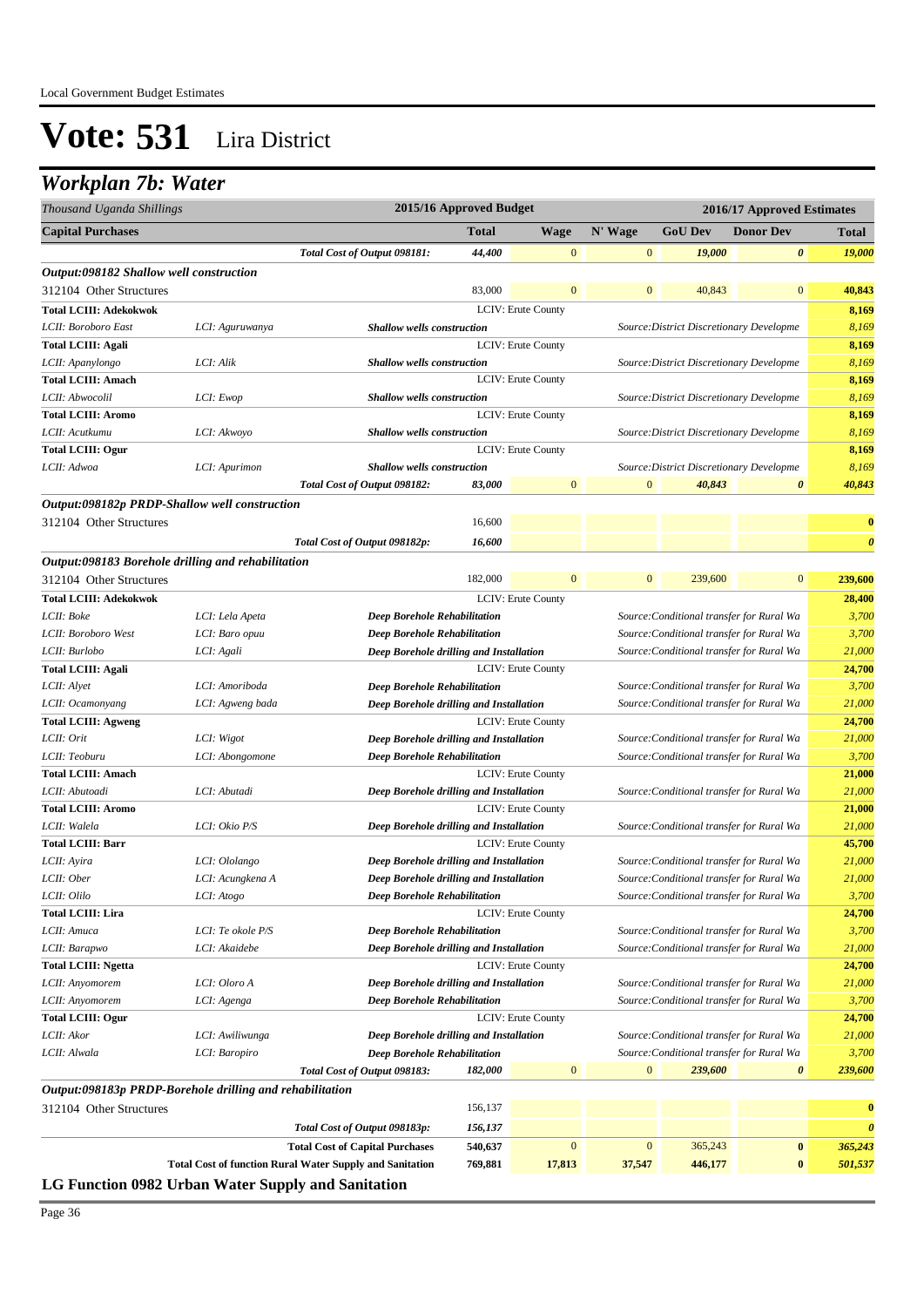### *Workplan 7b: Water*

| N' Wage<br><b>Total</b><br><b>Wage</b><br><b>GoU</b> Dev<br><b>Donor Dev</b><br>Total<br>$\mathbf{0}$<br>0<br>Total Cost of Output 098181:<br>44,400<br>$\mathbf{0}$<br>19,000<br>19,000<br>Output:098182 Shallow well construction<br>83,000<br>$\mathbf{0}$<br>$\boldsymbol{0}$<br>40,843<br>$\boldsymbol{0}$<br>40,843<br>LCIV: Erute County<br>8,169<br>8,169<br>LCI: Aguruwanya<br><b>Shallow wells construction</b><br>Source: District Discretionary Developme<br>LCIV: Erute County<br>8,169<br>8,169<br>LCI: Alik<br><b>Shallow wells construction</b><br>Source: District Discretionary Developme<br>LCIV: Erute County<br>8,169<br>8,169<br>LCI: Ewop<br><b>Shallow wells construction</b><br>Source: District Discretionary Developme<br>LCIV: Erute County<br>8,169<br>8,169<br>LCI: Akwoyo<br><b>Shallow wells construction</b><br>Source: District Discretionary Developme<br>LCIV: Erute County<br>8,169<br>8,169<br>Shallow wells construction<br>LCI: Apurimon<br>Source: District Discretionary Developme<br>$\overline{0}$<br>40,843<br>$\mathbf{0}$<br>40,843<br>$\boldsymbol{\theta}$<br>Total Cost of Output 098182:<br>83,000<br>Output:098182p PRDP-Shallow well construction<br>16,600<br>$\bf{0}$<br>$\boldsymbol{\theta}$<br>Total Cost of Output 098182p:<br>16,600<br>Output:098183 Borehole drilling and rehabilitation<br>182,000<br>$\mathbf{0}$<br>312104 Other Structures<br>$\mathbf{0}$<br>$\bf{0}$<br>239,600<br>239,600<br><b>Total LCIII: Adekokwok</b><br>LCIV: Erute County<br>28,400<br>3,700<br>LCII: Boke<br>LCI: Lela Apeta<br>Source: Conditional transfer for Rural Wa<br>Deep Borehole Rehabilitation<br>3,700<br>LCII: Boroboro West<br>LCI: Baro opuu<br>Deep Borehole Rehabilitation<br>Source: Conditional transfer for Rural Wa<br>21,000<br>LCII: Burlobo<br>LCI: Agali<br>Deep Borehole drilling and Installation<br>Source: Conditional transfer for Rural Wa<br>LCIV: Erute County<br>24,700<br><b>Total LCIII: Agali</b><br>3,700<br>LCII: Alyet<br>LCI: Amoriboda<br>Deep Borehole Rehabilitation<br>Source: Conditional transfer for Rural Wa<br>21,000<br>LCII: Ocamonyang<br>LCI: Agweng bada<br>Deep Borehole drilling and Installation<br>Source: Conditional transfer for Rural Wa<br>LCIV: Erute County<br>24,700<br><b>Total LCIII: Agweng</b><br>21,000<br>LCII: Orit<br>LCI: Wigot<br>Deep Borehole drilling and Installation<br>Source: Conditional transfer for Rural Wa<br>3,700<br>LCII: Teoburu<br>LCI: Abongomone<br>Deep Borehole Rehabilitation<br>Source: Conditional transfer for Rural Wa<br><b>Total LCIII: Amach</b><br>LCIV: Erute County<br>21,000<br>LCI: Abutadi<br>21,000<br>LCII: Abutoadi<br>Deep Borehole drilling and Installation<br>Source: Conditional transfer for Rural Wa<br><b>Total LCIII: Aromo</b><br>21,000<br>LCIV: Erute County<br>LCII: Walela<br>LCI: Okio P/S<br>21,000<br>Deep Borehole drilling and Installation<br>Source: Conditional transfer for Rural Wa<br><b>Total LCIII: Barr</b><br>LCIV: Erute County<br>45,700<br>21,000<br>LCII: Ayira<br>LCI: Ololango<br>Deep Borehole drilling and Installation<br>Source: Conditional transfer for Rural Wa<br>21,000<br>LCII: Ober<br>Deep Borehole drilling and Installation<br>LCI: Acungkena A<br>Source: Conditional transfer for Rural Wa<br>LCII: Olilo<br>LCI: Atogo<br>Deep Borehole Rehabilitation<br>3,700<br>Source: Conditional transfer for Rural Wa<br><b>Total LCIII: Lira</b><br>24,700<br>LCIV: Erute County<br>3,700<br>LCI: Te okole P/S<br>LCII: Amuca<br>Deep Borehole Rehabilitation<br>Source: Conditional transfer for Rural Wa<br>21,000<br>LCI: Akaidebe<br>Deep Borehole drilling and Installation<br>Source: Conditional transfer for Rural Wa<br>24,700<br><b>Total LCIII: Ngetta</b><br>LCIV: Erute County<br>LCI: Oloro A<br>Deep Borehole drilling and Installation<br>21,000<br>LCII: Anyomorem<br>Source: Conditional transfer for Rural Wa<br>Source: Conditional transfer for Rural Wa<br>3,700<br>LCII: Anyomorem<br>LCI: Agenga<br>Deep Borehole Rehabilitation<br>LCIV: Erute County<br>24,700<br><b>Total LCIII: Ogur</b><br>Deep Borehole drilling and Installation<br>21,000<br>LCI: Awiliwunga<br>Source: Conditional transfer for Rural Wa<br>3,700<br>LCI: Baropiro<br>Deep Borehole Rehabilitation<br>Source: Conditional transfer for Rural Wa<br>Total Cost of Output 098183:<br>182,000<br>$\mathbf{0}$<br>$\mathbf{0}$<br>0<br>239,600<br>239,600<br>Output:098183p PRDP-Borehole drilling and rehabilitation<br>312104 Other Structures<br>156,137<br>$\bf{0}$<br>$\boldsymbol{\theta}$<br>Total Cost of Output 098183p:<br>156,137<br>$\boldsymbol{0}$<br>$\boldsymbol{0}$<br>365,243<br>$\bf{0}$<br>365,243<br><b>Total Cost of Capital Purchases</b><br>540,637<br><b>Total Cost of function Rural Water Supply and Sanitation</b><br>769,881<br>17,813<br>37,547<br>446,177<br>$\bf{0}$<br>501,537 | Thousand Uganda Shillings     | 2015/16 Approved Budget<br>2016/17 Approved Estimates |  |  |  |  |  |  |  |
|--------------------------------------------------------------------------------------------------------------------------------------------------------------------------------------------------------------------------------------------------------------------------------------------------------------------------------------------------------------------------------------------------------------------------------------------------------------------------------------------------------------------------------------------------------------------------------------------------------------------------------------------------------------------------------------------------------------------------------------------------------------------------------------------------------------------------------------------------------------------------------------------------------------------------------------------------------------------------------------------------------------------------------------------------------------------------------------------------------------------------------------------------------------------------------------------------------------------------------------------------------------------------------------------------------------------------------------------------------------------------------------------------------------------------------------------------------------------------------------------------------------------------------------------------------------------------------------------------------------------------------------------------------------------------------------------------------------------------------------------------------------------------------------------------------------------------------------------------------------------------------------------------------------------------------------------------------------------------------------------------------------------------------------------------------------------------------------------------------------------------------------------------------------------------------------------------------------------------------------------------------------------------------------------------------------------------------------------------------------------------------------------------------------------------------------------------------------------------------------------------------------------------------------------------------------------------------------------------------------------------------------------------------------------------------------------------------------------------------------------------------------------------------------------------------------------------------------------------------------------------------------------------------------------------------------------------------------------------------------------------------------------------------------------------------------------------------------------------------------------------------------------------------------------------------------------------------------------------------------------------------------------------------------------------------------------------------------------------------------------------------------------------------------------------------------------------------------------------------------------------------------------------------------------------------------------------------------------------------------------------------------------------------------------------------------------------------------------------------------------------------------------------------------------------------------------------------------------------------------------------------------------------------------------------------------------------------------------------------------------------------------------------------------------------------------------------------------------------------------------------------------------------------------------------------------------------------------------------------------------------------------------------------------------------------------------------------------------------------------------------------------------------------------------------------------------------------------------------------------------------------------------------------------------------------------------------------------------------------------------------------------------------------------------------------------------------------------------------------------------------------------------------------------------------------------------------------------------------------------------------------------------------------------------------|-------------------------------|-------------------------------------------------------|--|--|--|--|--|--|--|
|                                                                                                                                                                                                                                                                                                                                                                                                                                                                                                                                                                                                                                                                                                                                                                                                                                                                                                                                                                                                                                                                                                                                                                                                                                                                                                                                                                                                                                                                                                                                                                                                                                                                                                                                                                                                                                                                                                                                                                                                                                                                                                                                                                                                                                                                                                                                                                                                                                                                                                                                                                                                                                                                                                                                                                                                                                                                                                                                                                                                                                                                                                                                                                                                                                                                                                                                                                                                                                                                                                                                                                                                                                                                                                                                                                                                                                                                                                                                                                                                                                                                                                                                                                                                                                                                                                                                                                                                                                                                                                                                                                                                                                                                                                                                                                                                                                                                                                                          | <b>Capital Purchases</b>      |                                                       |  |  |  |  |  |  |  |
|                                                                                                                                                                                                                                                                                                                                                                                                                                                                                                                                                                                                                                                                                                                                                                                                                                                                                                                                                                                                                                                                                                                                                                                                                                                                                                                                                                                                                                                                                                                                                                                                                                                                                                                                                                                                                                                                                                                                                                                                                                                                                                                                                                                                                                                                                                                                                                                                                                                                                                                                                                                                                                                                                                                                                                                                                                                                                                                                                                                                                                                                                                                                                                                                                                                                                                                                                                                                                                                                                                                                                                                                                                                                                                                                                                                                                                                                                                                                                                                                                                                                                                                                                                                                                                                                                                                                                                                                                                                                                                                                                                                                                                                                                                                                                                                                                                                                                                                          |                               |                                                       |  |  |  |  |  |  |  |
|                                                                                                                                                                                                                                                                                                                                                                                                                                                                                                                                                                                                                                                                                                                                                                                                                                                                                                                                                                                                                                                                                                                                                                                                                                                                                                                                                                                                                                                                                                                                                                                                                                                                                                                                                                                                                                                                                                                                                                                                                                                                                                                                                                                                                                                                                                                                                                                                                                                                                                                                                                                                                                                                                                                                                                                                                                                                                                                                                                                                                                                                                                                                                                                                                                                                                                                                                                                                                                                                                                                                                                                                                                                                                                                                                                                                                                                                                                                                                                                                                                                                                                                                                                                                                                                                                                                                                                                                                                                                                                                                                                                                                                                                                                                                                                                                                                                                                                                          |                               |                                                       |  |  |  |  |  |  |  |
|                                                                                                                                                                                                                                                                                                                                                                                                                                                                                                                                                                                                                                                                                                                                                                                                                                                                                                                                                                                                                                                                                                                                                                                                                                                                                                                                                                                                                                                                                                                                                                                                                                                                                                                                                                                                                                                                                                                                                                                                                                                                                                                                                                                                                                                                                                                                                                                                                                                                                                                                                                                                                                                                                                                                                                                                                                                                                                                                                                                                                                                                                                                                                                                                                                                                                                                                                                                                                                                                                                                                                                                                                                                                                                                                                                                                                                                                                                                                                                                                                                                                                                                                                                                                                                                                                                                                                                                                                                                                                                                                                                                                                                                                                                                                                                                                                                                                                                                          | 312104 Other Structures       |                                                       |  |  |  |  |  |  |  |
|                                                                                                                                                                                                                                                                                                                                                                                                                                                                                                                                                                                                                                                                                                                                                                                                                                                                                                                                                                                                                                                                                                                                                                                                                                                                                                                                                                                                                                                                                                                                                                                                                                                                                                                                                                                                                                                                                                                                                                                                                                                                                                                                                                                                                                                                                                                                                                                                                                                                                                                                                                                                                                                                                                                                                                                                                                                                                                                                                                                                                                                                                                                                                                                                                                                                                                                                                                                                                                                                                                                                                                                                                                                                                                                                                                                                                                                                                                                                                                                                                                                                                                                                                                                                                                                                                                                                                                                                                                                                                                                                                                                                                                                                                                                                                                                                                                                                                                                          | <b>Total LCIII: Adekokwok</b> |                                                       |  |  |  |  |  |  |  |
|                                                                                                                                                                                                                                                                                                                                                                                                                                                                                                                                                                                                                                                                                                                                                                                                                                                                                                                                                                                                                                                                                                                                                                                                                                                                                                                                                                                                                                                                                                                                                                                                                                                                                                                                                                                                                                                                                                                                                                                                                                                                                                                                                                                                                                                                                                                                                                                                                                                                                                                                                                                                                                                                                                                                                                                                                                                                                                                                                                                                                                                                                                                                                                                                                                                                                                                                                                                                                                                                                                                                                                                                                                                                                                                                                                                                                                                                                                                                                                                                                                                                                                                                                                                                                                                                                                                                                                                                                                                                                                                                                                                                                                                                                                                                                                                                                                                                                                                          | LCII: Boroboro East           |                                                       |  |  |  |  |  |  |  |
|                                                                                                                                                                                                                                                                                                                                                                                                                                                                                                                                                                                                                                                                                                                                                                                                                                                                                                                                                                                                                                                                                                                                                                                                                                                                                                                                                                                                                                                                                                                                                                                                                                                                                                                                                                                                                                                                                                                                                                                                                                                                                                                                                                                                                                                                                                                                                                                                                                                                                                                                                                                                                                                                                                                                                                                                                                                                                                                                                                                                                                                                                                                                                                                                                                                                                                                                                                                                                                                                                                                                                                                                                                                                                                                                                                                                                                                                                                                                                                                                                                                                                                                                                                                                                                                                                                                                                                                                                                                                                                                                                                                                                                                                                                                                                                                                                                                                                                                          | <b>Total LCIII: Agali</b>     |                                                       |  |  |  |  |  |  |  |
|                                                                                                                                                                                                                                                                                                                                                                                                                                                                                                                                                                                                                                                                                                                                                                                                                                                                                                                                                                                                                                                                                                                                                                                                                                                                                                                                                                                                                                                                                                                                                                                                                                                                                                                                                                                                                                                                                                                                                                                                                                                                                                                                                                                                                                                                                                                                                                                                                                                                                                                                                                                                                                                                                                                                                                                                                                                                                                                                                                                                                                                                                                                                                                                                                                                                                                                                                                                                                                                                                                                                                                                                                                                                                                                                                                                                                                                                                                                                                                                                                                                                                                                                                                                                                                                                                                                                                                                                                                                                                                                                                                                                                                                                                                                                                                                                                                                                                                                          | LCII: Apanylongo              |                                                       |  |  |  |  |  |  |  |
|                                                                                                                                                                                                                                                                                                                                                                                                                                                                                                                                                                                                                                                                                                                                                                                                                                                                                                                                                                                                                                                                                                                                                                                                                                                                                                                                                                                                                                                                                                                                                                                                                                                                                                                                                                                                                                                                                                                                                                                                                                                                                                                                                                                                                                                                                                                                                                                                                                                                                                                                                                                                                                                                                                                                                                                                                                                                                                                                                                                                                                                                                                                                                                                                                                                                                                                                                                                                                                                                                                                                                                                                                                                                                                                                                                                                                                                                                                                                                                                                                                                                                                                                                                                                                                                                                                                                                                                                                                                                                                                                                                                                                                                                                                                                                                                                                                                                                                                          | <b>Total LCIII: Amach</b>     |                                                       |  |  |  |  |  |  |  |
|                                                                                                                                                                                                                                                                                                                                                                                                                                                                                                                                                                                                                                                                                                                                                                                                                                                                                                                                                                                                                                                                                                                                                                                                                                                                                                                                                                                                                                                                                                                                                                                                                                                                                                                                                                                                                                                                                                                                                                                                                                                                                                                                                                                                                                                                                                                                                                                                                                                                                                                                                                                                                                                                                                                                                                                                                                                                                                                                                                                                                                                                                                                                                                                                                                                                                                                                                                                                                                                                                                                                                                                                                                                                                                                                                                                                                                                                                                                                                                                                                                                                                                                                                                                                                                                                                                                                                                                                                                                                                                                                                                                                                                                                                                                                                                                                                                                                                                                          | LCII: Abwocolil               |                                                       |  |  |  |  |  |  |  |
|                                                                                                                                                                                                                                                                                                                                                                                                                                                                                                                                                                                                                                                                                                                                                                                                                                                                                                                                                                                                                                                                                                                                                                                                                                                                                                                                                                                                                                                                                                                                                                                                                                                                                                                                                                                                                                                                                                                                                                                                                                                                                                                                                                                                                                                                                                                                                                                                                                                                                                                                                                                                                                                                                                                                                                                                                                                                                                                                                                                                                                                                                                                                                                                                                                                                                                                                                                                                                                                                                                                                                                                                                                                                                                                                                                                                                                                                                                                                                                                                                                                                                                                                                                                                                                                                                                                                                                                                                                                                                                                                                                                                                                                                                                                                                                                                                                                                                                                          | <b>Total LCIII: Aromo</b>     |                                                       |  |  |  |  |  |  |  |
|                                                                                                                                                                                                                                                                                                                                                                                                                                                                                                                                                                                                                                                                                                                                                                                                                                                                                                                                                                                                                                                                                                                                                                                                                                                                                                                                                                                                                                                                                                                                                                                                                                                                                                                                                                                                                                                                                                                                                                                                                                                                                                                                                                                                                                                                                                                                                                                                                                                                                                                                                                                                                                                                                                                                                                                                                                                                                                                                                                                                                                                                                                                                                                                                                                                                                                                                                                                                                                                                                                                                                                                                                                                                                                                                                                                                                                                                                                                                                                                                                                                                                                                                                                                                                                                                                                                                                                                                                                                                                                                                                                                                                                                                                                                                                                                                                                                                                                                          | LCII: Acutkumu                |                                                       |  |  |  |  |  |  |  |
|                                                                                                                                                                                                                                                                                                                                                                                                                                                                                                                                                                                                                                                                                                                                                                                                                                                                                                                                                                                                                                                                                                                                                                                                                                                                                                                                                                                                                                                                                                                                                                                                                                                                                                                                                                                                                                                                                                                                                                                                                                                                                                                                                                                                                                                                                                                                                                                                                                                                                                                                                                                                                                                                                                                                                                                                                                                                                                                                                                                                                                                                                                                                                                                                                                                                                                                                                                                                                                                                                                                                                                                                                                                                                                                                                                                                                                                                                                                                                                                                                                                                                                                                                                                                                                                                                                                                                                                                                                                                                                                                                                                                                                                                                                                                                                                                                                                                                                                          | <b>Total LCIII: Ogur</b>      |                                                       |  |  |  |  |  |  |  |
|                                                                                                                                                                                                                                                                                                                                                                                                                                                                                                                                                                                                                                                                                                                                                                                                                                                                                                                                                                                                                                                                                                                                                                                                                                                                                                                                                                                                                                                                                                                                                                                                                                                                                                                                                                                                                                                                                                                                                                                                                                                                                                                                                                                                                                                                                                                                                                                                                                                                                                                                                                                                                                                                                                                                                                                                                                                                                                                                                                                                                                                                                                                                                                                                                                                                                                                                                                                                                                                                                                                                                                                                                                                                                                                                                                                                                                                                                                                                                                                                                                                                                                                                                                                                                                                                                                                                                                                                                                                                                                                                                                                                                                                                                                                                                                                                                                                                                                                          | LCII: Adwoa                   |                                                       |  |  |  |  |  |  |  |
|                                                                                                                                                                                                                                                                                                                                                                                                                                                                                                                                                                                                                                                                                                                                                                                                                                                                                                                                                                                                                                                                                                                                                                                                                                                                                                                                                                                                                                                                                                                                                                                                                                                                                                                                                                                                                                                                                                                                                                                                                                                                                                                                                                                                                                                                                                                                                                                                                                                                                                                                                                                                                                                                                                                                                                                                                                                                                                                                                                                                                                                                                                                                                                                                                                                                                                                                                                                                                                                                                                                                                                                                                                                                                                                                                                                                                                                                                                                                                                                                                                                                                                                                                                                                                                                                                                                                                                                                                                                                                                                                                                                                                                                                                                                                                                                                                                                                                                                          |                               |                                                       |  |  |  |  |  |  |  |
|                                                                                                                                                                                                                                                                                                                                                                                                                                                                                                                                                                                                                                                                                                                                                                                                                                                                                                                                                                                                                                                                                                                                                                                                                                                                                                                                                                                                                                                                                                                                                                                                                                                                                                                                                                                                                                                                                                                                                                                                                                                                                                                                                                                                                                                                                                                                                                                                                                                                                                                                                                                                                                                                                                                                                                                                                                                                                                                                                                                                                                                                                                                                                                                                                                                                                                                                                                                                                                                                                                                                                                                                                                                                                                                                                                                                                                                                                                                                                                                                                                                                                                                                                                                                                                                                                                                                                                                                                                                                                                                                                                                                                                                                                                                                                                                                                                                                                                                          |                               |                                                       |  |  |  |  |  |  |  |
|                                                                                                                                                                                                                                                                                                                                                                                                                                                                                                                                                                                                                                                                                                                                                                                                                                                                                                                                                                                                                                                                                                                                                                                                                                                                                                                                                                                                                                                                                                                                                                                                                                                                                                                                                                                                                                                                                                                                                                                                                                                                                                                                                                                                                                                                                                                                                                                                                                                                                                                                                                                                                                                                                                                                                                                                                                                                                                                                                                                                                                                                                                                                                                                                                                                                                                                                                                                                                                                                                                                                                                                                                                                                                                                                                                                                                                                                                                                                                                                                                                                                                                                                                                                                                                                                                                                                                                                                                                                                                                                                                                                                                                                                                                                                                                                                                                                                                                                          | 312104 Other Structures       |                                                       |  |  |  |  |  |  |  |
|                                                                                                                                                                                                                                                                                                                                                                                                                                                                                                                                                                                                                                                                                                                                                                                                                                                                                                                                                                                                                                                                                                                                                                                                                                                                                                                                                                                                                                                                                                                                                                                                                                                                                                                                                                                                                                                                                                                                                                                                                                                                                                                                                                                                                                                                                                                                                                                                                                                                                                                                                                                                                                                                                                                                                                                                                                                                                                                                                                                                                                                                                                                                                                                                                                                                                                                                                                                                                                                                                                                                                                                                                                                                                                                                                                                                                                                                                                                                                                                                                                                                                                                                                                                                                                                                                                                                                                                                                                                                                                                                                                                                                                                                                                                                                                                                                                                                                                                          |                               |                                                       |  |  |  |  |  |  |  |
|                                                                                                                                                                                                                                                                                                                                                                                                                                                                                                                                                                                                                                                                                                                                                                                                                                                                                                                                                                                                                                                                                                                                                                                                                                                                                                                                                                                                                                                                                                                                                                                                                                                                                                                                                                                                                                                                                                                                                                                                                                                                                                                                                                                                                                                                                                                                                                                                                                                                                                                                                                                                                                                                                                                                                                                                                                                                                                                                                                                                                                                                                                                                                                                                                                                                                                                                                                                                                                                                                                                                                                                                                                                                                                                                                                                                                                                                                                                                                                                                                                                                                                                                                                                                                                                                                                                                                                                                                                                                                                                                                                                                                                                                                                                                                                                                                                                                                                                          |                               |                                                       |  |  |  |  |  |  |  |
|                                                                                                                                                                                                                                                                                                                                                                                                                                                                                                                                                                                                                                                                                                                                                                                                                                                                                                                                                                                                                                                                                                                                                                                                                                                                                                                                                                                                                                                                                                                                                                                                                                                                                                                                                                                                                                                                                                                                                                                                                                                                                                                                                                                                                                                                                                                                                                                                                                                                                                                                                                                                                                                                                                                                                                                                                                                                                                                                                                                                                                                                                                                                                                                                                                                                                                                                                                                                                                                                                                                                                                                                                                                                                                                                                                                                                                                                                                                                                                                                                                                                                                                                                                                                                                                                                                                                                                                                                                                                                                                                                                                                                                                                                                                                                                                                                                                                                                                          |                               |                                                       |  |  |  |  |  |  |  |
|                                                                                                                                                                                                                                                                                                                                                                                                                                                                                                                                                                                                                                                                                                                                                                                                                                                                                                                                                                                                                                                                                                                                                                                                                                                                                                                                                                                                                                                                                                                                                                                                                                                                                                                                                                                                                                                                                                                                                                                                                                                                                                                                                                                                                                                                                                                                                                                                                                                                                                                                                                                                                                                                                                                                                                                                                                                                                                                                                                                                                                                                                                                                                                                                                                                                                                                                                                                                                                                                                                                                                                                                                                                                                                                                                                                                                                                                                                                                                                                                                                                                                                                                                                                                                                                                                                                                                                                                                                                                                                                                                                                                                                                                                                                                                                                                                                                                                                                          |                               |                                                       |  |  |  |  |  |  |  |
|                                                                                                                                                                                                                                                                                                                                                                                                                                                                                                                                                                                                                                                                                                                                                                                                                                                                                                                                                                                                                                                                                                                                                                                                                                                                                                                                                                                                                                                                                                                                                                                                                                                                                                                                                                                                                                                                                                                                                                                                                                                                                                                                                                                                                                                                                                                                                                                                                                                                                                                                                                                                                                                                                                                                                                                                                                                                                                                                                                                                                                                                                                                                                                                                                                                                                                                                                                                                                                                                                                                                                                                                                                                                                                                                                                                                                                                                                                                                                                                                                                                                                                                                                                                                                                                                                                                                                                                                                                                                                                                                                                                                                                                                                                                                                                                                                                                                                                                          |                               |                                                       |  |  |  |  |  |  |  |
|                                                                                                                                                                                                                                                                                                                                                                                                                                                                                                                                                                                                                                                                                                                                                                                                                                                                                                                                                                                                                                                                                                                                                                                                                                                                                                                                                                                                                                                                                                                                                                                                                                                                                                                                                                                                                                                                                                                                                                                                                                                                                                                                                                                                                                                                                                                                                                                                                                                                                                                                                                                                                                                                                                                                                                                                                                                                                                                                                                                                                                                                                                                                                                                                                                                                                                                                                                                                                                                                                                                                                                                                                                                                                                                                                                                                                                                                                                                                                                                                                                                                                                                                                                                                                                                                                                                                                                                                                                                                                                                                                                                                                                                                                                                                                                                                                                                                                                                          |                               |                                                       |  |  |  |  |  |  |  |
|                                                                                                                                                                                                                                                                                                                                                                                                                                                                                                                                                                                                                                                                                                                                                                                                                                                                                                                                                                                                                                                                                                                                                                                                                                                                                                                                                                                                                                                                                                                                                                                                                                                                                                                                                                                                                                                                                                                                                                                                                                                                                                                                                                                                                                                                                                                                                                                                                                                                                                                                                                                                                                                                                                                                                                                                                                                                                                                                                                                                                                                                                                                                                                                                                                                                                                                                                                                                                                                                                                                                                                                                                                                                                                                                                                                                                                                                                                                                                                                                                                                                                                                                                                                                                                                                                                                                                                                                                                                                                                                                                                                                                                                                                                                                                                                                                                                                                                                          |                               |                                                       |  |  |  |  |  |  |  |
|                                                                                                                                                                                                                                                                                                                                                                                                                                                                                                                                                                                                                                                                                                                                                                                                                                                                                                                                                                                                                                                                                                                                                                                                                                                                                                                                                                                                                                                                                                                                                                                                                                                                                                                                                                                                                                                                                                                                                                                                                                                                                                                                                                                                                                                                                                                                                                                                                                                                                                                                                                                                                                                                                                                                                                                                                                                                                                                                                                                                                                                                                                                                                                                                                                                                                                                                                                                                                                                                                                                                                                                                                                                                                                                                                                                                                                                                                                                                                                                                                                                                                                                                                                                                                                                                                                                                                                                                                                                                                                                                                                                                                                                                                                                                                                                                                                                                                                                          |                               |                                                       |  |  |  |  |  |  |  |
|                                                                                                                                                                                                                                                                                                                                                                                                                                                                                                                                                                                                                                                                                                                                                                                                                                                                                                                                                                                                                                                                                                                                                                                                                                                                                                                                                                                                                                                                                                                                                                                                                                                                                                                                                                                                                                                                                                                                                                                                                                                                                                                                                                                                                                                                                                                                                                                                                                                                                                                                                                                                                                                                                                                                                                                                                                                                                                                                                                                                                                                                                                                                                                                                                                                                                                                                                                                                                                                                                                                                                                                                                                                                                                                                                                                                                                                                                                                                                                                                                                                                                                                                                                                                                                                                                                                                                                                                                                                                                                                                                                                                                                                                                                                                                                                                                                                                                                                          |                               |                                                       |  |  |  |  |  |  |  |
|                                                                                                                                                                                                                                                                                                                                                                                                                                                                                                                                                                                                                                                                                                                                                                                                                                                                                                                                                                                                                                                                                                                                                                                                                                                                                                                                                                                                                                                                                                                                                                                                                                                                                                                                                                                                                                                                                                                                                                                                                                                                                                                                                                                                                                                                                                                                                                                                                                                                                                                                                                                                                                                                                                                                                                                                                                                                                                                                                                                                                                                                                                                                                                                                                                                                                                                                                                                                                                                                                                                                                                                                                                                                                                                                                                                                                                                                                                                                                                                                                                                                                                                                                                                                                                                                                                                                                                                                                                                                                                                                                                                                                                                                                                                                                                                                                                                                                                                          |                               |                                                       |  |  |  |  |  |  |  |
|                                                                                                                                                                                                                                                                                                                                                                                                                                                                                                                                                                                                                                                                                                                                                                                                                                                                                                                                                                                                                                                                                                                                                                                                                                                                                                                                                                                                                                                                                                                                                                                                                                                                                                                                                                                                                                                                                                                                                                                                                                                                                                                                                                                                                                                                                                                                                                                                                                                                                                                                                                                                                                                                                                                                                                                                                                                                                                                                                                                                                                                                                                                                                                                                                                                                                                                                                                                                                                                                                                                                                                                                                                                                                                                                                                                                                                                                                                                                                                                                                                                                                                                                                                                                                                                                                                                                                                                                                                                                                                                                                                                                                                                                                                                                                                                                                                                                                                                          |                               |                                                       |  |  |  |  |  |  |  |
|                                                                                                                                                                                                                                                                                                                                                                                                                                                                                                                                                                                                                                                                                                                                                                                                                                                                                                                                                                                                                                                                                                                                                                                                                                                                                                                                                                                                                                                                                                                                                                                                                                                                                                                                                                                                                                                                                                                                                                                                                                                                                                                                                                                                                                                                                                                                                                                                                                                                                                                                                                                                                                                                                                                                                                                                                                                                                                                                                                                                                                                                                                                                                                                                                                                                                                                                                                                                                                                                                                                                                                                                                                                                                                                                                                                                                                                                                                                                                                                                                                                                                                                                                                                                                                                                                                                                                                                                                                                                                                                                                                                                                                                                                                                                                                                                                                                                                                                          |                               |                                                       |  |  |  |  |  |  |  |
|                                                                                                                                                                                                                                                                                                                                                                                                                                                                                                                                                                                                                                                                                                                                                                                                                                                                                                                                                                                                                                                                                                                                                                                                                                                                                                                                                                                                                                                                                                                                                                                                                                                                                                                                                                                                                                                                                                                                                                                                                                                                                                                                                                                                                                                                                                                                                                                                                                                                                                                                                                                                                                                                                                                                                                                                                                                                                                                                                                                                                                                                                                                                                                                                                                                                                                                                                                                                                                                                                                                                                                                                                                                                                                                                                                                                                                                                                                                                                                                                                                                                                                                                                                                                                                                                                                                                                                                                                                                                                                                                                                                                                                                                                                                                                                                                                                                                                                                          |                               |                                                       |  |  |  |  |  |  |  |
|                                                                                                                                                                                                                                                                                                                                                                                                                                                                                                                                                                                                                                                                                                                                                                                                                                                                                                                                                                                                                                                                                                                                                                                                                                                                                                                                                                                                                                                                                                                                                                                                                                                                                                                                                                                                                                                                                                                                                                                                                                                                                                                                                                                                                                                                                                                                                                                                                                                                                                                                                                                                                                                                                                                                                                                                                                                                                                                                                                                                                                                                                                                                                                                                                                                                                                                                                                                                                                                                                                                                                                                                                                                                                                                                                                                                                                                                                                                                                                                                                                                                                                                                                                                                                                                                                                                                                                                                                                                                                                                                                                                                                                                                                                                                                                                                                                                                                                                          |                               |                                                       |  |  |  |  |  |  |  |
|                                                                                                                                                                                                                                                                                                                                                                                                                                                                                                                                                                                                                                                                                                                                                                                                                                                                                                                                                                                                                                                                                                                                                                                                                                                                                                                                                                                                                                                                                                                                                                                                                                                                                                                                                                                                                                                                                                                                                                                                                                                                                                                                                                                                                                                                                                                                                                                                                                                                                                                                                                                                                                                                                                                                                                                                                                                                                                                                                                                                                                                                                                                                                                                                                                                                                                                                                                                                                                                                                                                                                                                                                                                                                                                                                                                                                                                                                                                                                                                                                                                                                                                                                                                                                                                                                                                                                                                                                                                                                                                                                                                                                                                                                                                                                                                                                                                                                                                          |                               |                                                       |  |  |  |  |  |  |  |
|                                                                                                                                                                                                                                                                                                                                                                                                                                                                                                                                                                                                                                                                                                                                                                                                                                                                                                                                                                                                                                                                                                                                                                                                                                                                                                                                                                                                                                                                                                                                                                                                                                                                                                                                                                                                                                                                                                                                                                                                                                                                                                                                                                                                                                                                                                                                                                                                                                                                                                                                                                                                                                                                                                                                                                                                                                                                                                                                                                                                                                                                                                                                                                                                                                                                                                                                                                                                                                                                                                                                                                                                                                                                                                                                                                                                                                                                                                                                                                                                                                                                                                                                                                                                                                                                                                                                                                                                                                                                                                                                                                                                                                                                                                                                                                                                                                                                                                                          |                               |                                                       |  |  |  |  |  |  |  |
|                                                                                                                                                                                                                                                                                                                                                                                                                                                                                                                                                                                                                                                                                                                                                                                                                                                                                                                                                                                                                                                                                                                                                                                                                                                                                                                                                                                                                                                                                                                                                                                                                                                                                                                                                                                                                                                                                                                                                                                                                                                                                                                                                                                                                                                                                                                                                                                                                                                                                                                                                                                                                                                                                                                                                                                                                                                                                                                                                                                                                                                                                                                                                                                                                                                                                                                                                                                                                                                                                                                                                                                                                                                                                                                                                                                                                                                                                                                                                                                                                                                                                                                                                                                                                                                                                                                                                                                                                                                                                                                                                                                                                                                                                                                                                                                                                                                                                                                          |                               |                                                       |  |  |  |  |  |  |  |
|                                                                                                                                                                                                                                                                                                                                                                                                                                                                                                                                                                                                                                                                                                                                                                                                                                                                                                                                                                                                                                                                                                                                                                                                                                                                                                                                                                                                                                                                                                                                                                                                                                                                                                                                                                                                                                                                                                                                                                                                                                                                                                                                                                                                                                                                                                                                                                                                                                                                                                                                                                                                                                                                                                                                                                                                                                                                                                                                                                                                                                                                                                                                                                                                                                                                                                                                                                                                                                                                                                                                                                                                                                                                                                                                                                                                                                                                                                                                                                                                                                                                                                                                                                                                                                                                                                                                                                                                                                                                                                                                                                                                                                                                                                                                                                                                                                                                                                                          |                               |                                                       |  |  |  |  |  |  |  |
|                                                                                                                                                                                                                                                                                                                                                                                                                                                                                                                                                                                                                                                                                                                                                                                                                                                                                                                                                                                                                                                                                                                                                                                                                                                                                                                                                                                                                                                                                                                                                                                                                                                                                                                                                                                                                                                                                                                                                                                                                                                                                                                                                                                                                                                                                                                                                                                                                                                                                                                                                                                                                                                                                                                                                                                                                                                                                                                                                                                                                                                                                                                                                                                                                                                                                                                                                                                                                                                                                                                                                                                                                                                                                                                                                                                                                                                                                                                                                                                                                                                                                                                                                                                                                                                                                                                                                                                                                                                                                                                                                                                                                                                                                                                                                                                                                                                                                                                          |                               |                                                       |  |  |  |  |  |  |  |
|                                                                                                                                                                                                                                                                                                                                                                                                                                                                                                                                                                                                                                                                                                                                                                                                                                                                                                                                                                                                                                                                                                                                                                                                                                                                                                                                                                                                                                                                                                                                                                                                                                                                                                                                                                                                                                                                                                                                                                                                                                                                                                                                                                                                                                                                                                                                                                                                                                                                                                                                                                                                                                                                                                                                                                                                                                                                                                                                                                                                                                                                                                                                                                                                                                                                                                                                                                                                                                                                                                                                                                                                                                                                                                                                                                                                                                                                                                                                                                                                                                                                                                                                                                                                                                                                                                                                                                                                                                                                                                                                                                                                                                                                                                                                                                                                                                                                                                                          |                               |                                                       |  |  |  |  |  |  |  |
|                                                                                                                                                                                                                                                                                                                                                                                                                                                                                                                                                                                                                                                                                                                                                                                                                                                                                                                                                                                                                                                                                                                                                                                                                                                                                                                                                                                                                                                                                                                                                                                                                                                                                                                                                                                                                                                                                                                                                                                                                                                                                                                                                                                                                                                                                                                                                                                                                                                                                                                                                                                                                                                                                                                                                                                                                                                                                                                                                                                                                                                                                                                                                                                                                                                                                                                                                                                                                                                                                                                                                                                                                                                                                                                                                                                                                                                                                                                                                                                                                                                                                                                                                                                                                                                                                                                                                                                                                                                                                                                                                                                                                                                                                                                                                                                                                                                                                                                          |                               |                                                       |  |  |  |  |  |  |  |
|                                                                                                                                                                                                                                                                                                                                                                                                                                                                                                                                                                                                                                                                                                                                                                                                                                                                                                                                                                                                                                                                                                                                                                                                                                                                                                                                                                                                                                                                                                                                                                                                                                                                                                                                                                                                                                                                                                                                                                                                                                                                                                                                                                                                                                                                                                                                                                                                                                                                                                                                                                                                                                                                                                                                                                                                                                                                                                                                                                                                                                                                                                                                                                                                                                                                                                                                                                                                                                                                                                                                                                                                                                                                                                                                                                                                                                                                                                                                                                                                                                                                                                                                                                                                                                                                                                                                                                                                                                                                                                                                                                                                                                                                                                                                                                                                                                                                                                                          |                               |                                                       |  |  |  |  |  |  |  |
|                                                                                                                                                                                                                                                                                                                                                                                                                                                                                                                                                                                                                                                                                                                                                                                                                                                                                                                                                                                                                                                                                                                                                                                                                                                                                                                                                                                                                                                                                                                                                                                                                                                                                                                                                                                                                                                                                                                                                                                                                                                                                                                                                                                                                                                                                                                                                                                                                                                                                                                                                                                                                                                                                                                                                                                                                                                                                                                                                                                                                                                                                                                                                                                                                                                                                                                                                                                                                                                                                                                                                                                                                                                                                                                                                                                                                                                                                                                                                                                                                                                                                                                                                                                                                                                                                                                                                                                                                                                                                                                                                                                                                                                                                                                                                                                                                                                                                                                          |                               |                                                       |  |  |  |  |  |  |  |
|                                                                                                                                                                                                                                                                                                                                                                                                                                                                                                                                                                                                                                                                                                                                                                                                                                                                                                                                                                                                                                                                                                                                                                                                                                                                                                                                                                                                                                                                                                                                                                                                                                                                                                                                                                                                                                                                                                                                                                                                                                                                                                                                                                                                                                                                                                                                                                                                                                                                                                                                                                                                                                                                                                                                                                                                                                                                                                                                                                                                                                                                                                                                                                                                                                                                                                                                                                                                                                                                                                                                                                                                                                                                                                                                                                                                                                                                                                                                                                                                                                                                                                                                                                                                                                                                                                                                                                                                                                                                                                                                                                                                                                                                                                                                                                                                                                                                                                                          | LCII: Barapwo                 |                                                       |  |  |  |  |  |  |  |
|                                                                                                                                                                                                                                                                                                                                                                                                                                                                                                                                                                                                                                                                                                                                                                                                                                                                                                                                                                                                                                                                                                                                                                                                                                                                                                                                                                                                                                                                                                                                                                                                                                                                                                                                                                                                                                                                                                                                                                                                                                                                                                                                                                                                                                                                                                                                                                                                                                                                                                                                                                                                                                                                                                                                                                                                                                                                                                                                                                                                                                                                                                                                                                                                                                                                                                                                                                                                                                                                                                                                                                                                                                                                                                                                                                                                                                                                                                                                                                                                                                                                                                                                                                                                                                                                                                                                                                                                                                                                                                                                                                                                                                                                                                                                                                                                                                                                                                                          |                               |                                                       |  |  |  |  |  |  |  |
|                                                                                                                                                                                                                                                                                                                                                                                                                                                                                                                                                                                                                                                                                                                                                                                                                                                                                                                                                                                                                                                                                                                                                                                                                                                                                                                                                                                                                                                                                                                                                                                                                                                                                                                                                                                                                                                                                                                                                                                                                                                                                                                                                                                                                                                                                                                                                                                                                                                                                                                                                                                                                                                                                                                                                                                                                                                                                                                                                                                                                                                                                                                                                                                                                                                                                                                                                                                                                                                                                                                                                                                                                                                                                                                                                                                                                                                                                                                                                                                                                                                                                                                                                                                                                                                                                                                                                                                                                                                                                                                                                                                                                                                                                                                                                                                                                                                                                                                          |                               |                                                       |  |  |  |  |  |  |  |
|                                                                                                                                                                                                                                                                                                                                                                                                                                                                                                                                                                                                                                                                                                                                                                                                                                                                                                                                                                                                                                                                                                                                                                                                                                                                                                                                                                                                                                                                                                                                                                                                                                                                                                                                                                                                                                                                                                                                                                                                                                                                                                                                                                                                                                                                                                                                                                                                                                                                                                                                                                                                                                                                                                                                                                                                                                                                                                                                                                                                                                                                                                                                                                                                                                                                                                                                                                                                                                                                                                                                                                                                                                                                                                                                                                                                                                                                                                                                                                                                                                                                                                                                                                                                                                                                                                                                                                                                                                                                                                                                                                                                                                                                                                                                                                                                                                                                                                                          |                               |                                                       |  |  |  |  |  |  |  |
|                                                                                                                                                                                                                                                                                                                                                                                                                                                                                                                                                                                                                                                                                                                                                                                                                                                                                                                                                                                                                                                                                                                                                                                                                                                                                                                                                                                                                                                                                                                                                                                                                                                                                                                                                                                                                                                                                                                                                                                                                                                                                                                                                                                                                                                                                                                                                                                                                                                                                                                                                                                                                                                                                                                                                                                                                                                                                                                                                                                                                                                                                                                                                                                                                                                                                                                                                                                                                                                                                                                                                                                                                                                                                                                                                                                                                                                                                                                                                                                                                                                                                                                                                                                                                                                                                                                                                                                                                                                                                                                                                                                                                                                                                                                                                                                                                                                                                                                          |                               |                                                       |  |  |  |  |  |  |  |
|                                                                                                                                                                                                                                                                                                                                                                                                                                                                                                                                                                                                                                                                                                                                                                                                                                                                                                                                                                                                                                                                                                                                                                                                                                                                                                                                                                                                                                                                                                                                                                                                                                                                                                                                                                                                                                                                                                                                                                                                                                                                                                                                                                                                                                                                                                                                                                                                                                                                                                                                                                                                                                                                                                                                                                                                                                                                                                                                                                                                                                                                                                                                                                                                                                                                                                                                                                                                                                                                                                                                                                                                                                                                                                                                                                                                                                                                                                                                                                                                                                                                                                                                                                                                                                                                                                                                                                                                                                                                                                                                                                                                                                                                                                                                                                                                                                                                                                                          | LCII: Akor                    |                                                       |  |  |  |  |  |  |  |
|                                                                                                                                                                                                                                                                                                                                                                                                                                                                                                                                                                                                                                                                                                                                                                                                                                                                                                                                                                                                                                                                                                                                                                                                                                                                                                                                                                                                                                                                                                                                                                                                                                                                                                                                                                                                                                                                                                                                                                                                                                                                                                                                                                                                                                                                                                                                                                                                                                                                                                                                                                                                                                                                                                                                                                                                                                                                                                                                                                                                                                                                                                                                                                                                                                                                                                                                                                                                                                                                                                                                                                                                                                                                                                                                                                                                                                                                                                                                                                                                                                                                                                                                                                                                                                                                                                                                                                                                                                                                                                                                                                                                                                                                                                                                                                                                                                                                                                                          | LCII: Alwala                  |                                                       |  |  |  |  |  |  |  |
|                                                                                                                                                                                                                                                                                                                                                                                                                                                                                                                                                                                                                                                                                                                                                                                                                                                                                                                                                                                                                                                                                                                                                                                                                                                                                                                                                                                                                                                                                                                                                                                                                                                                                                                                                                                                                                                                                                                                                                                                                                                                                                                                                                                                                                                                                                                                                                                                                                                                                                                                                                                                                                                                                                                                                                                                                                                                                                                                                                                                                                                                                                                                                                                                                                                                                                                                                                                                                                                                                                                                                                                                                                                                                                                                                                                                                                                                                                                                                                                                                                                                                                                                                                                                                                                                                                                                                                                                                                                                                                                                                                                                                                                                                                                                                                                                                                                                                                                          |                               |                                                       |  |  |  |  |  |  |  |
|                                                                                                                                                                                                                                                                                                                                                                                                                                                                                                                                                                                                                                                                                                                                                                                                                                                                                                                                                                                                                                                                                                                                                                                                                                                                                                                                                                                                                                                                                                                                                                                                                                                                                                                                                                                                                                                                                                                                                                                                                                                                                                                                                                                                                                                                                                                                                                                                                                                                                                                                                                                                                                                                                                                                                                                                                                                                                                                                                                                                                                                                                                                                                                                                                                                                                                                                                                                                                                                                                                                                                                                                                                                                                                                                                                                                                                                                                                                                                                                                                                                                                                                                                                                                                                                                                                                                                                                                                                                                                                                                                                                                                                                                                                                                                                                                                                                                                                                          |                               |                                                       |  |  |  |  |  |  |  |
|                                                                                                                                                                                                                                                                                                                                                                                                                                                                                                                                                                                                                                                                                                                                                                                                                                                                                                                                                                                                                                                                                                                                                                                                                                                                                                                                                                                                                                                                                                                                                                                                                                                                                                                                                                                                                                                                                                                                                                                                                                                                                                                                                                                                                                                                                                                                                                                                                                                                                                                                                                                                                                                                                                                                                                                                                                                                                                                                                                                                                                                                                                                                                                                                                                                                                                                                                                                                                                                                                                                                                                                                                                                                                                                                                                                                                                                                                                                                                                                                                                                                                                                                                                                                                                                                                                                                                                                                                                                                                                                                                                                                                                                                                                                                                                                                                                                                                                                          |                               |                                                       |  |  |  |  |  |  |  |
|                                                                                                                                                                                                                                                                                                                                                                                                                                                                                                                                                                                                                                                                                                                                                                                                                                                                                                                                                                                                                                                                                                                                                                                                                                                                                                                                                                                                                                                                                                                                                                                                                                                                                                                                                                                                                                                                                                                                                                                                                                                                                                                                                                                                                                                                                                                                                                                                                                                                                                                                                                                                                                                                                                                                                                                                                                                                                                                                                                                                                                                                                                                                                                                                                                                                                                                                                                                                                                                                                                                                                                                                                                                                                                                                                                                                                                                                                                                                                                                                                                                                                                                                                                                                                                                                                                                                                                                                                                                                                                                                                                                                                                                                                                                                                                                                                                                                                                                          |                               |                                                       |  |  |  |  |  |  |  |
|                                                                                                                                                                                                                                                                                                                                                                                                                                                                                                                                                                                                                                                                                                                                                                                                                                                                                                                                                                                                                                                                                                                                                                                                                                                                                                                                                                                                                                                                                                                                                                                                                                                                                                                                                                                                                                                                                                                                                                                                                                                                                                                                                                                                                                                                                                                                                                                                                                                                                                                                                                                                                                                                                                                                                                                                                                                                                                                                                                                                                                                                                                                                                                                                                                                                                                                                                                                                                                                                                                                                                                                                                                                                                                                                                                                                                                                                                                                                                                                                                                                                                                                                                                                                                                                                                                                                                                                                                                                                                                                                                                                                                                                                                                                                                                                                                                                                                                                          |                               |                                                       |  |  |  |  |  |  |  |
|                                                                                                                                                                                                                                                                                                                                                                                                                                                                                                                                                                                                                                                                                                                                                                                                                                                                                                                                                                                                                                                                                                                                                                                                                                                                                                                                                                                                                                                                                                                                                                                                                                                                                                                                                                                                                                                                                                                                                                                                                                                                                                                                                                                                                                                                                                                                                                                                                                                                                                                                                                                                                                                                                                                                                                                                                                                                                                                                                                                                                                                                                                                                                                                                                                                                                                                                                                                                                                                                                                                                                                                                                                                                                                                                                                                                                                                                                                                                                                                                                                                                                                                                                                                                                                                                                                                                                                                                                                                                                                                                                                                                                                                                                                                                                                                                                                                                                                                          |                               |                                                       |  |  |  |  |  |  |  |
| LG Function 0982 Urban Water Supply and Sanitation                                                                                                                                                                                                                                                                                                                                                                                                                                                                                                                                                                                                                                                                                                                                                                                                                                                                                                                                                                                                                                                                                                                                                                                                                                                                                                                                                                                                                                                                                                                                                                                                                                                                                                                                                                                                                                                                                                                                                                                                                                                                                                                                                                                                                                                                                                                                                                                                                                                                                                                                                                                                                                                                                                                                                                                                                                                                                                                                                                                                                                                                                                                                                                                                                                                                                                                                                                                                                                                                                                                                                                                                                                                                                                                                                                                                                                                                                                                                                                                                                                                                                                                                                                                                                                                                                                                                                                                                                                                                                                                                                                                                                                                                                                                                                                                                                                                                       |                               |                                                       |  |  |  |  |  |  |  |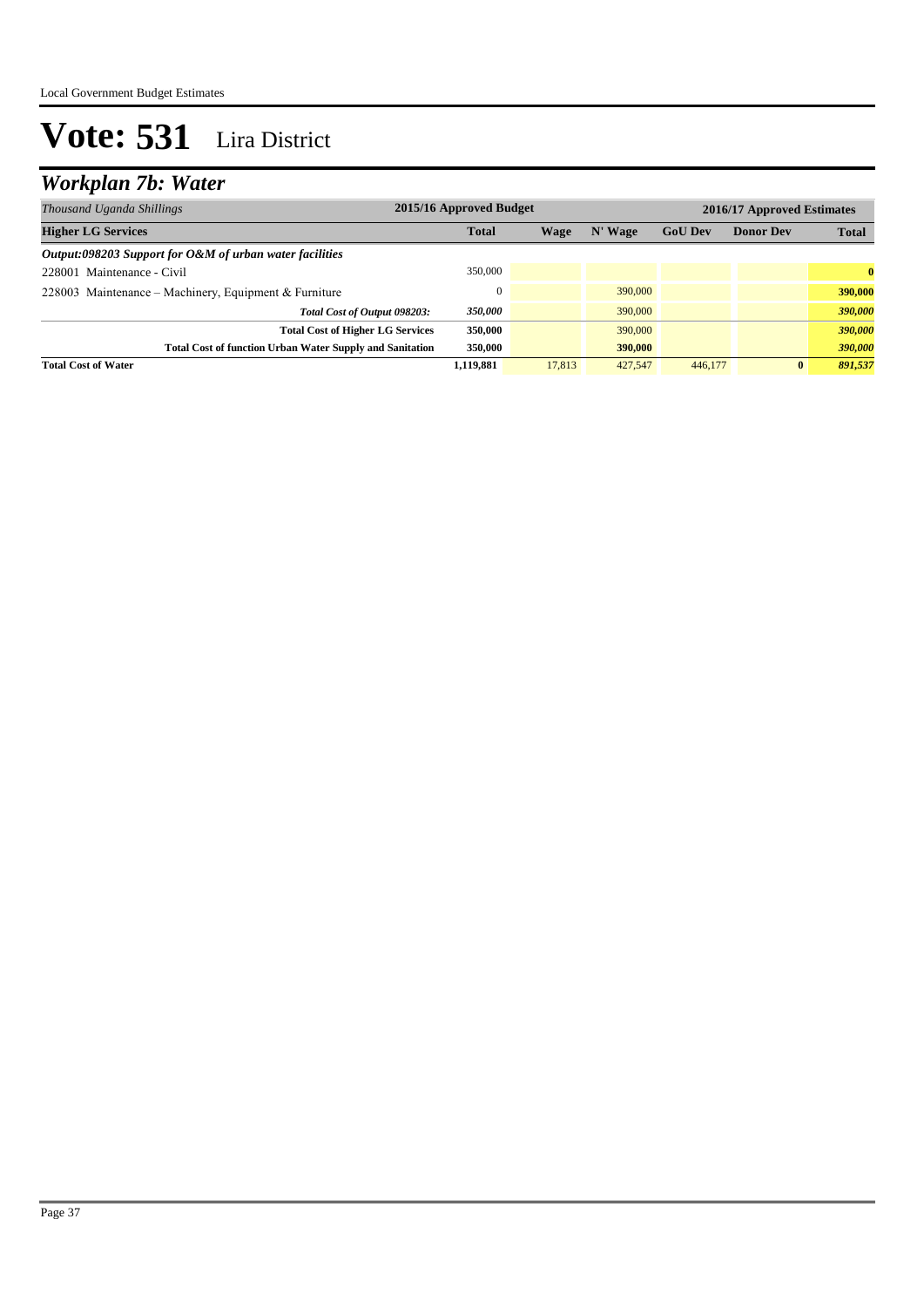### *Workplan 7b: Water*

| Thousand Uganda Shillings                                       | 2015/16 Approved Budget |        |         |                |                  | 2016/17 Approved Estimates |  |  |
|-----------------------------------------------------------------|-------------------------|--------|---------|----------------|------------------|----------------------------|--|--|
| <b>Higher LG Services</b>                                       | <b>Total</b>            | Wage   | N' Wage | <b>GoU Dev</b> | <b>Donor Dev</b> | <b>Total</b>               |  |  |
| Output:098203 Support for O&M of urban water facilities         |                         |        |         |                |                  |                            |  |  |
| 228001 Maintenance - Civil                                      | 350,000                 |        |         |                |                  | $\mathbf{0}$               |  |  |
| 228003 Maintenance – Machinery, Equipment & Furniture           | $\Omega$                |        | 390,000 |                |                  | 390,000                    |  |  |
| Total Cost of Output 098203:                                    | 350,000                 |        | 390,000 |                |                  | 390,000                    |  |  |
| <b>Total Cost of Higher LG Services</b>                         | 350,000                 |        | 390,000 |                |                  | 390,000                    |  |  |
| <b>Total Cost of function Urban Water Supply and Sanitation</b> | 350,000                 |        | 390,000 |                |                  | 390,000                    |  |  |
| <b>Total Cost of Water</b>                                      | 1.119.881               | 17,813 | 427,547 | 446,177        | $\bf{0}$         | 891,537                    |  |  |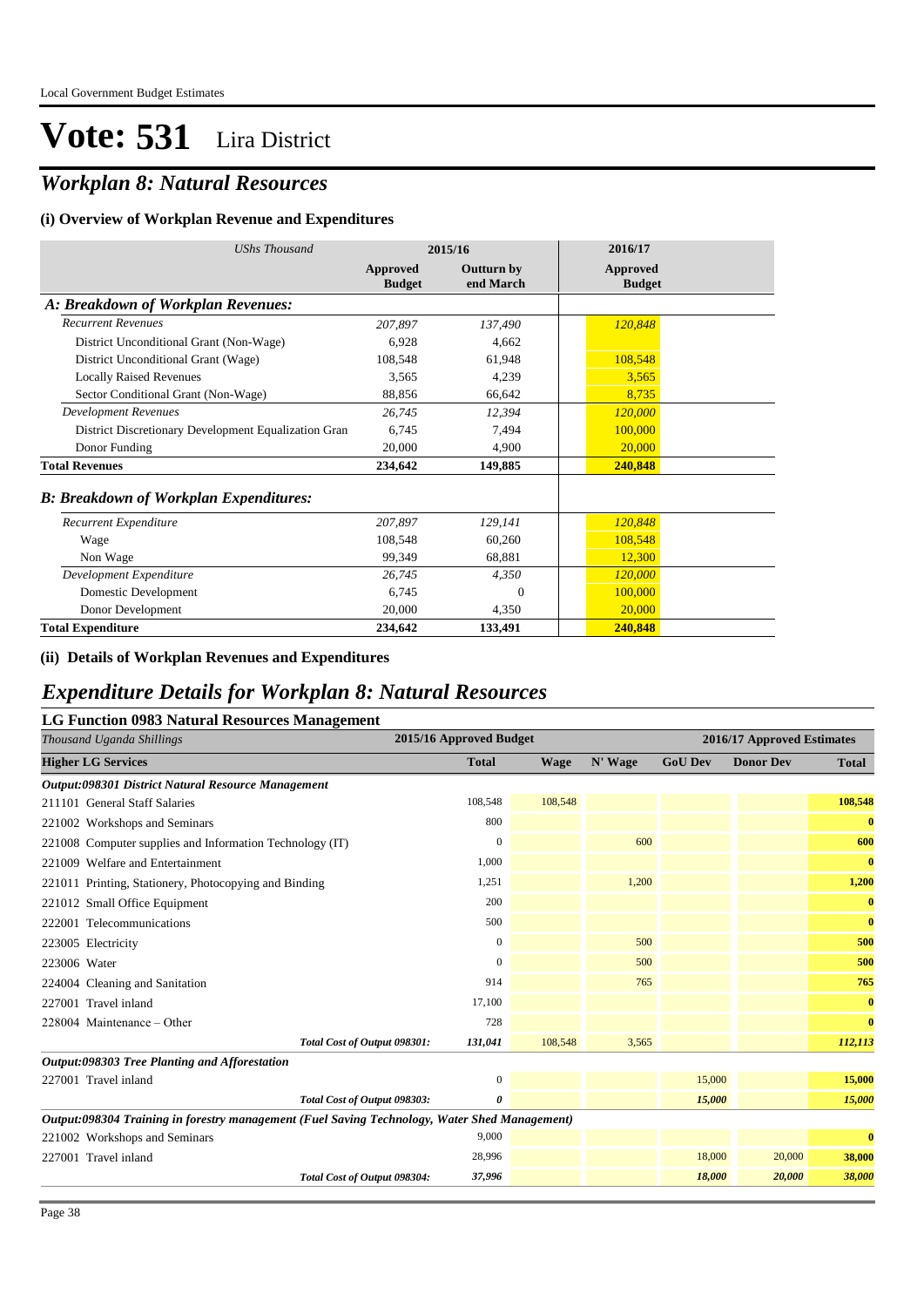### *Workplan 8: Natural Resources*

#### **(i) Overview of Workplan Revenue and Expenditures**

| <b>UShs Thousand</b>                                 | 2015/16                          |                                | 2016/17                   |
|------------------------------------------------------|----------------------------------|--------------------------------|---------------------------|
|                                                      | <b>Approved</b><br><b>Budget</b> | <b>Outturn by</b><br>end March | Approved<br><b>Budget</b> |
| A: Breakdown of Workplan Revenues:                   |                                  |                                |                           |
| <b>Recurrent Revenues</b>                            | 207,897                          | 137,490                        | 120,848                   |
| District Unconditional Grant (Non-Wage)              | 6,928                            | 4,662                          |                           |
| District Unconditional Grant (Wage)                  | 108,548                          | 61,948                         | 108,548                   |
| <b>Locally Raised Revenues</b>                       | 3,565                            | 4,239                          | 3,565                     |
| Sector Conditional Grant (Non-Wage)                  | 88,856                           | 66,642                         | 8,735                     |
| <b>Development Revenues</b>                          | 26,745                           | 12,394                         | 120,000                   |
| District Discretionary Development Equalization Gran | 6.745                            | 7.494                          | 100,000                   |
| Donor Funding                                        | 20,000                           | 4,900                          | 20,000                    |
| <b>Total Revenues</b>                                | 234,642                          | 149,885                        | 240,848                   |
| <b>B</b> : Breakdown of Workplan Expenditures:       |                                  |                                |                           |
| Recurrent Expenditure                                | 207,897                          | 129,141                        | 120,848                   |
| Wage                                                 | 108,548                          | 60,260                         | 108,548                   |
| Non Wage                                             | 99,349                           | 68,881                         | 12,300                    |
| Development Expenditure                              | 26,745                           | 4,350                          | 120,000                   |
| Domestic Development                                 | 6,745                            | 0                              | 100,000                   |
| Donor Development                                    | 20,000                           | 4,350                          | 20,000                    |
| <b>Total Expenditure</b>                             | 234,642                          | 133,491                        | 240,848                   |

#### **(ii) Details of Workplan Revenues and Expenditures**

#### *Expenditure Details for Workplan 8: Natural Resources*

#### **LG Function 0983 Natural Resources Management**

| Thousand Uganda Shillings                                                                     | 2015/16 Approved Budget |             |         |                | 2016/17 Approved Estimates |              |  |  |
|-----------------------------------------------------------------------------------------------|-------------------------|-------------|---------|----------------|----------------------------|--------------|--|--|
| <b>Higher LG Services</b>                                                                     | <b>Total</b>            | <b>Wage</b> | N' Wage | <b>GoU Dev</b> | <b>Donor Dev</b>           | <b>Total</b> |  |  |
| Output:098301 District Natural Resource Management                                            |                         |             |         |                |                            |              |  |  |
| 211101 General Staff Salaries                                                                 | 108,548                 | 108,548     |         |                |                            | 108,548      |  |  |
| 221002 Workshops and Seminars                                                                 | 800                     |             |         |                |                            | $\bf{0}$     |  |  |
| 221008 Computer supplies and Information Technology (IT)                                      | $\mathbf{0}$            |             | 600     |                |                            | 600          |  |  |
| 221009 Welfare and Entertainment                                                              | 1,000                   |             |         |                |                            | $\bf{0}$     |  |  |
| 221011 Printing, Stationery, Photocopying and Binding                                         | 1,251                   |             | 1,200   |                |                            | 1,200        |  |  |
| 221012 Small Office Equipment                                                                 | 200                     |             |         |                |                            | $\bf{0}$     |  |  |
| 222001 Telecommunications                                                                     | 500                     |             |         |                |                            | $\bf{0}$     |  |  |
| 223005 Electricity                                                                            | $\mathbf{0}$            |             | 500     |                |                            | 500          |  |  |
| 223006 Water                                                                                  | $\boldsymbol{0}$        |             | 500     |                |                            | 500          |  |  |
| 224004 Cleaning and Sanitation                                                                | 914                     |             | 765     |                |                            | 765          |  |  |
| 227001 Travel inland                                                                          | 17,100                  |             |         |                |                            | $\bf{0}$     |  |  |
| $228004$ Maintenance – Other                                                                  | 728                     |             |         |                |                            | $\bf{0}$     |  |  |
| Total Cost of Output 098301:                                                                  | 131,041                 | 108,548     | 3,565   |                |                            | 112,113      |  |  |
| Output:098303 Tree Planting and Afforestation                                                 |                         |             |         |                |                            |              |  |  |
| 227001 Travel inland                                                                          | $\mathbf{0}$            |             |         | 15,000         |                            | 15,000       |  |  |
| Total Cost of Output 098303:                                                                  | 0                       |             |         | 15,000         |                            | 15,000       |  |  |
| Output:098304 Training in forestry management (Fuel Saving Technology, Water Shed Management) |                         |             |         |                |                            |              |  |  |
| 221002 Workshops and Seminars                                                                 | 9,000                   |             |         |                |                            | $\bf{0}$     |  |  |
| 227001 Travel inland                                                                          | 28,996                  |             |         | 18,000         | 20,000                     | 38,000       |  |  |
| Total Cost of Output 098304:                                                                  | 37,996                  |             |         | 18,000         | 20,000                     | 38,000       |  |  |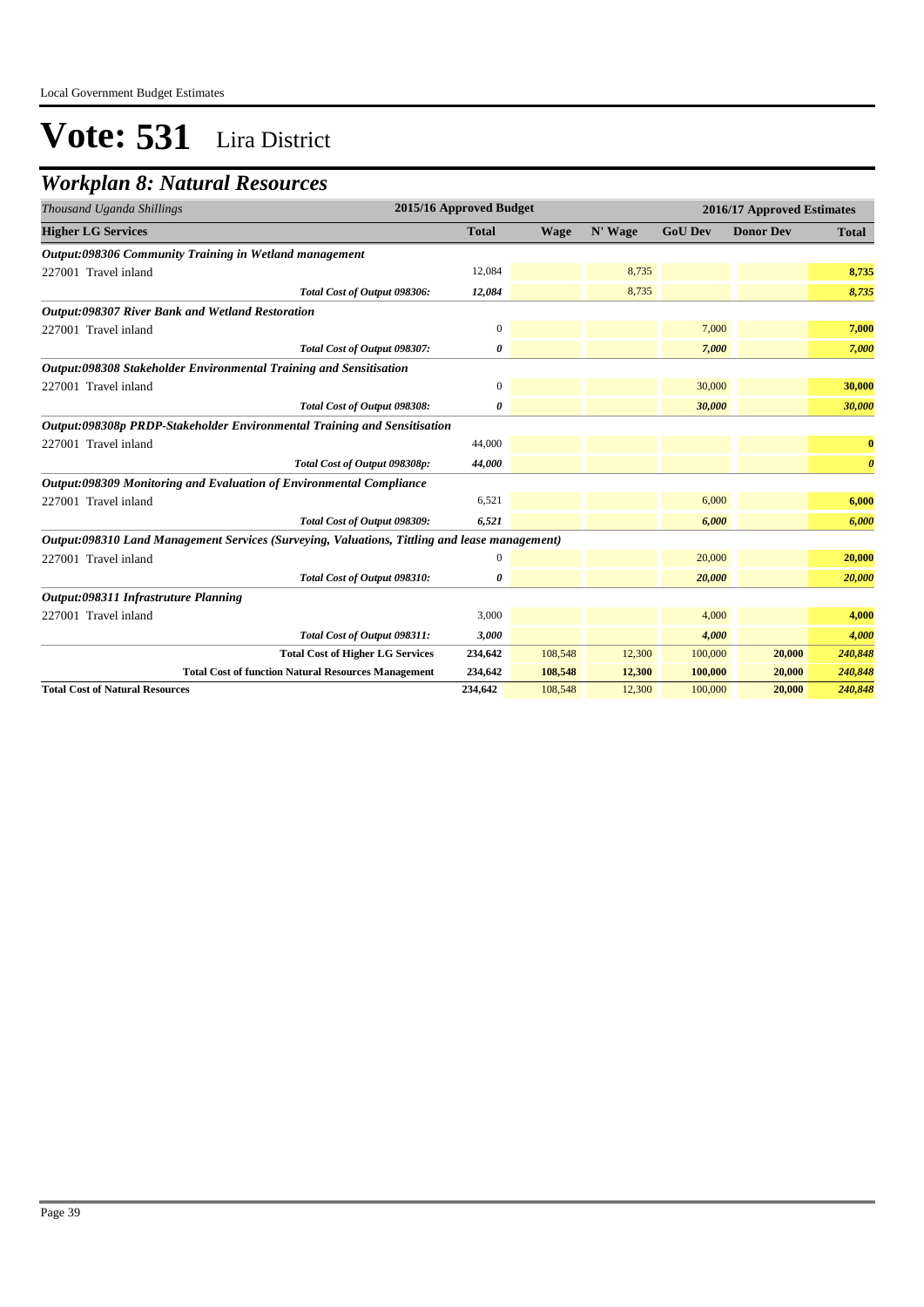### *Workplan 8: Natural Resources*

| 2015/16 Approved Budget<br>Thousand Uganda Shillings                                          |                  |             |         | 2016/17 Approved Estimates |                  |                       |  |
|-----------------------------------------------------------------------------------------------|------------------|-------------|---------|----------------------------|------------------|-----------------------|--|
| <b>Higher LG Services</b>                                                                     | <b>Total</b>     | <b>Wage</b> | N' Wage | <b>GoU Dev</b>             | <b>Donor Dev</b> | <b>Total</b>          |  |
| Output:098306 Community Training in Wetland management                                        |                  |             |         |                            |                  |                       |  |
| 227001 Travel inland                                                                          | 12,084           |             | 8,735   |                            |                  | 8,735                 |  |
| Total Cost of Output 098306:                                                                  | 12,084           |             | 8,735   |                            |                  | 8,735                 |  |
| <b>Output:098307 River Bank and Wetland Restoration</b>                                       |                  |             |         |                            |                  |                       |  |
| 227001 Travel inland                                                                          | $\boldsymbol{0}$ |             |         | 7,000                      |                  | 7,000                 |  |
| Total Cost of Output 098307:                                                                  | 0                |             |         | 7,000                      |                  | 7,000                 |  |
| Output:098308 Stakeholder Environmental Training and Sensitisation                            |                  |             |         |                            |                  |                       |  |
| 227001 Travel inland                                                                          | $\boldsymbol{0}$ |             |         | 30,000                     |                  | 30,000                |  |
| Total Cost of Output 098308:                                                                  | 0                |             |         | 30,000                     |                  | 30,000                |  |
| Output:098308p PRDP-Stakeholder Environmental Training and Sensitisation                      |                  |             |         |                            |                  |                       |  |
| 227001 Travel inland                                                                          | 44,000           |             |         |                            |                  | $\bf{0}$              |  |
| Total Cost of Output 098308p:                                                                 | 44,000           |             |         |                            |                  | $\boldsymbol{\theta}$ |  |
| Output:098309 Monitoring and Evaluation of Environmental Compliance                           |                  |             |         |                            |                  |                       |  |
| 227001 Travel inland                                                                          | 6,521            |             |         | 6,000                      |                  | 6,000                 |  |
| Total Cost of Output 098309:                                                                  | 6,521            |             |         | 6.000                      |                  | 6,000                 |  |
| Output:098310 Land Management Services (Surveying, Valuations, Tittling and lease management) |                  |             |         |                            |                  |                       |  |
| 227001 Travel inland                                                                          | $\mathbf{0}$     |             |         | 20,000                     |                  | 20,000                |  |
| Total Cost of Output 098310:                                                                  | 0                |             |         | 20,000                     |                  | 20,000                |  |
| Output:098311 Infrastruture Planning                                                          |                  |             |         |                            |                  |                       |  |
| 227001 Travel inland                                                                          | 3,000            |             |         | 4,000                      |                  | 4,000                 |  |
| Total Cost of Output 098311:                                                                  | 3,000            |             |         | 4,000                      |                  | 4,000                 |  |
| <b>Total Cost of Higher LG Services</b>                                                       | 234,642          | 108,548     | 12,300  | 100,000                    | 20,000           | 240,848               |  |
| <b>Total Cost of function Natural Resources Management</b>                                    | 234,642          | 108,548     | 12,300  | 100,000                    | 20,000           | 240,848               |  |
| <b>Total Cost of Natural Resources</b>                                                        | 234,642          | 108,548     | 12,300  | 100,000                    | 20,000           | 240,848               |  |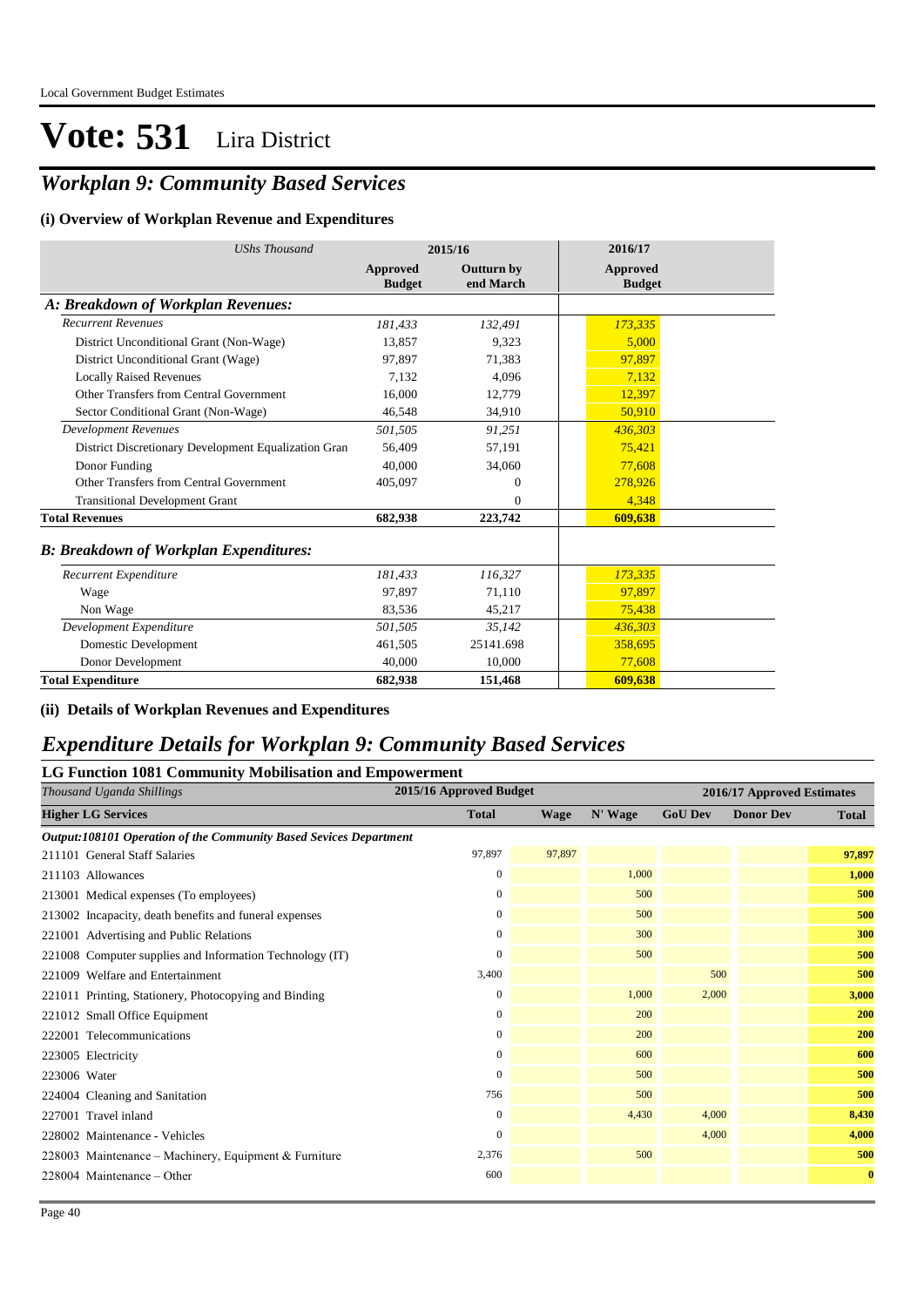### *Workplan 9: Community Based Services*

#### **(i) Overview of Workplan Revenue and Expenditures**

| <b>UShs Thousand</b>                                 |                           | 2015/16                        | 2016/17                   |
|------------------------------------------------------|---------------------------|--------------------------------|---------------------------|
|                                                      | Approved<br><b>Budget</b> | <b>Outturn by</b><br>end March | Approved<br><b>Budget</b> |
| A: Breakdown of Workplan Revenues:                   |                           |                                |                           |
| <b>Recurrent Revenues</b>                            | 181,433                   | 132,491                        | 173,335                   |
| District Unconditional Grant (Non-Wage)              | 13.857                    | 9,323                          | 5,000                     |
| District Unconditional Grant (Wage)                  | 97,897                    | 71,383                         | 97,897                    |
| <b>Locally Raised Revenues</b>                       | 7.132                     | 4.096                          | 7.132                     |
| Other Transfers from Central Government              | 16.000                    | 12,779                         | 12.397                    |
| Sector Conditional Grant (Non-Wage)                  | 46,548                    | 34,910                         | 50,910                    |
| <b>Development Revenues</b>                          | 501,505                   | 91,251                         | 436.303                   |
| District Discretionary Development Equalization Gran | 56,409                    | 57,191                         | 75,421                    |
| Donor Funding                                        | 40,000                    | 34,060                         | 77.608                    |
| Other Transfers from Central Government              | 405,097                   | $\Omega$                       | 278,926                   |
| <b>Transitional Development Grant</b>                |                           | $\Omega$                       | 4.348                     |
| <b>Total Revenues</b>                                | 682.938                   | 223,742                        | 609,638                   |
| <b>B: Breakdown of Workplan Expenditures:</b>        |                           |                                |                           |
| Recurrent Expenditure                                | 181,433                   | 116,327                        | 173,335                   |
| Wage                                                 | 97.897                    | 71,110                         | 97,897                    |
| Non Wage                                             | 83,536                    | 45,217                         | 75,438                    |
| Development Expenditure                              | 501,505                   | 35,142                         | 436,303                   |
| Domestic Development                                 | 461,505                   | 25141.698                      | 358,695                   |
| Donor Development                                    | 40,000                    | 10,000                         | 77,608                    |
| <b>Total Expenditure</b>                             | 682,938                   | 151,468                        | 609.638                   |

#### **(ii) Details of Workplan Revenues and Expenditures**

#### *Expenditure Details for Workplan 9: Community Based Services*

#### **LG Function 1081 Community Mobilisation and Empowerment**

| Thousand Uganda Shillings                                         | 2015/16 Approved Budget |        | 2016/17 Approved Estimates |                |                  |          |
|-------------------------------------------------------------------|-------------------------|--------|----------------------------|----------------|------------------|----------|
| <b>Higher LG Services</b>                                         | <b>Total</b>            | Wage   | N' Wage                    | <b>GoU Dev</b> | <b>Donor Dev</b> | Total    |
| Output:108101 Operation of the Community Based Sevices Department |                         |        |                            |                |                  |          |
| 211101 General Staff Salaries                                     | 97,897                  | 97,897 |                            |                |                  | 97,897   |
| 211103 Allowances                                                 | $\mathbf{0}$            |        | 1,000                      |                |                  | 1,000    |
| 213001 Medical expenses (To employees)                            | $\mathbf{0}$            |        | 500                        |                |                  | 500      |
| 213002 Incapacity, death benefits and funeral expenses            | $\mathbf{0}$            |        | 500                        |                |                  | 500      |
| 221001 Advertising and Public Relations                           | 0                       |        | 300                        |                |                  | 300      |
| 221008 Computer supplies and Information Technology (IT)          | $\mathbf{0}$            |        | 500                        |                |                  | 500      |
| 221009 Welfare and Entertainment                                  | 3,400                   |        |                            | 500            |                  | 500      |
| 221011 Printing, Stationery, Photocopying and Binding             | 0                       |        | 1,000                      | 2,000          |                  | 3,000    |
| 221012 Small Office Equipment                                     | $\mathbf{0}$            |        | 200                        |                |                  | 200      |
| 222001 Telecommunications                                         | $\Omega$                |        | 200                        |                |                  | 200      |
| 223005 Electricity                                                | $\overline{0}$          |        | 600                        |                |                  | 600      |
| 223006 Water                                                      | $\Omega$                |        | 500                        |                |                  | 500      |
| 224004 Cleaning and Sanitation                                    | 756                     |        | 500                        |                |                  | 500      |
| 227001 Travel inland                                              | $\mathbf{0}$            |        | 4,430                      | 4,000          |                  | 8,430    |
| 228002 Maintenance - Vehicles                                     | $\Omega$                |        |                            | 4,000          |                  | 4,000    |
| 228003 Maintenance – Machinery, Equipment & Furniture             | 2,376                   |        | 500                        |                |                  | 500      |
| 228004 Maintenance – Other                                        | 600                     |        |                            |                |                  | $\bf{0}$ |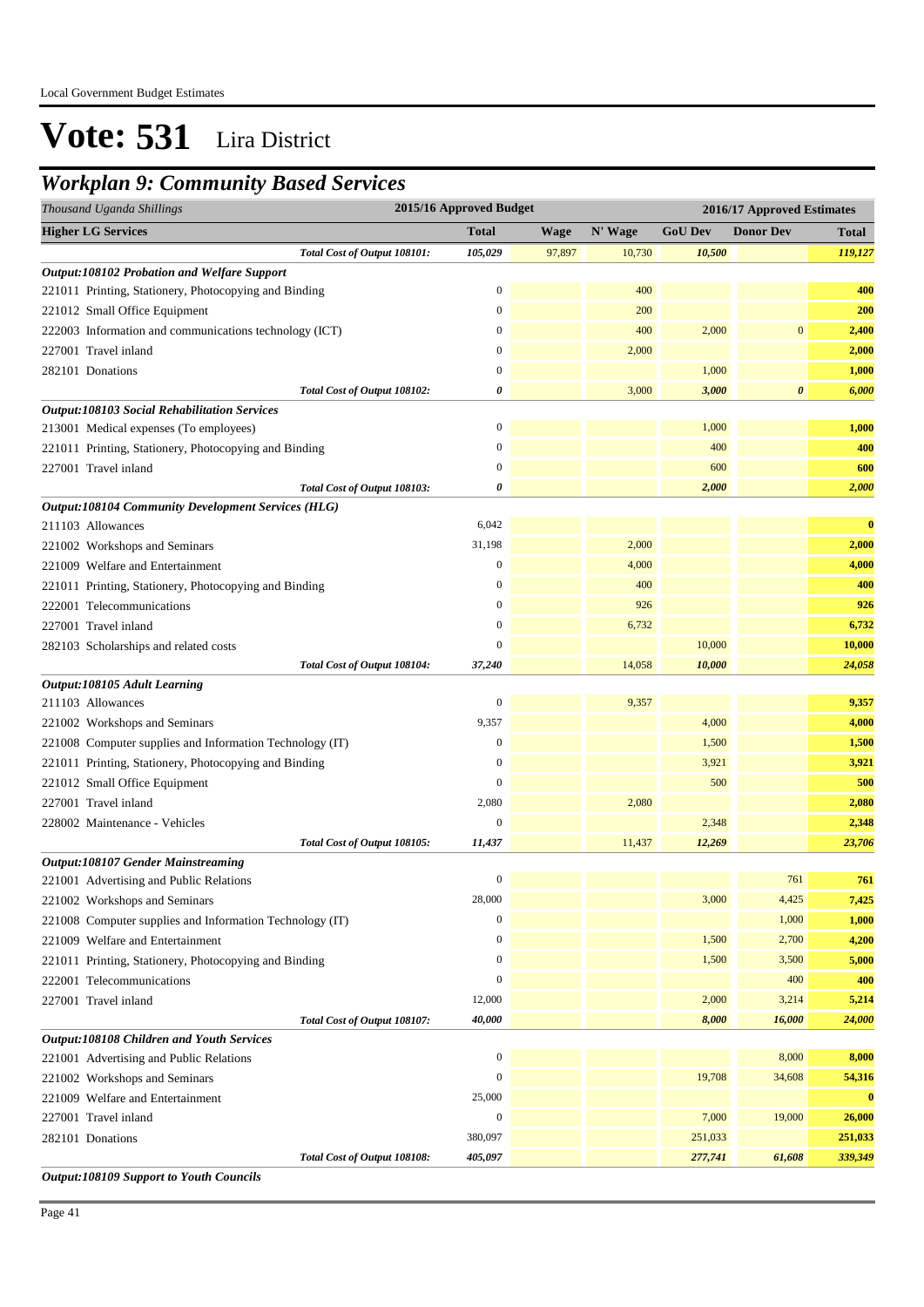### *Workplan 9: Community Based Services*

| Thousand Uganda Shillings                                 | 2015/16 Approved Budget |             |         | 2016/17 Approved Estimates |                       |              |  |
|-----------------------------------------------------------|-------------------------|-------------|---------|----------------------------|-----------------------|--------------|--|
| <b>Higher LG Services</b>                                 | <b>Total</b>            | <b>Wage</b> | N' Wage | <b>GoU Dev</b>             | <b>Donor Dev</b>      | <b>Total</b> |  |
| Total Cost of Output 108101:                              | 105,029                 | 97,897      | 10,730  | 10,500                     |                       | 119,127      |  |
| Output:108102 Probation and Welfare Support               |                         |             |         |                            |                       |              |  |
| 221011 Printing, Stationery, Photocopying and Binding     | $\boldsymbol{0}$        |             | 400     |                            |                       | 400          |  |
| 221012 Small Office Equipment                             | $\boldsymbol{0}$        |             | 200     |                            |                       | 200          |  |
| 222003 Information and communications technology (ICT)    | $\boldsymbol{0}$        |             | 400     | 2,000                      | $\mathbf{0}$          | 2,400        |  |
| 227001 Travel inland                                      | $\mathbf{0}$            |             | 2,000   |                            |                       | 2,000        |  |
| 282101 Donations                                          | $\mathbf{0}$            |             |         | 1,000                      |                       | 1,000        |  |
| Total Cost of Output 108102:                              | 0                       |             | 3,000   | 3,000                      | $\boldsymbol{\theta}$ | 6,000        |  |
| <b>Output:108103 Social Rehabilitation Services</b>       |                         |             |         |                            |                       |              |  |
| 213001 Medical expenses (To employees)                    | $\boldsymbol{0}$        |             |         | 1,000                      |                       | 1,000        |  |
| 221011 Printing, Stationery, Photocopying and Binding     | $\mathbf{0}$            |             |         | 400                        |                       | 400          |  |
| 227001 Travel inland                                      | $\boldsymbol{0}$        |             |         | 600                        |                       | 600          |  |
| Total Cost of Output 108103:                              | 0                       |             |         | 2,000                      |                       | 2,000        |  |
| <b>Output:108104 Community Development Services (HLG)</b> |                         |             |         |                            |                       |              |  |
| 211103 Allowances                                         | 6,042                   |             |         |                            |                       | $\bf{0}$     |  |
| 221002 Workshops and Seminars                             | 31,198                  |             | 2,000   |                            |                       | 2,000        |  |
| 221009 Welfare and Entertainment                          | $\boldsymbol{0}$        |             | 4,000   |                            |                       | 4,000        |  |
| 221011 Printing, Stationery, Photocopying and Binding     | $\boldsymbol{0}$        |             | 400     |                            |                       | 400          |  |
| 222001 Telecommunications                                 | $\bf{0}$                |             | 926     |                            |                       | 926          |  |
| 227001 Travel inland                                      | $\boldsymbol{0}$        |             | 6,732   |                            |                       | 6,732        |  |
| 282103 Scholarships and related costs                     | $\mathbf{0}$            |             |         | 10,000                     |                       | 10,000       |  |
| Total Cost of Output 108104:                              | 37,240                  |             | 14,058  | 10,000                     |                       | 24,058       |  |
| Output:108105 Adult Learning                              |                         |             |         |                            |                       |              |  |
| 211103 Allowances                                         | $\boldsymbol{0}$        |             | 9,357   |                            |                       | 9,357        |  |
| 221002 Workshops and Seminars                             | 9,357                   |             |         | 4,000                      |                       | 4,000        |  |
| 221008 Computer supplies and Information Technology (IT)  | $\boldsymbol{0}$        |             |         | 1,500                      |                       | 1,500        |  |
| 221011 Printing, Stationery, Photocopying and Binding     | $\mathbf{0}$            |             |         | 3,921                      |                       | 3,921        |  |
| 221012 Small Office Equipment                             | $\boldsymbol{0}$        |             |         | 500                        |                       | 500          |  |
| 227001 Travel inland                                      | 2,080                   |             | 2,080   |                            |                       | 2,080        |  |
| 228002 Maintenance - Vehicles                             | $\boldsymbol{0}$        |             |         | 2,348                      |                       | 2,348        |  |
| Total Cost of Output 108105:                              | 11,437                  |             | 11,437  | 12,269                     |                       | 23,706       |  |
| <b>Output:108107 Gender Mainstreaming</b>                 |                         |             |         |                            |                       |              |  |
| 221001 Advertising and Public Relations                   | $\boldsymbol{0}$        |             |         |                            | 761                   | 761          |  |
| 221002 Workshops and Seminars                             | 28,000                  |             |         | 3,000                      | 4,425                 | 7,425        |  |
| 221008 Computer supplies and Information Technology (IT)  | $\boldsymbol{0}$        |             |         |                            | 1,000                 | 1,000        |  |
| 221009 Welfare and Entertainment                          | $\boldsymbol{0}$        |             |         | 1,500                      | 2,700                 | 4,200        |  |
| 221011 Printing, Stationery, Photocopying and Binding     | $\boldsymbol{0}$        |             |         | 1,500                      | 3,500                 | 5,000        |  |
| 222001 Telecommunications                                 | $\boldsymbol{0}$        |             |         |                            | 400                   | 400          |  |
| 227001 Travel inland                                      | 12,000                  |             |         | 2,000                      | 3,214                 | 5,214        |  |
| Total Cost of Output 108107:                              | 40,000                  |             |         | 8,000                      | 16,000                | 24,000       |  |
| Output:108108 Children and Youth Services                 |                         |             |         |                            |                       |              |  |
| 221001 Advertising and Public Relations                   | $\boldsymbol{0}$        |             |         |                            | 8,000                 | 8,000        |  |
| 221002 Workshops and Seminars                             | $\boldsymbol{0}$        |             |         | 19,708                     | 34,608                | 54,316       |  |
| 221009 Welfare and Entertainment                          | 25,000                  |             |         |                            |                       | $\bf{0}$     |  |
| 227001 Travel inland                                      | $\boldsymbol{0}$        |             |         | 7,000                      | 19,000                | 26,000       |  |
| 282101 Donations                                          | 380,097                 |             |         | 251,033                    |                       | 251,033      |  |
| Total Cost of Output 108108:                              | 405,097                 |             |         | 277,741                    | 61,608                | 339,349      |  |

*Output:108109 Support to Youth Councils*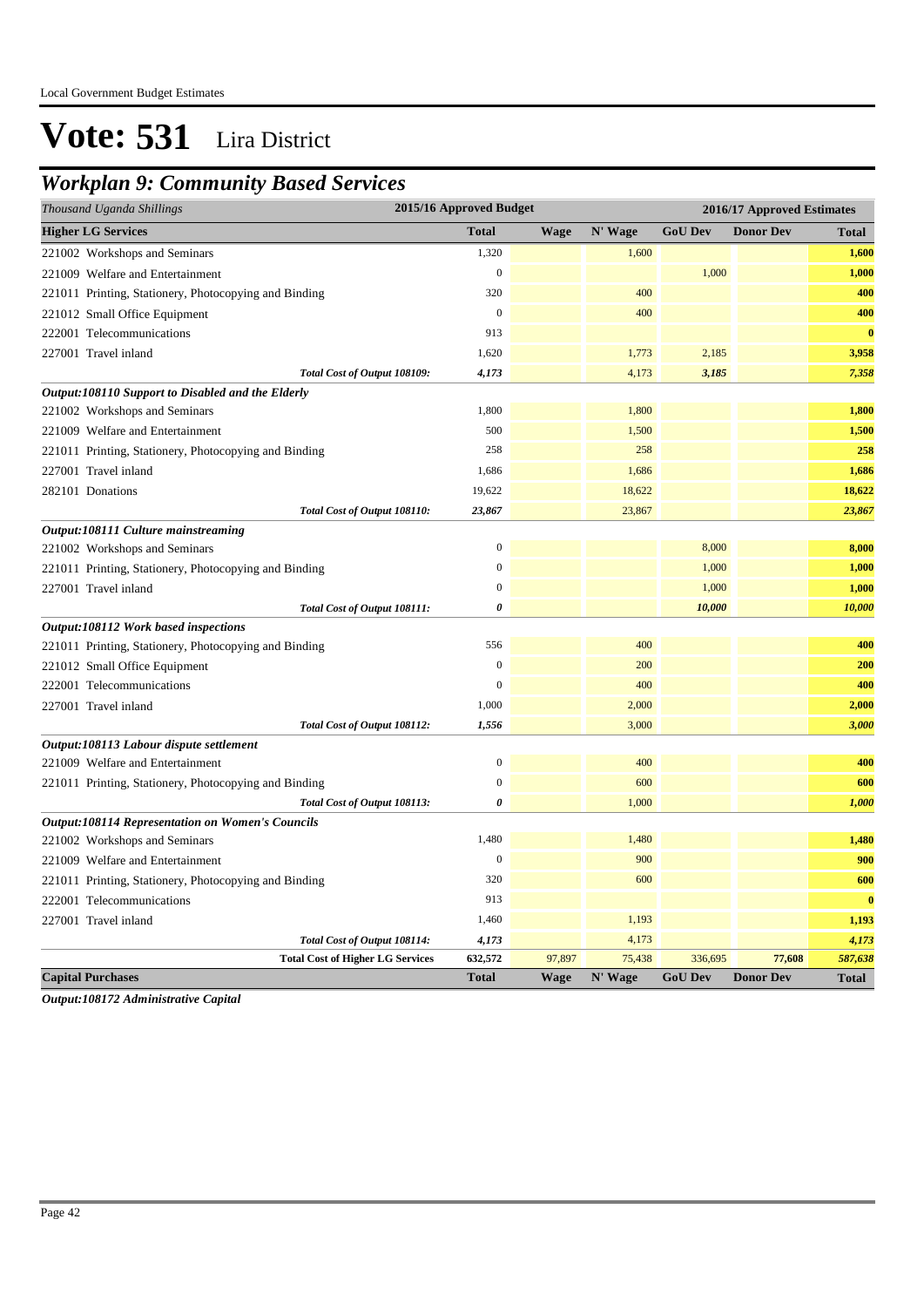### *Workplan 9: Community Based Services*

| 2015/16 Approved Budget<br>Thousand Uganda Shillings    |                  | 2016/17 Approved Estimates |         |                |                  |              |
|---------------------------------------------------------|------------------|----------------------------|---------|----------------|------------------|--------------|
| <b>Higher LG Services</b>                               | <b>Total</b>     | <b>Wage</b>                | N' Wage | <b>GoU Dev</b> | <b>Donor Dev</b> | <b>Total</b> |
| 221002 Workshops and Seminars                           | 1,320            |                            | 1,600   |                |                  | 1,600        |
| 221009 Welfare and Entertainment                        | $\overline{0}$   |                            |         | 1,000          |                  | 1,000        |
| 221011 Printing, Stationery, Photocopying and Binding   | 320              |                            | 400     |                |                  | 400          |
| 221012 Small Office Equipment                           | $\boldsymbol{0}$ |                            | 400     |                |                  | 400          |
| 222001 Telecommunications                               | 913              |                            |         |                |                  | $\bf{0}$     |
| 227001 Travel inland                                    | 1,620            |                            | 1,773   | 2,185          |                  | 3,958        |
| Total Cost of Output 108109:                            | 4,173            |                            | 4,173   | 3,185          |                  | 7,358        |
| Output:108110 Support to Disabled and the Elderly       |                  |                            |         |                |                  |              |
| 221002 Workshops and Seminars                           | 1,800            |                            | 1,800   |                |                  | 1,800        |
| 221009 Welfare and Entertainment                        | 500              |                            | 1,500   |                |                  | 1,500        |
| 221011 Printing, Stationery, Photocopying and Binding   | 258              |                            | 258     |                |                  | 258          |
| 227001 Travel inland                                    | 1,686            |                            | 1,686   |                |                  | 1,686        |
| 282101 Donations                                        | 19,622           |                            | 18,622  |                |                  | 18,622       |
| Total Cost of Output 108110:                            | 23,867           |                            | 23,867  |                |                  | 23,867       |
| Output:108111 Culture mainstreaming                     |                  |                            |         |                |                  |              |
| 221002 Workshops and Seminars                           | $\Omega$         |                            |         | 8,000          |                  | 8,000        |
| 221011 Printing, Stationery, Photocopying and Binding   | 0                |                            |         | 1,000          |                  | 1,000        |
| 227001 Travel inland                                    | $\boldsymbol{0}$ |                            |         | 1,000          |                  | 1,000        |
| Total Cost of Output 108111:                            | 0                |                            |         | 10,000         |                  | 10,000       |
| Output:108112 Work based inspections                    |                  |                            |         |                |                  |              |
| 221011 Printing, Stationery, Photocopying and Binding   | 556              |                            | 400     |                |                  | 400          |
| 221012 Small Office Equipment                           | $\overline{0}$   |                            | 200     |                |                  | 200          |
| 222001 Telecommunications                               | $\boldsymbol{0}$ |                            | 400     |                |                  | 400          |
| 227001 Travel inland                                    | 1,000            |                            | 2,000   |                |                  | 2,000        |
| Total Cost of Output 108112:                            | 1,556            |                            | 3,000   |                |                  | 3,000        |
| Output:108113 Labour dispute settlement                 |                  |                            |         |                |                  |              |
| 221009 Welfare and Entertainment                        | $\overline{0}$   |                            | 400     |                |                  | 400          |
| 221011 Printing, Stationery, Photocopying and Binding   | $\Omega$         |                            | 600     |                |                  | 600          |
| Total Cost of Output 108113:                            | 0                |                            | 1,000   |                |                  | 1,000        |
| <b>Output:108114 Representation on Women's Councils</b> |                  |                            |         |                |                  |              |
| 221002 Workshops and Seminars                           | 1,480            |                            | 1,480   |                |                  | 1,480        |
| 221009 Welfare and Entertainment                        | $\boldsymbol{0}$ |                            | 900     |                |                  | 900          |
| 221011 Printing, Stationery, Photocopying and Binding   | 320              |                            | 600     |                |                  | 600          |
| 222001 Telecommunications                               | 913              |                            |         |                |                  | $\bf{0}$     |
| 227001 Travel inland                                    | 1,460            |                            | 1,193   |                |                  | 1,193        |
| Total Cost of Output 108114:                            | 4,173            |                            | 4,173   |                |                  | 4,173        |
| <b>Total Cost of Higher LG Services</b>                 | 632,572          | 97,897                     | 75,438  | 336,695        | 77,608           | 587,638      |
| <b>Capital Purchases</b>                                | <b>Total</b>     | <b>Wage</b>                | N' Wage | <b>GoU Dev</b> | <b>Donor Dev</b> | <b>Total</b> |

*Output:108172 Administrative Capital*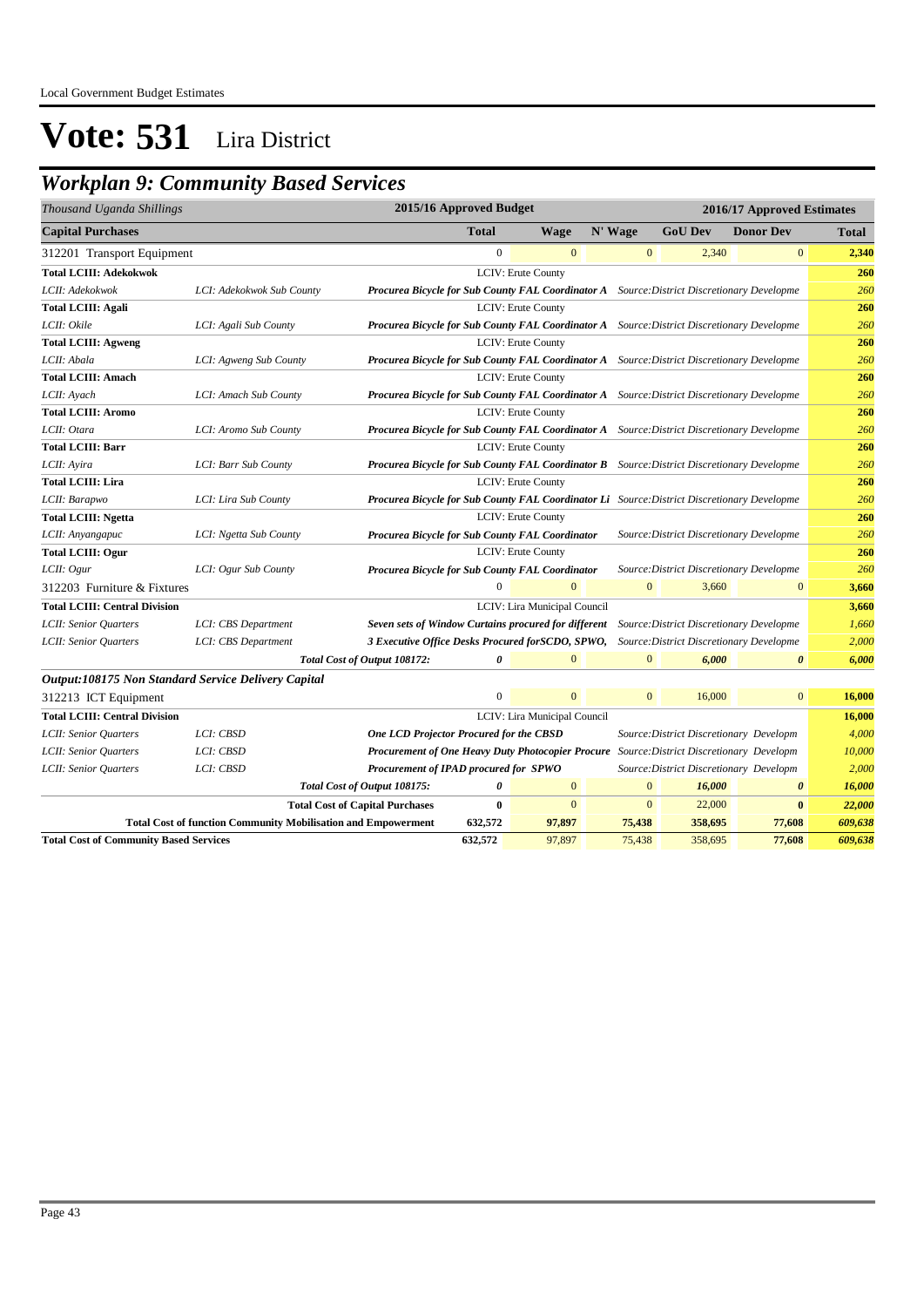### *Workplan 9: Community Based Services*

| Thousand Uganda Shillings                           |                                                                      |                                                                                                   | 2015/16 Approved Budget |                              |         |              |                | 2016/17 Approved Estimates               |              |
|-----------------------------------------------------|----------------------------------------------------------------------|---------------------------------------------------------------------------------------------------|-------------------------|------------------------------|---------|--------------|----------------|------------------------------------------|--------------|
| <b>Capital Purchases</b>                            |                                                                      |                                                                                                   | <b>Total</b>            | Wage                         | N' Wage |              | <b>GoU Dev</b> | <b>Donor Dev</b>                         | <b>Total</b> |
| 312201 Transport Equipment                          |                                                                      |                                                                                                   | $\mathbf{0}$            | $\mathbf{0}$                 |         | $\mathbf{0}$ | 2,340          | $\mathbf{0}$                             | 2,340        |
| <b>Total LCIII: Adekokwok</b>                       |                                                                      |                                                                                                   |                         | <b>LCIV: Erute County</b>    |         |              |                |                                          | 260          |
| LCII: Adekokwok                                     | LCI: Adekokwok Sub County                                            | Procurea Bicycle for Sub County FAL Coordinator A Source: District Discretionary Developme        |                         |                              |         |              |                |                                          | 260          |
| <b>Total LCIII: Agali</b>                           |                                                                      |                                                                                                   |                         | <b>LCIV: Erute County</b>    |         |              |                |                                          | 260          |
| LCII: Okile                                         | LCI: Agali Sub County                                                | Procurea Bicycle for Sub County FAL Coordinator A Source: District Discretionary Developme        |                         |                              |         |              |                |                                          | 260          |
| <b>Total LCIII: Agweng</b>                          |                                                                      |                                                                                                   |                         | <b>LCIV: Erute County</b>    |         |              |                |                                          | 260          |
| LCII: Abala                                         | LCI: Agweng Sub County                                               | Procurea Bicycle for Sub County FAL Coordinator A Source: District Discretionary Developme        |                         |                              |         |              |                |                                          | 260          |
| <b>Total LCIII: Amach</b>                           |                                                                      |                                                                                                   |                         | <b>LCIV: Erute County</b>    |         |              |                |                                          | 260          |
| LCII: Ayach                                         | LCI: Amach Sub County                                                | Procurea Bicycle for Sub County FAL Coordinator A Source: District Discretionary Developme        |                         |                              |         |              |                |                                          | 260          |
| <b>Total LCIII: Aromo</b>                           |                                                                      |                                                                                                   |                         | <b>LCIV: Erute County</b>    |         |              |                |                                          | 260          |
| LCII: Otara                                         | LCI: Aromo Sub County                                                | Procurea Bicycle for Sub County FAL Coordinator A Source: District Discretionary Developme        |                         |                              |         |              |                |                                          | 260          |
| <b>Total LCIII: Barr</b>                            |                                                                      |                                                                                                   |                         | <b>LCIV: Erute County</b>    |         |              |                |                                          | 260          |
| LCII: Ayira                                         | LCI: Barr Sub County                                                 | <b>Procurea Bicycle for Sub County FAL Coordinator B</b> Source: District Discretionary Developme |                         |                              |         |              |                |                                          | 260          |
| <b>Total LCIII: Lira</b>                            |                                                                      |                                                                                                   |                         | LCIV: Erute County           |         |              |                |                                          | 260          |
| LCII: Barapwo                                       | LCI: Lira Sub County                                                 | Procurea Bicycle for Sub County FAL Coordinator Li Source: District Discretionary Developme       |                         |                              |         |              |                |                                          | 260          |
| <b>Total LCIII: Ngetta</b>                          |                                                                      |                                                                                                   |                         | LCIV: Erute County           |         |              |                |                                          | 260          |
| LCII: Anyangapuc                                    | LCI: Ngetta Sub County                                               | Procurea Bicycle for Sub County FAL Coordinator                                                   |                         |                              |         |              |                | Source: District Discretionary Developme | 260          |
| <b>Total LCIII: Ogur</b>                            |                                                                      |                                                                                                   |                         | LCIV: Erute County           |         |              |                |                                          | 260          |
| LCII: Ogur                                          | LCI: Ogur Sub County                                                 | Procurea Bicycle for Sub County FAL Coordinator                                                   |                         |                              |         |              |                | Source: District Discretionary Developme | 260          |
| 312203 Furniture & Fixtures                         |                                                                      |                                                                                                   | $\Omega$                | $\overline{0}$               |         | $\mathbf{0}$ | 3,660          | $\mathbf{0}$                             | 3,660        |
| <b>Total LCIII: Central Division</b>                |                                                                      |                                                                                                   |                         | LCIV: Lira Municipal Council |         |              |                |                                          | 3,660        |
| LCII: Senior Quarters                               | LCI: CBS Department                                                  | Seven sets of Window Curtains procured for different                                              |                         |                              |         |              |                | Source: District Discretionary Developme | 1,660        |
| LCII: Senior Quarters                               | LCI: CBS Department                                                  | 3 Executive Office Desks Procured for SCDO, SPWO, Source: District Discretionary Developme        |                         |                              |         |              |                |                                          | 2,000        |
|                                                     |                                                                      | Total Cost of Output 108172:                                                                      | 0                       | $\Omega$                     |         | $\Omega$     | 6.000          | $\boldsymbol{\theta}$                    | 6,000        |
| Output:108175 Non Standard Service Delivery Capital |                                                                      |                                                                                                   |                         |                              |         |              |                |                                          |              |
| 312213 ICT Equipment                                |                                                                      |                                                                                                   | $\mathbf{0}$            | $\overline{0}$               |         | $\mathbf{0}$ | 16,000         | $\mathbf{0}$                             | 16,000       |
| <b>Total LCIII: Central Division</b>                |                                                                      |                                                                                                   |                         | LCIV: Lira Municipal Council |         |              |                |                                          | 16,000       |
| LCII: Senior Quarters                               | LCI: CBSD                                                            | <b>One LCD Projector Procured for the CBSD</b>                                                    |                         |                              |         |              |                | Source: District Discretionary Developm  | 4,000        |
| LCII: Senior Quarters                               | LCI: CBSD                                                            | Procurement of One Heavy Duty Photocopier Procure Source: District Discretionary Developm         |                         |                              |         |              |                |                                          | 10,000       |
| LCII: Senior Quarters                               | LCI: CBSD                                                            | Procurement of IPAD procured for SPWO                                                             |                         |                              |         |              |                | Source: District Discretionary Developm  | 2,000        |
|                                                     |                                                                      | Total Cost of Output 108175:                                                                      | 0                       | $\mathbf{0}$                 |         | $\mathbf{0}$ | 16,000         | $\boldsymbol{\theta}$                    | 16,000       |
|                                                     |                                                                      | <b>Total Cost of Capital Purchases</b>                                                            | $\bf{0}$                | $\boldsymbol{0}$             |         | $\mathbf{0}$ | 22,000         | $\bf{0}$                                 | 22,000       |
|                                                     | <b>Total Cost of function Community Mobilisation and Empowerment</b> |                                                                                                   | 632,572                 | 97,897                       |         | 75,438       | 358,695        | 77,608                                   | 609,638      |
| <b>Total Cost of Community Based Services</b>       |                                                                      |                                                                                                   | 632,572                 | 97,897                       |         | 75,438       | 358,695        | 77,608                                   | 609,638      |
|                                                     |                                                                      |                                                                                                   |                         |                              |         |              |                |                                          |              |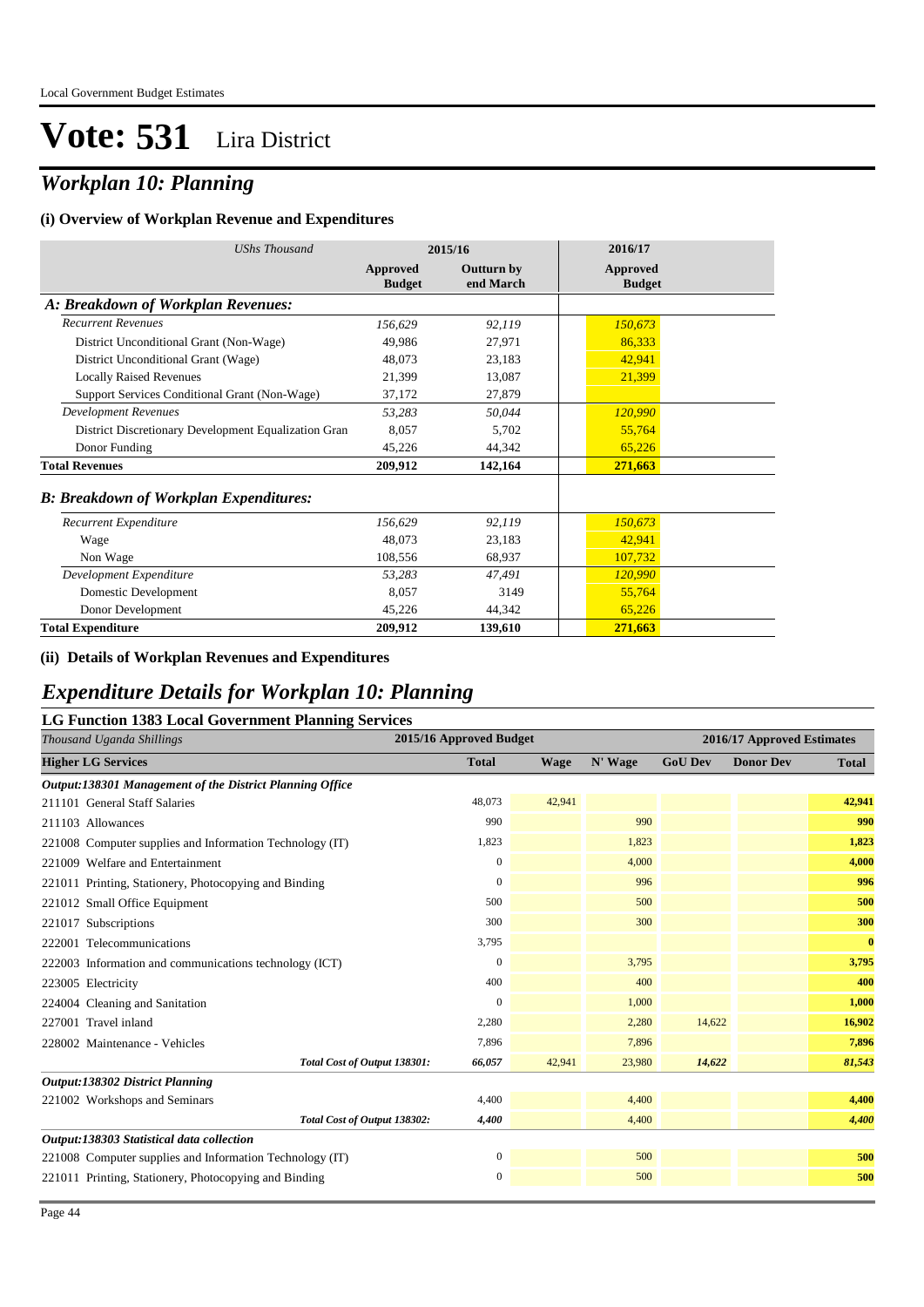### *Workplan 10: Planning*

#### **(i) Overview of Workplan Revenue and Expenditures**

| <b>UShs Thousand</b>                                 | 2015/16                   |                                | 2016/17                   |
|------------------------------------------------------|---------------------------|--------------------------------|---------------------------|
|                                                      | Approved<br><b>Budget</b> | <b>Outturn by</b><br>end March | Approved<br><b>Budget</b> |
| A: Breakdown of Workplan Revenues:                   |                           |                                |                           |
| <b>Recurrent Revenues</b>                            | 156,629                   | 92,119                         | 150,673                   |
| District Unconditional Grant (Non-Wage)              | 49,986                    | 27,971                         | 86,333                    |
| District Unconditional Grant (Wage)                  | 48,073                    | 23,183                         | 42,941                    |
| <b>Locally Raised Revenues</b>                       | 21,399                    | 13,087                         | 21,399                    |
| Support Services Conditional Grant (Non-Wage)        | 37,172                    | 27,879                         |                           |
| <b>Development Revenues</b>                          | 53,283                    | 50,044                         | 120,990                   |
| District Discretionary Development Equalization Gran | 8,057                     | 5,702                          | 55,764                    |
| Donor Funding                                        | 45,226                    | 44,342                         | 65,226                    |
| <b>Total Revenues</b>                                | 209,912                   | 142,164                        | 271,663                   |
| <b>B: Breakdown of Workplan Expenditures:</b>        |                           |                                |                           |
| Recurrent Expenditure                                | 156,629                   | 92,119                         | 150,673                   |
| Wage                                                 | 48,073                    | 23,183                         | 42,941                    |
| Non Wage                                             | 108,556                   | 68,937                         | 107,732                   |
| Development Expenditure                              | 53,283                    | 47,491                         | 120,990                   |
| Domestic Development                                 | 8,057                     | 3149                           | 55,764                    |
| Donor Development                                    | 45,226                    | 44,342                         | 65,226                    |
| <b>Total Expenditure</b>                             | 209,912                   | 139,610                        | 271,663                   |

#### **(ii) Details of Workplan Revenues and Expenditures**

#### *Expenditure Details for Workplan 10: Planning*

#### **LG Function 1383 Local Government Planning Services**

| o<br>Thousand Uganda Shillings                           | 2015/16 Approved Budget |             |         | 2016/17 Approved Estimates |                  |              |  |
|----------------------------------------------------------|-------------------------|-------------|---------|----------------------------|------------------|--------------|--|
| <b>Higher LG Services</b>                                |                         | <b>Wage</b> | N' Wage | <b>GoU Dev</b>             | <b>Donor Dev</b> | <b>Total</b> |  |
| Output:138301 Management of the District Planning Office |                         |             |         |                            |                  |              |  |
| 211101 General Staff Salaries                            | 48,073                  | 42,941      |         |                            |                  | 42,941       |  |
| 211103 Allowances                                        | 990                     |             | 990     |                            |                  | 990          |  |
| 221008 Computer supplies and Information Technology (IT) | 1,823                   |             | 1,823   |                            |                  | 1,823        |  |
| 221009 Welfare and Entertainment                         | 0                       |             | 4,000   |                            |                  | 4,000        |  |
| 221011 Printing, Stationery, Photocopying and Binding    | $\Omega$                |             | 996     |                            |                  | 996          |  |
| 221012 Small Office Equipment                            | 500                     |             | 500     |                            |                  | 500          |  |
| 221017 Subscriptions                                     | 300                     |             | 300     |                            |                  | 300          |  |
| 222001 Telecommunications                                | 3,795                   |             |         |                            |                  | $\bf{0}$     |  |
| 222003 Information and communications technology (ICT)   | 0                       |             | 3,795   |                            |                  | 3,795        |  |
| 223005 Electricity                                       | 400                     |             | 400     |                            |                  | 400          |  |
| 224004 Cleaning and Sanitation                           | $\mathbf{0}$            |             | 1,000   |                            |                  | 1,000        |  |
| 227001 Travel inland                                     | 2,280                   |             | 2,280   | 14,622                     |                  | 16,902       |  |
| 228002 Maintenance - Vehicles                            | 7,896                   |             | 7,896   |                            |                  | 7,896        |  |
| Total Cost of Output 138301:                             | 66,057                  | 42,941      | 23,980  | 14,622                     |                  | 81,543       |  |
| <b>Output:138302 District Planning</b>                   |                         |             |         |                            |                  |              |  |
| 221002 Workshops and Seminars                            | 4,400                   |             | 4,400   |                            |                  | 4,400        |  |
| Total Cost of Output 138302:                             | 4,400                   |             | 4,400   |                            |                  | 4,400        |  |
| Output:138303 Statistical data collection                |                         |             |         |                            |                  |              |  |
| 221008 Computer supplies and Information Technology (IT) | $\boldsymbol{0}$        |             | 500     |                            |                  | 500          |  |
| 221011 Printing, Stationery, Photocopying and Binding    | 0                       |             | 500     |                            |                  | 500          |  |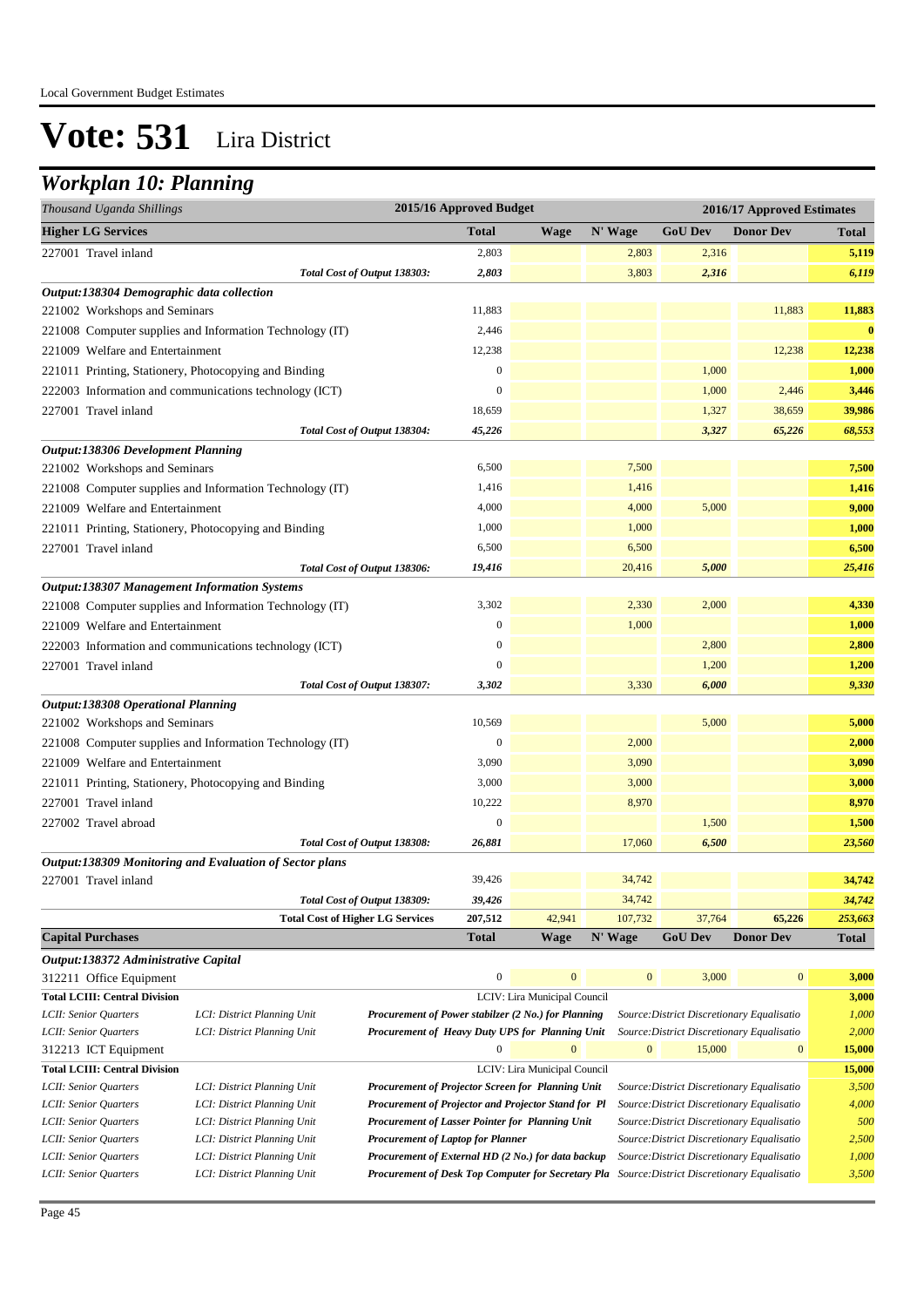#### *Workplan 10: Planning*

| 2015/16 Approved Budget<br>2016/17 Approved Estimates<br>Thousand Uganda Shillings                                                                        |                                                          |                  |                  |                                                             |              |                                            |                  |          |
|-----------------------------------------------------------------------------------------------------------------------------------------------------------|----------------------------------------------------------|------------------|------------------|-------------------------------------------------------------|--------------|--------------------------------------------|------------------|----------|
| <b>Higher LG Services</b>                                                                                                                                 |                                                          |                  | <b>Total</b>     | <b>Wage</b>                                                 | N' Wage      | <b>GoU Dev</b>                             | <b>Donor Dev</b> | Total    |
| 227001 Travel inland                                                                                                                                      |                                                          |                  | 2,803            |                                                             | 2,803        | 2,316                                      |                  | 5,119    |
|                                                                                                                                                           | Total Cost of Output 138303:                             |                  | 2,803            |                                                             | 3,803        | 2,316                                      |                  | 6,119    |
| Output:138304 Demographic data collection                                                                                                                 |                                                          |                  |                  |                                                             |              |                                            |                  |          |
| 221002 Workshops and Seminars                                                                                                                             |                                                          |                  | 11,883           |                                                             |              |                                            | 11,883           | 11,883   |
|                                                                                                                                                           | 221008 Computer supplies and Information Technology (IT) |                  | 2,446            |                                                             |              |                                            |                  | $\bf{0}$ |
| 221009 Welfare and Entertainment                                                                                                                          |                                                          | 12,238           |                  |                                                             |              | 12,238                                     | 12,238           |          |
| 221011 Printing, Stationery, Photocopying and Binding                                                                                                     |                                                          |                  | $\boldsymbol{0}$ |                                                             |              | 1,000                                      |                  | 1,000    |
|                                                                                                                                                           | 222003 Information and communications technology (ICT)   |                  | $\boldsymbol{0}$ |                                                             |              | 1,000                                      | 2,446            | 3,446    |
| 227001 Travel inland                                                                                                                                      |                                                          |                  | 18,659           |                                                             |              | 1,327                                      | 38,659           | 39,986   |
|                                                                                                                                                           | Total Cost of Output 138304:                             |                  | 45,226           |                                                             |              | 3,327                                      | 65,226           | 68,553   |
| <b>Output:138306 Development Planning</b>                                                                                                                 |                                                          |                  |                  |                                                             |              |                                            |                  |          |
| 221002 Workshops and Seminars                                                                                                                             |                                                          |                  | 6,500            |                                                             | 7,500        |                                            |                  | 7,500    |
|                                                                                                                                                           | 221008 Computer supplies and Information Technology (IT) |                  | 1,416            |                                                             | 1,416        |                                            |                  | 1,416    |
| 221009 Welfare and Entertainment                                                                                                                          |                                                          |                  | 4,000            |                                                             | 4,000        | 5,000                                      |                  | 9,000    |
| 221011 Printing, Stationery, Photocopying and Binding                                                                                                     |                                                          |                  | 1,000            |                                                             | 1,000        |                                            |                  | 1,000    |
| 227001 Travel inland                                                                                                                                      |                                                          |                  | 6,500            |                                                             | 6,500        |                                            |                  | 6,500    |
|                                                                                                                                                           | Total Cost of Output 138306:                             |                  | 19,416           |                                                             | 20,416       | 5,000                                      |                  | 25,416   |
| <b>Output:138307 Management Information Systems</b>                                                                                                       |                                                          |                  |                  |                                                             |              |                                            |                  |          |
| 221008 Computer supplies and Information Technology (IT)                                                                                                  |                                                          | 3,302            |                  | 2,330                                                       | 2,000        |                                            | 4,330            |          |
| 221009 Welfare and Entertainment                                                                                                                          |                                                          | $\boldsymbol{0}$ |                  | 1,000                                                       |              |                                            | 1,000            |          |
| 222003 Information and communications technology (ICT)                                                                                                    |                                                          |                  | $\boldsymbol{0}$ |                                                             |              | 2,800                                      |                  | 2,800    |
| 227001 Travel inland                                                                                                                                      |                                                          | $\mathbf{0}$     |                  |                                                             | 1,200        |                                            | 1,200            |          |
|                                                                                                                                                           | Total Cost of Output 138307:                             |                  | 3,302            |                                                             | 3,330        | 6,000                                      |                  | 9,330    |
| <b>Output:138308 Operational Planning</b>                                                                                                                 |                                                          |                  |                  |                                                             |              |                                            |                  |          |
| 221002 Workshops and Seminars                                                                                                                             |                                                          |                  | 10,569           |                                                             |              | 5,000                                      |                  | 5,000    |
|                                                                                                                                                           | 221008 Computer supplies and Information Technology (IT) |                  | $\boldsymbol{0}$ |                                                             | 2,000        |                                            |                  | 2,000    |
| 221009 Welfare and Entertainment                                                                                                                          |                                                          |                  | 3,090            |                                                             | 3,090        |                                            |                  | 3,090    |
| 221011 Printing, Stationery, Photocopying and Binding                                                                                                     |                                                          |                  | 3,000            |                                                             | 3,000        |                                            |                  | 3,000    |
| 227001 Travel inland                                                                                                                                      |                                                          |                  | 10,222           |                                                             | 8,970        |                                            |                  | 8,970    |
| 227002 Travel abroad                                                                                                                                      |                                                          | $\boldsymbol{0}$ |                  |                                                             | 1,500        |                                            | 1,500            |          |
|                                                                                                                                                           | Total Cost of Output 138308:                             |                  | 26,881           |                                                             | 17,060       | 6,500                                      |                  | 23,560   |
|                                                                                                                                                           | Output:138309 Monitoring and Evaluation of Sector plans  |                  |                  |                                                             |              |                                            |                  |          |
| 227001 Travel inland                                                                                                                                      |                                                          |                  | 39,426           |                                                             | 34,742       |                                            |                  | 34,742   |
|                                                                                                                                                           | Total Cost of Output 138309:                             |                  | 39,426           |                                                             | 34,742       |                                            |                  | 34,742   |
|                                                                                                                                                           | <b>Total Cost of Higher LG Services</b>                  |                  | 207,512          | 42,941                                                      | 107,732      | 37,764                                     | 65,226           | 253,663  |
| <b>Capital Purchases</b>                                                                                                                                  |                                                          |                  | <b>Total</b>     | <b>Wage</b>                                                 | N' Wage      | <b>GoU Dev</b>                             | <b>Donor Dev</b> | Total    |
| Output:138372 Administrative Capital                                                                                                                      |                                                          |                  |                  |                                                             |              |                                            |                  |          |
| 312211 Office Equipment                                                                                                                                   |                                                          |                  | $\boldsymbol{0}$ | $\mathbf{0}$                                                | $\mathbf{0}$ | 3,000                                      | $\bf{0}$         | 3,000    |
| LCIV: Lira Municipal Council<br><b>Total LCIII: Central Division</b>                                                                                      |                                                          |                  |                  |                                                             |              |                                            | 3,000            |          |
| LCII: Senior Quarters<br>LCI: District Planning Unit<br>Procurement of Power stabilzer (2 No.) for Planning<br>Source: District Discretionary Equalisatio |                                                          |                  |                  |                                                             |              |                                            | 1,000            |          |
| LCII: Senior Quarters                                                                                                                                     | LCI: District Planning Unit                              |                  | $\mathbf{0}$     | Procurement of Heavy Duty UPS for Planning Unit<br>$\Omega$ |              | Source: District Discretionary Equalisatio |                  | 2,000    |
| 312213 ICT Equipment                                                                                                                                      |                                                          |                  |                  |                                                             | $\mathbf{0}$ | 15,000                                     | $\mathbf{0}$     | 15,000   |
| <b>Total LCIII: Central Division</b><br>LCIV: Lira Municipal Council                                                                                      |                                                          |                  |                  |                                                             |              |                                            | 15,000           |          |

*LCII: Senior Quarters LCI: District Planning Unit Procurement of Projector Screen for Planning Unit Source:District Discretionary Equalisatio 3,500 LCII: Senior Quarters LCI: District Planning Unit Procurement of Projector and Projector Stand for Pl Source:District Discretionary Equalisatio 4,000 LCII: Senior Quarters LCI: District Planning Unit Procurement of Lasser Pointer for Planning Unit Source:District Discretionary Equalisatio 500 LCII: Senior Quarters LCI: District Planning Unit Procurement of Laptop for Planner Source:District Discretionary Equalisatio 2,500 LCII: Senior Quarters LCI: District Planning Unit Procurement of External HD (2 No.) for data backup Source:District Discretionary Equalisatio 1,000 LCII: Senior Quarters LCI: District Planning Unit Procurement of Desk Top Computer for Secretary Pla Source:District Discretionary Equalisatio 3,500*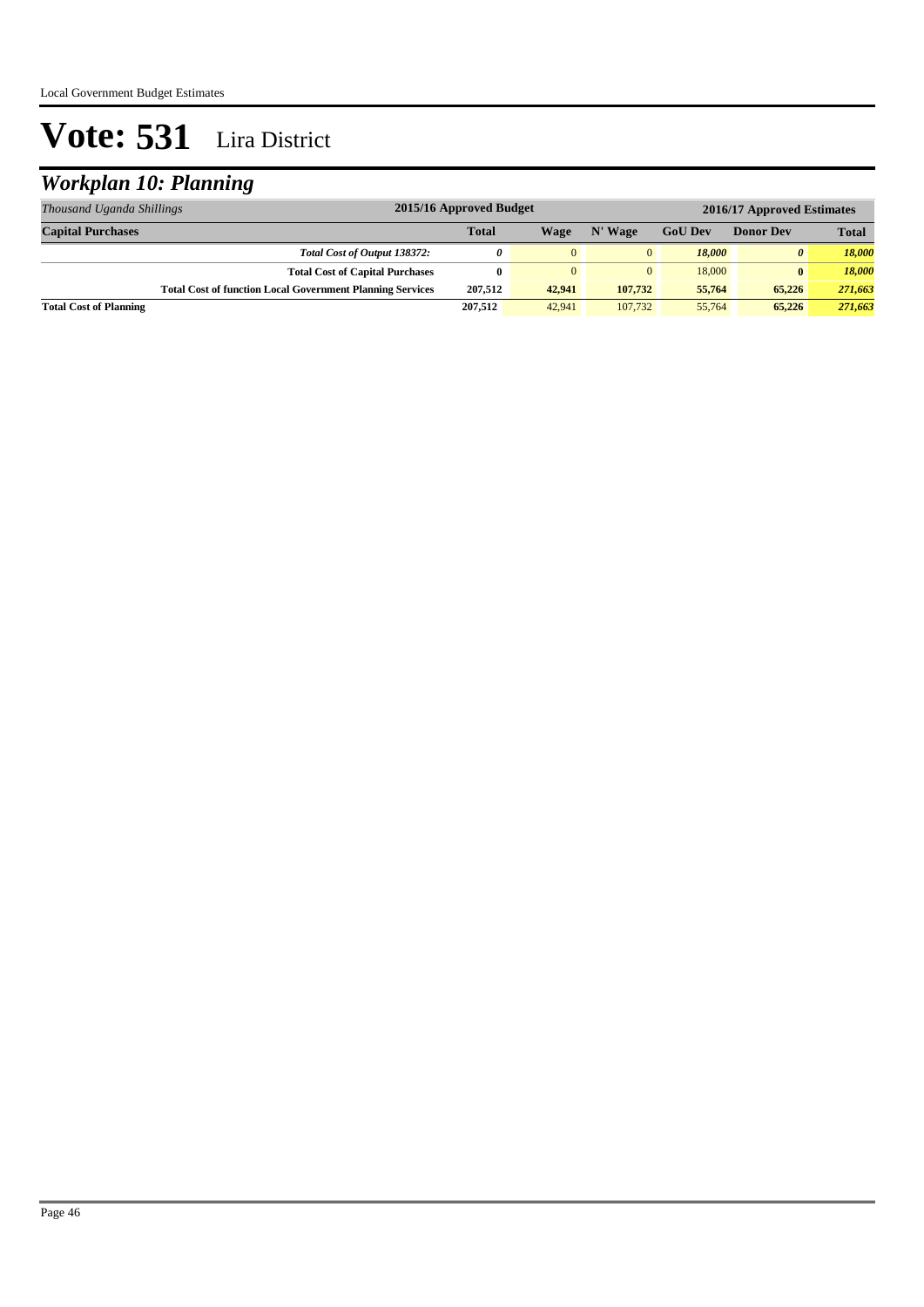### *Workplan 10: Planning*

| Thousand Uganda Shillings     | 2015/16 Approved Budget                                          |              |          |         | 2016/17 Approved Estimates         |          |              |  |
|-------------------------------|------------------------------------------------------------------|--------------|----------|---------|------------------------------------|----------|--------------|--|
| <b>Capital Purchases</b>      |                                                                  | <b>Total</b> | Wage     | N' Wage | <b>GoU Dev</b><br><b>Donor Dev</b> |          | <b>Total</b> |  |
|                               | Total Cost of Output 138372:                                     | $\theta$     | $\Omega$ |         | 18.000                             | $\theta$ | 18,000       |  |
|                               | <b>Total Cost of Capital Purchases</b>                           |              | $\Omega$ |         | 18,000                             | $\bf{0}$ | 18,000       |  |
|                               | <b>Total Cost of function Local Government Planning Services</b> | 207.512      | 42.941   | 107.732 | 55,764                             | 65,226   | 271,663      |  |
| <b>Total Cost of Planning</b> |                                                                  | 207,512      | 42,941   | 107,732 | 55,764                             | 65,226   | 271,663      |  |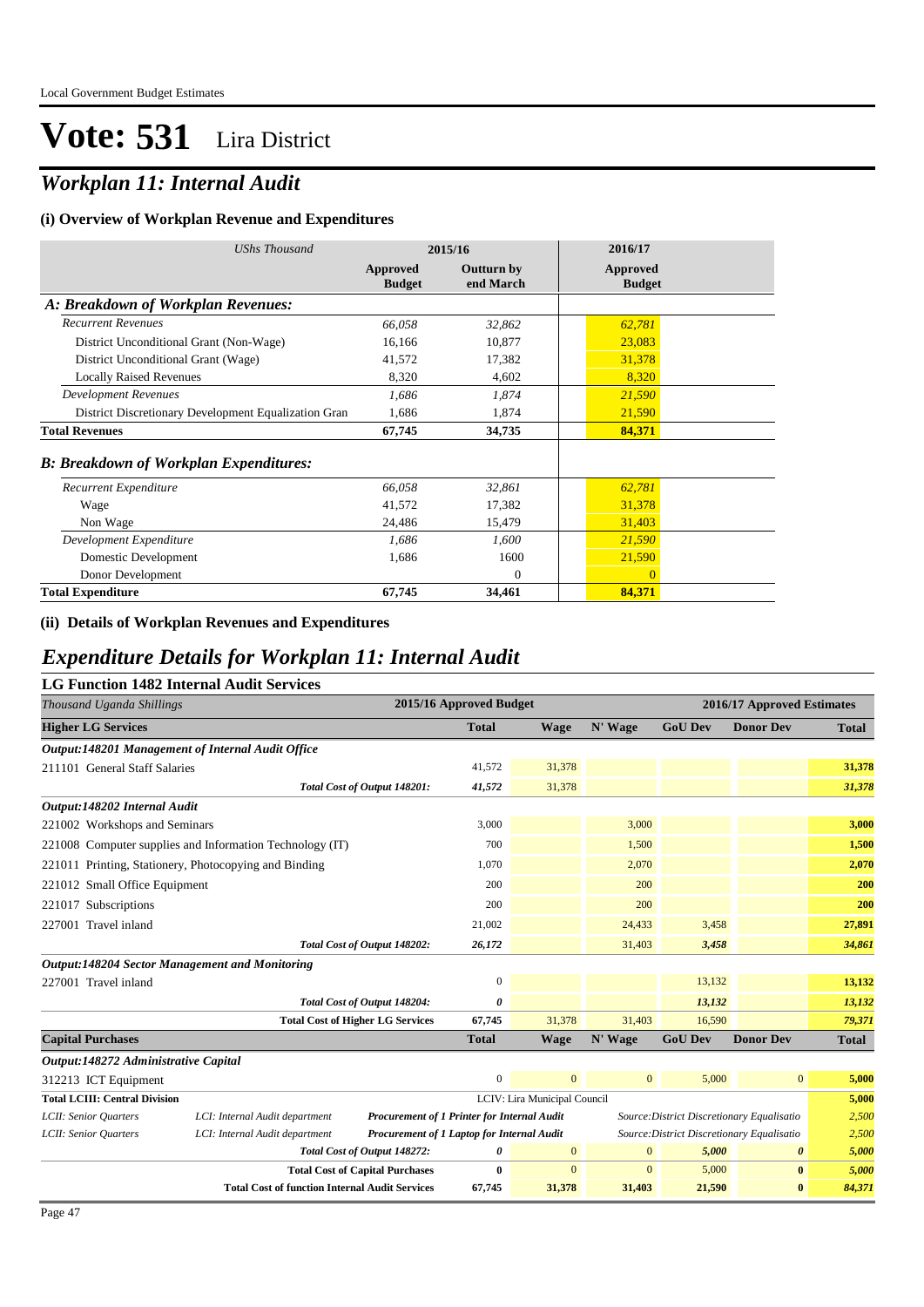### *Workplan 11: Internal Audit*

#### **(i) Overview of Workplan Revenue and Expenditures**

| <b>UShs Thousand</b>                                 | 2015/16                   |                         | 2016/17                   |
|------------------------------------------------------|---------------------------|-------------------------|---------------------------|
|                                                      | Approved<br><b>Budget</b> | Outturn by<br>end March | Approved<br><b>Budget</b> |
| A: Breakdown of Workplan Revenues:                   |                           |                         |                           |
| <b>Recurrent Revenues</b>                            | 66,058                    | 32,862                  | 62,781                    |
| District Unconditional Grant (Non-Wage)              | 16,166                    | 10,877                  | 23,083                    |
| District Unconditional Grant (Wage)                  | 41,572                    | 17,382                  | 31,378                    |
| <b>Locally Raised Revenues</b>                       | 8,320                     | 4,602                   | 8,320                     |
| <b>Development Revenues</b>                          | 1,686                     | 1,874                   | 21,590                    |
| District Discretionary Development Equalization Gran | 1,686                     | 1,874                   | 21,590                    |
| <b>Total Revenues</b>                                | 67,745                    | 34,735                  | 84,371                    |
| <b>B: Breakdown of Workplan Expenditures:</b>        |                           |                         |                           |
| Recurrent Expenditure                                | 66,058                    | 32,861                  | 62,781                    |
| Wage                                                 | 41,572                    | 17,382                  | 31,378                    |
| Non Wage                                             | 24,486                    | 15,479                  | 31,403                    |
| Development Expenditure                              | 1,686                     | 1,600                   | 21,590                    |
| Domestic Development                                 | 1,686                     | 1600                    | 21,590                    |
| Donor Development                                    |                           | $\Omega$                | $\overline{0}$            |
| <b>Total Expenditure</b>                             | 67,745                    | 34,461                  | 84,371                    |

#### **(ii) Details of Workplan Revenues and Expenditures**

### *Expenditure Details for Workplan 11: Internal Audit*

|--|

| Thousand Uganda Shillings                             |                                                          | 2015/16 Approved Budget                     |                                            |                              | 2016/17 Approved Estimates                 |                                            |                  |              |
|-------------------------------------------------------|----------------------------------------------------------|---------------------------------------------|--------------------------------------------|------------------------------|--------------------------------------------|--------------------------------------------|------------------|--------------|
| <b>Higher LG Services</b>                             |                                                          |                                             | <b>Total</b>                               | <b>Wage</b>                  | N' Wage                                    | <b>GoU Dev</b>                             | <b>Donor Dev</b> | <b>Total</b> |
| Output:148201 Management of Internal Audit Office     |                                                          |                                             |                                            |                              |                                            |                                            |                  |              |
| 211101 General Staff Salaries                         |                                                          |                                             | 41,572                                     | 31,378                       |                                            |                                            |                  | 31,378       |
|                                                       |                                                          | Total Cost of Output 148201:                | 41,572                                     | 31,378                       |                                            |                                            |                  | 31,378       |
| Output:148202 Internal Audit                          |                                                          |                                             |                                            |                              |                                            |                                            |                  |              |
| 221002 Workshops and Seminars                         |                                                          |                                             | 3,000                                      |                              | 3,000                                      |                                            |                  | 3,000        |
|                                                       | 221008 Computer supplies and Information Technology (IT) |                                             | 700                                        |                              | 1,500                                      |                                            |                  | 1,500        |
| 221011 Printing, Stationery, Photocopying and Binding |                                                          |                                             | 1,070                                      |                              | 2,070                                      |                                            |                  | 2,070        |
| 221012 Small Office Equipment                         |                                                          |                                             | 200                                        |                              | 200                                        |                                            |                  | 200          |
| 221017 Subscriptions                                  |                                                          |                                             | 200                                        |                              | 200                                        |                                            |                  | 200          |
| 227001 Travel inland                                  |                                                          |                                             | 21,002                                     |                              | 24,433                                     | 3,458                                      |                  | 27,891       |
|                                                       |                                                          | Total Cost of Output 148202:                | 26,172                                     |                              | 31,403                                     | 3,458                                      |                  | 34,861       |
| <b>Output:148204 Sector Management and Monitoring</b> |                                                          |                                             |                                            |                              |                                            |                                            |                  |              |
| 227001 Travel inland                                  |                                                          |                                             | $\mathbf{0}$                               |                              |                                            | 13,132                                     |                  | 13,132       |
|                                                       |                                                          | Total Cost of Output 148204:                | 0                                          |                              |                                            | 13,132                                     |                  | 13,132       |
|                                                       |                                                          | <b>Total Cost of Higher LG Services</b>     | 67,745                                     | 31,378                       | 31,403                                     | 16,590                                     |                  | 79,371       |
| <b>Capital Purchases</b>                              |                                                          |                                             | <b>Total</b>                               | <b>Wage</b>                  | N' Wage                                    | <b>GoU Dev</b>                             | <b>Donor Dev</b> | <b>Total</b> |
| Output:148272 Administrative Capital                  |                                                          |                                             |                                            |                              |                                            |                                            |                  |              |
| 312213 ICT Equipment                                  |                                                          |                                             | $\mathbf{0}$                               | $\mathbf{0}$                 | $\overline{0}$                             | 5,000                                      | $\overline{0}$   | 5,000        |
| <b>Total LCIII: Central Division</b>                  |                                                          |                                             |                                            | LCIV: Lira Municipal Council |                                            |                                            |                  | 5,000        |
| LCII: Senior Quarters                                 | LCI: Internal Audit department                           | Procurement of 1 Printer for Internal Audit |                                            |                              | Source: District Discretionary Equalisatio | 2,500                                      |                  |              |
| LCII: Senior Quarters                                 | LCI: Internal Audit department                           |                                             | Procurement of 1 Laptop for Internal Audit |                              |                                            | Source: District Discretionary Equalisatio |                  |              |
|                                                       |                                                          | Total Cost of Output 148272:                | 0                                          | $\mathbf{0}$                 | $\mathbf{0}$                               | 5,000                                      | 0                | 5,000        |

**Total Cost of Capital Purchases 0** 0 0 5,000 **0** *5,000*

**Total Cost of function Internal Audit Services 67,745 31,378 31,403 21,590 0** *84,371*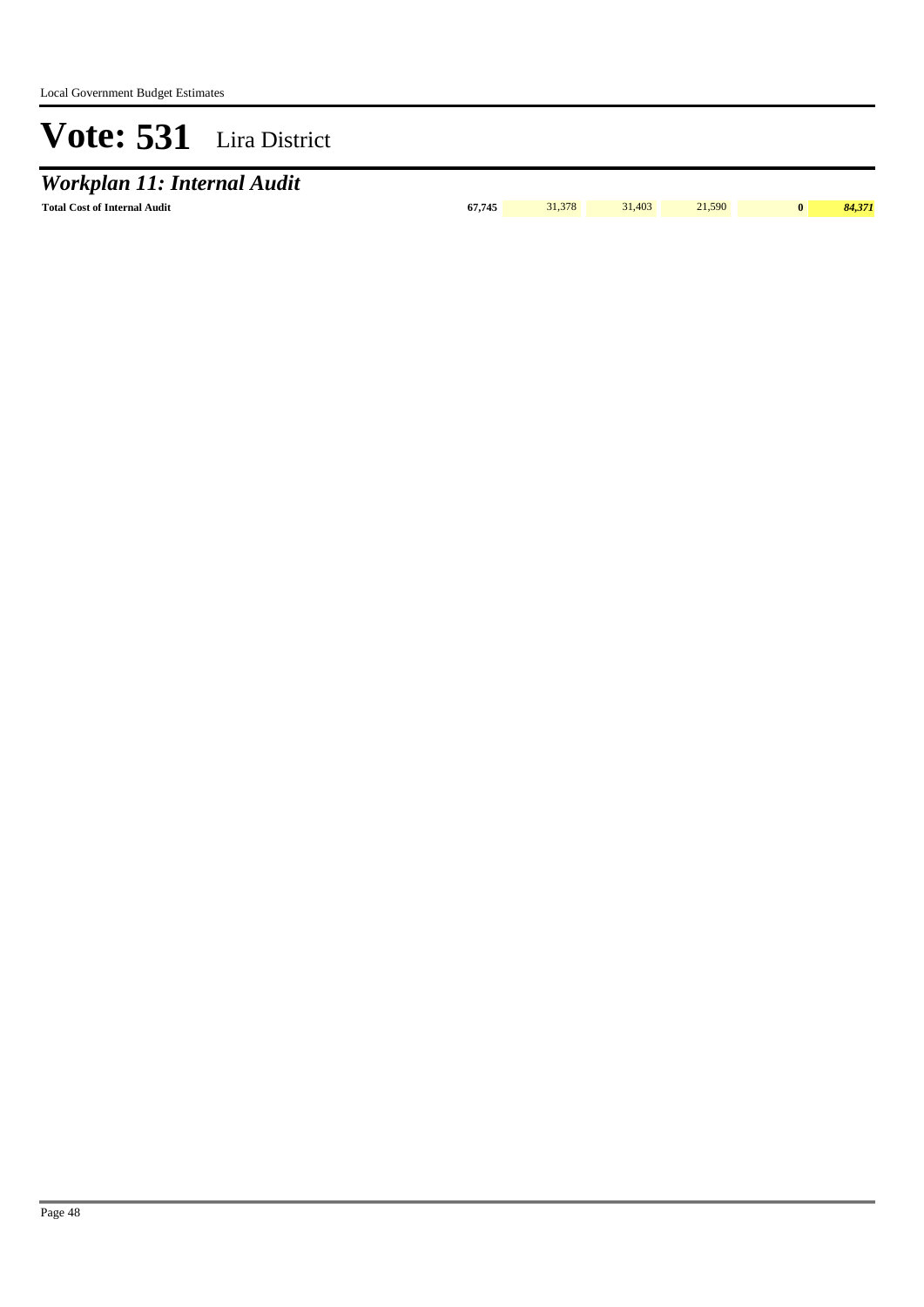# *Workplan 11: Internal Audit*

**Total Cost of Internal Audit 67,745** 31,378 31,403 21,590 **0** *84,371*